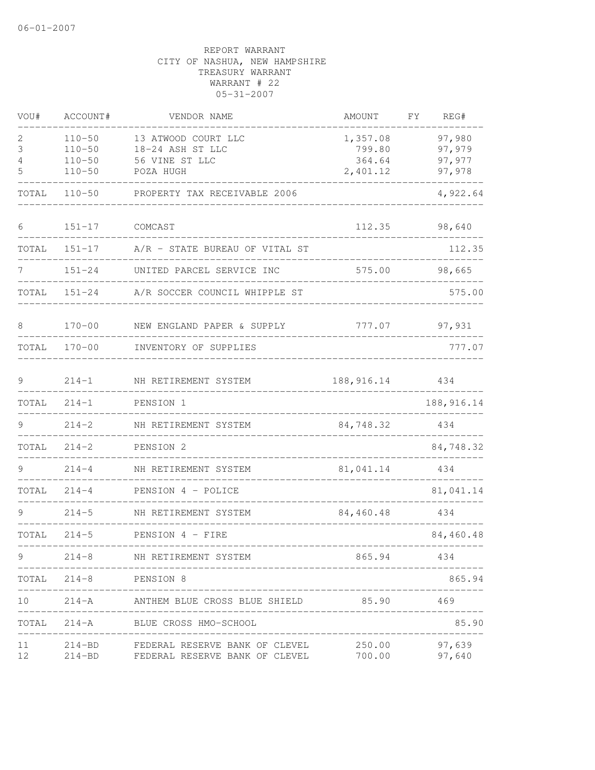| VOU#             | ACCOUNT#                                             | VENDOR NAME                                                                                                      | AMOUNT                                        | FY<br>REG#                           |
|------------------|------------------------------------------------------|------------------------------------------------------------------------------------------------------------------|-----------------------------------------------|--------------------------------------|
| 2<br>3<br>4<br>5 | $110 - 50$<br>$110 - 50$<br>$110 - 50$<br>$110 - 50$ | 13 ATWOOD COURT LLC<br>18-24 ASH ST LLC<br>56 VINE ST LLC<br>POZA HUGH                                           | 1,357.08<br>799.80<br>364.64<br>2,401.12      | 97,980<br>97,979<br>97,977<br>97,978 |
| TOTAL            | $110 - 50$                                           | PROPERTY TAX RECEIVABLE 2006                                                                                     |                                               | 4,922.64                             |
| 6                | $151 - 17$                                           | COMCAST                                                                                                          | 112.35                                        | 98,640                               |
| TOTAL            | $151 - 17$                                           | A/R - STATE BUREAU OF VITAL ST                                                                                   |                                               | 112.35                               |
|                  | $151 - 24$                                           | UNITED PARCEL SERVICE INC                                                                                        | 575.00                                        | 98,665                               |
| TOTAL            | $151 - 24$                                           | A/R SOCCER COUNCIL WHIPPLE ST                                                                                    |                                               | 575.00                               |
| 8                | $170 - 00$                                           | NEW ENGLAND PAPER & SUPPLY                                                                                       |                                               | 777.07 97,931                        |
|                  |                                                      | TOTAL 170-00 INVENTORY OF SUPPLIES                                                                               |                                               | 777.07                               |
| 9                | $214 - 1$                                            | NH RETIREMENT SYSTEM                                                                                             | 188,916.14                                    | 434                                  |
| TOTAL            | $214 - 1$                                            | PENSION 1                                                                                                        |                                               | 188, 916.14                          |
| 9                | $214 - 2$                                            | NH RETIREMENT SYSTEM                                                                                             | 84,748.32                                     | ______________<br>434                |
| TOTAL            | $214 - 2$                                            | PENSION 2                                                                                                        |                                               | 84,748.32                            |
|                  | $214 - 4$                                            | NH RETIREMENT SYSTEM<br>______________________________                                                           | ________________________________<br>81,041.14 | 434                                  |
| TOTAL            | $214 - 4$                                            | PENSION 4 - POLICE                                                                                               |                                               | 81,041.14                            |
| 9                | $214 - 5$                                            | NH RETIREMENT SYSTEM                                                                                             | --------------------------------<br>84,460.48 | 434                                  |
| TOTAL            |                                                      | 214-5 PENSION 4 - FIRE                                                                                           |                                               | 84,460.48                            |
| 9                | -------------------                                  | 214-8 NH RETIREMENT SYSTEM                                                                                       | 865.94                                        | 434                                  |
|                  | TOTAL 214-8 PENSION 8                                |                                                                                                                  |                                               | 865.94                               |
| 10               |                                                      | 214-A ANTHEM BLUE CROSS BLUE SHIELD 85.90 469<br>_______________________                                         |                                               |                                      |
|                  |                                                      | TOTAL 214-A BLUE CROSS HMO-SCHOOL                                                                                |                                               | ----------<br>85.90                  |
|                  |                                                      | 11 214-BD FEDERAL RESERVE BANK OF CLEVEL 250.00 97,639<br>12 214-BD FEDERAL RESERVE BANK OF CLEVEL 700.00 97,640 |                                               |                                      |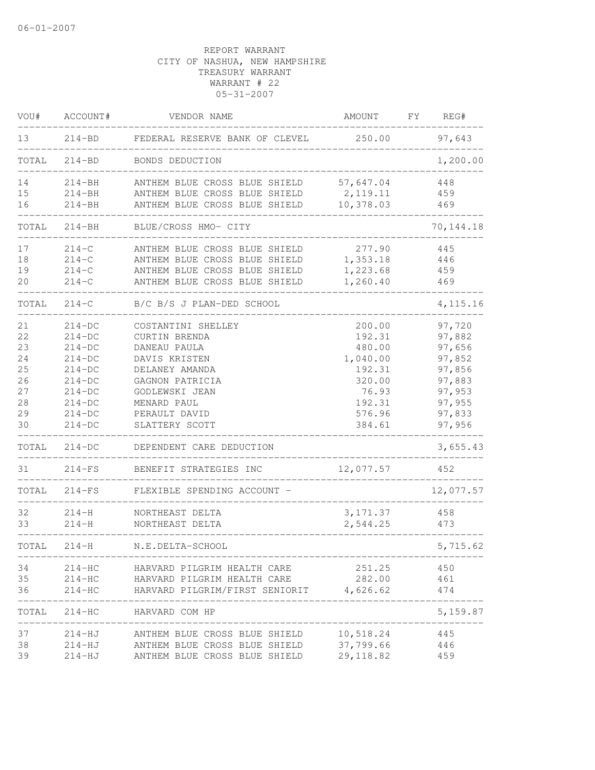| VOU#  | ACCOUNT#   | VENDOR NAME                                        | AMOUNT     | FΥ | REG#       |
|-------|------------|----------------------------------------------------|------------|----|------------|
| 13    | $214 - BD$ | FEDERAL RESERVE BANK OF CLEVEL                     | 250.00     |    | 97,643     |
| TOTAL | $214 - BD$ | BONDS DEDUCTION                                    |            |    | 1,200.00   |
| 14    | $214 - BH$ | ANTHEM BLUE CROSS BLUE SHIELD                      | 57,647.04  |    | 448        |
| 15    | $214 - BH$ | ANTHEM BLUE CROSS BLUE SHIELD                      | 2, 119. 11 |    | 459        |
| 16    | $214 - BH$ | ANTHEM BLUE CROSS BLUE SHIELD                      | 10,378.03  |    | 469        |
| TOTAL | $214 - BH$ | BLUE/CROSS HMO- CITY                               |            |    | 70, 144.18 |
| 17    | $214 - C$  | ANTHEM BLUE CROSS BLUE SHIELD                      | 277.90     |    | 445        |
| 18    | $214 - C$  | ANTHEM BLUE CROSS BLUE SHIELD                      | 1,353.18   |    | 446        |
| 19    | $214 - C$  | ANTHEM BLUE CROSS BLUE SHIELD                      | 1,223.68   |    | 459        |
| 20    | $214 - C$  | ANTHEM BLUE CROSS BLUE SHIELD                      | 1,260.40   |    | 469        |
| TOTAL | $214 - C$  | B/C B/S J PLAN-DED SCHOOL                          |            |    | 4,115.16   |
| 21    | $214-DC$   | COSTANTINI SHELLEY                                 | 200.00     |    | 97,720     |
| 22    | $214-DC$   | CURTIN BRENDA                                      | 192.31     |    | 97,882     |
| 23    | $214-DC$   | DANEAU PAULA                                       | 480.00     |    | 97,656     |
| 24    | $214-DC$   | DAVIS KRISTEN                                      | 1,040.00   |    | 97,852     |
| 25    | $214-DC$   | DELANEY AMANDA                                     | 192.31     |    | 97,856     |
| 26    | $214-DC$   | GAGNON PATRICIA                                    | 320.00     |    | 97,883     |
| 27    | $214-DC$   | GODLEWSKI JEAN                                     | 76.93      |    | 97,953     |
| 28    | $214-DC$   | MENARD PAUL                                        | 192.31     |    | 97,955     |
| 29    | $214-DC$   | PERAULT DAVID                                      | 576.96     |    | 97,833     |
| 30    | $214-DC$   | SLATTERY SCOTT                                     | 384.61     |    | 97,956     |
| TOTAL | $214-DC$   | DEPENDENT CARE DEDUCTION                           |            |    | 3,655.43   |
| 31    | $214-FS$   | BENEFIT STRATEGIES INC                             | 12,077.57  |    | 452        |
| TOTAL | $214-FS$   | FLEXIBLE SPENDING ACCOUNT -                        |            |    | 12,077.57  |
| 32    | $214-H$    | NORTHEAST DELTA                                    | 3, 171.37  |    | 458        |
| 33    | $214-H$    | NORTHEAST DELTA                                    | 2,544.25   |    | 473        |
| TOTAL | $214 - H$  | N.E.DELTA-SCHOOL                                   |            |    | 5,715.62   |
| 34    |            | 214-HC HARVARD PILGRIM HEALTH CARE                 | 251.25     |    | 450        |
| 35    | $214 - HC$ | HARVARD PILGRIM HEALTH CARE                        | 282.00     |    | 461        |
| 36    | $214 - HC$ | HARVARD PILGRIM/FIRST SENIORIT 4,626.62            |            |    | 474        |
|       |            | TOTAL 214-HC HARVARD COM HP                        |            |    | 5,159.87   |
| 37    |            | 214-HJ ANTHEM BLUE CROSS BLUE SHIELD 10,518.24 445 |            |    |            |
| 38    |            | 214-HJ ANTHEM BLUE CROSS BLUE SHIELD 37,799.66     |            |    | 446        |
| 39    |            | 214-HJ ANTHEM BLUE CROSS BLUE SHIELD 29,118.82     |            |    | 459        |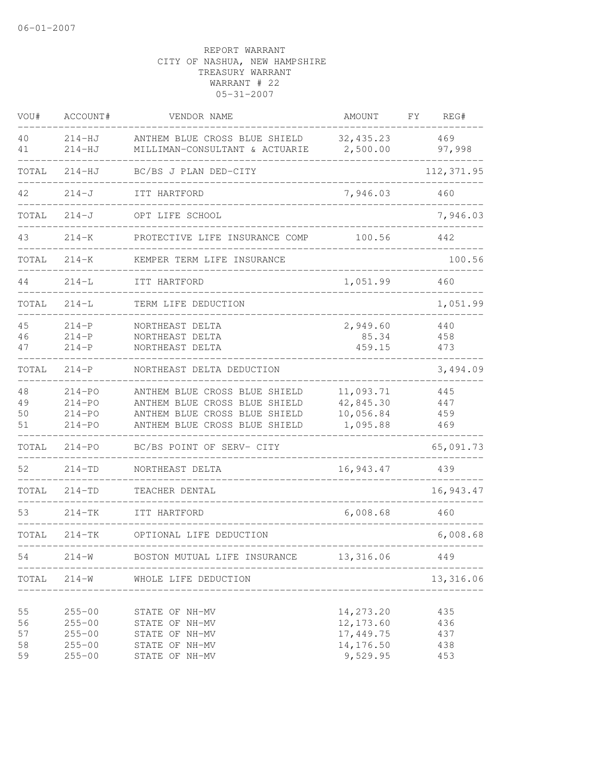| VOU#                       | ACCOUNT#                                                           | VENDOR NAME                                                                                                                      | AMOUNT                                                        | FΥ<br>REG#                      |
|----------------------------|--------------------------------------------------------------------|----------------------------------------------------------------------------------------------------------------------------------|---------------------------------------------------------------|---------------------------------|
| 40<br>41                   | $214-HJ$<br>$214-HJ$                                               | ANTHEM BLUE CROSS BLUE SHIELD<br>MILLIMAN-CONSULTANT & ACTUARIE                                                                  | 32, 435.23<br>2,500.00                                        | 469<br>97,998                   |
| TOTAL                      | $214-HJ$                                                           | BC/BS J PLAN DED-CITY                                                                                                            |                                                               | 112, 371.95                     |
| 42                         | $214 - J$                                                          | ITT HARTFORD                                                                                                                     | 7,946.03                                                      | 460                             |
| TOTAL                      | $214 - J$                                                          | OPT LIFE SCHOOL                                                                                                                  |                                                               | 7,946.03                        |
| 43                         | $214 - K$                                                          | PROTECTIVE LIFE INSURANCE COMP                                                                                                   | 100.56                                                        | 442                             |
| TOTAL                      | $214 - K$                                                          | KEMPER TERM LIFE INSURANCE                                                                                                       |                                                               | 100.56                          |
| 44                         | $214 - L$                                                          | ITT HARTFORD                                                                                                                     | 1,051.99                                                      | 460                             |
| TOTAL                      | $214 - L$                                                          | TERM LIFE DEDUCTION                                                                                                              |                                                               | 1,051.99                        |
| 45<br>46<br>47             | $214 - P$<br>$214 - P$<br>$214 - P$                                | NORTHEAST DELTA<br>NORTHEAST DELTA<br>NORTHEAST DELTA                                                                            | 2,949.60<br>85.34<br>459.15                                   | 440<br>458<br>473               |
| TOTAL                      | $214-P$                                                            | NORTHEAST DELTA DEDUCTION                                                                                                        |                                                               | 3,494.09                        |
| 48<br>49<br>50<br>51       | $214 - PO$<br>$214 - PO$<br>$214 - PO$<br>$214 - PQ$               | ANTHEM BLUE CROSS BLUE SHIELD<br>ANTHEM BLUE CROSS BLUE SHIELD<br>ANTHEM BLUE CROSS BLUE SHIELD<br>ANTHEM BLUE CROSS BLUE SHIELD | 11,093.71<br>42,845.30<br>10,056.84<br>1,095.88               | 445<br>447<br>459<br>469        |
| TOTAL                      | $214 - PQ$                                                         | BC/BS POINT OF SERV- CITY                                                                                                        |                                                               | 65,091.73                       |
| 52                         | $214 - TD$                                                         | NORTHEAST DELTA                                                                                                                  | 16,943.47                                                     | 439                             |
| TOTAL                      | $214 - TD$                                                         | TEACHER DENTAL                                                                                                                   |                                                               | 16,943.47                       |
| 53                         | $214-TK$                                                           | ITT HARTFORD                                                                                                                     | 6,008.68                                                      | 460                             |
| TOTAL                      | $214 - TK$                                                         | OPTIONAL LIFE DEDUCTION                                                                                                          |                                                               | 6,008.68                        |
| 54                         | $214 - W$                                                          | BOSTON MUTUAL LIFE INSURANCE                                                                                                     | 13,316.06                                                     | 449                             |
| TOTAL                      | $214 - W$                                                          | WHOLE LIFE DEDUCTION<br>______________________                                                                                   |                                                               | 13,316.06                       |
| 55<br>56<br>57<br>58<br>59 | $255 - 00$<br>$255 - 00$<br>$255 - 00$<br>$255 - 00$<br>$255 - 00$ | STATE OF NH-MV<br>STATE OF NH-MV<br>STATE OF NH-MV<br>STATE OF NH-MV<br>STATE OF NH-MV                                           | 14,273.20<br>12, 173.60<br>17,449.75<br>14,176.50<br>9,529.95 | 435<br>436<br>437<br>438<br>453 |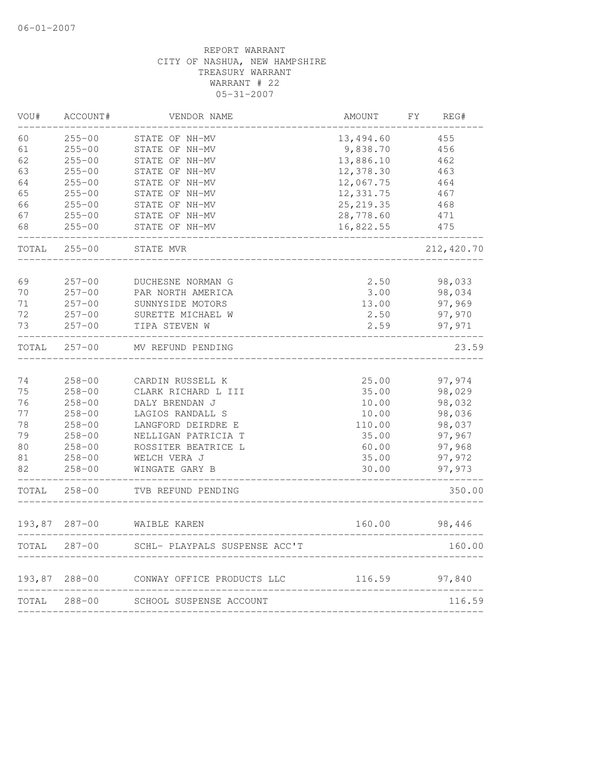| VOU#   | ACCOUNT#      | VENDOR NAME                   | AMOUNT     | FY. | REG#       |
|--------|---------------|-------------------------------|------------|-----|------------|
| 60     | $255 - 00$    | STATE OF NH-MV                | 13,494.60  |     | 455        |
| 61     | $255 - 00$    | STATE OF NH-MV                | 9,838.70   |     | 456        |
| 62     | $255 - 00$    | STATE OF NH-MV                | 13,886.10  |     | 462        |
| 63     | $255 - 00$    | STATE OF NH-MV                | 12,378.30  |     | 463        |
| 64     | $255 - 00$    | STATE OF NH-MV                | 12,067.75  |     | 464        |
| 65     | $255 - 00$    | STATE OF NH-MV                | 12,331.75  |     | 467        |
| 66     | $255 - 00$    | STATE OF NH-MV                | 25, 219.35 |     | 468        |
| 67     | $255 - 00$    | STATE OF NH-MV                | 28,778.60  |     | 471        |
| 68     | $255 - 00$    | STATE OF NH-MV                | 16,822.55  |     | 475        |
| TOTAL  | $255 - 00$    | STATE MVR                     |            |     | 212,420.70 |
| 69     | $257 - 00$    | DUCHESNE NORMAN G             | 2.50       |     | 98,033     |
| 70     | $257 - 00$    | PAR NORTH AMERICA             | 3.00       |     | 98,034     |
| 71     | $257 - 00$    | SUNNYSIDE MOTORS              | 13.00      |     | 97,969     |
| 72     | $257 - 00$    | SURETTE MICHAEL W             | 2.50       |     | 97,970     |
| 73     | $257 - 00$    | TIPA STEVEN W                 |            |     |            |
|        |               |                               | 2.59       |     | 97,971     |
| TOTAL  | $257 - 00$    | MV REFUND PENDING             |            |     | 23.59      |
| 74     | $258 - 00$    | CARDIN RUSSELL K              | 25.00      |     | 97,974     |
| 75     | $258 - 00$    | CLARK RICHARD L III           | 35.00      |     | 98,029     |
| 76     | $258 - 00$    | DALY BRENDAN J                | 10.00      |     | 98,032     |
| 77     | $258 - 00$    | LAGIOS RANDALL S              | 10.00      |     | 98,036     |
| 78     | $258 - 00$    | LANGFORD DEIRDRE E            | 110.00     |     | 98,037     |
| 79     | $258 - 00$    | NELLIGAN PATRICIA T           | 35.00      |     | 97,967     |
| 80     | $258 - 00$    | ROSSITER BEATRICE L           | 60.00      |     | 97,968     |
| 81     | $258 - 00$    | WELCH VERA J                  | 35.00      |     | 97,972     |
| 82     | $258 - 00$    | WINGATE GARY B                | 30.00      |     | 97,973     |
| TOTAL  | $258 - 00$    | TVB REFUND PENDING            |            |     | 350.00     |
|        | 193,87 287-00 | WAIBLE KAREN                  | 160.00     |     | 98,446     |
| TOTAL  | $287 - 00$    | SCHL- PLAYPALS SUSPENSE ACC'T |            |     | 160.00     |
| 193,87 | $288 - 00$    | CONWAY OFFICE PRODUCTS LLC    | 116.59     |     | 97,840     |
| TOTAL  | $288 - 00$    | SCHOOL SUSPENSE ACCOUNT       |            |     | 116.59     |
|        |               |                               |            |     |            |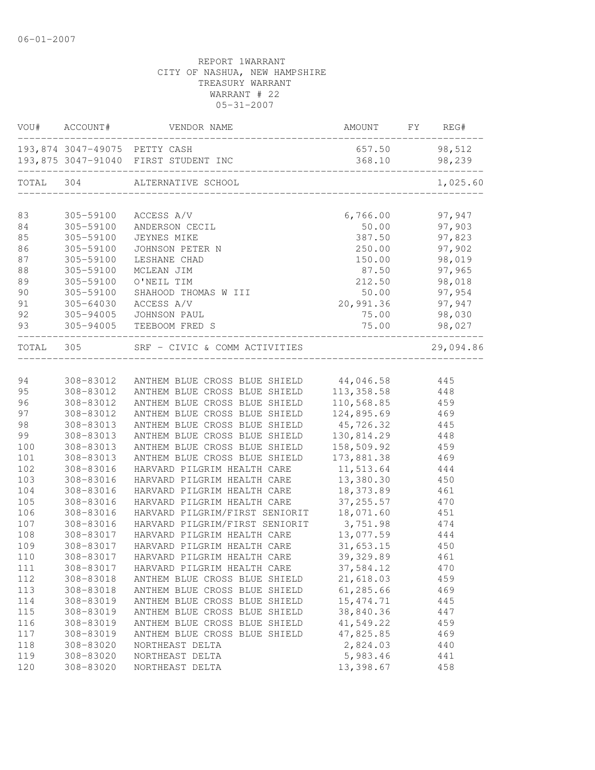| 98,512<br>193,874 3047-49075 PETTY CASH<br>657.50<br>193,875 3047-91040 FIRST STUDENT INC<br>368.10<br>98,239<br>TOTAL 304<br>ALTERNATIVE SCHOOL<br>83<br>6,766.00<br>97,947<br>305-59100 ACCESS A/V<br>84<br>305-59100<br>50.00<br>97,903<br>ANDERSON CECIL<br>387.50<br>97,823<br>85<br>305-59100<br>JEYNES MIKE<br>250.00<br>97,902<br>86<br>305-59100<br>JOHNSON PETER N<br>150.00<br>98,019<br>87<br>305-59100<br>LESHANE CHAD<br>88<br>305-59100<br>87.50<br>97,965<br>MCLEAN JIM<br>89<br>305-59100<br>212.50 98,018<br>O'NEIL TIM<br>90<br>305-59100<br>50.00 97,954<br>SHAHOOD THOMAS W III<br>91<br>305-64030<br>ACCESS A/V<br>20,991.36 97,947<br>92<br>75.00<br>98,030<br>305-94005 JOHNSON PAUL<br>75.00 98,027<br>93<br>305-94005 TEEBOOM FRED S<br>TOTAL 305<br>SRF - CIVIC & COMM ACTIVITIES<br>29,094.86<br>308-83012 ANTHEM BLUE CROSS BLUE SHIELD 44,046.58 445<br>94<br>95<br>ANTHEM BLUE CROSS BLUE SHIELD 113, 358.58 448<br>308-83012<br>96<br>110,568.85 459<br>308-83012<br>ANTHEM BLUE CROSS BLUE SHIELD<br>124,895.69<br>97<br>308-83012<br>ANTHEM BLUE CROSS BLUE SHIELD<br>469<br>98<br>ANTHEM BLUE CROSS BLUE SHIELD<br>45,726.32<br>308-83013<br>445<br>130,814.29<br>ANTHEM BLUE CROSS BLUE SHIELD<br>448<br>99<br>308-83013<br>ANTHEM BLUE CROSS BLUE SHIELD<br>158,509.92<br>459<br>100<br>308-83013<br>ANTHEM BLUE CROSS BLUE SHIELD<br>173,881.38 469<br>101<br>308-83013<br>308-83016<br>HARVARD PILGRIM HEALTH CARE 11,513.64<br>444<br>HARVARD PILGRIM HEALTH CARE<br>13,380.30<br>308-83016<br>450<br>18,373.89<br>308-83016<br>HARVARD PILGRIM HEALTH CARE<br>461<br>308-83016<br>HARVARD PILGRIM HEALTH CARE<br>37, 255.57<br>470<br>HARVARD PILGRIM/FIRST SENIORIT<br>18,071.60<br>308-83016<br>451<br>308-83016<br>474<br>444<br>308-83017<br>308-83017<br>450<br>308-83017 HARVARD PILGRIM HEALTH CARE<br>461<br>308-83017<br>37,584.12<br>111<br>HARVARD PILGRIM HEALTH CARE<br>470<br>21,618.03<br>308-83018<br>ANTHEM BLUE CROSS BLUE SHIELD<br>459<br>61,285.66<br>113<br>308-83018<br>ANTHEM BLUE CROSS BLUE SHIELD<br>469<br>114<br>308-83019<br>ANTHEM BLUE CROSS BLUE SHIELD<br>15, 474.71<br>445<br>38,840.36<br>115<br>308-83019<br>ANTHEM BLUE CROSS BLUE SHIELD<br>447<br>116<br>308-83019<br>ANTHEM BLUE CROSS BLUE SHIELD<br>41,549.22<br>459<br>47,825.85<br>117<br>308-83019<br>ANTHEM BLUE CROSS BLUE SHIELD<br>469<br>2,824.03<br>308-83020<br>NORTHEAST DELTA<br>440<br>5,983.46<br>119<br>308-83020<br>441<br>NORTHEAST DELTA<br>13,398.67<br>308-83020<br>NORTHEAST DELTA<br>458 |     | VOU# ACCOUNT# | VENDOR NAME | AMOUNT FY REG# |  |
|----------------------------------------------------------------------------------------------------------------------------------------------------------------------------------------------------------------------------------------------------------------------------------------------------------------------------------------------------------------------------------------------------------------------------------------------------------------------------------------------------------------------------------------------------------------------------------------------------------------------------------------------------------------------------------------------------------------------------------------------------------------------------------------------------------------------------------------------------------------------------------------------------------------------------------------------------------------------------------------------------------------------------------------------------------------------------------------------------------------------------------------------------------------------------------------------------------------------------------------------------------------------------------------------------------------------------------------------------------------------------------------------------------------------------------------------------------------------------------------------------------------------------------------------------------------------------------------------------------------------------------------------------------------------------------------------------------------------------------------------------------------------------------------------------------------------------------------------------------------------------------------------------------------------------------------------------------------------------------------------------------------------------------------------------------------------------------------------------------------------------------------------------------------------------------------------------------------------------------------------------------------------------------------------------------------------------------------------------------------------------------------------------------------------------------------------------------------------------------------------------------------------------------------------------|-----|---------------|-------------|----------------|--|
| 1,025.60                                                                                                                                                                                                                                                                                                                                                                                                                                                                                                                                                                                                                                                                                                                                                                                                                                                                                                                                                                                                                                                                                                                                                                                                                                                                                                                                                                                                                                                                                                                                                                                                                                                                                                                                                                                                                                                                                                                                                                                                                                                                                                                                                                                                                                                                                                                                                                                                                                                                                                                                           |     |               |             |                |  |
|                                                                                                                                                                                                                                                                                                                                                                                                                                                                                                                                                                                                                                                                                                                                                                                                                                                                                                                                                                                                                                                                                                                                                                                                                                                                                                                                                                                                                                                                                                                                                                                                                                                                                                                                                                                                                                                                                                                                                                                                                                                                                                                                                                                                                                                                                                                                                                                                                                                                                                                                                    |     |               |             |                |  |
|                                                                                                                                                                                                                                                                                                                                                                                                                                                                                                                                                                                                                                                                                                                                                                                                                                                                                                                                                                                                                                                                                                                                                                                                                                                                                                                                                                                                                                                                                                                                                                                                                                                                                                                                                                                                                                                                                                                                                                                                                                                                                                                                                                                                                                                                                                                                                                                                                                                                                                                                                    |     |               |             |                |  |
|                                                                                                                                                                                                                                                                                                                                                                                                                                                                                                                                                                                                                                                                                                                                                                                                                                                                                                                                                                                                                                                                                                                                                                                                                                                                                                                                                                                                                                                                                                                                                                                                                                                                                                                                                                                                                                                                                                                                                                                                                                                                                                                                                                                                                                                                                                                                                                                                                                                                                                                                                    |     |               |             |                |  |
|                                                                                                                                                                                                                                                                                                                                                                                                                                                                                                                                                                                                                                                                                                                                                                                                                                                                                                                                                                                                                                                                                                                                                                                                                                                                                                                                                                                                                                                                                                                                                                                                                                                                                                                                                                                                                                                                                                                                                                                                                                                                                                                                                                                                                                                                                                                                                                                                                                                                                                                                                    |     |               |             |                |  |
|                                                                                                                                                                                                                                                                                                                                                                                                                                                                                                                                                                                                                                                                                                                                                                                                                                                                                                                                                                                                                                                                                                                                                                                                                                                                                                                                                                                                                                                                                                                                                                                                                                                                                                                                                                                                                                                                                                                                                                                                                                                                                                                                                                                                                                                                                                                                                                                                                                                                                                                                                    |     |               |             |                |  |
|                                                                                                                                                                                                                                                                                                                                                                                                                                                                                                                                                                                                                                                                                                                                                                                                                                                                                                                                                                                                                                                                                                                                                                                                                                                                                                                                                                                                                                                                                                                                                                                                                                                                                                                                                                                                                                                                                                                                                                                                                                                                                                                                                                                                                                                                                                                                                                                                                                                                                                                                                    |     |               |             |                |  |
|                                                                                                                                                                                                                                                                                                                                                                                                                                                                                                                                                                                                                                                                                                                                                                                                                                                                                                                                                                                                                                                                                                                                                                                                                                                                                                                                                                                                                                                                                                                                                                                                                                                                                                                                                                                                                                                                                                                                                                                                                                                                                                                                                                                                                                                                                                                                                                                                                                                                                                                                                    |     |               |             |                |  |
|                                                                                                                                                                                                                                                                                                                                                                                                                                                                                                                                                                                                                                                                                                                                                                                                                                                                                                                                                                                                                                                                                                                                                                                                                                                                                                                                                                                                                                                                                                                                                                                                                                                                                                                                                                                                                                                                                                                                                                                                                                                                                                                                                                                                                                                                                                                                                                                                                                                                                                                                                    |     |               |             |                |  |
|                                                                                                                                                                                                                                                                                                                                                                                                                                                                                                                                                                                                                                                                                                                                                                                                                                                                                                                                                                                                                                                                                                                                                                                                                                                                                                                                                                                                                                                                                                                                                                                                                                                                                                                                                                                                                                                                                                                                                                                                                                                                                                                                                                                                                                                                                                                                                                                                                                                                                                                                                    |     |               |             |                |  |
|                                                                                                                                                                                                                                                                                                                                                                                                                                                                                                                                                                                                                                                                                                                                                                                                                                                                                                                                                                                                                                                                                                                                                                                                                                                                                                                                                                                                                                                                                                                                                                                                                                                                                                                                                                                                                                                                                                                                                                                                                                                                                                                                                                                                                                                                                                                                                                                                                                                                                                                                                    |     |               |             |                |  |
|                                                                                                                                                                                                                                                                                                                                                                                                                                                                                                                                                                                                                                                                                                                                                                                                                                                                                                                                                                                                                                                                                                                                                                                                                                                                                                                                                                                                                                                                                                                                                                                                                                                                                                                                                                                                                                                                                                                                                                                                                                                                                                                                                                                                                                                                                                                                                                                                                                                                                                                                                    |     |               |             |                |  |
|                                                                                                                                                                                                                                                                                                                                                                                                                                                                                                                                                                                                                                                                                                                                                                                                                                                                                                                                                                                                                                                                                                                                                                                                                                                                                                                                                                                                                                                                                                                                                                                                                                                                                                                                                                                                                                                                                                                                                                                                                                                                                                                                                                                                                                                                                                                                                                                                                                                                                                                                                    |     |               |             |                |  |
|                                                                                                                                                                                                                                                                                                                                                                                                                                                                                                                                                                                                                                                                                                                                                                                                                                                                                                                                                                                                                                                                                                                                                                                                                                                                                                                                                                                                                                                                                                                                                                                                                                                                                                                                                                                                                                                                                                                                                                                                                                                                                                                                                                                                                                                                                                                                                                                                                                                                                                                                                    |     |               |             |                |  |
|                                                                                                                                                                                                                                                                                                                                                                                                                                                                                                                                                                                                                                                                                                                                                                                                                                                                                                                                                                                                                                                                                                                                                                                                                                                                                                                                                                                                                                                                                                                                                                                                                                                                                                                                                                                                                                                                                                                                                                                                                                                                                                                                                                                                                                                                                                                                                                                                                                                                                                                                                    |     |               |             |                |  |
|                                                                                                                                                                                                                                                                                                                                                                                                                                                                                                                                                                                                                                                                                                                                                                                                                                                                                                                                                                                                                                                                                                                                                                                                                                                                                                                                                                                                                                                                                                                                                                                                                                                                                                                                                                                                                                                                                                                                                                                                                                                                                                                                                                                                                                                                                                                                                                                                                                                                                                                                                    |     |               |             |                |  |
|                                                                                                                                                                                                                                                                                                                                                                                                                                                                                                                                                                                                                                                                                                                                                                                                                                                                                                                                                                                                                                                                                                                                                                                                                                                                                                                                                                                                                                                                                                                                                                                                                                                                                                                                                                                                                                                                                                                                                                                                                                                                                                                                                                                                                                                                                                                                                                                                                                                                                                                                                    |     |               |             |                |  |
|                                                                                                                                                                                                                                                                                                                                                                                                                                                                                                                                                                                                                                                                                                                                                                                                                                                                                                                                                                                                                                                                                                                                                                                                                                                                                                                                                                                                                                                                                                                                                                                                                                                                                                                                                                                                                                                                                                                                                                                                                                                                                                                                                                                                                                                                                                                                                                                                                                                                                                                                                    |     |               |             |                |  |
|                                                                                                                                                                                                                                                                                                                                                                                                                                                                                                                                                                                                                                                                                                                                                                                                                                                                                                                                                                                                                                                                                                                                                                                                                                                                                                                                                                                                                                                                                                                                                                                                                                                                                                                                                                                                                                                                                                                                                                                                                                                                                                                                                                                                                                                                                                                                                                                                                                                                                                                                                    |     |               |             |                |  |
|                                                                                                                                                                                                                                                                                                                                                                                                                                                                                                                                                                                                                                                                                                                                                                                                                                                                                                                                                                                                                                                                                                                                                                                                                                                                                                                                                                                                                                                                                                                                                                                                                                                                                                                                                                                                                                                                                                                                                                                                                                                                                                                                                                                                                                                                                                                                                                                                                                                                                                                                                    |     |               |             |                |  |
|                                                                                                                                                                                                                                                                                                                                                                                                                                                                                                                                                                                                                                                                                                                                                                                                                                                                                                                                                                                                                                                                                                                                                                                                                                                                                                                                                                                                                                                                                                                                                                                                                                                                                                                                                                                                                                                                                                                                                                                                                                                                                                                                                                                                                                                                                                                                                                                                                                                                                                                                                    |     |               |             |                |  |
|                                                                                                                                                                                                                                                                                                                                                                                                                                                                                                                                                                                                                                                                                                                                                                                                                                                                                                                                                                                                                                                                                                                                                                                                                                                                                                                                                                                                                                                                                                                                                                                                                                                                                                                                                                                                                                                                                                                                                                                                                                                                                                                                                                                                                                                                                                                                                                                                                                                                                                                                                    |     |               |             |                |  |
|                                                                                                                                                                                                                                                                                                                                                                                                                                                                                                                                                                                                                                                                                                                                                                                                                                                                                                                                                                                                                                                                                                                                                                                                                                                                                                                                                                                                                                                                                                                                                                                                                                                                                                                                                                                                                                                                                                                                                                                                                                                                                                                                                                                                                                                                                                                                                                                                                                                                                                                                                    |     |               |             |                |  |
|                                                                                                                                                                                                                                                                                                                                                                                                                                                                                                                                                                                                                                                                                                                                                                                                                                                                                                                                                                                                                                                                                                                                                                                                                                                                                                                                                                                                                                                                                                                                                                                                                                                                                                                                                                                                                                                                                                                                                                                                                                                                                                                                                                                                                                                                                                                                                                                                                                                                                                                                                    |     |               |             |                |  |
|                                                                                                                                                                                                                                                                                                                                                                                                                                                                                                                                                                                                                                                                                                                                                                                                                                                                                                                                                                                                                                                                                                                                                                                                                                                                                                                                                                                                                                                                                                                                                                                                                                                                                                                                                                                                                                                                                                                                                                                                                                                                                                                                                                                                                                                                                                                                                                                                                                                                                                                                                    |     |               |             |                |  |
|                                                                                                                                                                                                                                                                                                                                                                                                                                                                                                                                                                                                                                                                                                                                                                                                                                                                                                                                                                                                                                                                                                                                                                                                                                                                                                                                                                                                                                                                                                                                                                                                                                                                                                                                                                                                                                                                                                                                                                                                                                                                                                                                                                                                                                                                                                                                                                                                                                                                                                                                                    | 102 |               |             |                |  |
|                                                                                                                                                                                                                                                                                                                                                                                                                                                                                                                                                                                                                                                                                                                                                                                                                                                                                                                                                                                                                                                                                                                                                                                                                                                                                                                                                                                                                                                                                                                                                                                                                                                                                                                                                                                                                                                                                                                                                                                                                                                                                                                                                                                                                                                                                                                                                                                                                                                                                                                                                    | 103 |               |             |                |  |
|                                                                                                                                                                                                                                                                                                                                                                                                                                                                                                                                                                                                                                                                                                                                                                                                                                                                                                                                                                                                                                                                                                                                                                                                                                                                                                                                                                                                                                                                                                                                                                                                                                                                                                                                                                                                                                                                                                                                                                                                                                                                                                                                                                                                                                                                                                                                                                                                                                                                                                                                                    | 104 |               |             |                |  |
|                                                                                                                                                                                                                                                                                                                                                                                                                                                                                                                                                                                                                                                                                                                                                                                                                                                                                                                                                                                                                                                                                                                                                                                                                                                                                                                                                                                                                                                                                                                                                                                                                                                                                                                                                                                                                                                                                                                                                                                                                                                                                                                                                                                                                                                                                                                                                                                                                                                                                                                                                    | 105 |               |             |                |  |
|                                                                                                                                                                                                                                                                                                                                                                                                                                                                                                                                                                                                                                                                                                                                                                                                                                                                                                                                                                                                                                                                                                                                                                                                                                                                                                                                                                                                                                                                                                                                                                                                                                                                                                                                                                                                                                                                                                                                                                                                                                                                                                                                                                                                                                                                                                                                                                                                                                                                                                                                                    | 106 |               |             |                |  |
|                                                                                                                                                                                                                                                                                                                                                                                                                                                                                                                                                                                                                                                                                                                                                                                                                                                                                                                                                                                                                                                                                                                                                                                                                                                                                                                                                                                                                                                                                                                                                                                                                                                                                                                                                                                                                                                                                                                                                                                                                                                                                                                                                                                                                                                                                                                                                                                                                                                                                                                                                    | 107 |               |             |                |  |
|                                                                                                                                                                                                                                                                                                                                                                                                                                                                                                                                                                                                                                                                                                                                                                                                                                                                                                                                                                                                                                                                                                                                                                                                                                                                                                                                                                                                                                                                                                                                                                                                                                                                                                                                                                                                                                                                                                                                                                                                                                                                                                                                                                                                                                                                                                                                                                                                                                                                                                                                                    | 108 |               |             |                |  |
|                                                                                                                                                                                                                                                                                                                                                                                                                                                                                                                                                                                                                                                                                                                                                                                                                                                                                                                                                                                                                                                                                                                                                                                                                                                                                                                                                                                                                                                                                                                                                                                                                                                                                                                                                                                                                                                                                                                                                                                                                                                                                                                                                                                                                                                                                                                                                                                                                                                                                                                                                    | 109 |               |             |                |  |
|                                                                                                                                                                                                                                                                                                                                                                                                                                                                                                                                                                                                                                                                                                                                                                                                                                                                                                                                                                                                                                                                                                                                                                                                                                                                                                                                                                                                                                                                                                                                                                                                                                                                                                                                                                                                                                                                                                                                                                                                                                                                                                                                                                                                                                                                                                                                                                                                                                                                                                                                                    | 110 |               |             |                |  |
|                                                                                                                                                                                                                                                                                                                                                                                                                                                                                                                                                                                                                                                                                                                                                                                                                                                                                                                                                                                                                                                                                                                                                                                                                                                                                                                                                                                                                                                                                                                                                                                                                                                                                                                                                                                                                                                                                                                                                                                                                                                                                                                                                                                                                                                                                                                                                                                                                                                                                                                                                    |     |               |             |                |  |
|                                                                                                                                                                                                                                                                                                                                                                                                                                                                                                                                                                                                                                                                                                                                                                                                                                                                                                                                                                                                                                                                                                                                                                                                                                                                                                                                                                                                                                                                                                                                                                                                                                                                                                                                                                                                                                                                                                                                                                                                                                                                                                                                                                                                                                                                                                                                                                                                                                                                                                                                                    | 112 |               |             |                |  |
|                                                                                                                                                                                                                                                                                                                                                                                                                                                                                                                                                                                                                                                                                                                                                                                                                                                                                                                                                                                                                                                                                                                                                                                                                                                                                                                                                                                                                                                                                                                                                                                                                                                                                                                                                                                                                                                                                                                                                                                                                                                                                                                                                                                                                                                                                                                                                                                                                                                                                                                                                    |     |               |             |                |  |
|                                                                                                                                                                                                                                                                                                                                                                                                                                                                                                                                                                                                                                                                                                                                                                                                                                                                                                                                                                                                                                                                                                                                                                                                                                                                                                                                                                                                                                                                                                                                                                                                                                                                                                                                                                                                                                                                                                                                                                                                                                                                                                                                                                                                                                                                                                                                                                                                                                                                                                                                                    |     |               |             |                |  |
|                                                                                                                                                                                                                                                                                                                                                                                                                                                                                                                                                                                                                                                                                                                                                                                                                                                                                                                                                                                                                                                                                                                                                                                                                                                                                                                                                                                                                                                                                                                                                                                                                                                                                                                                                                                                                                                                                                                                                                                                                                                                                                                                                                                                                                                                                                                                                                                                                                                                                                                                                    |     |               |             |                |  |
|                                                                                                                                                                                                                                                                                                                                                                                                                                                                                                                                                                                                                                                                                                                                                                                                                                                                                                                                                                                                                                                                                                                                                                                                                                                                                                                                                                                                                                                                                                                                                                                                                                                                                                                                                                                                                                                                                                                                                                                                                                                                                                                                                                                                                                                                                                                                                                                                                                                                                                                                                    |     |               |             |                |  |
|                                                                                                                                                                                                                                                                                                                                                                                                                                                                                                                                                                                                                                                                                                                                                                                                                                                                                                                                                                                                                                                                                                                                                                                                                                                                                                                                                                                                                                                                                                                                                                                                                                                                                                                                                                                                                                                                                                                                                                                                                                                                                                                                                                                                                                                                                                                                                                                                                                                                                                                                                    |     |               |             |                |  |
|                                                                                                                                                                                                                                                                                                                                                                                                                                                                                                                                                                                                                                                                                                                                                                                                                                                                                                                                                                                                                                                                                                                                                                                                                                                                                                                                                                                                                                                                                                                                                                                                                                                                                                                                                                                                                                                                                                                                                                                                                                                                                                                                                                                                                                                                                                                                                                                                                                                                                                                                                    | 118 |               |             |                |  |
|                                                                                                                                                                                                                                                                                                                                                                                                                                                                                                                                                                                                                                                                                                                                                                                                                                                                                                                                                                                                                                                                                                                                                                                                                                                                                                                                                                                                                                                                                                                                                                                                                                                                                                                                                                                                                                                                                                                                                                                                                                                                                                                                                                                                                                                                                                                                                                                                                                                                                                                                                    |     |               |             |                |  |
|                                                                                                                                                                                                                                                                                                                                                                                                                                                                                                                                                                                                                                                                                                                                                                                                                                                                                                                                                                                                                                                                                                                                                                                                                                                                                                                                                                                                                                                                                                                                                                                                                                                                                                                                                                                                                                                                                                                                                                                                                                                                                                                                                                                                                                                                                                                                                                                                                                                                                                                                                    | 120 |               |             |                |  |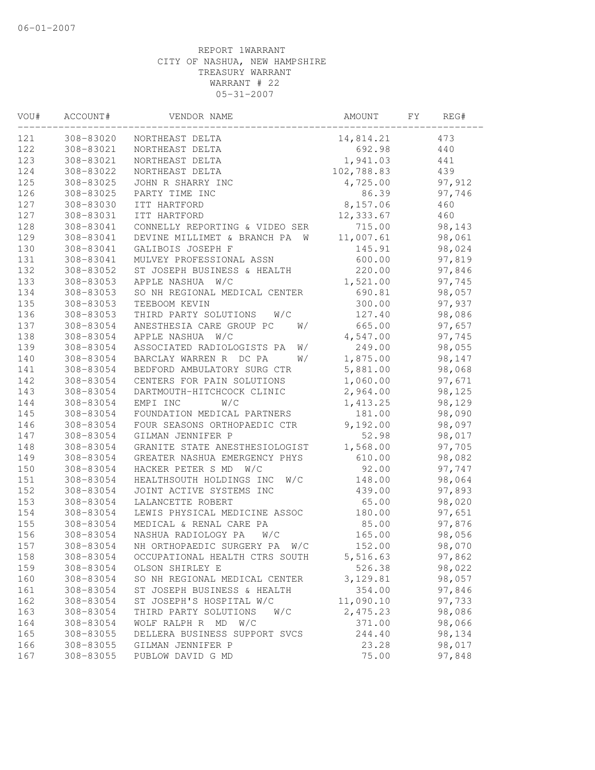| VOU# | ACCOUNT#  | VENDOR NAME                      | AMOUNT     | FΥ | REG#   |  |
|------|-----------|----------------------------------|------------|----|--------|--|
| 121  | 308-83020 | NORTHEAST DELTA                  | 14,814.21  |    | 473    |  |
| 122  | 308-83021 | NORTHEAST DELTA                  | 692.98     |    | 440    |  |
| 123  | 308-83021 | NORTHEAST DELTA                  | 1,941.03   |    | 441    |  |
| 124  | 308-83022 | NORTHEAST DELTA                  | 102,788.83 |    | 439    |  |
| 125  | 308-83025 | JOHN R SHARRY INC                | 4,725.00   |    | 97,912 |  |
| 126  | 308-83025 | PARTY TIME INC                   | 86.39      |    | 97,746 |  |
| 127  | 308-83030 | ITT HARTFORD                     | 8,157.06   |    | 460    |  |
| 127  | 308-83031 | ITT HARTFORD                     | 12,333.67  |    | 460    |  |
| 128  | 308-83041 | CONNELLY REPORTING & VIDEO SER   | 715.00     |    | 98,143 |  |
| 129  | 308-83041 | DEVINE MILLIMET & BRANCH PA W    | 11,007.61  |    | 98,061 |  |
| 130  | 308-83041 | GALIBOIS JOSEPH F                | 145.91     |    | 98,024 |  |
| 131  | 308-83041 | MULVEY PROFESSIONAL ASSN         | 600.00     |    | 97,819 |  |
| 132  | 308-83052 | ST JOSEPH BUSINESS & HEALTH      | 220.00     |    | 97,846 |  |
| 133  | 308-83053 | APPLE NASHUA W/C                 | 1,521.00   |    | 97,745 |  |
| 134  | 308-83053 | SO NH REGIONAL MEDICAL CENTER    | 690.81     |    | 98,057 |  |
| 135  | 308-83053 | TEEBOOM KEVIN                    | 300.00     |    | 97,937 |  |
| 136  | 308-83053 | THIRD PARTY SOLUTIONS<br>W/C     | 127.40     |    | 98,086 |  |
| 137  | 308-83054 | ANESTHESIA CARE GROUP PC<br>W/   | 665.00     |    | 97,657 |  |
| 138  | 308-83054 | APPLE NASHUA<br>W/C              | 4,547.00   |    | 97,745 |  |
| 139  | 308-83054 | ASSOCIATED RADIOLOGISTS PA<br>W/ | 249.00     |    | 98,055 |  |
| 140  | 308-83054 | BARCLAY WARREN R DC PA<br>W/     | 1,875.00   |    | 98,147 |  |
| 141  | 308-83054 | BEDFORD AMBULATORY SURG CTR      | 5,881.00   |    | 98,068 |  |
| 142  | 308-83054 | CENTERS FOR PAIN SOLUTIONS       | 1,060.00   |    | 97,671 |  |
| 143  | 308-83054 | DARTMOUTH-HITCHCOCK CLINIC       | 2,964.00   |    | 98,125 |  |
| 144  | 308-83054 | W/C<br>EMPI INC                  | 1,413.25   |    | 98,129 |  |
| 145  | 308-83054 | FOUNDATION MEDICAL PARTNERS      | 181.00     |    | 98,090 |  |
| 146  | 308-83054 | FOUR SEASONS ORTHOPAEDIC CTR     | 9,192.00   |    | 98,097 |  |
| 147  | 308-83054 | GILMAN JENNIFER P                | 52.98      |    | 98,017 |  |
| 148  | 308-83054 | GRANITE STATE ANESTHESIOLOGIST   | 1,568.00   |    | 97,705 |  |
| 149  | 308-83054 | GREATER NASHUA EMERGENCY PHYS    | 610.00     |    | 98,082 |  |
| 150  | 308-83054 | HACKER PETER S MD<br>W/C         | 92.00      |    | 97,747 |  |
| 151  | 308-83054 | HEALTHSOUTH HOLDINGS INC<br>W/C  | 148.00     |    | 98,064 |  |
| 152  | 308-83054 | JOINT ACTIVE SYSTEMS INC         | 439.00     |    | 97,893 |  |
| 153  | 308-83054 | LALANCETTE ROBERT                | 65.00      |    | 98,020 |  |
| 154  | 308-83054 | LEWIS PHYSICAL MEDICINE ASSOC    | 180.00     |    | 97,651 |  |
| 155  | 308-83054 | MEDICAL & RENAL CARE PA          | 85.00      |    | 97,876 |  |
| 156  | 308-83054 | NASHUA RADIOLOGY PA<br>W/C       | 165.00     |    | 98,056 |  |
| 157  | 308-83054 | NH ORTHOPAEDIC SURGERY PA<br>W/C | 152.00     |    | 98,070 |  |
| 158  | 308-83054 | OCCUPATIONAL HEALTH CTRS SOUTH   | 5,516.63   |    | 97,862 |  |
| 159  | 308-83054 | OLSON SHIRLEY E                  | 526.38     |    | 98,022 |  |
| 160  | 308-83054 | SO NH REGIONAL MEDICAL CENTER    | 3,129.81   |    | 98,057 |  |
| 161  | 308-83054 | ST JOSEPH BUSINESS & HEALTH      | 354.00     |    | 97,846 |  |
| 162  | 308-83054 | ST JOSEPH'S HOSPITAL W/C         | 11,090.10  |    | 97,733 |  |
| 163  | 308-83054 | THIRD PARTY SOLUTIONS<br>W/C     | 2,475.23   |    | 98,086 |  |
| 164  | 308-83054 | WOLF RALPH R MD<br>W/C           | 371.00     |    | 98,066 |  |
| 165  | 308-83055 | DELLERA BUSINESS SUPPORT SVCS    | 244.40     |    | 98,134 |  |
| 166  | 308-83055 | GILMAN JENNIFER P                | 23.28      |    | 98,017 |  |
| 167  | 308-83055 | PUBLOW DAVID G MD                | 75.00      |    | 97,848 |  |
|      |           |                                  |            |    |        |  |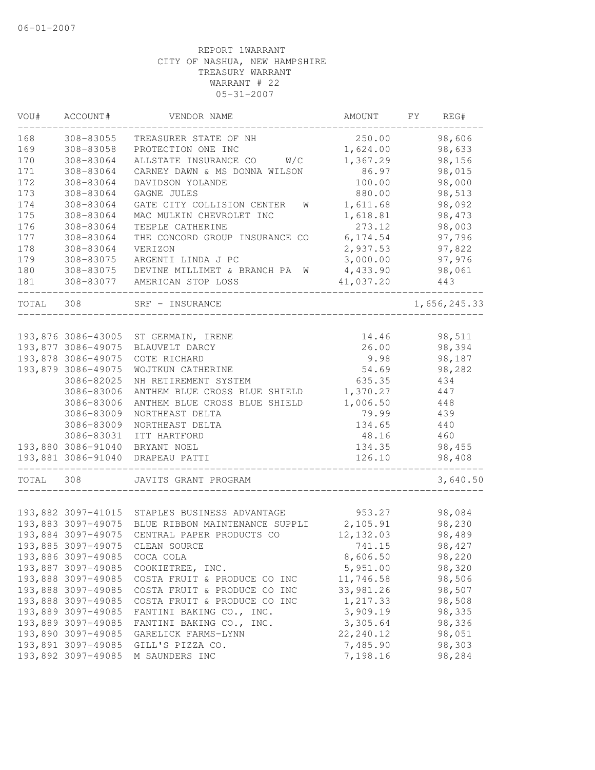| VOU#      | ACCOUNT#                                 | VENDOR NAME                                                                             | AMOUNT                | FY | REG#             |
|-----------|------------------------------------------|-----------------------------------------------------------------------------------------|-----------------------|----|------------------|
| 168       | 308-83055                                | TREASURER STATE OF NH                                                                   | 250.00                |    | 98,606           |
| 169       | 308-83058                                | PROTECTION ONE INC                                                                      | 1,624.00              |    | 98,633           |
| 170       | 308-83064                                | W/C<br>ALLSTATE INSURANCE CO                                                            | 1,367.29              |    | 98,156           |
| 171       | 308-83064                                | CARNEY DAWN & MS DONNA WILSON                                                           | 86.97                 |    | 98,015           |
| 172       | 308-83064                                | DAVIDSON YOLANDE                                                                        | 100.00                |    | 98,000           |
| 173       | 308-83064                                | GAGNE JULES                                                                             | 880.00                |    | 98,513           |
| 174       | 308-83064                                | GATE CITY COLLISION CENTER<br>W                                                         | 1,611.68              |    | 98,092           |
| 175       | 308-83064                                | MAC MULKIN CHEVROLET INC                                                                | 1,618.81              |    | 98,473           |
| 176       | 308-83064                                | TEEPLE CATHERINE                                                                        | 273.12                |    | 98,003           |
| 177       | 308-83064                                | THE CONCORD GROUP INSURANCE CO                                                          | 6,174.54              |    | 97,796           |
| 178       | 308-83064                                | VERIZON                                                                                 | 2,937.53              |    | 97,822           |
| 179       | 308-83075                                | ARGENTI LINDA J PC                                                                      | 3,000.00              |    | 97,976           |
| 180       | 308-83075                                | DEVINE MILLIMET & BRANCH PA W                                                           | 4,433.90              |    | 98,061           |
| 181       |                                          | 308-83077 AMERICAN STOP LOSS                                                            | 41,037.20             |    | 443              |
| TOTAL 308 |                                          | SRF - INSURANCE                                                                         |                       |    | 1,656,245.33     |
|           |                                          |                                                                                         |                       |    |                  |
|           |                                          | 193,876 3086-43005 ST GERMAIN, IRENE                                                    | 14.46                 |    | 98,511           |
|           | 193,877 3086-49075                       | BLAUVELT DARCY                                                                          | 26.00                 |    | 98,394           |
|           | 193,878 3086-49075                       | COTE RICHARD                                                                            | 9.98                  |    | 98,187           |
|           | 193,879 3086-49075                       | WOJTKUN CATHERINE                                                                       | 54.69                 |    | 98,282           |
|           | 3086-82025                               | NH RETIREMENT SYSTEM                                                                    | 635.35                |    | 434              |
|           | 3086-83006                               | ANTHEM BLUE CROSS BLUE SHIELD                                                           | 1,370.27              |    | 447              |
|           | 3086-83006                               | ANTHEM BLUE CROSS BLUE SHIELD                                                           | 1,006.50              |    | 448              |
|           | 3086-83009                               | NORTHEAST DELTA                                                                         | 79.99                 |    | 439              |
|           | 3086-83009                               | NORTHEAST DELTA                                                                         | 134.65                |    | 440              |
|           | 3086-83031                               | ITT HARTFORD                                                                            | 48.16                 |    | 460              |
|           |                                          | 193,880 3086-91040 BRYANT NOEL                                                          | 134.35                |    | 98,455           |
|           | 193,881 3086-91040                       | DRAPEAU PATTI                                                                           | 126.10                |    | 98,408           |
| TOTAL     | 308                                      | JAVITS GRANT PROGRAM                                                                    |                       |    | 3,640.50         |
|           |                                          |                                                                                         |                       |    |                  |
|           |                                          | 193,882 3097-41015 STAPLES BUSINESS ADVANTAGE                                           | 953.27                |    | 98,084           |
|           | 193,884 3097-49075                       | 193,883 3097-49075 BLUE RIBBON MAINTENANCE SUPPLI 2,105.91<br>CENTRAL PAPER PRODUCTS CO |                       |    | 98,230           |
|           |                                          | CLEAN SOURCE                                                                            | 12, 132.03            |    | 98,489           |
|           | 193,885 3097-49075                       |                                                                                         | 741.15                |    | 98,427           |
|           | 193,886 3097-49085<br>193,887 3097-49085 | COCA COLA                                                                               | 8,606.50              |    | 98,220           |
|           | 193,888 3097-49085                       | COOKIETREE, INC.                                                                        | 5,951.00<br>11,746.58 |    | 98,320           |
|           | 193,888 3097-49085                       | COSTA FRUIT & PRODUCE CO INC<br>COSTA FRUIT & PRODUCE CO INC                            | 33,981.26             |    | 98,506<br>98,507 |
|           |                                          | COSTA FRUIT & PRODUCE CO INC                                                            | 1,217.33              |    | 98,508           |
|           | 193,888 3097-49085<br>193,889 3097-49085 | FANTINI BAKING CO., INC.                                                                | 3,909.19              |    | 98,335           |
|           | 193,889 3097-49085                       | FANTINI BAKING CO., INC.                                                                | 3,305.64              |    | 98,336           |
|           | 193,890 3097-49085                       | GARELICK FARMS-LYNN                                                                     | 22, 240.12            |    | 98,051           |
|           | 193,891 3097-49085                       | GILL'S PIZZA CO.                                                                        | 7,485.90              |    | 98,303           |
|           | 193,892 3097-49085                       | M SAUNDERS INC                                                                          | 7,198.16              |    | 98,284           |
|           |                                          |                                                                                         |                       |    |                  |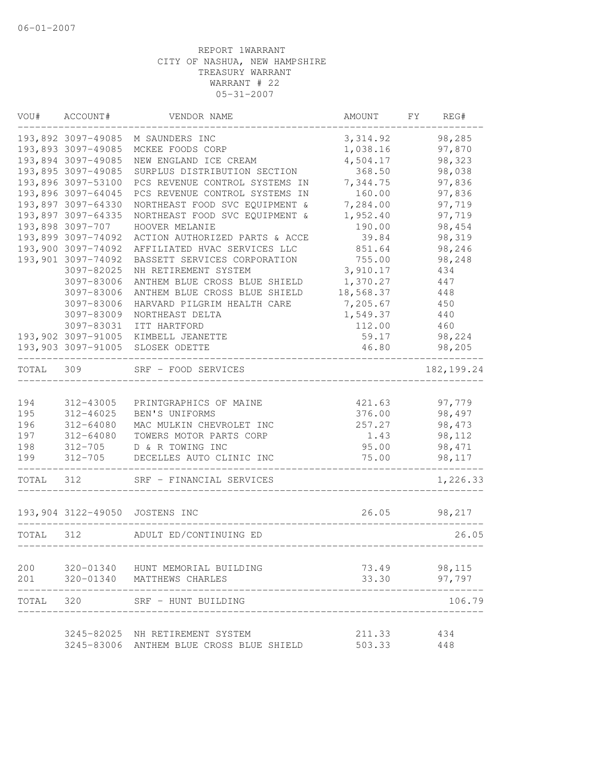| VOU#      | ACCOUNT#           | VENDOR NAME                                                                 | AMOUNT           | FΥ | REG#        |
|-----------|--------------------|-----------------------------------------------------------------------------|------------------|----|-------------|
|           | 193,892 3097-49085 | M SAUNDERS INC                                                              | 3, 314.92        |    | 98,285      |
|           | 193,893 3097-49085 | MCKEE FOODS CORP                                                            | 1,038.16         |    | 97,870      |
|           | 193,894 3097-49085 | NEW ENGLAND ICE CREAM                                                       | 4,504.17         |    | 98,323      |
|           | 193,895 3097-49085 | SURPLUS DISTRIBUTION SECTION                                                | 368.50           |    | 98,038      |
|           | 193,896 3097-53100 | PCS REVENUE CONTROL SYSTEMS IN                                              | 7,344.75         |    | 97,836      |
|           | 193,896 3097-64045 | PCS REVENUE CONTROL SYSTEMS IN                                              | 160.00           |    | 97,836      |
|           | 193,897 3097-64330 | NORTHEAST FOOD SVC EQUIPMENT &                                              | 7,284.00         |    | 97,719      |
|           | 193,897 3097-64335 | NORTHEAST FOOD SVC EQUIPMENT &                                              | 1,952.40         |    | 97,719      |
|           | 193,898 3097-707   | HOOVER MELANIE                                                              | 190.00           |    | 98,454      |
|           | 193,899 3097-74092 | ACTION AUTHORIZED PARTS & ACCE                                              | 39.84            |    | 98,319      |
|           | 193,900 3097-74092 | AFFILIATED HVAC SERVICES LLC                                                | 851.64           |    | 98,246      |
|           | 193,901 3097-74092 | BASSETT SERVICES CORPORATION                                                | 755.00           |    | 98,248      |
|           | 3097-82025         | NH RETIREMENT SYSTEM                                                        | 3,910.17         |    | 434         |
|           | 3097-83006         | ANTHEM BLUE CROSS BLUE SHIELD                                               | 1,370.27         |    | 447         |
|           | 3097-83006         | ANTHEM BLUE CROSS BLUE SHIELD                                               | 18,568.37        |    | 448         |
|           | 3097-83006         | HARVARD PILGRIM HEALTH CARE                                                 | 7,205.67         |    | 450         |
|           | 3097-83009         | NORTHEAST DELTA                                                             | 1,549.37         |    | 440         |
|           | 3097-83031         | ITT HARTFORD                                                                | 112.00           |    | 460         |
|           | 193,902 3097-91005 | KIMBELL JEANETTE                                                            | 59.17            |    | 98,224      |
|           | 193,903 3097-91005 | SLOSEK ODETTE                                                               | 46.80            |    | 98,205      |
| TOTAL     | 309                | SRF - FOOD SERVICES                                                         |                  |    | 182, 199.24 |
| 194       | 312-43005          | PRINTGRAPHICS OF MAINE                                                      | 421.63           |    | 97,779      |
| 195       | 312-46025          | BEN'S UNIFORMS                                                              | 376.00           |    | 98,497      |
| 196       | 312-64080          | MAC MULKIN CHEVROLET INC                                                    | 257.27           |    | 98,473      |
| 197       | 312-64080          | TOWERS MOTOR PARTS CORP                                                     | 1.43             |    | 98,112      |
| 198       | 312-705            | D & R TOWING INC                                                            | 95.00            |    | 98,471      |
| 199       |                    | 312-705 DECELLES AUTO CLINIC INC                                            | 75.00            |    | 98,117      |
| TOTAL     | 312                | SRF - FINANCIAL SERVICES                                                    |                  |    | 1,226.33    |
|           |                    | 193,904 3122-49050 JOSTENS INC                                              | 26.05            |    | 98,217      |
| TOTAL     | 312                | ADULT ED/CONTINUING ED                                                      |                  |    | 26.05       |
|           |                    |                                                                             |                  |    |             |
|           |                    | 200 320-01340 HUNT MEMORIAL BUILDING                                        | 73.49            |    | 98,115      |
| 201       |                    | 320-01340 MATTHEWS CHARLES                                                  | 33.30            |    | 97,797      |
| TOTAL 320 |                    | SRF - HUNT BUILDING                                                         |                  |    | 106.79      |
|           |                    |                                                                             |                  |    |             |
|           |                    | 3245-82025 NH RETIREMENT SYSTEM<br>3245-83006 ANTHEM BLUE CROSS BLUE SHIELD | 211.33<br>503.33 |    | 434<br>448  |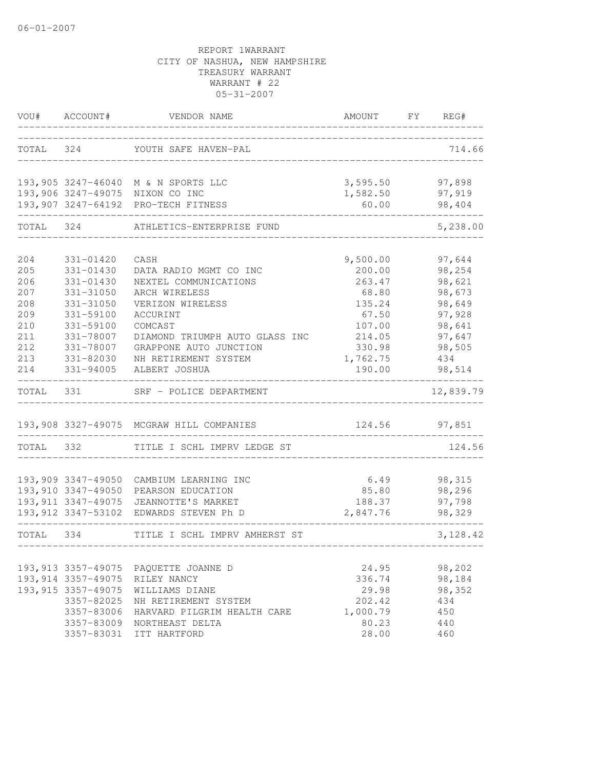| VOU#      | ACCOUNT#            | VENDOR NAME                              | AMOUNT FY REG# |           |
|-----------|---------------------|------------------------------------------|----------------|-----------|
|           |                     | TOTAL 324 YOUTH SAFE HAVEN-PAL           |                | 714.66    |
|           |                     |                                          |                |           |
|           |                     | 193,905 3247-46040 M & N SPORTS LLC      | 3,595.50       | 97,898    |
|           |                     | 193,906 3247-49075 NIXON CO INC          | 1,582.50       | 97,919    |
|           |                     | 193,907 3247-64192 PRO-TECH FITNESS      | 60.00          | 98,404    |
| TOTAL     | 324                 | ATHLETICS-ENTERPRISE FUND                |                | 5,238.00  |
| 204       | 331-01420           | CASH                                     | 9,500.00       | 97,644    |
| 205       | 331-01430           | DATA RADIO MGMT CO INC                   | 200.00         | 98,254    |
| 206       | 331-01430           | NEXTEL COMMUNICATIONS                    | 263.47         | 98,621    |
| 207       | 331-31050           | ARCH WIRELESS                            | 68.80          | 98,673    |
| 208       | 331-31050           | VERIZON WIRELESS                         | 135.24         | 98,649    |
| 209       | 331-59100           | ACCURINT                                 | 67.50          | 97,928    |
| 210       | 331-59100           | COMCAST                                  | 107.00         | 98,641    |
| 211       | 331-78007           | DIAMOND TRIUMPH AUTO GLASS INC           | 214.05         | 97,647    |
| 212       | 331-78007           | GRAPPONE AUTO JUNCTION                   | 330.98         | 98,505    |
| 213       | 331-82030           | NH RETIREMENT SYSTEM                     | 1,762.75       | 434       |
| 214       | 331-94005           | ALBERT JOSHUA                            | 190.00         | 98,514    |
| TOTAL     | 331                 | SRF - POLICE DEPARTMENT                  |                | 12,839.79 |
|           |                     | 193,908 3327-49075 MCGRAW HILL COMPANIES | 124.56         | 97,851    |
| TOTAL 332 |                     | TITLE I SCHL IMPRV LEDGE ST              |                | 124.56    |
|           |                     |                                          |                |           |
|           | 193,909 3347-49050  | CAMBIUM LEARNING INC                     | 6.49           | 98,315    |
|           | 193,910 3347-49050  | PEARSON EDUCATION                        | 85.80          | 98,296    |
|           |                     | 193, 911 3347-49075 JEANNOTTE'S MARKET   | 188.37         | 97,798    |
|           |                     | 193,912 3347-53102 EDWARDS STEVEN Ph D   | 2,847.76       | 98,329    |
| TOTAL 334 |                     | TITLE I SCHL IMPRV AMHERST ST            |                | 3,128.42  |
|           |                     |                                          |                |           |
|           | 193, 913 3357-49075 | PAQUETTE JOANNE D                        | 24.95          | 98,202    |
|           | 193, 914 3357-49075 | RILEY NANCY                              | 336.74         | 98,184    |
|           | 193, 915 3357-49075 | WILLIAMS DIANE                           | 29.98          | 98,352    |
|           | 3357-82025          | NH RETIREMENT SYSTEM                     | 202.42         | 434       |
|           | 3357-83006          | HARVARD PILGRIM HEALTH CARE              | 1,000.79       | 450       |
|           | 3357-83009          | NORTHEAST DELTA                          | 80.23          | 440       |
|           | 3357-83031          | ITT HARTFORD                             | 28.00          | 460       |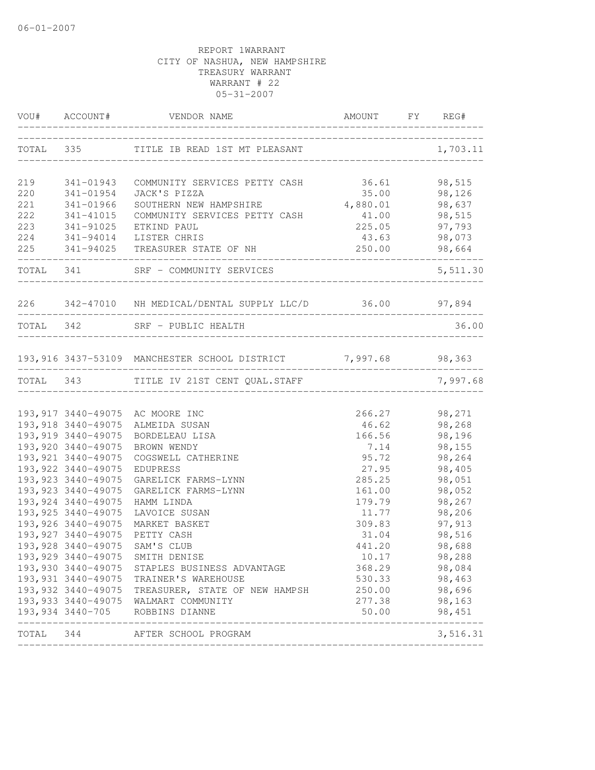|     |                     | VOU# ACCOUNT# VENDOR NAME                                     | AMOUNT FY REG#                 |                               |
|-----|---------------------|---------------------------------------------------------------|--------------------------------|-------------------------------|
|     |                     | TOTAL 335 TITLE IB READ 1ST MT PLEASANT                       |                                | 1,703.11                      |
| 219 | 341-01943           | COMMUNITY SERVICES PETTY CASH                                 | 36.61                          | 98,515                        |
| 220 | 341-01954           | JACK'S PIZZA                                                  | 35.00                          | 98,126                        |
| 221 | 341-01966           | SOUTHERN NEW HAMPSHIRE                                        | 4,880.01                       | 98,637                        |
| 222 | 341-41015           | COMMUNITY SERVICES PETTY CASH                                 | $41.00$<br>225.05              | 98,515                        |
| 223 | 341-91025           | ETKIND PAUL                                                   |                                | 97,793                        |
|     |                     | 224 341-94014 LISTER CHRIS                                    | 43.63                          | 98,073                        |
|     |                     | 225 341-94025 TREASURER STATE OF NH                           | 250.00                         | 98,664                        |
|     |                     | TOTAL 341 SRF - COMMUNITY SERVICES                            |                                | 5,511.30                      |
|     |                     | 226 342-47010 NH MEDICAL/DENTAL SUPPLY LLC/D 36.00 97,894     |                                |                               |
|     |                     | TOTAL 342 SRF - PUBLIC HEALTH                                 | ______________________________ | 36.00                         |
|     |                     |                                                               |                                |                               |
|     |                     | 193,916 3437-53109 MANCHESTER SCHOOL DISTRICT 7,997.68 98,363 |                                | ______________                |
|     |                     | TOTAL 343 TITLE IV 21ST CENT QUAL.STAFF                       |                                | 7,997.68                      |
|     |                     | 193,917 3440-49075 AC MOORE INC                               |                                |                               |
|     |                     | 193,918 3440-49075 ALMEIDA SUSAN                              |                                | 266.27 98,271<br>46.62 98,268 |
|     | 193,919 3440-49075  | BORDELEAU LISA                                                | 166.56                         | 98,196                        |
|     | 193,920 3440-49075  | BROWN WENDY                                                   | 7.14                           | 98,155                        |
|     | 193, 921 3440-49075 | COGSWELL CATHERINE                                            | 95.72                          | 98,264                        |
|     | 193, 922 3440-49075 | EDUPRESS                                                      | 27.95                          | 98,405                        |
|     | 193, 923 3440-49075 | GARELICK FARMS-LYNN                                           | 285.25                         | 98,051                        |
|     | 193, 923 3440-49075 | GARELICK FARMS-LYNN                                           | 161.00                         | 98,052                        |
|     | 193, 924 3440-49075 | HAMM LINDA                                                    | 179.79                         | 98,267                        |
|     | 193, 925 3440-49075 | LAVOICE SUSAN                                                 | 11.77                          | 98,206                        |
|     | 193, 926 3440-49075 | MARKET BASKET                                                 | 309.83                         | 97,913                        |
|     | 193, 927 3440-49075 | PETTY CASH                                                    | 31.04                          | 98,516                        |
|     | 193,928 3440-49075  | SAM'S CLUB                                                    | 441.20                         | 98,688                        |
|     |                     | 193,929 3440-49075 SMITH DENISE                               | 10.17                          | 98,288                        |
|     |                     | 193,930 3440-49075 STAPLES BUSINESS ADVANTAGE                 | 368.29                         | 98,084                        |
|     |                     | 193,931 3440-49075 TRAINER'S WAREHOUSE                        | 530.33                         | 98,463                        |
|     |                     | 193,932 3440-49075 TREASURER, STATE OF NEW HAMPSH             | 250.00                         | 98,696                        |
|     |                     | 193,933 3440-49075 WALMART COMMUNITY                          | 277.38                         | 98,163                        |
|     |                     | 193,934 3440-705 ROBBINS DIANNE                               | 50.00                          | 98,451<br>______________      |
|     |                     | TOTAL 344 AFTER SCHOOL PROGRAM                                |                                | 3,516.31                      |
|     |                     |                                                               |                                |                               |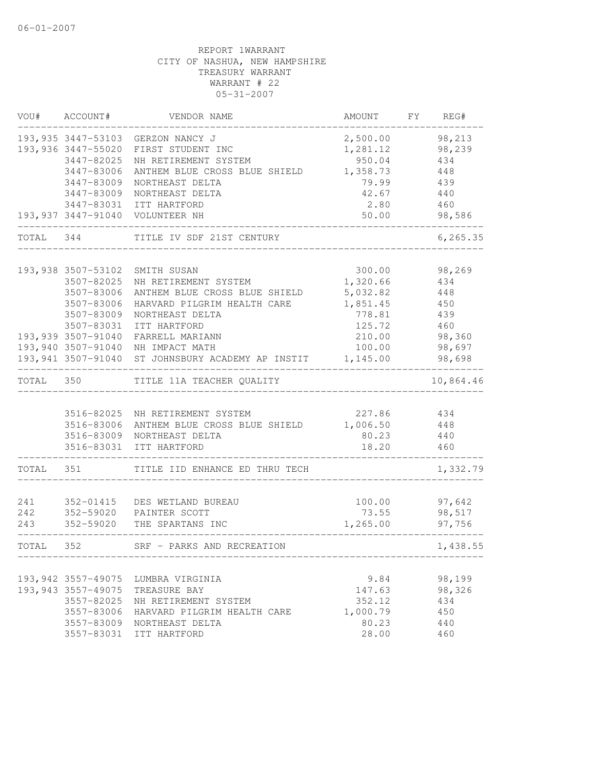|           | VOU# ACCOUNT#       | VENDOR NAME                        | AMOUNT   | FY | REG#      |
|-----------|---------------------|------------------------------------|----------|----|-----------|
|           |                     | 193,935 3447-53103 GERZON NANCY J  | 2,500.00 |    | 98,213    |
|           | 193,936 3447-55020  | FIRST STUDENT INC                  | 1,281.12 |    | 98,239    |
|           | 3447-82025          | NH RETIREMENT SYSTEM               | 950.04   |    | 434       |
|           | 3447-83006          | ANTHEM BLUE CROSS BLUE SHIELD      | 1,358.73 |    | 448       |
|           | 3447-83009          | NORTHEAST DELTA                    | 79.99    |    | 439       |
|           | 3447-83009          | NORTHEAST DELTA                    | 42.67    |    | 440       |
|           |                     | 3447-83031 ITT HARTFORD            | 2.80     |    | 460       |
|           |                     | 193,937 3447-91040 VOLUNTEER NH    | 50.00    |    | 98,586    |
| TOTAL 344 |                     | TITLE IV SDF 21ST CENTURY          |          |    | 6, 265.35 |
|           |                     |                                    |          |    |           |
|           | 193,938 3507-53102  | SMITH SUSAN                        | 300.00   |    | 98,269    |
|           | 3507-82025          | NH RETIREMENT SYSTEM               | 1,320.66 |    | 434       |
|           | 3507-83006          | ANTHEM BLUE CROSS BLUE SHIELD      | 5,032.82 |    | 448       |
|           | 3507-83006          | HARVARD PILGRIM HEALTH CARE        | 1,851.45 |    | 450       |
|           | 3507-83009          | NORTHEAST DELTA                    | 778.81   |    | 439       |
|           | 3507-83031          | ITT HARTFORD                       | 125.72   |    | 460       |
|           | 193,939 3507-91040  | FARRELL MARIANN                    | 210.00   |    | 98,360    |
|           | 193,940 3507-91040  | NH IMPACT MATH                     | 100.00   |    | 98,697    |
|           | 193, 941 3507-91040 | ST JOHNSBURY ACADEMY AP INSTIT     | 1,145.00 |    | 98,698    |
| TOTAL     | 350                 | TITLE 11A TEACHER QUALITY          |          |    | 10,864.46 |
|           |                     |                                    |          |    |           |
|           |                     | 3516-82025 NH RETIREMENT SYSTEM    | 227.86   |    | 434       |
|           | 3516-83006          | ANTHEM BLUE CROSS BLUE SHIELD      | 1,006.50 |    | 448       |
|           | 3516-83009          | NORTHEAST DELTA                    | 80.23    |    | 440       |
|           | 3516-83031          | ITT HARTFORD                       | 18.20    |    | 460       |
| TOTAL     | 351                 | TITLE IID ENHANCE ED THRU TECH     |          |    | 1,332.79  |
|           |                     |                                    |          |    |           |
| 241       | 352-01415           | DES WETLAND BUREAU                 | 100.00   |    | 97,642    |
| 242       | 352-59020           | PAINTER SCOTT                      | 73.55    |    | 98,517    |
| 243       | 352-59020           | THE SPARTANS INC                   | 1,265.00 |    | 97,756    |
| TOTAL     | 352                 | SRF - PARKS AND RECREATION         |          |    | 1,438.55  |
|           |                     |                                    |          |    |           |
|           |                     | 193,942 3557-49075 LUMBRA VIRGINIA | 9.84     |    | 98,199    |
|           | 193, 943 3557-49075 | TREASURE BAY                       | 147.63   |    | 98,326    |
|           | 3557-82025          | NH RETIREMENT SYSTEM               | 352.12   |    | 434       |
|           | 3557-83006          | HARVARD PILGRIM HEALTH CARE        | 1,000.79 |    | 450       |
|           | 3557-83009          | NORTHEAST DELTA                    | 80.23    |    | 440       |
|           | 3557-83031          | ITT HARTFORD                       | 28.00    |    | 460       |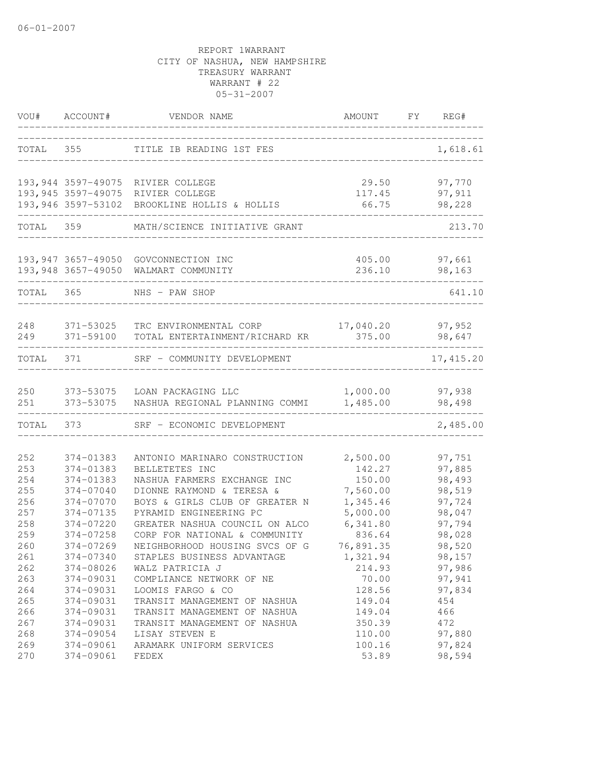| VOU#      | ACCOUNT#           | VENDOR NAME                                               | AMOUNT    | FY | REG#                    |
|-----------|--------------------|-----------------------------------------------------------|-----------|----|-------------------------|
| TOTAL     | 355                | TITLE IB READING 1ST FES                                  |           |    | 1,618.61                |
|           |                    | 193,944 3597-49075 RIVIER COLLEGE                         | 29.50     |    | 97,770                  |
|           |                    | 193,945 3597-49075 RIVIER COLLEGE                         | 117.45    |    | 97,911                  |
|           |                    | 193,946 3597-53102 BROOKLINE HOLLIS & HOLLIS              | 66.75     |    | 98,228                  |
| TOTAL 359 |                    | MATH/SCIENCE INITIATIVE GRANT                             |           |    | 213.70                  |
|           | 193,948 3657-49050 | 193,947 3657-49050 GOVCONNECTION INC<br>WALMART COMMUNITY | 236.10    |    | 405.00 97,661<br>98,163 |
|           |                    |                                                           |           |    |                         |
| TOTAL 365 |                    | NHS - PAW SHOP                                            |           |    | 641.10                  |
| 248       | 371-53025          | TRC ENVIRONMENTAL CORP                                    | 17,040.20 |    | 97,952                  |
| 249       | 371-59100          | TOTAL ENTERTAINMENT/RICHARD KR                            | 375.00    |    | 98,647                  |
| TOTAL     | 371                | SRF - COMMUNITY DEVELOPMENT                               |           |    | 17, 415.20              |
| 250       | 373-53075          | LOAN PACKAGING LLC                                        | 1,000.00  |    | 97,938                  |
| 251       | 373-53075          | NASHUA REGIONAL PLANNING COMMI                            | 1,485.00  |    | 98,498                  |
| TOTAL     | 373                | SRF - ECONOMIC DEVELOPMENT                                |           |    | 2,485.00                |
| 252       | 374-01383          | ANTONIO MARINARO CONSTRUCTION                             | 2,500.00  |    | 97,751                  |
| 253       | 374-01383          | BELLETETES INC                                            | 142.27    |    | 97,885                  |
| 254       | 374-01383          | NASHUA FARMERS EXCHANGE INC                               | 150.00    |    | 98,493                  |
| 255       | 374-07040          | DIONNE RAYMOND & TERESA &                                 | 7,560.00  |    | 98,519                  |
| 256       | 374-07070          | BOYS & GIRLS CLUB OF GREATER N                            | 1,345.46  |    | 97,724                  |
| 257       | 374-07135          | PYRAMID ENGINEERING PC                                    | 5,000.00  |    | 98,047                  |
| 258       | 374-07220          | GREATER NASHUA COUNCIL ON ALCO                            | 6,341.80  |    | 97,794                  |
| 259       | 374-07258          | CORP FOR NATIONAL & COMMUNITY                             | 836.64    |    | 98,028                  |
| 260       | 374-07269          | NEIGHBORHOOD HOUSING SVCS OF G                            | 76,891.35 |    | 98,520                  |
| 261       | 374-07340          | STAPLES BUSINESS ADVANTAGE                                | 1,321.94  |    | 98,157                  |
| 262       | 374-08026          | WALZ PATRICIA J                                           | 214.93    |    | 97,986                  |
| 263       | 374-09031          | COMPLIANCE NETWORK OF NE                                  | 70.00     |    | 97,941                  |
| 264       | 374-09031          | LOOMIS FARGO & CO                                         | 128.56    |    | 97,834                  |
| 265       | 374-09031          | TRANSIT MANAGEMENT OF NASHUA                              | 149.04    |    | 454                     |
| 266       | 374-09031          | TRANSIT MANAGEMENT OF NASHUA                              | 149.04    |    | 466                     |
| 267       | 374-09031          | TRANSIT MANAGEMENT OF NASHUA                              | 350.39    |    | 472                     |
| 268       | 374-09054          | LISAY STEVEN E                                            | 110.00    |    | 97,880                  |
| 269       | 374-09061          | ARAMARK UNIFORM SERVICES                                  | 100.16    |    | 97,824                  |
| 270       | 374-09061          | FEDEX                                                     | 53.89     |    | 98,594                  |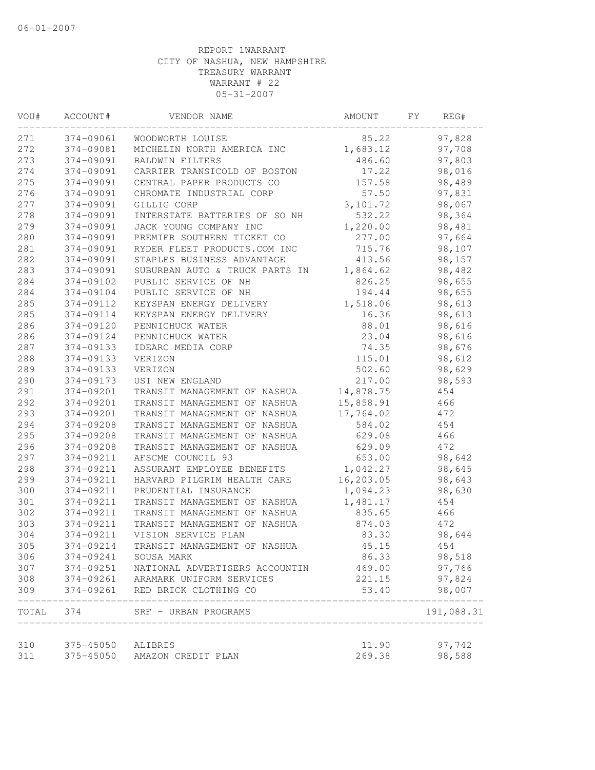| VOU# | ACCOUNT#      | VENDOR NAME                     | AMOUNT                              | FΥ | REG#       |
|------|---------------|---------------------------------|-------------------------------------|----|------------|
| 271  | 374-09061     | WOODWORTH LOUISE                | 85.22                               |    | 97,828     |
| 272  | 374-09081     | MICHELIN NORTH AMERICA INC      | 1,683.12                            |    | 97,708     |
| 273  | 374-09091     | <b>BALDWIN FILTERS</b>          | 486.60                              |    | 97,803     |
| 274  | 374-09091     | CARRIER TRANSICOLD OF BOSTON    | 17.22                               |    | 98,016     |
| 275  | 374-09091     | CENTRAL PAPER PRODUCTS CO       | 157.58                              |    | 98,489     |
| 276  | 374-09091     | CHROMATE INDUSTRIAL CORP        | 57.50                               |    | 97,831     |
| 277  | 374-09091     | GILLIG CORP                     | 3,101.72                            |    | 98,067     |
| 278  | 374-09091     | INTERSTATE BATTERIES OF SO NH   | 532.22                              |    | 98,364     |
| 279  | 374-09091     | JACK YOUNG COMPANY INC          | 1,220.00                            |    | 98,481     |
| 280  | 374-09091     | PREMIER SOUTHERN TICKET CO      | 277.00                              |    | 97,664     |
| 281  | 374-09091     | RYDER FLEET PRODUCTS.COM INC    | 715.76                              |    | 98,107     |
| 282  | 374-09091     | STAPLES BUSINESS ADVANTAGE      | 413.56                              |    | 98,157     |
| 283  | 374-09091     | SUBURBAN AUTO & TRUCK PARTS IN  | 1,864.62                            |    | 98,482     |
| 284  | 374-09102     | PUBLIC SERVICE OF NH            | 826.25                              |    | 98,655     |
| 284  | 374-09104     | PUBLIC SERVICE OF NH            | 194.44                              |    | 98,655     |
| 285  | 374-09112     | KEYSPAN ENERGY DELIVERY         | 1,518.06                            |    | 98,613     |
| 285  | 374-09114     | KEYSPAN ENERGY DELIVERY         | 16.36                               |    | 98,613     |
| 286  | 374-09120     | PENNICHUCK WATER                | 88.01                               |    | 98,616     |
| 286  | 374-09124     | PENNICHUCK WATER                | 23.04                               |    | 98,616     |
| 287  | 374-09133     | IDEARC MEDIA CORP               | 74.35                               |    | 98,676     |
| 288  | 374-09133     | VERIZON                         | 115.01                              |    | 98,612     |
| 289  | 374-09133     | VERIZON                         | 502.60                              |    | 98,629     |
| 290  | 374-09173     | USI NEW ENGLAND                 | 217.00                              |    | 98,593     |
| 291  | 374-09201     | TRANSIT MANAGEMENT OF NASHUA    | 14,878.75                           |    | 454        |
| 292  | 374-09201     | TRANSIT MANAGEMENT OF NASHUA    | 15,858.91                           |    | 466        |
| 293  | 374-09201     | TRANSIT MANAGEMENT OF NASHUA    | 17,764.02                           |    | 472        |
| 294  | 374-09208     | TRANSIT MANAGEMENT OF NASHUA    | 584.02                              |    | 454        |
| 295  | 374-09208     | TRANSIT MANAGEMENT OF NASHUA    | 629.08                              |    | 466        |
| 296  | 374-09208     | TRANSIT MANAGEMENT OF NASHUA    | 629.09                              |    | 472        |
| 297  | 374-09211     | AFSCME COUNCIL 93               | 653.00                              |    | 98,642     |
| 298  | 374-09211     | ASSURANT EMPLOYEE BENEFITS      | 1,042.27                            |    | 98,645     |
| 299  | 374-09211     | HARVARD PILGRIM HEALTH CARE     | 16, 203.05                          |    | 98,643     |
| 300  | 374-09211     | PRUDENTIAL INSURANCE            | 1,094.23                            |    | 98,630     |
| 301  | 374-09211     | TRANSIT MANAGEMENT OF NASHUA    | 1,481.17                            |    | 454        |
| 302  | 374-09211     | TRANSIT MANAGEMENT OF NASHUA    | 835.65                              |    | 466        |
| 303  | 374-09211     | TRANSIT MANAGEMENT OF NASHUA    | 874.03                              |    | 472        |
| 304  | 374-09211     | VISION SERVICE PLAN             | 83.30                               |    | 98,644     |
| 305  | 374-09214     | TRANSIT MANAGEMENT OF NASHUA    | 45.15                               |    | 454        |
| 306  | 374-09241     | SOUSA MARK                      | 86.33                               |    | 98,518     |
| 307  | $374 - 09251$ | NATIONAL ADVERTISERS ACCOUNTIN  | 469.00                              |    | 97,766     |
| 308  | $374 - 09261$ | ARAMARK UNIFORM SERVICES        | 221.15                              |    | 97,824     |
| 309  |               | 374-09261 RED BRICK CLOTHING CO | 53.40                               |    | 98,007     |
|      |               | TOTAL 374 SRF - URBAN PROGRAMS  | ----------------------------------- |    | 191,088.31 |
| 310  | 375-45050     | ALIBRIS                         | 11.90                               |    | 97,742     |
| 311  | 375-45050     | AMAZON CREDIT PLAN              | 269.38                              |    | 98,588     |
|      |               |                                 |                                     |    |            |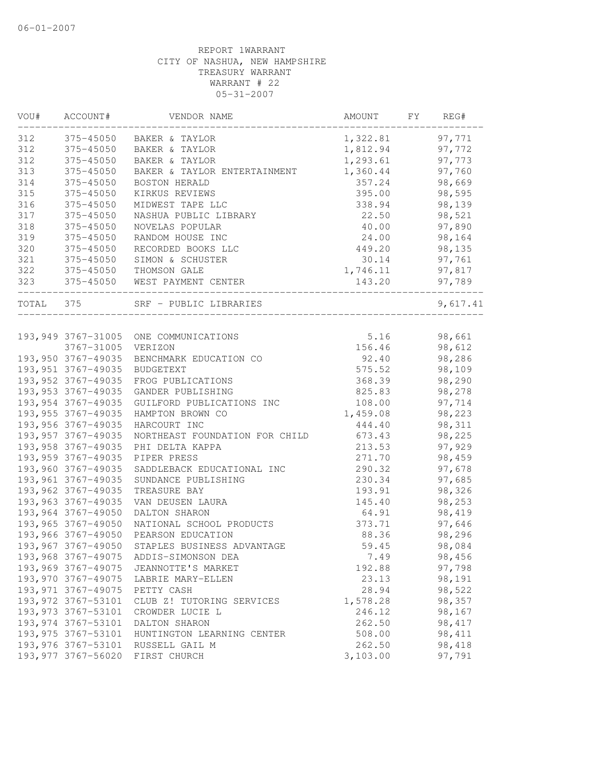| 312<br>375-45050<br>BAKER & TAYLOR                    | 1,322.81 | 97,771   |
|-------------------------------------------------------|----------|----------|
| 312<br>375-45050<br>BAKER & TAYLOR                    | 1,812.94 | 97,772   |
| 312<br>375-45050<br>BAKER & TAYLOR                    | 1,293.61 | 97,773   |
| 313<br>375-45050<br>BAKER & TAYLOR ENTERTAINMENT      | 1,360.44 | 97,760   |
| 314<br>375-45050<br>BOSTON HERALD                     | 357.24   | 98,669   |
| 315<br>375-45050<br>KIRKUS REVIEWS                    | 395.00   | 98,595   |
| 316<br>375-45050<br>MIDWEST TAPE LLC                  | 338.94   | 98,139   |
| 317<br>375-45050<br>NASHUA PUBLIC LIBRARY             | 22.50    | 98,521   |
| 318<br>375-45050<br>NOVELAS POPULAR                   | 40.00    | 97,890   |
| 319<br>375-45050<br>RANDOM HOUSE INC                  | 24.00    | 98,164   |
| 320<br>375-45050<br>RECORDED BOOKS LLC                | 449.20   | 98,135   |
| 321<br>375-45050<br>SIMON & SCHUSTER                  | 30.14    | 97,761   |
| 322<br>375-45050<br>THOMSON GALE                      | 1,746.11 | 97,817   |
| 323<br>375-45050 WEST PAYMENT CENTER                  | 143.20   | 97,789   |
| TOTAL 375<br>SRF - PUBLIC LIBRARIES                   |          | 9,617.41 |
|                                                       |          |          |
| 193,949 3767-31005 ONE COMMUNICATIONS                 | 5.16     | 98,661   |
| 3767-31005<br>VERIZON                                 | 156.46   | 98,612   |
| 193,950 3767-49035<br>BENCHMARK EDUCATION CO          | 92.40    | 98,286   |
| 193, 951 3767-49035<br><b>BUDGETEXT</b>               | 575.52   | 98,109   |
| 193, 952 3767-49035<br>FROG PUBLICATIONS              | 368.39   | 98,290   |
| 193, 953 3767-49035<br>GANDER PUBLISHING              | 825.83   | 98,278   |
| 193,954 3767-49035<br>GUILFORD PUBLICATIONS INC       | 108.00   | 97,714   |
| 193, 955 3767-49035<br>HAMPTON BROWN CO               | 1,459.08 | 98,223   |
| 193,956 3767-49035<br>HARCOURT INC                    | 444.40   | 98,311   |
| 193, 957 3767-49035<br>NORTHEAST FOUNDATION FOR CHILD | 673.43   | 98,225   |
| 193, 958 3767-49035<br>PHI DELTA KAPPA                | 213.53   | 97,929   |
| 193, 959 3767-49035<br>PIPER PRESS                    | 271.70   | 98,459   |
| 193,960 3767-49035<br>SADDLEBACK EDUCATIONAL INC      | 290.32   | 97,678   |
| 193, 961 3767-49035<br>SUNDANCE PUBLISHING            | 230.34   | 97,685   |
| 193, 962 3767-49035<br>TREASURE BAY                   | 193.91   | 98,326   |
| 193,963 3767-49035<br>VAN DEUSEN LAURA                | 145.40   | 98,253   |
| 193,964 3767-49050<br>DALTON SHARON                   | 64.91    | 98,419   |
| 193,965 3767-49050<br>NATIONAL SCHOOL PRODUCTS        | 373.71   | 97,646   |
| 193,966 3767-49050<br>PEARSON EDUCATION               | 88.36    | 98,296   |
| 193,967 3767-49050<br>STAPLES BUSINESS ADVANTAGE      | 59.45    | 98,084   |
| 193,968 3767-49075<br>ADDIS-SIMONSON DEA              | 7.49     | 98,456   |
| 193,969 3767-49075<br>JEANNOTTE'S MARKET              | 192.88   | 97,798   |
| 193,970 3767-49075<br>LABRIE MARY-ELLEN               | 23.13    | 98,191   |
| 193, 971 3767-49075<br>PETTY CASH                     | 28.94    | 98,522   |
| 193, 972 3767-53101<br>CLUB Z! TUTORING SERVICES      | 1,578.28 | 98,357   |
| 193, 973 3767-53101<br>CROWDER LUCIE L                | 246.12   | 98,167   |
| 193, 974 3767-53101<br>DALTON SHARON                  | 262.50   | 98, 417  |
| 193, 975 3767-53101<br>HUNTINGTON LEARNING CENTER     | 508.00   | 98,411   |
| 193,976 3767-53101<br>RUSSELL GAIL M                  | 262.50   | 98,418   |
| 193, 977 3767-56020<br>FIRST CHURCH                   | 3,103.00 | 97,791   |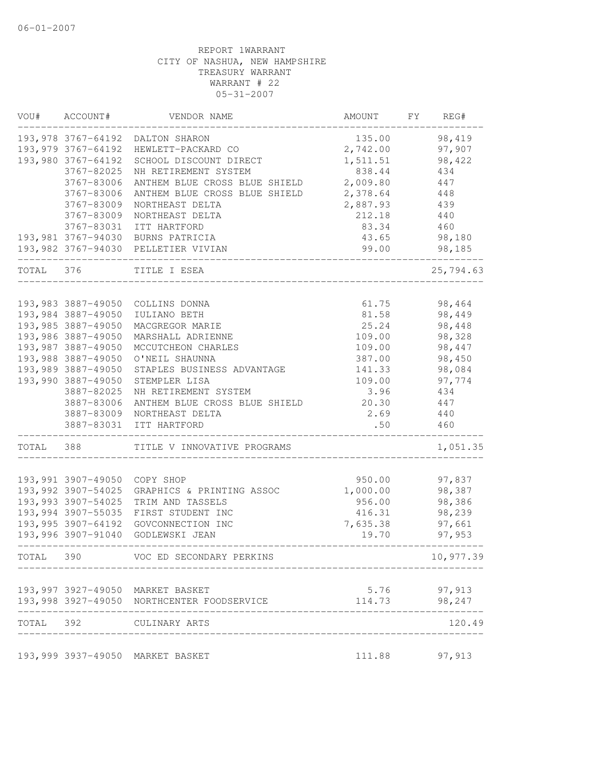| VOU#  | ACCOUNT#                                 | VENDOR NAME                                  | AMOUNT           | FΥ | REG#             |
|-------|------------------------------------------|----------------------------------------------|------------------|----|------------------|
|       | 193,978 3767-64192                       | DALTON SHARON                                | 135.00           |    | 98,419           |
|       | 193,979 3767-64192                       | HEWLETT-PACKARD CO                           | 2,742.00         |    | 97,907           |
|       | 193,980 3767-64192                       | SCHOOL DISCOUNT DIRECT                       | 1,511.51         |    | 98,422           |
|       | 3767-82025                               | NH RETIREMENT SYSTEM                         | 838.44           |    | 434              |
|       | 3767-83006                               | ANTHEM BLUE CROSS BLUE SHIELD                | 2,009.80         |    | 447              |
|       | 3767-83006                               | ANTHEM BLUE CROSS BLUE SHIELD                | 2,378.64         |    | 448              |
|       | 3767-83009                               | NORTHEAST DELTA                              | 2,887.93         |    | 439              |
|       | 3767-83009                               | NORTHEAST DELTA                              | 212.18           |    | 440              |
|       | 3767-83031                               | ITT HARTFORD                                 | 83.34            |    | 460              |
|       |                                          | 193,981 3767-94030 BURNS PATRICIA            | 43.65            |    | 98,180           |
|       |                                          | 193,982 3767-94030 PELLETIER VIVIAN          | 99.00            |    | 98,185           |
| TOTAL | 376                                      | TITLE I ESEA                                 |                  |    | 25,794.63        |
|       |                                          |                                              |                  |    |                  |
|       | 193,983 3887-49050<br>193,984 3887-49050 | COLLINS DONNA                                | 61.75            |    | 98,464           |
|       |                                          | IULIANO BETH                                 | 81.58            |    | 98,449           |
|       | 193,985 3887-49050                       | MACGREGOR MARIE                              | 25.24            |    | 98,448           |
|       | 193,986 3887-49050<br>193,987 3887-49050 | MARSHALL ADRIENNE                            | 109.00           |    | 98,328           |
|       | 193,988 3887-49050                       | MCCUTCHEON CHARLES                           | 109.00<br>387.00 |    | 98,447<br>98,450 |
|       | 193,989 3887-49050                       | O'NEIL SHAUNNA<br>STAPLES BUSINESS ADVANTAGE | 141.33           |    |                  |
|       | 193,990 3887-49050                       | STEMPLER LISA                                | 109.00           |    | 98,084           |
|       | 3887-82025                               | NH RETIREMENT SYSTEM                         | 3.96             |    | 97,774<br>434    |
|       |                                          |                                              | 20.30            |    |                  |
|       | 3887-83006                               | ANTHEM BLUE CROSS BLUE SHIELD                | 2.69             |    | 447<br>440       |
|       | 3887-83009<br>3887-83031                 | NORTHEAST DELTA<br>ITT HARTFORD              | .50              |    | 460              |
| TOTAL | 388                                      | TITLE V INNOVATIVE PROGRAMS                  |                  |    | 1,051.35         |
|       |                                          |                                              |                  |    |                  |
|       | 193,991 3907-49050                       | COPY SHOP                                    | 950.00           |    | 97,837           |
|       | 193,992 3907-54025                       | GRAPHICS & PRINTING ASSOC                    | 1,000.00         |    | 98,387           |
|       | 193,993 3907-54025                       | TRIM AND TASSELS                             | 956.00           |    | 98,386           |
|       | 193,994 3907-55035                       | FIRST STUDENT INC                            | 416.31           |    | 98,239           |
|       | 193,995 3907-64192                       | GOVCONNECTION INC                            | 7,635.38         |    | 97,661           |
|       | 193,996 3907-91040                       | GODLEWSKI JEAN                               | 19.70            |    | 97,953           |
|       |                                          | TOTAL 390 VOC ED SECONDARY PERKINS           |                  |    | 10,977.39        |
|       |                                          | 193,997 3927-49050 MARKET BASKET             |                  |    | 5.76 97,913      |
|       |                                          | 193,998 3927-49050 NORTHCENTER FOODSERVICE   | 114.73           |    | 98,247           |
|       |                                          | TOTAL 392 CULINARY ARTS                      |                  |    | 120.49           |
|       |                                          | 193,999 3937-49050 MARKET BASKET             |                  |    | 111.88 97,913    |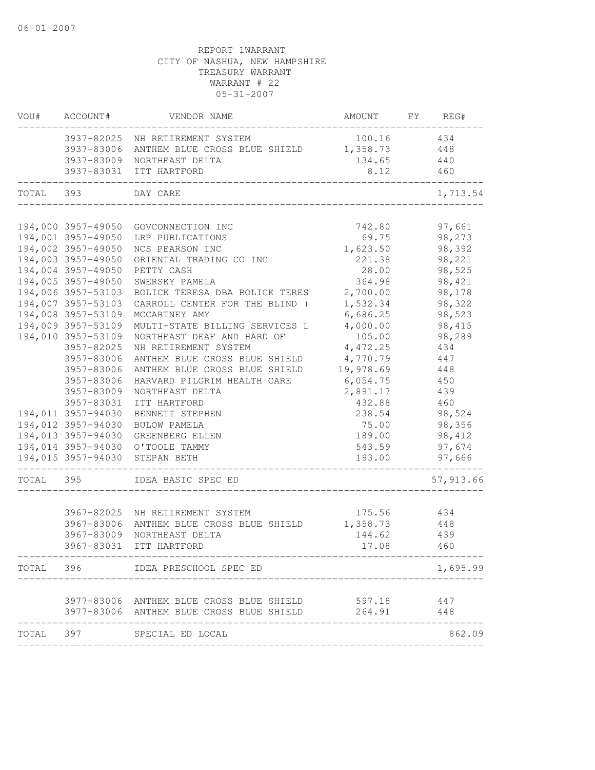|           | VOU# ACCOUNT#      | VENDOR NAME                                         | AMOUNT FY REG#      |                  |
|-----------|--------------------|-----------------------------------------------------|---------------------|------------------|
|           |                    | 3937-82025 NH RETIREMENT SYSTEM                     | 100.16              | 434              |
|           |                    | 3937-83006 ANTHEM BLUE CROSS BLUE SHIELD 1,358.73   |                     | 448              |
|           |                    | 3937-83009 NORTHEAST DELTA                          | 134.65              | 440              |
|           |                    | 3937-83031 ITT HARTFORD                             | 8.12                | 460              |
| TOTAL 393 |                    | DAY CARE                                            |                     | 1,713.54         |
|           |                    | 194,000 3957-49050 GOVCONNECTION INC                | 742.80              |                  |
|           |                    | 194,001 3957-49050 LRP PUBLICATIONS                 | 69.75               | 97,661<br>98,273 |
|           | 194,002 3957-49050 | NCS PEARSON INC                                     | 1,623.50            | 98,392           |
|           | 194,003 3957-49050 | ORIENTAL TRADING CO INC                             | 221.38              | 98,221           |
|           | 194,004 3957-49050 | PETTY CASH                                          | 28.00               | 98,525           |
|           | 194,005 3957-49050 | SWERSKY PAMELA                                      | 364.98              | 98,421           |
|           | 194,006 3957-53103 | BOLICK TERESA DBA BOLICK TERES 2,700.00             |                     | 98,178           |
|           | 194,007 3957-53103 | CARROLL CENTER FOR THE BLIND (                      | 1,532.34            | 98,322           |
|           | 194,008 3957-53109 | MCCARTNEY AMY                                       | 6,686.25            | 98,523           |
|           | 194,009 3957-53109 | MULTI-STATE BILLING SERVICES L                      | 4,000.00            | 98,415           |
|           | 194,010 3957-53109 | NORTHEAST DEAF AND HARD OF                          | 105.00              | 98,289           |
|           | 3957-82025         | NH RETIREMENT SYSTEM                                | 4,472.25            | 434              |
|           | 3957-83006         | ANTHEM BLUE CROSS BLUE SHIELD                       | 4,770.79            | 447              |
|           | 3957-83006         | ANTHEM BLUE CROSS BLUE SHIELD                       | 19,978.69           | 448              |
|           | 3957-83006         | HARVARD PILGRIM HEALTH CARE                         | 6,054.75            | 450              |
|           | 3957-83009         | NORTHEAST DELTA                                     | 2,891.17            | 439              |
|           | 3957-83031         | ITT HARTFORD                                        | 432.88              | 460              |
|           | 194,011 3957-94030 | BENNETT STEPHEN                                     | 238.54              | 98,524           |
|           | 194,012 3957-94030 | BULOW PAMELA                                        | 75.00               | 98,356           |
|           | 194,013 3957-94030 | GREENBERG ELLEN                                     | 189.00              | 98,412           |
|           |                    | 194,014 3957-94030 O'TOOLE TAMMY                    | 543.59              | 97,674           |
|           | 194,015 3957-94030 | STEPAN BETH                                         | 193.00<br>_________ | 97,666           |
| TOTAL 395 |                    | IDEA BASIC SPEC ED                                  |                     | 57, 913.66       |
|           |                    | 3967-82025 NH RETIREMENT SYSTEM                     | 175.56 434          |                  |
|           | 3967-83006         | ANTHEM BLUE CROSS BLUE SHIELD                       | 1,358.73            |                  |
|           | 3967-83009         | NORTHEAST DELTA                                     | 144.62              | 448<br>439       |
|           |                    | 3967-83031 ITT HARTFORD                             | 17.08               | 460              |
|           |                    | TOTAL 396 IDEA PRESCHOOL SPEC ED                    |                     | 1,695.99         |
|           |                    |                                                     |                     |                  |
|           |                    | 3977-83006 ANTHEM BLUE CROSS BLUE SHIELD 597.18 447 |                     |                  |
|           |                    | 3977-83006 ANTHEM BLUE CROSS BLUE SHIELD 264.91     |                     | 448              |
|           |                    | TOTAL 397 SPECIAL ED LOCAL                          |                     | 862.09           |
|           |                    |                                                     |                     |                  |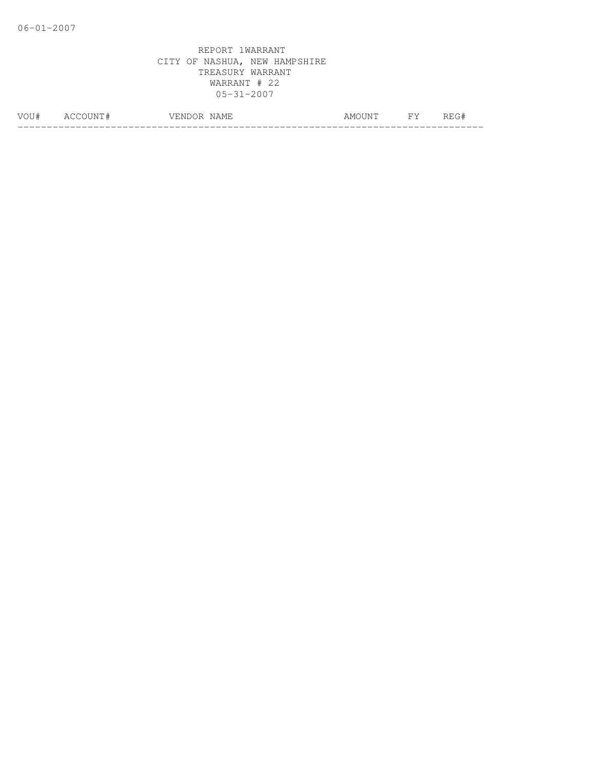| <b><i>MOLT</i></b> | $\mathbf{N}$<br>∸ | $\sim$ 1571<br>$\sim$ $\sim$<br>M<br>---<br>◡<br>. <u>. .</u> | \N/<br>1111 | ັ |
|--------------------|-------------------|---------------------------------------------------------------|-------------|---|
|                    |                   |                                                               |             |   |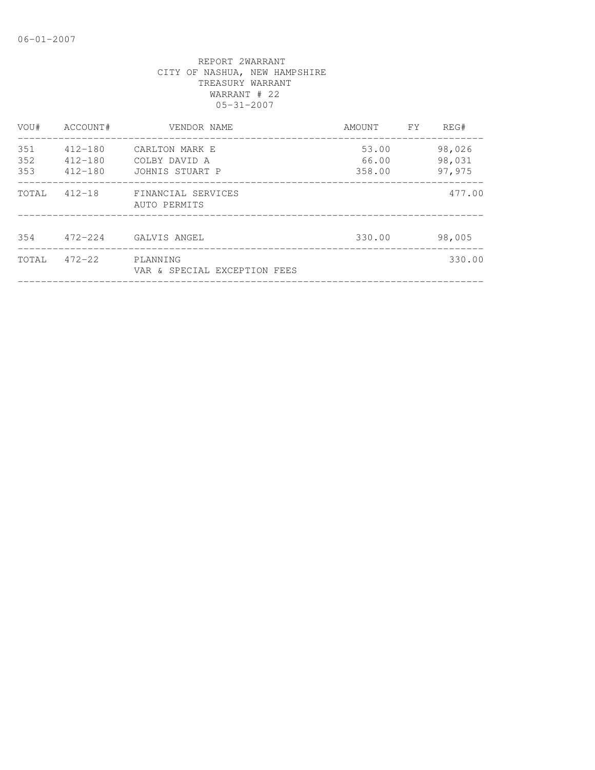| VOU#              | ACCOUNT#                                  | VENDOR NAME                                        | AMOUNT                   | FY. | REG#                       |
|-------------------|-------------------------------------------|----------------------------------------------------|--------------------------|-----|----------------------------|
| 351<br>352<br>353 | $412 - 180$<br>$412 - 180$<br>$412 - 180$ | CARLTON MARK E<br>COLBY DAVID A<br>JOHNIS STUART P | 53.00<br>66.00<br>358.00 |     | 98,026<br>98,031<br>97,975 |
| TOTAL             | $412 - 18$                                | FINANCIAL SERVICES<br>AUTO PERMITS                 |                          |     | 477.00                     |
| 354               | $472 - 224$                               | GALVIS ANGEL                                       | 330.00                   |     | 98,005                     |
| TOTAL             | $472 - 22$                                | PLANNING<br>VAR & SPECIAL EXCEPTION FEES           |                          |     | 330.00                     |
|                   |                                           |                                                    |                          |     |                            |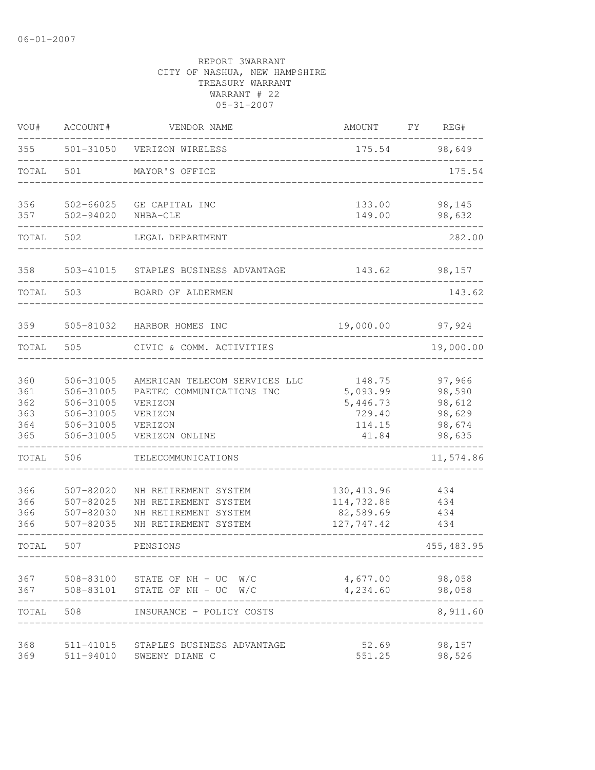| VOU#                                   | ACCOUNT#                                                                   | VENDOR NAME                                                                                                   | AMOUNT                                                      | FY | REG#                                                     |
|----------------------------------------|----------------------------------------------------------------------------|---------------------------------------------------------------------------------------------------------------|-------------------------------------------------------------|----|----------------------------------------------------------|
| 355                                    | 501-31050                                                                  | VERIZON WIRELESS                                                                                              | 175.54                                                      |    | 98,649                                                   |
| TOTAL                                  | 501                                                                        | MAYOR'S OFFICE                                                                                                |                                                             |    | 175.54                                                   |
| 356<br>357                             | 502-66025<br>502-94020                                                     | GE CAPITAL INC<br>NHBA-CLE                                                                                    | 133.00<br>149.00                                            |    | 98,145<br>98,632                                         |
| TOTAL                                  | 502                                                                        | LEGAL DEPARTMENT                                                                                              |                                                             |    | 282.00                                                   |
| 358                                    | 503-41015                                                                  | STAPLES BUSINESS ADVANTAGE                                                                                    | 143.62                                                      |    | 98,157                                                   |
| TOTAL                                  | 503                                                                        | BOARD OF ALDERMEN                                                                                             |                                                             |    | 143.62                                                   |
| 359                                    | 505-81032                                                                  | HARBOR HOMES INC                                                                                              | 19,000.00                                                   |    | 97,924                                                   |
| TOTAL                                  | 505                                                                        | CIVIC & COMM. ACTIVITIES                                                                                      |                                                             |    | 19,000.00                                                |
| 360<br>361<br>362<br>363<br>364<br>365 | 506-31005<br>506-31005<br>506-31005<br>506-31005<br>506-31005<br>506-31005 | AMERICAN TELECOM SERVICES LLC<br>PAETEC COMMUNICATIONS INC<br>VERIZON<br>VERIZON<br>VERIZON<br>VERIZON ONLINE | 148.75<br>5,093.99<br>5,446.73<br>729.40<br>114.15<br>41.84 |    | 97,966<br>98,590<br>98,612<br>98,629<br>98,674<br>98,635 |
| TOTAL                                  | 506                                                                        | TELECOMMUNICATIONS                                                                                            |                                                             |    | 11,574.86                                                |
| 366<br>366<br>366<br>366               | $507 - 82020$<br>507-82025<br>507-82030<br>507-82035                       | NH RETIREMENT SYSTEM<br>NH RETIREMENT SYSTEM<br>NH RETIREMENT SYSTEM<br>NH RETIREMENT SYSTEM                  | 130, 413.96<br>114,732.88<br>82,589.69<br>127,747.42        |    | 434<br>434<br>434<br>434                                 |
| TOTAL                                  | 507                                                                        | PENSIONS                                                                                                      | -------------------------------                             |    | 455, 483.95                                              |
| 367<br>367                             | 508-83100<br>508-83101                                                     | STATE OF NH $-$ UC W/C<br>STATE OF NH - UC<br>W/C                                                             | 4,677.00<br>4,234.60                                        |    | 98,058<br>98,058                                         |
| TOTAL                                  | 508                                                                        | INSURANCE - POLICY COSTS                                                                                      |                                                             |    | 8,911.60                                                 |
| 368<br>369                             | 511-41015<br>511-94010                                                     | STAPLES BUSINESS ADVANTAGE<br>SWEENY DIANE C                                                                  | 52.69<br>551.25                                             |    | 98,157<br>98,526                                         |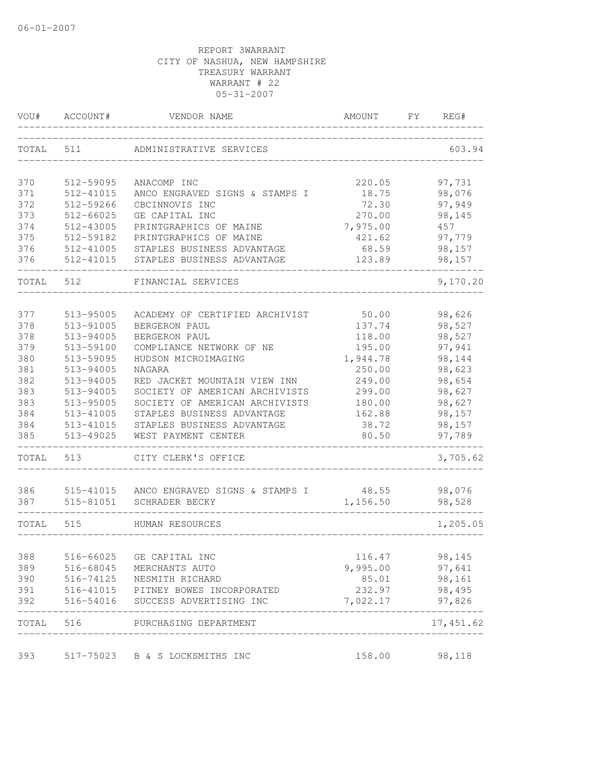| VOU#       | ACCOUNT#               | VENDOR NAME                                      | AMOUNT            | FY | REG#             |
|------------|------------------------|--------------------------------------------------|-------------------|----|------------------|
| TOTAL      | 511                    | ADMINISTRATIVE SERVICES                          |                   |    | 603.94           |
| 370        | 512-59095              | ANACOMP INC                                      | 220.05            |    | 97,731           |
| 371        | 512-41015              | ANCO ENGRAVED SIGNS & STAMPS I                   | 18.75             |    | 98,076           |
| 372        | 512-59266              | CBCINNOVIS INC                                   | 72.30             |    | 97,949           |
| 373        | 512-66025              | GE CAPITAL INC                                   | 270.00            |    | 98,145           |
| 374        | 512-43005              | PRINTGRAPHICS OF MAINE                           | 7,975.00          |    | 457              |
| 375        | 512-59182              | PRINTGRAPHICS OF MAINE                           | 421.62            |    | 97,779           |
| 376        | 512-41005              | STAPLES BUSINESS ADVANTAGE                       | 68.59             |    | 98,157           |
| 376        | 512-41015              | STAPLES BUSINESS ADVANTAGE                       | 123.89            |    | 98,157           |
| TOTAL      | 512                    | FINANCIAL SERVICES                               |                   |    | 9,170.20         |
| 377        | 513-95005              | ACADEMY OF CERTIFIED ARCHIVIST                   | 50.00             |    | 98,626           |
| 378        | 513-91005              | BERGERON PAUL                                    | 137.74            |    | 98,527           |
| 378        | 513-94005              | BERGERON PAUL                                    | 118.00            |    | 98,527           |
| 379        | 513-59100              | COMPLIANCE NETWORK OF NE                         | 195.00            |    | 97,941           |
| 380        | 513-59095              | HUDSON MICROIMAGING                              | 1,944.78          |    | 98,144           |
| 381        | 513-94005              | NAGARA                                           | 250.00            |    | 98,623           |
| 382        | 513-94005              | RED JACKET MOUNTAIN VIEW INN                     | 249.00            |    | 98,654           |
| 383        | 513-94005              | SOCIETY OF AMERICAN ARCHIVISTS                   | 299.00            |    | 98,627           |
| 383        | 513-95005              | SOCIETY OF AMERICAN ARCHIVISTS                   | 180.00            |    | 98,627           |
| 384        | 513-41005              | STAPLES BUSINESS ADVANTAGE                       | 162.88            |    | 98,157           |
| 384        | 513-41015              | STAPLES BUSINESS ADVANTAGE                       | 38.72             |    | 98,157           |
| 385        | 513-49025              | WEST PAYMENT CENTER                              | 80.50             |    | 97,789           |
| TOTAL      | 513                    | CITY CLERK'S OFFICE                              |                   |    | 3,705.62         |
|            |                        |                                                  |                   |    |                  |
| 386<br>387 | 515-41015<br>515-81051 | ANCO ENGRAVED SIGNS & STAMPS I<br>SCHRADER BECKY | 48.55<br>1,156.50 |    | 98,076<br>98,528 |
|            |                        |                                                  |                   |    |                  |
| TOTAL      | 515                    | HUMAN RESOURCES                                  |                   |    | 1,205.05         |
| 388        | 516-66025              | GE CAPITAL INC                                   | 116.47            |    | 98,145           |
| 389        |                        | 516-68045 MERCHANTS AUTO                         | 9,995.00          |    | 97,641           |
| 390        |                        | 516-74125 NESMITH RICHARD                        | 85.01             |    | 98,161           |
| 391        |                        | 516-41015 PITNEY BOWES INCORPORATED              | 232.97            |    | 98,495           |
| 392        |                        | 516-54016 SUCCESS ADVERTISING INC                | 7,022.17          |    | 97,826           |
| TOTAL 516  |                        | PURCHASING DEPARTMENT                            |                   |    | 17,451.62        |
| 393        |                        | 517-75023 B & S LOCKSMITHS INC                   | 158.00            |    | 98,118           |
|            |                        |                                                  |                   |    |                  |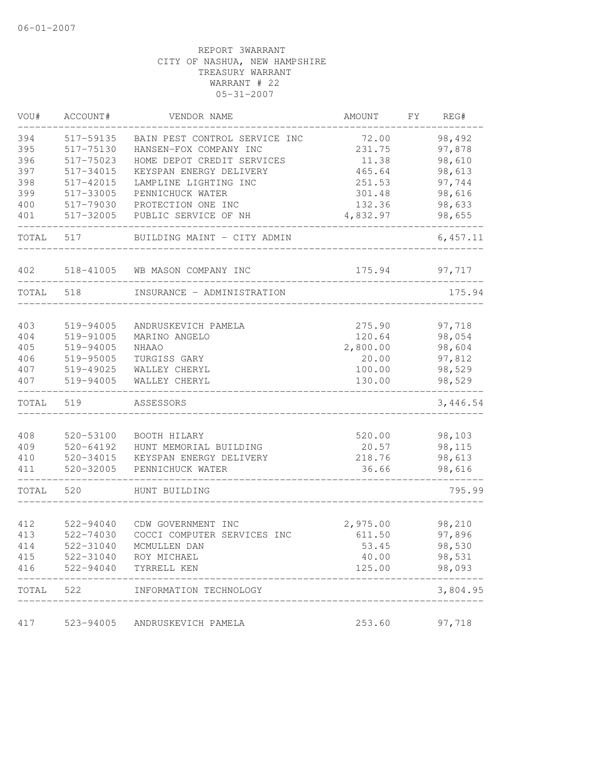| VOU#  | ACCOUNT#      | VENDOR NAME                   | AMOUNT   | FY | REG#      |
|-------|---------------|-------------------------------|----------|----|-----------|
| 394   | 517-59135     | BAIN PEST CONTROL SERVICE INC | 72.00    |    | 98,492    |
| 395   | 517-75130     | HANSEN-FOX COMPANY INC        | 231.75   |    | 97,878    |
| 396   | 517-75023     | HOME DEPOT CREDIT SERVICES    | 11.38    |    | 98,610    |
| 397   | 517-34015     | KEYSPAN ENERGY DELIVERY       | 465.64   |    | 98,613    |
| 398   | 517-42015     | LAMPLINE LIGHTING INC         | 251.53   |    | 97,744    |
| 399   | 517-33005     | PENNICHUCK WATER              | 301.48   |    | 98,616    |
| 400   | 517-79030     | PROTECTION ONE INC            | 132.36   |    | 98,633    |
| 401   | 517-32005     | PUBLIC SERVICE OF NH          | 4,832.97 |    | 98,655    |
| TOTAL | 517           | BUILDING MAINT - CITY ADMIN   |          |    | 6, 457.11 |
| 402   | 518-41005     | WB MASON COMPANY INC          | 175.94   |    | 97,717    |
| TOTAL | 518           | INSURANCE - ADMINISTRATION    |          |    | 175.94    |
|       |               |                               |          |    |           |
| 403   | 519-94005     | ANDRUSKEVICH PAMELA           | 275.90   |    | 97,718    |
| 404   | 519-91005     | MARINO ANGELO                 | 120.64   |    | 98,054    |
| 405   | 519-94005     | <b>NHAAO</b>                  | 2,800.00 |    | 98,604    |
| 406   | 519-95005     | TURGISS GARY                  | 20.00    |    | 97,812    |
| 407   | 519-49025     | WALLEY CHERYL                 | 100.00   |    | 98,529    |
| 407   | 519-94005     | WALLEY CHERYL                 | 130.00   |    | 98,529    |
| TOTAL | 519           | ASSESSORS                     |          |    | 3,446.54  |
| 408   | 520-53100     | BOOTH HILARY                  | 520.00   |    | 98,103    |
| 409   | $520 - 64192$ | HUNT MEMORIAL BUILDING        | 20.57    |    | 98,115    |
| 410   | 520-34015     | KEYSPAN ENERGY DELIVERY       | 218.76   |    | 98,613    |
| 411   | 520-32005     | PENNICHUCK WATER              | 36.66    |    | 98,616    |
| TOTAL | 520           | HUNT BUILDING                 |          |    | 795.99    |
|       |               |                               |          |    |           |
| 412   | 522-94040     | CDW GOVERNMENT INC            | 2,975.00 |    | 98,210    |
| 413   | 522-74030     | COCCI COMPUTER SERVICES INC   | 611.50   |    | 97,896    |
| 414   | 522-31040     | MCMULLEN DAN                  | 53.45    |    | 98,530    |
| 415   | 522-31040     | ROY MICHAEL                   | 40.00    |    | 98,531    |
| 416   | 522-94040     | TYRRELL KEN                   | 125.00   |    | 98,093    |
| TOTAL | 522           | INFORMATION TECHNOLOGY        |          |    | 3,804.95  |
|       |               |                               |          |    |           |
| 417   | 523-94005     | ANDRUSKEVICH PAMELA           | 253.60   |    | 97,718    |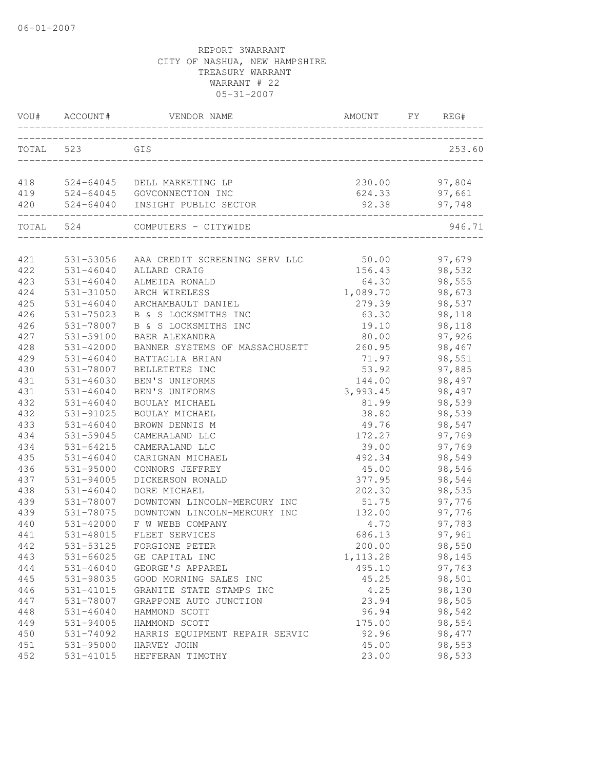| VOU#       | ACCOUNT#               | VENDOR NAME                      | AMOUNT          | FY. | REG#    |
|------------|------------------------|----------------------------------|-----------------|-----|---------|
| TOTAL      | 523                    | GIS                              |                 |     | 253.60  |
| 418        | 524-64045              | DELL MARKETING LP                | 230.00          |     | 97,804  |
| 419        |                        | 524-64045 GOVCONNECTION INC      | 624.33          |     | 97,661  |
| 420        | 524-64040              | INSIGHT PUBLIC SECTOR            | 92.38           |     | 97,748  |
| TOTAL      | 524                    | COMPUTERS - CITYWIDE             |                 |     | 946.71  |
|            |                        |                                  |                 |     |         |
| 421        | 531-53056              | AAA CREDIT SCREENING SERV LLC    | 50.00           |     | 97,679  |
| 422        | $531 - 46040$          | ALLARD CRAIG                     | 156.43          |     | 98,532  |
| 423        | 531-46040              | ALMEIDA RONALD                   | 64.30           |     | 98,555  |
| 424        | 531-31050              | ARCH WIRELESS                    | 1,089.70        |     | 98,673  |
| 425        | $531 - 46040$          | ARCHAMBAULT DANIEL               | 279.39          |     | 98,537  |
| 426        | 531-75023              | B & S LOCKSMITHS INC             | 63.30           |     | 98,118  |
| 426        | 531-78007              | B & S LOCKSMITHS INC             | 19.10           |     | 98,118  |
| 427        | 531-59100              | BAER ALEXANDRA                   | 80.00           |     | 97,926  |
| 428        | 531-42000              | BANNER SYSTEMS OF MASSACHUSETT   | 260.95          |     | 98,467  |
| 429        | $531 - 46040$          | BATTAGLIA BRIAN                  | 71.97           |     | 98,551  |
| 430        | 531-78007              | BELLETETES INC                   | 53.92           |     | 97,885  |
| 431        | 531-46030              | BEN'S UNIFORMS                   | 144.00          |     | 98,497  |
| 431        | 531-46040              | BEN'S UNIFORMS                   | 3,993.45        |     | 98,497  |
| 432        | $531 - 46040$          | BOULAY MICHAEL                   | 81.99           |     | 98,539  |
| 432        | 531-91025              | BOULAY MICHAEL                   | 38.80           |     | 98,539  |
| 433<br>434 | 531-46040<br>531-59045 | BROWN DENNIS M<br>CAMERALAND LLC | 49.76<br>172.27 |     | 98,547  |
|            |                        |                                  |                 |     | 97,769  |
| 434        | $531 - 64215$          | CAMERALAND LLC                   | 39.00           |     | 97,769  |
| 435        | $531 - 46040$          | CARIGNAN MICHAEL                 | 492.34          |     | 98,549  |
| 436        | 531-95000              | CONNORS JEFFREY                  | 45.00           |     | 98,546  |
| 437        | 531-94005              | DICKERSON RONALD<br>DORE MICHAEL | 377.95          |     | 98,544  |
| 438        | $531 - 46040$          |                                  | 202.30          |     | 98,535  |
| 439        | 531-78007              | DOWNTOWN LINCOLN-MERCURY INC     | 51.75           |     | 97,776  |
| 439        | 531-78075              | DOWNTOWN LINCOLN-MERCURY INC     | 132.00          |     | 97,776  |
| 440        | 531-42000              | F W WEBB COMPANY                 | 4.70            |     | 97,783  |
| 441        | 531-48015              | FLEET SERVICES                   | 686.13          |     | 97,961  |
| 442        | 531-53125              | FORGIONE PETER                   | 200.00          |     | 98,550  |
| 443        | $531 - 66025$          | GE CAPITAL INC                   | 1, 113.28       |     | 98,145  |
| 444        | $531 - 46040$          | GEORGE'S APPAREL                 | 495.10          |     | 97,763  |
| 445        | 531-98035              | GOOD MORNING SALES INC           | 45.25           |     | 98,501  |
| 446        | 531-41015              | GRANITE STATE STAMPS INC         | 4.25            |     | 98,130  |
| 447        | 531-78007              | GRAPPONE AUTO JUNCTION           | 23.94           |     | 98,505  |
| 448        | $531 - 46040$          | HAMMOND SCOTT                    | 96.94           |     | 98,542  |
| 449        | 531-94005              | HAMMOND SCOTT                    | 175.00          |     | 98,554  |
| 450        | 531-74092              | HARRIS EQUIPMENT REPAIR SERVIC   | 92.96           |     | 98, 477 |
| 451        | 531-95000              | HARVEY JOHN                      | 45.00           |     | 98,553  |
| 452        | 531-41015              | HEFFERAN TIMOTHY                 | 23.00           |     | 98,533  |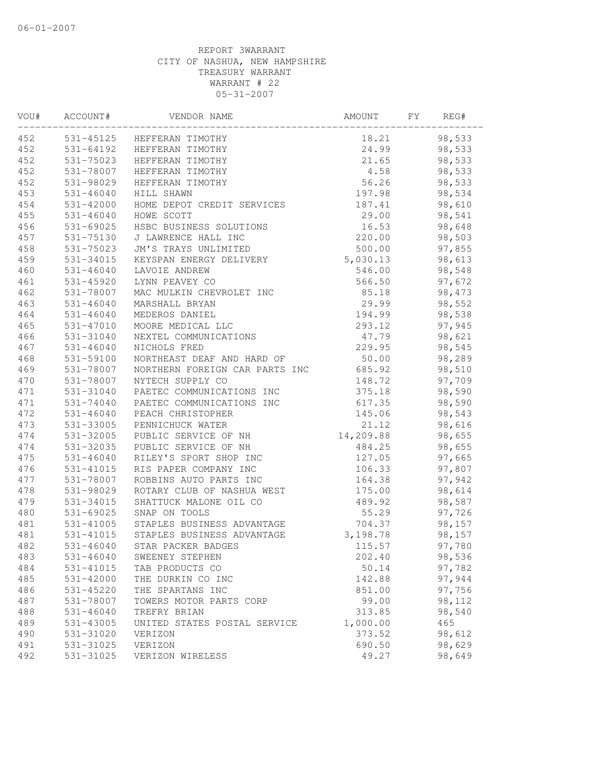| VOU# | ACCOUNT#      | VENDOR NAME                    | AMOUNT    | FY | REG#   |  |
|------|---------------|--------------------------------|-----------|----|--------|--|
| 452  |               | 531-45125 HEFFERAN TIMOTHY     | 18.21     |    | 98,533 |  |
| 452  | 531-64192     | HEFFERAN TIMOTHY               | 24.99     |    | 98,533 |  |
| 452  | 531-75023     | HEFFERAN TIMOTHY               | 21.65     |    | 98,533 |  |
| 452  | 531-78007     | HEFFERAN TIMOTHY               | 4.58      |    | 98,533 |  |
| 452  | 531-98029     | HEFFERAN TIMOTHY               | 56.26     |    | 98,533 |  |
| 453  | $531 - 46040$ | HILL SHAWN                     | 197.98    |    | 98,534 |  |
| 454  | 531-42000     | HOME DEPOT CREDIT SERVICES     | 187.41    |    | 98,610 |  |
| 455  | $531 - 46040$ | HOWE SCOTT                     | 29.00     |    | 98,541 |  |
| 456  | 531-69025     | HSBC BUSINESS SOLUTIONS        | 16.53     |    | 98,648 |  |
| 457  | 531-75130     | J LAWRENCE HALL INC            | 220.00    |    | 98,503 |  |
| 458  | 531-75023     | JM'S TRAYS UNLIMITED           | 500.00    |    | 97,855 |  |
| 459  | 531-34015     | KEYSPAN ENERGY DELIVERY        | 5,030.13  |    | 98,613 |  |
| 460  | $531 - 46040$ | LAVOIE ANDREW                  | 546.00    |    | 98,548 |  |
| 461  | 531-45920     | LYNN PEAVEY CO                 | 566.50    |    | 97,672 |  |
| 462  | 531-78007     | MAC MULKIN CHEVROLET INC       | 85.18     |    | 98,473 |  |
| 463  | $531 - 46040$ | MARSHALL BRYAN                 | 29.99     |    | 98,552 |  |
| 464  | $531 - 46040$ | MEDEROS DANIEL                 | 194.99    |    | 98,538 |  |
| 465  | 531-47010     | MOORE MEDICAL LLC              | 293.12    |    | 97,945 |  |
| 466  | 531-31040     | NEXTEL COMMUNICATIONS          | 47.79     |    | 98,621 |  |
| 467  | 531-46040     | NICHOLS FRED                   | 229.95    |    | 98,545 |  |
| 468  | 531-59100     | NORTHEAST DEAF AND HARD OF     | 50.00     |    | 98,289 |  |
| 469  | 531-78007     | NORTHERN FOREIGN CAR PARTS INC | 685.92    |    | 98,510 |  |
| 470  | 531-78007     | NYTECH SUPPLY CO               | 148.72    |    | 97,709 |  |
| 471  | 531-31040     | PAETEC COMMUNICATIONS INC      | 375.18    |    | 98,590 |  |
| 471  | 531-74040     | PAETEC COMMUNICATIONS INC      | 617.35    |    | 98,590 |  |
| 472  | $531 - 46040$ | PEACH CHRISTOPHER              | 145.06    |    | 98,543 |  |
| 473  | 531-33005     | PENNICHUCK WATER               | 21.12     |    | 98,616 |  |
| 474  | 531-32005     | PUBLIC SERVICE OF NH           | 14,209.88 |    | 98,655 |  |
| 474  | 531-32035     | PUBLIC SERVICE OF NH           | 484.25    |    | 98,655 |  |
| 475  | $531 - 46040$ | RILEY'S SPORT SHOP INC         | 127.05    |    | 97,665 |  |
| 476  | 531-41015     | RIS PAPER COMPANY INC          | 106.33    |    | 97,807 |  |
| 477  | 531-78007     | ROBBINS AUTO PARTS INC         | 164.38    |    | 97,942 |  |
| 478  | 531-98029     | ROTARY CLUB OF NASHUA WEST     | 175.00    |    | 98,614 |  |
| 479  | 531-34015     | SHATTUCK MALONE OIL CO         | 489.92    |    | 98,587 |  |
| 480  | 531-69025     | SNAP ON TOOLS                  | 55.29     |    | 97,726 |  |
| 481  | 531-41005     | STAPLES BUSINESS ADVANTAGE     | 704.37    |    | 98,157 |  |
| 481  | 531-41015     | STAPLES BUSINESS ADVANTAGE     | 3,198.78  |    | 98,157 |  |
| 482  | $531 - 46040$ | STAR PACKER BADGES             | 115.57    |    | 97,780 |  |
| 483  | $531 - 46040$ | SWEENEY STEPHEN                | 202.40    |    | 98,536 |  |
| 484  | 531-41015     | TAB PRODUCTS CO                | 50.14     |    | 97,782 |  |
| 485  | $531 - 42000$ | THE DURKIN CO INC              | 142.88    |    | 97,944 |  |
| 486  | 531-45220     | THE SPARTANS INC               | 851.00    |    | 97,756 |  |
| 487  | 531-78007     | TOWERS MOTOR PARTS CORP        | 99.00     |    | 98,112 |  |
| 488  | $531 - 46040$ | TREFRY BRIAN                   | 313.85    |    | 98,540 |  |
| 489  | 531-43005     | UNITED STATES POSTAL SERVICE   | 1,000.00  |    | 465    |  |
| 490  | 531-31020     | VERIZON                        | 373.52    |    | 98,612 |  |
| 491  | 531-31025     | VERIZON                        | 690.50    |    | 98,629 |  |
| 492  | 531-31025     | VERIZON WIRELESS               | 49.27     |    | 98,649 |  |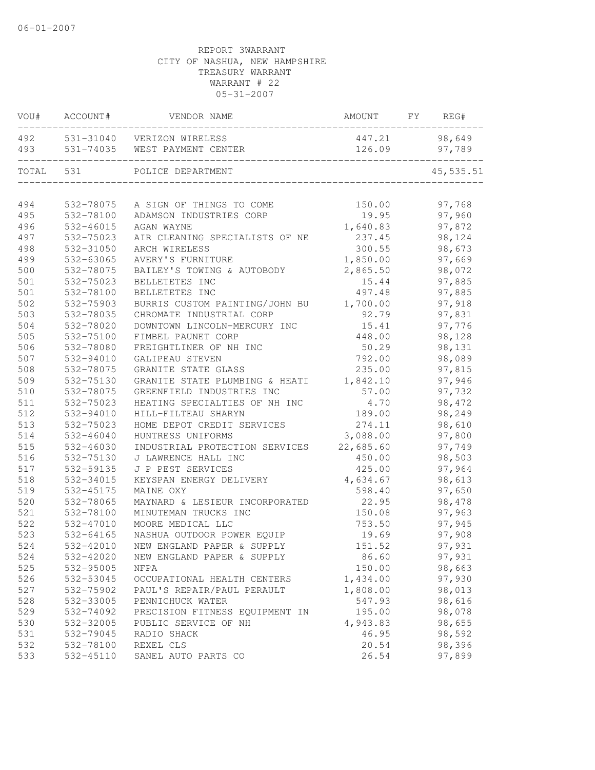| VOU#  | ACCOUNT#  | VENDOR NAME                    | AMOUNT    | FY | REG#       |
|-------|-----------|--------------------------------|-----------|----|------------|
| 492   |           | 531-31040 VERIZON WIRELESS     | 447.21    |    | 98,649     |
| 493   | 531-74035 | WEST PAYMENT CENTER            | 126.09    |    | 97,789     |
| TOTAL | 531       | POLICE DEPARTMENT              |           |    | 45, 535.51 |
| 494   | 532-78075 | A SIGN OF THINGS TO COME       | 150.00    |    | 97,768     |
| 495   | 532-78100 | ADAMSON INDUSTRIES CORP        | 19.95     |    | 97,960     |
| 496   | 532-46015 | AGAN WAYNE                     | 1,640.83  |    | 97,872     |
| 497   | 532-75023 | AIR CLEANING SPECIALISTS OF NE | 237.45    |    | 98,124     |
| 498   | 532-31050 | ARCH WIRELESS                  | 300.55    |    | 98,673     |
| 499   | 532-63065 | AVERY'S FURNITURE              | 1,850.00  |    | 97,669     |
| 500   | 532-78075 | BAILEY'S TOWING & AUTOBODY     | 2,865.50  |    | 98,072     |
| 501   | 532-75023 | BELLETETES INC                 | 15.44     |    | 97,885     |
| 501   | 532-78100 | BELLETETES INC                 | 497.48    |    | 97,885     |
| 502   | 532-75903 | BURRIS CUSTOM PAINTING/JOHN BU | 1,700.00  |    | 97,918     |
| 503   | 532-78035 | CHROMATE INDUSTRIAL CORP       | 92.79     |    | 97,831     |
| 504   | 532-78020 | DOWNTOWN LINCOLN-MERCURY INC   | 15.41     |    | 97,776     |
| 505   | 532-75100 | FIMBEL PAUNET CORP             | 448.00    |    | 98,128     |
| 506   | 532-78080 | FREIGHTLINER OF NH INC         | 50.29     |    | 98,131     |
| 507   | 532-94010 | GALIPEAU STEVEN                | 792.00    |    | 98,089     |
| 508   | 532-78075 | GRANITE STATE GLASS            | 235.00    |    | 97,815     |
| 509   | 532-75130 | GRANITE STATE PLUMBING & HEATI | 1,842.10  |    | 97,946     |
| 510   | 532-78075 | GREENFIELD INDUSTRIES INC      | 57.00     |    | 97,732     |
| 511   | 532-75023 | HEATING SPECIALTIES OF NH INC  | 4.70      |    | 98,472     |
| 512   | 532-94010 | HILL-FILTEAU SHARYN            | 189.00    |    | 98,249     |
| 513   | 532-75023 | HOME DEPOT CREDIT SERVICES     | 274.11    |    | 98,610     |
| 514   | 532-46040 | HUNTRESS UNIFORMS              | 3,088.00  |    | 97,800     |
| 515   | 532-46030 | INDUSTRIAL PROTECTION SERVICES | 22,685.60 |    | 97,749     |
| 516   | 532-75130 | J LAWRENCE HALL INC            | 450.00    |    | 98,503     |
| 517   | 532-59135 | J P PEST SERVICES              | 425.00    |    | 97,964     |
| 518   | 532-34015 | KEYSPAN ENERGY DELIVERY        | 4,634.67  |    | 98,613     |
| 519   | 532-45175 | MAINE OXY                      | 598.40    |    | 97,650     |
| 520   | 532-78065 | MAYNARD & LESIEUR INCORPORATED | 22.95     |    | 98,478     |
| 521   | 532-78100 | MINUTEMAN TRUCKS INC           | 150.08    |    | 97,963     |
| 522   | 532-47010 | MOORE MEDICAL LLC              | 753.50    |    | 97,945     |
| 523   | 532-64165 | NASHUA OUTDOOR POWER EQUIP     | 19.69     |    | 97,908     |
| 524   | 532-42010 | NEW ENGLAND PAPER & SUPPLY     | 151.52    |    | 97,931     |
| 524   | 532-42020 | NEW ENGLAND PAPER & SUPPLY     | 86.60     |    | 97,931     |
| 525   | 532-95005 | <b>NFPA</b>                    | 150.00    |    | 98,663     |
| 526   | 532-53045 | OCCUPATIONAL HEALTH CENTERS    | 1,434.00  |    | 97,930     |
| 527   | 532-75902 | PAUL'S REPAIR/PAUL PERAULT     | 1,808.00  |    | 98,013     |
| 528   | 532-33005 | PENNICHUCK WATER               | 547.93    |    | 98,616     |
| 529   | 532-74092 | PRECISION FITNESS EQUIPMENT IN | 195.00    |    | 98,078     |
| 530   | 532-32005 | PUBLIC SERVICE OF NH           | 4,943.83  |    | 98,655     |
| 531   | 532-79045 | RADIO SHACK                    | 46.95     |    | 98,592     |
| 532   | 532-78100 | REXEL CLS                      | 20.54     |    | 98,396     |
| 533   | 532-45110 | SANEL AUTO PARTS CO            | 26.54     |    | 97,899     |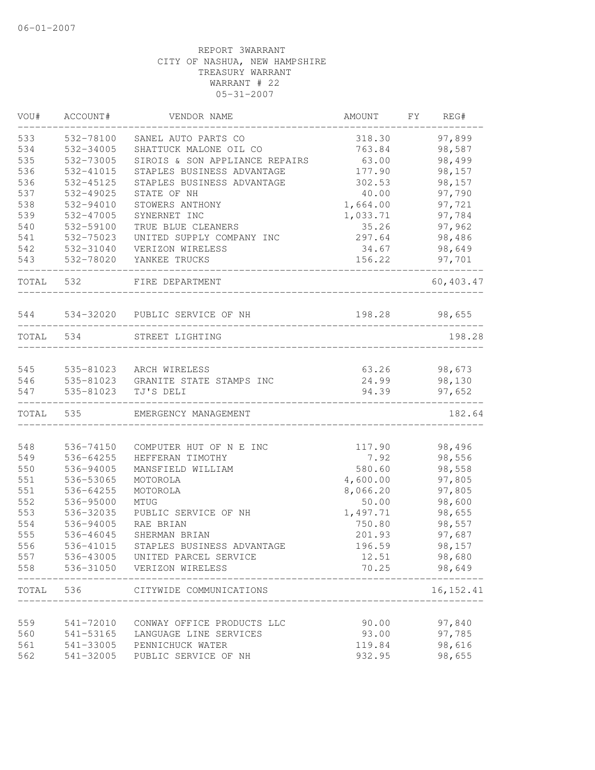| VOU#  | ACCOUNT#  | VENDOR NAME                        | AMOUNT   | FΥ | REG#          |
|-------|-----------|------------------------------------|----------|----|---------------|
| 533   | 532-78100 | SANEL AUTO PARTS CO                | 318.30   |    | 97,899        |
| 534   | 532-34005 | SHATTUCK MALONE OIL CO             | 763.84   |    | 98,587        |
| 535   | 532-73005 | SIROIS & SON APPLIANCE REPAIRS     | 63.00    |    | 98,499        |
| 536   | 532-41015 | STAPLES BUSINESS ADVANTAGE         | 177.90   |    | 98,157        |
| 536   | 532-45125 | STAPLES BUSINESS ADVANTAGE         | 302.53   |    | 98,157        |
| 537   | 532-49025 | STATE OF NH                        | 40.00    |    | 97,790        |
| 538   | 532-94010 | STOWERS ANTHONY                    | 1,664.00 |    | 97,721        |
| 539   | 532-47005 | SYNERNET INC                       | 1,033.71 |    | 97,784        |
| 540   | 532-59100 | TRUE BLUE CLEANERS                 | 35.26    |    | 97,962        |
| 541   | 532-75023 | UNITED SUPPLY COMPANY INC          | 297.64   |    | 98,486        |
| 542   | 532-31040 | VERIZON WIRELESS                   | 34.67    |    | 98,649        |
| 543   | 532-78020 | YANKEE TRUCKS                      | 156.22   |    | 97,701        |
| TOTAL | 532       | FIRE DEPARTMENT                    |          |    | 60, 403.47    |
| 544   |           | 534-32020 PUBLIC SERVICE OF NH     |          |    | 198.28 98,655 |
| TOTAL | 534       | STREET LIGHTING                    |          |    | 198.28        |
|       |           |                                    |          |    |               |
| 545   |           | 535-81023 ARCH WIRELESS            | 63.26    |    | 98,673        |
| 546   |           | 535-81023 GRANITE STATE STAMPS INC | 24.99    |    | 98,130        |
| 547   | 535-81023 | TJ'S DELI                          | 94.39    |    | 97,652        |
| TOTAL | 535       | EMERGENCY MANAGEMENT               |          |    | 182.64        |
|       |           |                                    |          |    |               |
| 548   | 536-74150 | COMPUTER HUT OF N E INC            | 117.90   |    | 98,496        |
| 549   | 536-64255 | HEFFERAN TIMOTHY                   | 7.92     |    | 98,556        |
| 550   | 536-94005 | MANSFIELD WILLIAM                  | 580.60   |    | 98,558        |
| 551   | 536-53065 | MOTOROLA                           | 4,600.00 |    | 97,805        |
| 551   | 536-64255 | MOTOROLA                           | 8,066.20 |    | 97,805        |
| 552   | 536-95000 | MTUG                               | 50.00    |    | 98,600        |
| 553   | 536-32035 | PUBLIC SERVICE OF NH               | 1,497.71 |    | 98,655        |
| 554   | 536-94005 | RAE BRIAN                          | 750.80   |    | 98,557        |
| 555   | 536-46045 | SHERMAN BRIAN                      | 201.93   |    | 97,687        |
| 556   | 536-41015 | STAPLES BUSINESS ADVANTAGE         | 196.59   |    | 98,157        |
| 557   |           | 536-43005 UNITED PARCEL SERVICE    | 12.51    |    | 98,680        |
| 558   |           | 536-31050 VERIZON WIRELESS         | 70.25    |    | 98,649        |
| TOTAL | 536       | CITYWIDE COMMUNICATIONS            |          |    | 16, 152.41    |
|       |           |                                    |          |    |               |
| 559   | 541-72010 | CONWAY OFFICE PRODUCTS LLC         | 90.00    |    | 97,840        |
| 560   | 541-53165 | LANGUAGE LINE SERVICES             | 93.00    |    | 97,785        |
| 561   |           | 541-33005 PENNICHUCK WATER         | 119.84   |    | 98,616        |
| 562   | 541-32005 | PUBLIC SERVICE OF NH               | 932.95   |    | 98,655        |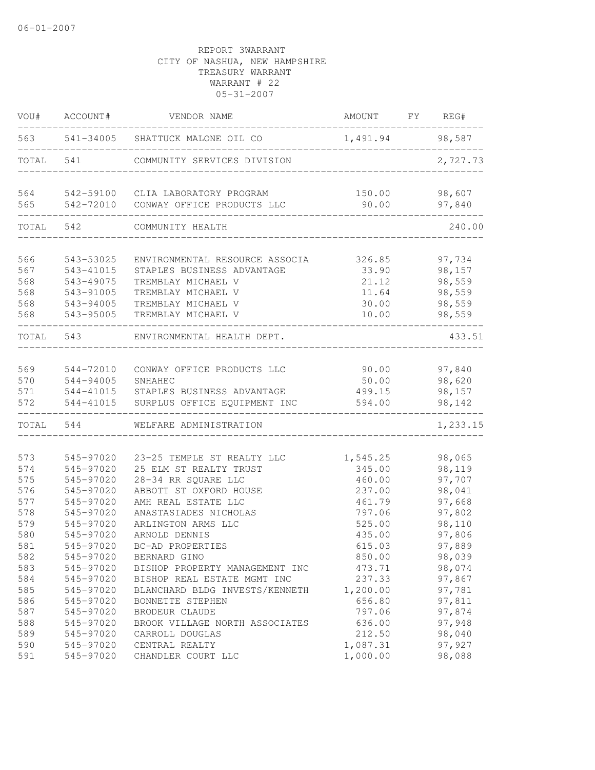| VOU#      | ACCOUNT#  | VENDOR NAME                           | AMOUNT FY REG#  |          |
|-----------|-----------|---------------------------------------|-----------------|----------|
|           |           | 563 541-34005 SHATTUCK MALONE OIL CO  | 1,491.94 98,587 |          |
| TOTAL     | 541       | COMMUNITY SERVICES DIVISION           |                 | 2,727.73 |
|           |           | 564 542-59100 CLIA LABORATORY PROGRAM | 150.00          | 98,607   |
| 565       |           | 542-72010 CONWAY OFFICE PRODUCTS LLC  | 90.00           | 97,840   |
| TOTAL 542 |           | COMMUNITY HEALTH                      |                 | 240.00   |
| 566       | 543-53025 | ENVIRONMENTAL RESOURCE ASSOCIA        | 326.85          | 97,734   |
| 567       | 543-41015 | STAPLES BUSINESS ADVANTAGE            | 33.90           | 98,157   |
| 568       | 543-49075 | TREMBLAY MICHAEL V                    | 21.12           | 98,559   |
| 568       | 543-91005 | TREMBLAY MICHAEL V                    | 11.64           | 98,559   |
| 568       | 543-94005 | TREMBLAY MICHAEL V                    | 30.00           | 98,559   |
| 568       | 543-95005 | TREMBLAY MICHAEL V                    | 10.00           | 98,559   |
| TOTAL     | 543       | ENVIRONMENTAL HEALTH DEPT.            |                 | 433.51   |
| 569       | 544-72010 | CONWAY OFFICE PRODUCTS LLC            | 90.00           | 97,840   |
| 570       | 544-94005 | SNHAHEC                               | 50.00           | 98,620   |
| 571       | 544-41015 | STAPLES BUSINESS ADVANTAGE            | 499.15          | 98,157   |
| 572       | 544-41015 | SURPLUS OFFICE EQUIPMENT INC          | 594.00          | 98,142   |
| TOTAL     | 544       | WELFARE ADMINISTRATION                |                 | 1,233.15 |
|           |           |                                       |                 |          |
| 573       | 545-97020 | 23-25 TEMPLE ST REALTY LLC            | 1,545.25        | 98,065   |
| 574       | 545-97020 | 25 ELM ST REALTY TRUST                | 345.00          | 98,119   |
| 575       | 545-97020 | 28-34 RR SQUARE LLC                   | 460.00          | 97,707   |
| 576       | 545-97020 | ABBOTT ST OXFORD HOUSE                | 237.00          | 98,041   |
| 577       | 545-97020 | AMH REAL ESTATE LLC                   | 461.79          | 97,668   |
| 578       | 545-97020 | ANASTASIADES NICHOLAS                 | 797.06          | 97,802   |
| 579       | 545-97020 | ARLINGTON ARMS LLC                    | 525.00          | 98,110   |
| 580       | 545-97020 | ARNOLD DENNIS                         | 435.00          | 97,806   |
| 581       | 545-97020 | BC-AD PROPERTIES                      | 615.03          | 97,889   |
| 582       | 545-97020 | BERNARD GINO                          | 850.00          | 98,039   |
| 583       | 545-97020 | BISHOP PROPERTY MANAGEMENT INC        | 473.71          | 98,074   |
| 584       | 545-97020 | BISHOP REAL ESTATE MGMT INC           | 237.33          | 97,867   |
| 585       | 545-97020 | BLANCHARD BLDG INVESTS/KENNETH        | 1,200.00        | 97,781   |
| 586       | 545-97020 | BONNETTE STEPHEN                      | 656.80          | 97,811   |
| 587       | 545-97020 | BRODEUR CLAUDE                        | 797.06          | 97,874   |
| 588       | 545-97020 | BROOK VILLAGE NORTH ASSOCIATES        | 636.00          | 97,948   |
| 589       | 545-97020 | CARROLL DOUGLAS                       | 212.50          | 98,040   |
| 590       | 545-97020 | CENTRAL REALTY                        | 1,087.31        | 97,927   |
| 591       | 545-97020 | CHANDLER COURT LLC                    | 1,000.00        | 98,088   |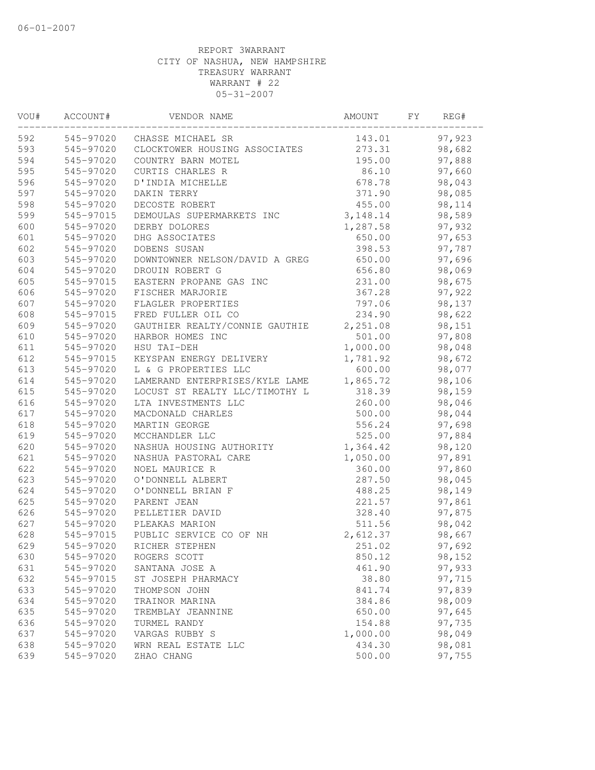| VOU# | ACCOUNT#  | VENDOR NAME                    | AMOUNT    | FY | REG#   |  |
|------|-----------|--------------------------------|-----------|----|--------|--|
| 592  | 545-97020 | CHASSE MICHAEL SR              | 143.01    |    | 97,923 |  |
| 593  | 545-97020 | CLOCKTOWER HOUSING ASSOCIATES  | 273.31    |    | 98,682 |  |
| 594  | 545-97020 | COUNTRY BARN MOTEL             | 195.00    |    | 97,888 |  |
| 595  | 545-97020 | CURTIS CHARLES R               | 86.10     |    | 97,660 |  |
| 596  | 545-97020 | D'INDIA MICHELLE               | 678.78    |    | 98,043 |  |
| 597  | 545-97020 | DAKIN TERRY                    | 371.90    |    | 98,085 |  |
| 598  | 545-97020 | DECOSTE ROBERT                 | 455.00    |    | 98,114 |  |
| 599  | 545-97015 | DEMOULAS SUPERMARKETS INC      | 3, 148.14 |    | 98,589 |  |
| 600  | 545-97020 | DERBY DOLORES                  | 1,287.58  |    | 97,932 |  |
| 601  | 545-97020 | DHG ASSOCIATES                 | 650.00    |    | 97,653 |  |
| 602  | 545-97020 | DOBENS SUSAN                   | 398.53    |    | 97,787 |  |
| 603  | 545-97020 | DOWNTOWNER NELSON/DAVID A GREG | 650.00    |    | 97,696 |  |
| 604  | 545-97020 | DROUIN ROBERT G                | 656.80    |    | 98,069 |  |
| 605  | 545-97015 | EASTERN PROPANE GAS INC        | 231.00    |    | 98,675 |  |
| 606  | 545-97020 | FISCHER MARJORIE               | 367.28    |    | 97,922 |  |
| 607  | 545-97020 | FLAGLER PROPERTIES             | 797.06    |    | 98,137 |  |
| 608  | 545-97015 | FRED FULLER OIL CO             | 234.90    |    | 98,622 |  |
| 609  | 545-97020 | GAUTHIER REALTY/CONNIE GAUTHIE | 2,251.08  |    | 98,151 |  |
| 610  | 545-97020 | HARBOR HOMES INC               | 501.00    |    | 97,808 |  |
| 611  | 545-97020 | HSU TAI-DEH                    | 1,000.00  |    | 98,048 |  |
| 612  | 545-97015 | KEYSPAN ENERGY DELIVERY        | 1,781.92  |    | 98,672 |  |
| 613  | 545-97020 | L & G PROPERTIES LLC           | 600.00    |    | 98,077 |  |
| 614  | 545-97020 | LAMERAND ENTERPRISES/KYLE LAME | 1,865.72  |    | 98,106 |  |
| 615  | 545-97020 | LOCUST ST REALTY LLC/TIMOTHY L | 318.39    |    | 98,159 |  |
| 616  | 545-97020 | LTA INVESTMENTS LLC            | 260.00    |    | 98,046 |  |
| 617  | 545-97020 | MACDONALD CHARLES              | 500.00    |    | 98,044 |  |
| 618  | 545-97020 | MARTIN GEORGE                  | 556.24    |    | 97,698 |  |
| 619  | 545-97020 | MCCHANDLER LLC                 | 525.00    |    | 97,884 |  |
| 620  | 545-97020 | NASHUA HOUSING AUTHORITY       | 1,364.42  |    | 98,120 |  |
| 621  | 545-97020 | NASHUA PASTORAL CARE           | 1,050.00  |    | 97,891 |  |
| 622  | 545-97020 | NOEL MAURICE R                 | 360.00    |    | 97,860 |  |
| 623  | 545-97020 | O'DONNELL ALBERT               | 287.50    |    | 98,045 |  |
| 624  | 545-97020 | O'DONNELL BRIAN F              | 488.25    |    | 98,149 |  |
| 625  | 545-97020 | PARENT JEAN                    | 221.57    |    | 97,861 |  |
| 626  | 545-97020 | PELLETIER DAVID                | 328.40    |    | 97,875 |  |
| 627  | 545-97020 | PLEAKAS MARION                 | 511.56    |    | 98,042 |  |
| 628  | 545-97015 | PUBLIC SERVICE CO OF NH        | 2,612.37  |    | 98,667 |  |
| 629  | 545-97020 | RICHER STEPHEN                 | 251.02    |    | 97,692 |  |
| 630  | 545-97020 | ROGERS SCOTT                   | 850.12    |    | 98,152 |  |
| 631  | 545-97020 | SANTANA JOSE A                 | 461.90    |    | 97,933 |  |
| 632  | 545-97015 | ST JOSEPH PHARMACY             | 38.80     |    | 97,715 |  |
| 633  | 545-97020 | THOMPSON JOHN                  | 841.74    |    | 97,839 |  |
| 634  | 545-97020 | TRAINOR MARINA                 | 384.86    |    | 98,009 |  |
| 635  | 545-97020 | TREMBLAY JEANNINE              | 650.00    |    | 97,645 |  |
| 636  | 545-97020 | TURMEL RANDY                   | 154.88    |    | 97,735 |  |
| 637  | 545-97020 | VARGAS RUBBY S                 | 1,000.00  |    | 98,049 |  |
| 638  | 545-97020 | WRN REAL ESTATE LLC            | 434.30    |    | 98,081 |  |
| 639  | 545-97020 | ZHAO CHANG                     | 500.00    |    | 97,755 |  |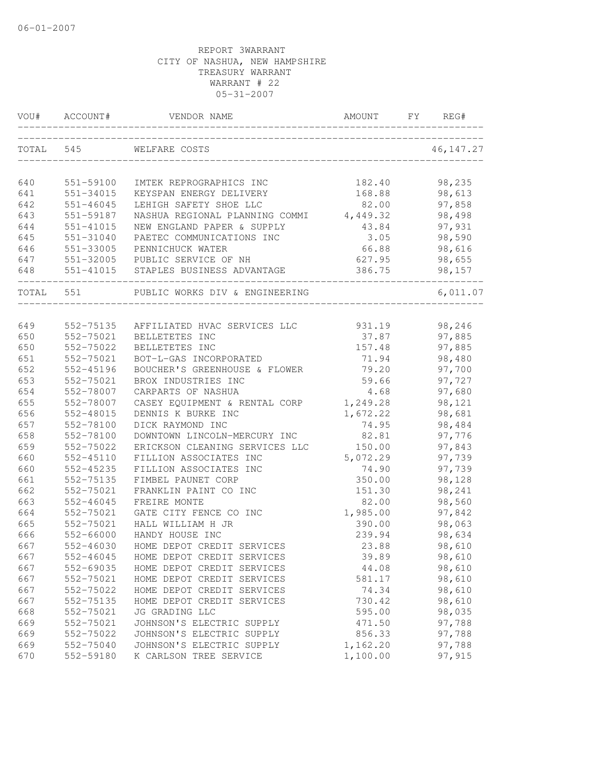| VOU#      | ACCOUNT#      | VENDOR NAME                          | AMOUNT   | FY. | REG#       |
|-----------|---------------|--------------------------------------|----------|-----|------------|
| TOTAL 545 |               | WELFARE COSTS                        |          |     | 46, 147.27 |
| 640       | 551-59100     | IMTEK REPROGRAPHICS INC              | 182.40   |     | 98,235     |
| 641       | 551-34015     | KEYSPAN ENERGY DELIVERY              | 168.88   |     | 98,613     |
| 642       | $551 - 46045$ | LEHIGH SAFETY SHOE LLC               | 82.00    |     | 97,858     |
| 643       | 551-59187     | NASHUA REGIONAL PLANNING COMMI       | 4,449.32 |     | 98,498     |
| 644       | $551 - 41015$ | NEW ENGLAND PAPER & SUPPLY           | 43.84    |     | 97,931     |
| 645       | 551-31040     | PAETEC COMMUNICATIONS INC            | 3.05     |     | 98,590     |
| 646       | 551-33005     | PENNICHUCK WATER                     | 66.88    |     | 98,616     |
| 647       | 551-32005     | PUBLIC SERVICE OF NH                 | 627.95   |     | 98,655     |
| 648       |               | 551-41015 STAPLES BUSINESS ADVANTAGE | 386.75   |     | 98,157     |
| TOTAL 551 |               | PUBLIC WORKS DIV & ENGINEERING       |          |     | 6,011.07   |
| 649       | 552-75135     | AFFILIATED HVAC SERVICES LLC         | 931.19   |     | 98,246     |
| 650       | 552-75021     | BELLETETES INC                       | 37.87    |     | 97,885     |
| 650       | 552-75022     | BELLETETES INC                       | 157.48   |     | 97,885     |
| 651       | 552-75021     | BOT-L-GAS INCORPORATED               | 71.94    |     | 98,480     |
| 652       | 552-45196     | BOUCHER'S GREENHOUSE & FLOWER        | 79.20    |     | 97,700     |
| 653       | 552-75021     | BROX INDUSTRIES INC                  | 59.66    |     | 97,727     |
| 654       | 552-78007     | CARPARTS OF NASHUA                   | 4.68     |     | 97,680     |
| 655       | 552-78007     | CASEY EQUIPMENT & RENTAL CORP        | 1,249.28 |     | 98,121     |
| 656       | 552-48015     | DENNIS K BURKE INC                   | 1,672.22 |     | 98,681     |
| 657       | 552-78100     | DICK RAYMOND INC                     | 74.95    |     | 98,484     |
| 658       | 552-78100     | DOWNTOWN LINCOLN-MERCURY INC         | 82.81    |     | 97,776     |
| 659       | 552-75022     | ERICKSON CLEANING SERVICES LLC       | 150.00   |     | 97,843     |
| 660       | 552-45110     | FILLION ASSOCIATES INC               | 5,072.29 |     | 97,739     |
| 660       | 552-45235     | FILLION ASSOCIATES INC               | 74.90    |     | 97,739     |
| 661       | 552-75135     | FIMBEL PAUNET CORP                   | 350.00   |     | 98,128     |
| 662       | 552-75021     | FRANKLIN PAINT CO INC                | 151.30   |     | 98,241     |
| 663       | 552-46045     | FREIRE MONTE                         | 82.00    |     | 98,560     |
| 664       | 552-75021     | GATE CITY FENCE CO INC               | 1,985.00 |     | 97,842     |
| 665       | 552-75021     | HALL WILLIAM H JR                    | 390.00   |     | 98,063     |
| 666       | 552-66000     | HANDY HOUSE INC                      | 239.94   |     | 98,634     |
| 667       | 552-46030     | HOME DEPOT CREDIT SERVICES           | 23.88    |     | 98,610     |
| 667       | $552 - 46045$ | HOME DEPOT CREDIT SERVICES           | 39.89    |     | 98,610     |
| 667       | 552-69035     | HOME DEPOT CREDIT SERVICES           | 44.08    |     | 98,610     |
| 667       | 552-75021     | HOME DEPOT CREDIT SERVICES           | 581.17   |     | 98,610     |
| 667       | 552-75022     | HOME DEPOT CREDIT SERVICES           | 74.34    |     | 98,610     |
| 667       | 552-75135     | HOME DEPOT CREDIT SERVICES           | 730.42   |     | 98,610     |
| 668       | 552-75021     | JG GRADING LLC                       | 595.00   |     | 98,035     |
| 669       | 552-75021     | JOHNSON'S ELECTRIC SUPPLY            | 471.50   |     | 97,788     |
| 669       | 552-75022     | JOHNSON'S ELECTRIC SUPPLY            | 856.33   |     | 97,788     |
| 669       | 552-75040     | JOHNSON'S ELECTRIC SUPPLY            | 1,162.20 |     | 97,788     |
| 670       | 552-59180     | K CARLSON TREE SERVICE               | 1,100.00 |     | 97,915     |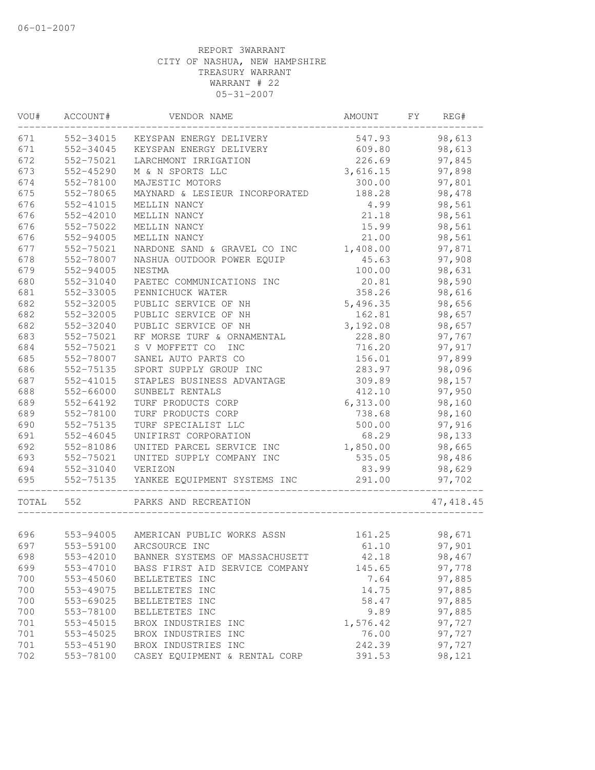| VOU#  | ACCOUNT#  | VENDOR NAME                          | AMOUNT   | FY | REG#       |
|-------|-----------|--------------------------------------|----------|----|------------|
| 671   | 552-34015 | KEYSPAN ENERGY DELIVERY              | 547.93   |    | 98,613     |
| 671   | 552-34045 | KEYSPAN ENERGY DELIVERY              | 609.80   |    | 98,613     |
| 672   | 552-75021 | LARCHMONT IRRIGATION                 | 226.69   |    | 97,845     |
| 673   | 552-45290 | M & N SPORTS LLC                     | 3,616.15 |    | 97,898     |
| 674   | 552-78100 | MAJESTIC MOTORS                      | 300.00   |    | 97,801     |
| 675   | 552-78065 | MAYNARD & LESIEUR INCORPORATED       | 188.28   |    | 98,478     |
| 676   | 552-41015 | MELLIN NANCY                         | 4.99     |    | 98,561     |
| 676   | 552-42010 | MELLIN NANCY                         | 21.18    |    | 98,561     |
| 676   | 552-75022 | MELLIN NANCY                         | 15.99    |    | 98,561     |
| 676   | 552-94005 | MELLIN NANCY                         | 21.00    |    | 98,561     |
| 677   | 552-75021 | NARDONE SAND & GRAVEL CO INC         | 1,408.00 |    | 97,871     |
| 678   | 552-78007 | NASHUA OUTDOOR POWER EQUIP           | 45.63    |    | 97,908     |
| 679   | 552-94005 | NESTMA                               | 100.00   |    | 98,631     |
| 680   | 552-31040 | PAETEC COMMUNICATIONS INC            | 20.81    |    | 98,590     |
| 681   | 552-33005 | PENNICHUCK WATER                     | 358.26   |    | 98,616     |
| 682   | 552-32005 | PUBLIC SERVICE OF NH                 | 5,496.35 |    | 98,656     |
| 682   | 552-32005 | PUBLIC SERVICE OF NH                 | 162.81   |    | 98,657     |
| 682   | 552-32040 | PUBLIC SERVICE OF NH                 | 3,192.08 |    | 98,657     |
| 683   | 552-75021 | RF MORSE TURF & ORNAMENTAL           | 228.80   |    | 97,767     |
| 684   | 552-75021 | S V MOFFETT CO<br><b>INC</b>         | 716.20   |    | 97,917     |
| 685   | 552-78007 | SANEL AUTO PARTS CO                  | 156.01   |    | 97,899     |
| 686   | 552-75135 | SPORT SUPPLY GROUP INC               | 283.97   |    | 98,096     |
| 687   | 552-41015 | STAPLES BUSINESS ADVANTAGE           | 309.89   |    | 98,157     |
| 688   | 552-66000 | SUNBELT RENTALS                      | 412.10   |    | 97,950     |
| 689   | 552-64192 | TURF PRODUCTS CORP                   | 6,313.00 |    | 98,160     |
| 689   | 552-78100 | TURF PRODUCTS CORP                   | 738.68   |    | 98,160     |
| 690   | 552-75135 | TURF SPECIALIST LLC                  | 500.00   |    | 97,916     |
| 691   | 552-46045 | UNIFIRST CORPORATION                 | 68.29    |    | 98,133     |
| 692   | 552-81086 | UNITED PARCEL SERVICE INC            | 1,850.00 |    | 98,665     |
| 693   | 552-75021 | UNITED SUPPLY COMPANY INC            | 535.05   |    | 98,486     |
| 694   | 552-31040 | VERIZON                              | 83.99    |    | 98,629     |
| 695   | 552-75135 | YANKEE EQUIPMENT SYSTEMS INC         | 291.00   |    | 97,702     |
| TOTAL | 552       | PARKS AND RECREATION                 |          |    | 47, 418.45 |
|       |           |                                      |          |    |            |
| 696   |           | 553-94005 AMERICAN PUBLIC WORKS ASSN | 161.25   |    | 98,671     |
| 697   |           | 553-59100 ARCSOURCE INC              | 61.10    |    | 97,901     |
| 698   | 553-42010 | BANNER SYSTEMS OF MASSACHUSETT       | 42.18    |    | 98,467     |
| 699   | 553-47010 | BASS FIRST AID SERVICE COMPANY       | 145.65   |    | 97,778     |
| 700   | 553-45060 | BELLETETES INC                       | 7.64     |    | 97,885     |
| 700   | 553-49075 | BELLETETES INC                       | 14.75    |    | 97,885     |
| 700   | 553-69025 | BELLETETES INC                       | 58.47    |    | 97,885     |
| 700   | 553-78100 | BELLETETES INC                       | 9.89     |    | 97,885     |
| 701   | 553-45015 | BROX INDUSTRIES INC                  | 1,576.42 |    | 97,727     |
| 701   | 553-45025 | BROX INDUSTRIES INC                  | 76.00    |    | 97,727     |
| 701   | 553-45190 | BROX INDUSTRIES INC                  | 242.39   |    | 97,727     |
| 702   | 553-78100 | CASEY EQUIPMENT & RENTAL CORP        | 391.53   |    | 98,121     |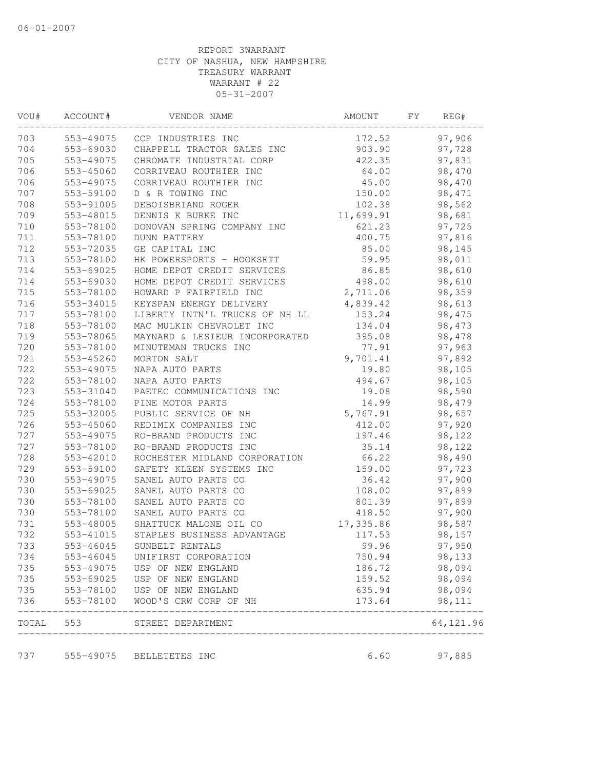| VOU#  | ACCOUNT#      | VENDOR NAME                    | AMOUNT    | FY. | REG#       |
|-------|---------------|--------------------------------|-----------|-----|------------|
| 703   |               | 553-49075 CCP INDUSTRIES INC   | 172.52    |     | 97,906     |
| 704   | 553-69030     | CHAPPELL TRACTOR SALES INC     | 903.90    |     | 97,728     |
| 705   | 553-49075     | CHROMATE INDUSTRIAL CORP       | 422.35    |     | 97,831     |
| 706   | 553-45060     | CORRIVEAU ROUTHIER INC         | 64.00     |     | 98,470     |
| 706   | 553-49075     | CORRIVEAU ROUTHIER INC         | 45.00     |     | 98,470     |
| 707   | 553-59100     | D & R TOWING INC               | 150.00    |     | 98,471     |
| 708   | 553-91005     | DEBOISBRIAND ROGER             | 102.38    |     | 98,562     |
| 709   | 553-48015     | DENNIS K BURKE INC             | 11,699.91 |     | 98,681     |
| 710   | 553-78100     | DONOVAN SPRING COMPANY INC     | 621.23    |     | 97,725     |
| 711   | 553-78100     | <b>DUNN BATTERY</b>            | 400.75    |     | 97,816     |
| 712   | 553-72035     | GE CAPITAL INC                 | 85.00     |     | 98,145     |
| 713   | 553-78100     | HK POWERSPORTS - HOOKSETT      | 59.95     |     | 98,011     |
| 714   | 553-69025     | HOME DEPOT CREDIT SERVICES     | 86.85     |     | 98,610     |
| 714   | 553-69030     | HOME DEPOT CREDIT SERVICES     | 498.00    |     | 98,610     |
| 715   | 553-78100     | HOWARD P FAIRFIELD INC         | 2,711.06  |     | 98,359     |
| 716   | 553-34015     | KEYSPAN ENERGY DELIVERY        | 4,839.42  |     | 98,613     |
| 717   | 553-78100     | LIBERTY INTN'L TRUCKS OF NH LL | 153.24    |     | 98,475     |
| 718   | 553-78100     | MAC MULKIN CHEVROLET INC       | 134.04    |     | 98,473     |
| 719   | 553-78065     | MAYNARD & LESIEUR INCORPORATED | 395.08    |     | 98,478     |
| 720   | 553-78100     | MINUTEMAN TRUCKS INC           | 77.91     |     | 97,963     |
| 721   | 553-45260     | MORTON SALT                    | 9,701.41  |     | 97,892     |
| 722   | 553-49075     | NAPA AUTO PARTS                | 19.80     |     | 98,105     |
| 722   | 553-78100     | NAPA AUTO PARTS                | 494.67    |     | 98,105     |
| 723   | 553-31040     | PAETEC COMMUNICATIONS INC      | 19.08     |     | 98,590     |
| 724   | 553-78100     | PINE MOTOR PARTS               | 14.99     |     | 98,479     |
| 725   | 553-32005     | PUBLIC SERVICE OF NH           | 5,767.91  |     | 98,657     |
| 726   | 553-45060     | REDIMIX COMPANIES INC          | 412.00    |     | 97,920     |
| 727   | 553-49075     | RO-BRAND PRODUCTS INC          | 197.46    |     | 98,122     |
| 727   | 553-78100     | RO-BRAND PRODUCTS INC          | 35.14     |     | 98,122     |
| 728   | 553-42010     | ROCHESTER MIDLAND CORPORATION  | 66.22     |     | 98,490     |
| 729   | 553-59100     | SAFETY KLEEN SYSTEMS INC       | 159.00    |     | 97,723     |
| 730   | 553-49075     | SANEL AUTO PARTS CO            | 36.42     |     | 97,900     |
| 730   | 553-69025     | SANEL AUTO PARTS CO            | 108.00    |     | 97,899     |
| 730   | 553-78100     | SANEL AUTO PARTS CO            | 801.39    |     | 97,899     |
| 730   | 553-78100     | SANEL AUTO PARTS CO            | 418.50    |     | 97,900     |
| 731   | 553-48005     | SHATTUCK MALONE OIL CO         | 17,335.86 |     | 98,587     |
| 732   | 553-41015     | STAPLES BUSINESS ADVANTAGE     | 117.53    |     | 98,157     |
| 733   | 553-46045     | SUNBELT RENTALS                | 99.96     |     | 97,950     |
| 734   | 553-46045     | UNIFIRST CORPORATION           | 750.94    |     | 98,133     |
| 735   | 553-49075     | USP OF NEW ENGLAND             | 186.72    |     | 98,094     |
| 735   | 553-69025     | USP OF NEW ENGLAND             | 159.52    |     | 98,094     |
| 735   | $553 - 78100$ | USP OF NEW ENGLAND             | 635.94    |     | 98,094     |
| 736   | 553-78100     | WOOD'S CRW CORP OF NH          | 173.64    |     | 98,111     |
| TOTAL | 553           | STREET DEPARTMENT              |           |     | 64, 121.96 |
| 737   |               | 555-49075 BELLETETES INC       | 6.60      |     | 97,885     |
|       |               |                                |           |     |            |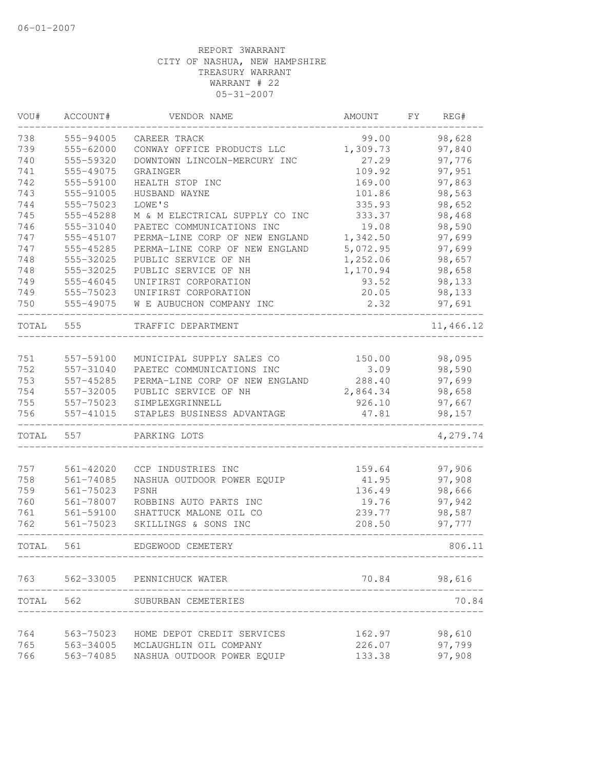| VOU#  | ACCOUNT#      | VENDOR NAME                      | AMOUNT   | FY. | REG#         |
|-------|---------------|----------------------------------|----------|-----|--------------|
| 738   | 555-94005     | CAREER TRACK                     | 99.00    |     | 98,628       |
| 739   | 555-62000     | CONWAY OFFICE PRODUCTS LLC       | 1,309.73 |     | 97,840       |
| 740   | 555-59320     | DOWNTOWN LINCOLN-MERCURY INC     | 27.29    |     | 97,776       |
| 741   | 555-49075     | GRAINGER                         | 109.92   |     | 97,951       |
| 742   | 555-59100     | HEALTH STOP INC                  | 169.00   |     | 97,863       |
| 743   | 555-91005     | HUSBAND WAYNE                    | 101.86   |     | 98,563       |
| 744   | 555-75023     | LOWE'S                           | 335.93   |     | 98,652       |
| 745   | 555-45288     | M & M ELECTRICAL SUPPLY CO INC   | 333.37   |     | 98,468       |
| 746   | 555-31040     | PAETEC COMMUNICATIONS INC        | 19.08    |     | 98,590       |
| 747   | 555-45107     | PERMA-LINE CORP OF NEW ENGLAND   | 1,342.50 |     | 97,699       |
| 747   | 555-45285     | PERMA-LINE CORP OF NEW ENGLAND   | 5,072.95 |     | 97,699       |
| 748   | 555-32025     | PUBLIC SERVICE OF NH             | 1,252.06 |     | 98,657       |
| 748   | 555-32025     | PUBLIC SERVICE OF NH             | 1,170.94 |     | 98,658       |
| 749   | 555-46045     | UNIFIRST CORPORATION             | 93.52    |     | 98,133       |
| 749   | 555-75023     | UNIFIRST CORPORATION             | 20.05    |     | 98,133       |
| 750   | 555-49075     | W E AUBUCHON COMPANY INC         | 2.32     |     | 97,691       |
| TOTAL | 555           | TRAFFIC DEPARTMENT               |          |     | 11,466.12    |
|       |               |                                  |          |     |              |
| 751   | 557-59100     | MUNICIPAL SUPPLY SALES CO        | 150.00   |     | 98,095       |
| 752   | 557-31040     | PAETEC COMMUNICATIONS INC        | 3.09     |     | 98,590       |
| 753   | 557-45285     | PERMA-LINE CORP OF NEW ENGLAND   | 288.40   |     | 97,699       |
| 754   | 557-32005     | PUBLIC SERVICE OF NH             | 2,864.34 |     | 98,658       |
| 755   | 557-75023     | SIMPLEXGRINNELL                  | 926.10   |     | 97,667       |
| 756   | 557-41015     | STAPLES BUSINESS ADVANTAGE       | 47.81    |     | 98,157       |
| TOTAL | 557           | PARKING LOTS                     |          |     | 4,279.74     |
| 757   | 561-42020     | CCP INDUSTRIES INC               | 159.64   |     | 97,906       |
| 758   | $561 - 74085$ | NASHUA OUTDOOR POWER EQUIP       | 41.95    |     | 97,908       |
| 759   | 561-75023     | PSNH                             | 136.49   |     | 98,666       |
| 760   | 561-78007     | ROBBINS AUTO PARTS INC           | 19.76    |     | 97,942       |
| 761   | 561-59100     | SHATTUCK MALONE OIL CO           | 239.77   |     | 98,587       |
| 762   | 561-75023     | SKILLINGS & SONS INC             | 208.50   |     | 97,777       |
| TOTAL | 561           | EDGEWOOD CEMETERY                |          |     | 806.11       |
|       |               | 763 562-33005 PENNICHUCK WATER   |          |     | 70.84 98,616 |
|       |               |                                  |          |     |              |
|       | TOTAL 562     | SUBURBAN CEMETERIES              |          |     | 70.84        |
| 764   | 563-75023     | HOME DEPOT CREDIT SERVICES       | 162.97   |     | 98,610       |
| 765   |               | 563-34005 MCLAUGHLIN OIL COMPANY | 226.07   |     | 97,799       |
| 766   | 563-74085     | NASHUA OUTDOOR POWER EQUIP       | 133.38   |     | 97,908       |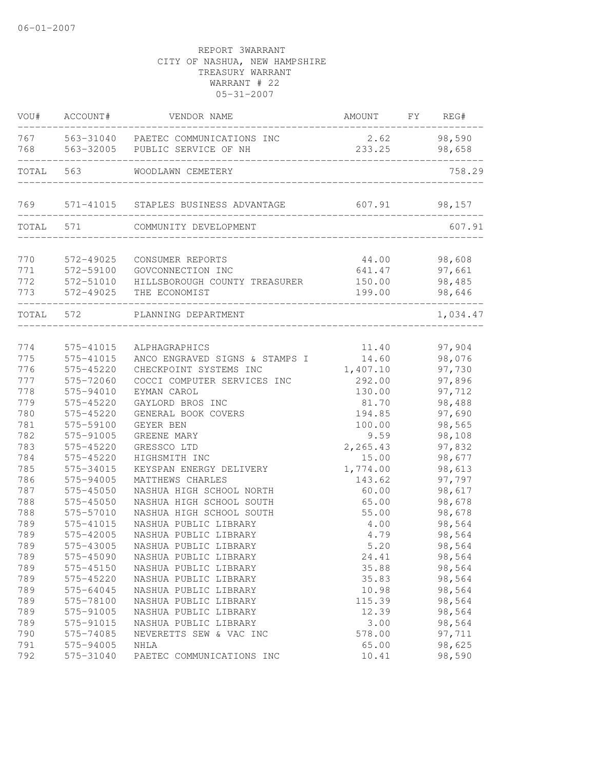| VOU#       | ACCOUNT#               | VENDOR NAME                                          | AMOUNT           | FY | REG#             |
|------------|------------------------|------------------------------------------------------|------------------|----|------------------|
| 767        |                        | 563-31040 PAETEC COMMUNICATIONS INC                  | 2.62             |    | 98,590           |
| 768        | 563-32005              | PUBLIC SERVICE OF NH                                 | 233.25           |    | 98,658           |
| TOTAL      | 563                    | WOODLAWN CEMETERY                                    |                  |    | 758.29           |
| 769        | 571-41015              | STAPLES BUSINESS ADVANTAGE                           | 607.91           |    | 98,157           |
| TOTAL      | 571                    | COMMUNITY DEVELOPMENT                                |                  |    | 607.91           |
|            |                        |                                                      |                  |    |                  |
| 770        | 572-49025              | CONSUMER REPORTS                                     | 44.00            |    | 98,608           |
| 771        | 572-59100              | GOVCONNECTION INC                                    | 641.47           |    | 97,661           |
| 772        | 572-51010              | HILLSBOROUGH COUNTY TREASURER                        | 150.00           |    | 98,485           |
| 773        | 572-49025              | THE ECONOMIST                                        | 199.00           |    | 98,646           |
| TOTAL 572  |                        | PLANNING DEPARTMENT                                  |                  |    | 1,034.47         |
|            |                        |                                                      |                  |    |                  |
| 774        | 575-41015<br>575-41015 | ALPHAGRAPHICS                                        | 11.40            |    | 97,904           |
| 775        |                        | ANCO ENGRAVED SIGNS & STAMPS I                       | 14.60            |    | 98,076           |
| 776        | 575-45220              | CHECKPOINT SYSTEMS INC                               | 1,407.10         |    | 97,730           |
| 777        | 575-72060              | COCCI COMPUTER SERVICES INC                          | 292.00           |    | 97,896           |
| 778        | 575-94010              | EYMAN CAROL                                          | 130.00           |    | 97,712           |
| 779<br>780 | 575-45220<br>575-45220 | GAYLORD BROS INC                                     | 81.70            |    | 98,488           |
| 781        |                        | GENERAL BOOK COVERS                                  | 194.85           |    | 97,690<br>98,565 |
| 782        | 575-59100              | GEYER BEN                                            | 100.00           |    |                  |
| 783        | 575-91005<br>575-45220 | GREENE MARY<br>GRESSCO LTD                           | 9.59<br>2,265.43 |    | 98,108<br>97,832 |
| 784        |                        | HIGHSMITH INC                                        |                  |    |                  |
| 785        | 575-45220              |                                                      | 15.00            |    | 98,677           |
| 786        | 575-34015              | KEYSPAN ENERGY DELIVERY                              | 1,774.00         |    | 98,613           |
| 787        | 575-94005              | MATTHEWS CHARLES                                     | 143.62           |    | 97,797           |
| 788        | 575-45050<br>575-45050 | NASHUA HIGH SCHOOL NORTH<br>NASHUA HIGH SCHOOL SOUTH | 60.00            |    | 98,617           |
|            | 575-57010              | NASHUA HIGH SCHOOL SOUTH                             | 65.00            |    | 98,678           |
| 788        |                        |                                                      | 55.00            |    | 98,678           |
| 789        | 575-41015              | NASHUA PUBLIC LIBRARY                                | 4.00             |    | 98,564           |
| 789        | 575-42005              | NASHUA PUBLIC LIBRARY                                | 4.79             |    | 98,564           |
| 789        | 575-43005              | NASHUA PUBLIC LIBRARY                                | 5.20             |    | 98,564           |
| 789        | 575-45090              | NASHUA PUBLIC LIBRARY                                | 24.41            |    | 98,564           |
| 789        | 575-45150              | NASHUA PUBLIC LIBRARY                                | 35.88            |    | 98,564           |
| 789        | 575-45220              | NASHUA PUBLIC LIBRARY                                | 35.83            |    | 98,564           |
| 789        | 575-64045              | NASHUA PUBLIC LIBRARY                                | 10.98            |    | 98,564           |
| 789        | 575-78100              | NASHUA PUBLIC LIBRARY                                | 115.39           |    | 98,564           |
| 789        | 575-91005              | NASHUA PUBLIC LIBRARY                                | 12.39            |    | 98,564           |
| 789        | 575-91015              | NASHUA PUBLIC LIBRARY                                | 3.00             |    | 98,564           |
| 790        | 575-74085              | NEVERETTS SEW & VAC INC                              | 578.00           |    | 97,711           |
| 791        | 575-94005              | NHLA                                                 | 65.00            |    | 98,625           |
| 792        | 575-31040              | PAETEC COMMUNICATIONS INC                            | 10.41            |    | 98,590           |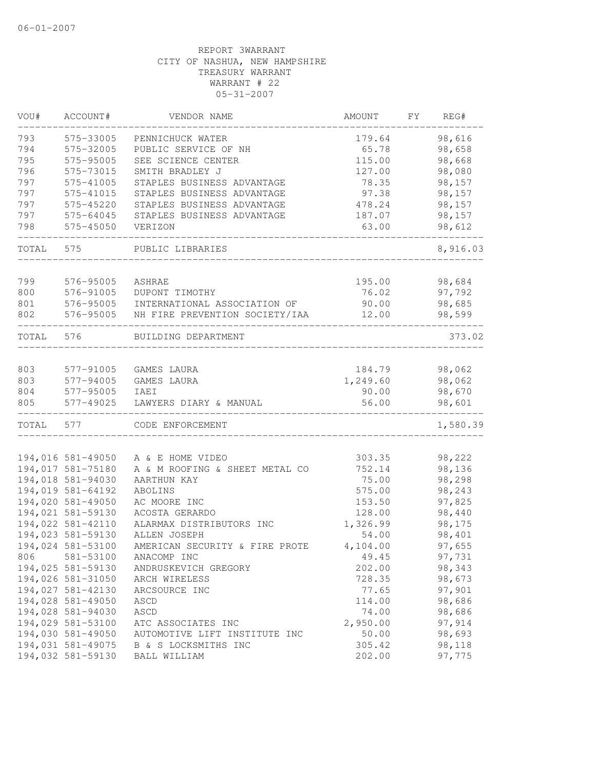| VOU#  | ACCOUNT#          | VENDOR NAME                    | AMOUNT   | FΥ | REG#     |
|-------|-------------------|--------------------------------|----------|----|----------|
| 793   | 575-33005         | PENNICHUCK WATER               | 179.64   |    | 98,616   |
| 794   | 575-32005         | PUBLIC SERVICE OF NH           | 65.78    |    | 98,658   |
| 795   | 575-95005         | SEE SCIENCE CENTER             | 115.00   |    | 98,668   |
| 796   | 575-73015         | SMITH BRADLEY J                | 127.00   |    | 98,080   |
| 797   | 575-41005         | STAPLES BUSINESS ADVANTAGE     | 78.35    |    | 98,157   |
| 797   | 575-41015         | STAPLES BUSINESS ADVANTAGE     | 97.38    |    | 98,157   |
| 797   | 575-45220         | STAPLES BUSINESS ADVANTAGE     | 478.24   |    | 98,157   |
| 797   | 575-64045         | STAPLES BUSINESS ADVANTAGE     | 187.07   |    | 98,157   |
| 798   | 575-45050         | VERIZON                        | 63.00    |    | 98,612   |
| TOTAL | 575               | PUBLIC LIBRARIES               |          |    | 8,916.03 |
| 799   | 576-95005         | ASHRAE                         | 195.00   |    | 98,684   |
| 800   | 576-91005         | DUPONT TIMOTHY                 | 76.02    |    | 97,792   |
| 801   | 576-95005         | INTERNATIONAL ASSOCIATION OF   | 90.00    |    | 98,685   |
| 802   | 576-95005         | NH FIRE PREVENTION SOCIETY/IAA | 12.00    |    | 98,599   |
| TOTAL | 576               | BUILDING DEPARTMENT            |          |    | 373.02   |
|       |                   |                                |          |    |          |
| 803   | 577-91005         | GAMES LAURA                    | 184.79   |    | 98,062   |
| 803   | 577-94005         | GAMES LAURA                    | 1,249.60 |    | 98,062   |
| 804   | 577-95005         | IAEI                           | 90.00    |    | 98,670   |
| 805   | 577-49025         | LAWYERS DIARY & MANUAL         | 56.00    |    | 98,601   |
| TOTAL | 577               | CODE ENFORCEMENT               |          |    | 1,580.39 |
|       | 194,016 581-49050 | A & E HOME VIDEO               | 303.35   |    | 98,222   |
|       | 194,017 581-75180 | A & M ROOFING & SHEET METAL CO | 752.14   |    | 98,136   |
|       | 194,018 581-94030 | AARTHUN KAY                    | 75.00    |    | 98,298   |
|       | 194,019 581-64192 | ABOLINS                        | 575.00   |    | 98,243   |
|       |                   |                                |          |    | 97,825   |
|       | 194,020 581-49050 | AC MOORE INC                   | 153.50   |    |          |
|       | 194,021 581-59130 | ACOSTA GERARDO                 | 128.00   |    | 98,440   |
|       | 194,022 581-42110 | ALARMAX DISTRIBUTORS INC       | 1,326.99 |    | 98,175   |
|       | 194,023 581-59130 | ALLEN JOSEPH                   | 54.00    |    | 98,401   |
|       | 194,024 581-53100 | AMERICAN SECURITY & FIRE PROTE | 4,104.00 |    | 97,655   |
| 806   | 581-53100         | ANACOMP INC                    | 49.45    |    | 97,731   |
|       | 194,025 581-59130 | ANDRUSKEVICH GREGORY           | 202.00   |    | 98,343   |
|       | 194,026 581-31050 | ARCH WIRELESS                  | 728.35   |    | 98,673   |
|       | 194,027 581-42130 | ARCSOURCE INC                  | 77.65    |    | 97,901   |
|       | 194,028 581-49050 | ASCD                           | 114.00   |    | 98,686   |
|       | 194,028 581-94030 | ASCD                           | 74.00    |    | 98,686   |
|       | 194,029 581-53100 | ATC ASSOCIATES INC             | 2,950.00 |    | 97,914   |
|       | 194,030 581-49050 | AUTOMOTIVE LIFT INSTITUTE INC  | 50.00    |    | 98,693   |
|       | 194,031 581-49075 | B & S LOCKSMITHS INC           | 305.42   |    | 98,118   |
|       | 194,032 581-59130 | BALL WILLIAM                   | 202.00   |    | 97,775   |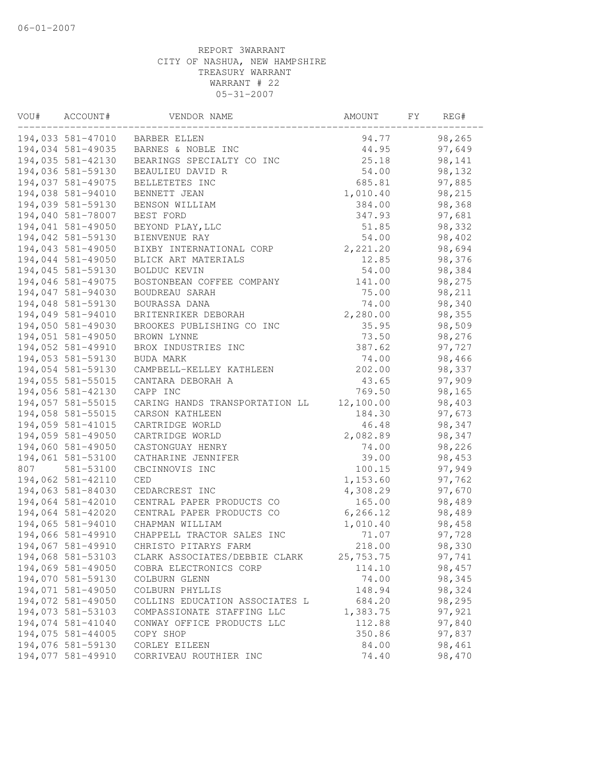| VOU# | ACCOUNT#          | VENDOR NAME                    | AMOUNT    | FY. | REG#   |  |
|------|-------------------|--------------------------------|-----------|-----|--------|--|
|      | 194,033 581-47010 | <b>BARBER ELLEN</b>            | 94.77     |     | 98,265 |  |
|      | 194,034 581-49035 | BARNES & NOBLE INC             | 44.95     |     | 97,649 |  |
|      | 194,035 581-42130 | BEARINGS SPECIALTY CO INC      | 25.18     |     | 98,141 |  |
|      | 194,036 581-59130 | BEAULIEU DAVID R               | 54.00     |     | 98,132 |  |
|      | 194,037 581-49075 | BELLETETES INC                 | 685.81    |     | 97,885 |  |
|      | 194,038 581-94010 | BENNETT JEAN                   | 1,010.40  |     | 98,215 |  |
|      | 194,039 581-59130 | BENSON WILLIAM                 | 384.00    |     | 98,368 |  |
|      | 194,040 581-78007 | BEST FORD                      | 347.93    |     | 97,681 |  |
|      | 194,041 581-49050 | BEYOND PLAY, LLC               | 51.85     |     | 98,332 |  |
|      | 194,042 581-59130 | BIENVENUE RAY                  | 54.00     |     | 98,402 |  |
|      | 194,043 581-49050 | BIXBY INTERNATIONAL CORP       | 2,221.20  |     | 98,694 |  |
|      | 194,044 581-49050 | BLICK ART MATERIALS            | 12.85     |     | 98,376 |  |
|      | 194,045 581-59130 | BOLDUC KEVIN                   | 54.00     |     | 98,384 |  |
|      | 194,046 581-49075 | BOSTONBEAN COFFEE COMPANY      | 141.00    |     | 98,275 |  |
|      | 194,047 581-94030 | BOUDREAU SARAH                 | 75.00     |     | 98,211 |  |
|      | 194,048 581-59130 | BOURASSA DANA                  | 74.00     |     | 98,340 |  |
|      | 194,049 581-94010 | BRITENRIKER DEBORAH            | 2,280.00  |     | 98,355 |  |
|      | 194,050 581-49030 | BROOKES PUBLISHING CO INC      | 35.95     |     | 98,509 |  |
|      | 194,051 581-49050 | BROWN LYNNE                    | 73.50     |     | 98,276 |  |
|      | 194,052 581-49910 | BROX INDUSTRIES INC            | 387.62    |     | 97,727 |  |
|      | 194,053 581-59130 | BUDA MARK                      | 74.00     |     | 98,466 |  |
|      | 194,054 581-59130 | CAMPBELL-KELLEY KATHLEEN       | 202.00    |     | 98,337 |  |
|      | 194,055 581-55015 | CANTARA DEBORAH A              | 43.65     |     | 97,909 |  |
|      | 194,056 581-42130 | CAPP INC                       | 769.50    |     | 98,165 |  |
|      | 194,057 581-55015 | CARING HANDS TRANSPORTATION LL | 12,100.00 |     | 98,403 |  |
|      | 194,058 581-55015 | CARSON KATHLEEN                | 184.30    |     | 97,673 |  |
|      | 194,059 581-41015 | CARTRIDGE WORLD                | 46.48     |     | 98,347 |  |
|      | 194,059 581-49050 | CARTRIDGE WORLD                | 2,082.89  |     | 98,347 |  |
|      | 194,060 581-49050 | CASTONGUAY HENRY               | 74.00     |     | 98,226 |  |
|      | 194,061 581-53100 | CATHARINE JENNIFER             | 39.00     |     | 98,453 |  |
| 807  | 581-53100         | CBCINNOVIS INC                 | 100.15    |     | 97,949 |  |
|      | 194,062 581-42110 | CED                            | 1,153.60  |     | 97,762 |  |
|      | 194,063 581-84030 | CEDARCREST INC                 | 4,308.29  |     | 97,670 |  |
|      | 194,064 581-42010 | CENTRAL PAPER PRODUCTS CO      | 165.00    |     | 98,489 |  |
|      | 194,064 581-42020 | CENTRAL PAPER PRODUCTS CO      | 6, 266.12 |     | 98,489 |  |
|      | 194,065 581-94010 | CHAPMAN WILLIAM                | 1,010.40  |     | 98,458 |  |
|      | 194,066 581-49910 | CHAPPELL TRACTOR SALES INC     | 71.07     |     | 97,728 |  |
|      | 194,067 581-49910 | CHRISTO PITARYS FARM           | 218.00    |     | 98,330 |  |
|      | 194,068 581-53103 | CLARK ASSOCIATES/DEBBIE CLARK  | 25,753.75 |     | 97,741 |  |
|      | 194,069 581-49050 | COBRA ELECTRONICS CORP         | 114.10    |     | 98,457 |  |
|      | 194,070 581-59130 | COLBURN GLENN                  | 74.00     |     | 98,345 |  |
|      | 194,071 581-49050 | COLBURN PHYLLIS                | 148.94    |     | 98,324 |  |
|      | 194,072 581-49050 | COLLINS EDUCATION ASSOCIATES L | 684.20    |     | 98,295 |  |
|      | 194,073 581-53103 | COMPASSIONATE STAFFING LLC     | 1,383.75  |     | 97,921 |  |
|      | 194,074 581-41040 | CONWAY OFFICE PRODUCTS LLC     | 112.88    |     | 97,840 |  |
|      | 194,075 581-44005 | COPY SHOP                      | 350.86    |     | 97,837 |  |
|      | 194,076 581-59130 | CORLEY EILEEN                  | 84.00     |     | 98,461 |  |
|      | 194,077 581-49910 | CORRIVEAU ROUTHIER INC         | 74.40     |     | 98,470 |  |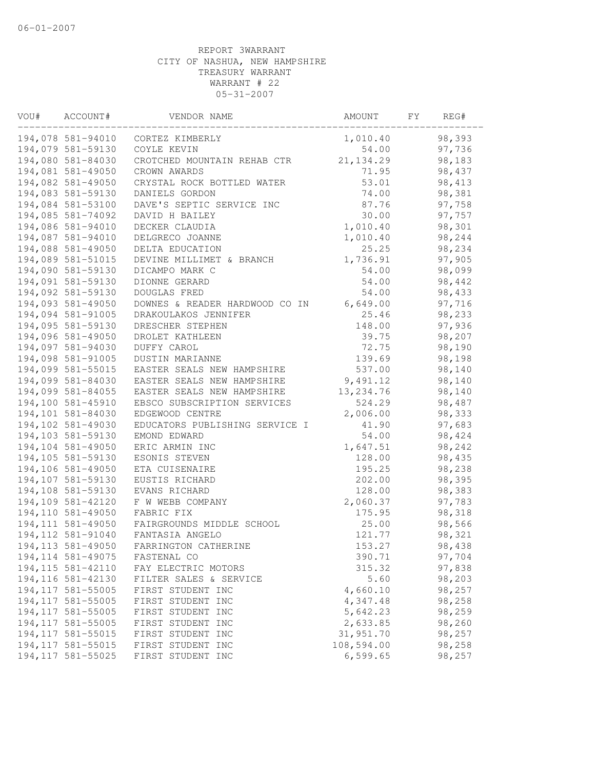| VOU# | ACCOUNT#           | VENDOR NAME                    | AMOUNT     | FY | REG#             |
|------|--------------------|--------------------------------|------------|----|------------------|
|      | 194,078 581-94010  | CORTEZ KIMBERLY                | 1,010.40   |    | 98,393           |
|      | 194,079 581-59130  | COYLE KEVIN                    | 54.00      |    | 97,736           |
|      | 194,080 581-84030  | CROTCHED MOUNTAIN REHAB CTR    | 21, 134.29 |    | 98,183           |
|      | 194,081 581-49050  | CROWN AWARDS                   | 71.95      |    | 98,437           |
|      | 194,082 581-49050  | CRYSTAL ROCK BOTTLED WATER     | 53.01      |    | 98, 413          |
|      | 194,083 581-59130  | DANIELS GORDON                 | 74.00      |    | 98,381           |
|      | 194,084 581-53100  | DAVE'S SEPTIC SERVICE INC      | 87.76      |    | 97,758           |
|      | 194,085 581-74092  | DAVID H BAILEY                 | 30.00      |    | 97,757           |
|      | 194,086 581-94010  | DECKER CLAUDIA                 | 1,010.40   |    | 98,301           |
|      | 194,087 581-94010  | DELGRECO JOANNE                | 1,010.40   |    | 98,244           |
|      | 194,088 581-49050  | DELTA EDUCATION                | 25.25      |    | 98,234           |
|      | 194,089 581-51015  | DEVINE MILLIMET & BRANCH       | 1,736.91   |    | 97,905           |
|      | 194,090 581-59130  | DICAMPO MARK C                 | 54.00      |    | 98,099           |
|      | 194,091 581-59130  | DIONNE GERARD                  | 54.00      |    | 98,442           |
|      | 194,092 581-59130  | DOUGLAS FRED                   | 54.00      |    | 98,433           |
|      | 194,093 581-49050  | DOWNES & READER HARDWOOD CO IN | 6,649.00   |    | 97,716           |
|      | 194,094 581-91005  | DRAKOULAKOS JENNIFER           | 25.46      |    | 98,233           |
|      | 194,095 581-59130  | DRESCHER STEPHEN               | 148.00     |    | 97,936           |
|      | 194,096 581-49050  | DROLET KATHLEEN                | 39.75      |    | 98,207           |
|      | 194,097 581-94030  | DUFFY CAROL                    | 72.75      |    | 98,190           |
|      | 194,098 581-91005  | DUSTIN MARIANNE                | 139.69     |    | 98,198           |
|      | 194,099 581-55015  | EASTER SEALS NEW HAMPSHIRE     | 537.00     |    | 98,140           |
|      | 194,099 581-84030  | EASTER SEALS NEW HAMPSHIRE     | 9,491.12   |    | 98,140           |
|      | 194,099 581-84055  | EASTER SEALS NEW HAMPSHIRE     | 13, 234.76 |    | 98,140           |
|      | 194,100 581-45910  | EBSCO SUBSCRIPTION SERVICES    | 524.29     |    | 98,487           |
|      | 194,101 581-84030  | EDGEWOOD CENTRE                | 2,006.00   |    | 98,333           |
|      | 194,102 581-49030  | EDUCATORS PUBLISHING SERVICE I | 41.90      |    | 97,683           |
|      | 194,103 581-59130  | EMOND EDWARD                   | 54.00      |    | 98,424           |
|      | 194,104 581-49050  | ERIC ARMIN INC                 | 1,647.51   |    | 98,242           |
|      | 194,105 581-59130  | ESONIS STEVEN                  | 128.00     |    | 98,435           |
|      | 194,106 581-49050  | ETA CUISENAIRE                 | 195.25     |    | 98,238           |
|      | 194,107 581-59130  | EUSTIS RICHARD                 | 202.00     |    | 98,395           |
|      | 194,108 581-59130  | EVANS RICHARD                  | 128.00     |    | 98,383           |
|      | 194,109 581-42120  | F W WEBB COMPANY               | 2,060.37   |    | 97,783           |
|      | 194,110 581-49050  | FABRIC FIX                     | 175.95     |    | 98,318           |
|      | 194, 111 581-49050 | FAIRGROUNDS MIDDLE SCHOOL      | 25.00      |    | 98,566           |
|      | 194, 112 581-91040 | FANTASIA ANGELO                | 121.77     |    | 98,321           |
|      | 194, 113 581-49050 | FARRINGTON CATHERINE           | 153.27     |    | 98,438           |
|      | 194, 114 581-49075 | FASTENAL CO                    | 390.71     |    | 97,704           |
|      | 194, 115 581-42110 | FAY ELECTRIC MOTORS            | 315.32     |    | 97,838           |
|      | 194, 116 581-42130 | FILTER SALES & SERVICE         | 5.60       |    | 98,203           |
|      | 194, 117 581-55005 | FIRST STUDENT INC              | 4,660.10   |    | 98,257           |
|      | 194, 117 581-55005 | FIRST STUDENT INC              | 4,347.48   |    | 98,258           |
|      |                    | FIRST STUDENT INC              |            |    |                  |
|      | 194, 117 581-55005 |                                | 5,642.23   |    | 98,259<br>98,260 |
|      | 194, 117 581-55005 | FIRST STUDENT INC              | 2,633.85   |    |                  |
|      | 194, 117 581-55015 | FIRST STUDENT INC              | 31,951.70  |    | 98,257           |
|      | 194, 117 581-55015 | FIRST STUDENT INC              | 108,594.00 |    | 98,258           |
|      | 194, 117 581-55025 | FIRST STUDENT INC              | 6, 599.65  |    | 98,257           |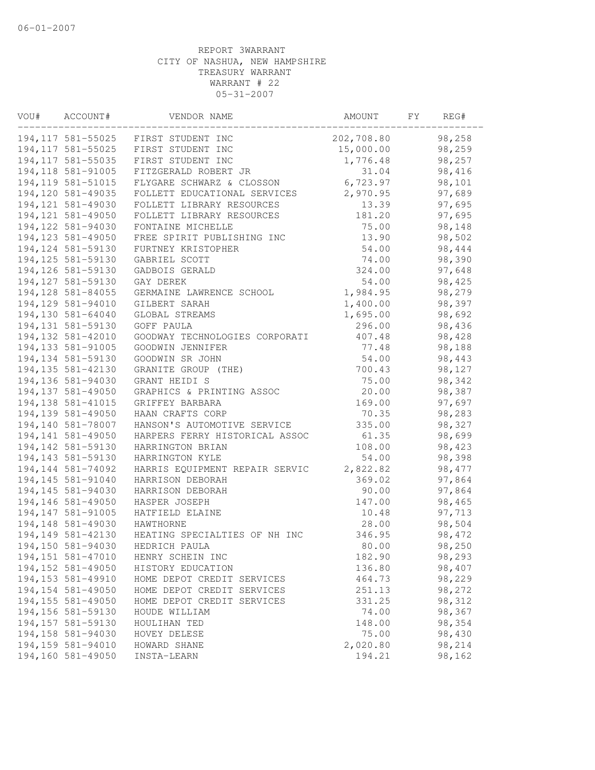| VOU# | ACCOUNT#           | VENDOR NAME                    | AMOUNT     | FY | REG#    |
|------|--------------------|--------------------------------|------------|----|---------|
|      | 194, 117 581-55025 | FIRST STUDENT INC              | 202,708.80 |    | 98,258  |
|      | 194, 117 581-55025 | FIRST STUDENT INC              | 15,000.00  |    | 98,259  |
|      | 194, 117 581-55035 | FIRST STUDENT INC              | 1,776.48   |    | 98,257  |
|      | 194, 118 581-91005 | FITZGERALD ROBERT JR           | 31.04      |    | 98,416  |
|      | 194, 119 581-51015 | FLYGARE SCHWARZ & CLOSSON      | 6,723.97   |    | 98,101  |
|      | 194,120 581-49035  | FOLLETT EDUCATIONAL SERVICES   | 2,970.95   |    | 97,689  |
|      | 194, 121 581-49030 | FOLLETT LIBRARY RESOURCES      | 13.39      |    | 97,695  |
|      | 194, 121 581-49050 | FOLLETT LIBRARY RESOURCES      | 181.20     |    | 97,695  |
|      | 194, 122 581-94030 | FONTAINE MICHELLE              | 75.00      |    | 98,148  |
|      | 194, 123 581-49050 | FREE SPIRIT PUBLISHING INC     | 13.90      |    | 98,502  |
|      | 194, 124 581-59130 | FURTNEY KRISTOPHER             | 54.00      |    | 98,444  |
|      | 194, 125 581-59130 | GABRIEL SCOTT                  | 74.00      |    | 98,390  |
|      | 194, 126 581-59130 | GADBOIS GERALD                 | 324.00     |    | 97,648  |
|      | 194, 127 581-59130 | GAY DEREK                      | 54.00      |    | 98,425  |
|      | 194, 128 581-84055 | GERMAINE LAWRENCE SCHOOL       | 1,984.95   |    | 98,279  |
|      | 194,129 581-94010  | GILBERT SARAH                  | 1,400.00   |    | 98,397  |
|      | 194,130 581-64040  | GLOBAL STREAMS                 | 1,695.00   |    | 98,692  |
|      | 194, 131 581-59130 | GOFF PAULA                     | 296.00     |    | 98,436  |
|      | 194, 132 581-42010 | GOODWAY TECHNOLOGIES CORPORATI | 407.48     |    | 98,428  |
|      | 194,133 581-91005  | GOODWIN JENNIFER               | 77.48      |    | 98,188  |
|      | 194, 134 581-59130 | GOODWIN SR JOHN                | 54.00      |    | 98,443  |
|      | 194, 135 581-42130 | GRANITE GROUP (THE)            | 700.43     |    | 98,127  |
|      | 194,136 581-94030  | GRANT HEIDI S                  | 75.00      |    | 98,342  |
|      | 194,137 581-49050  | GRAPHICS & PRINTING ASSOC      | 20.00      |    | 98,387  |
|      | 194, 138 581-41015 | GRIFFEY BARBARA                | 169.00     |    | 97,697  |
|      | 194,139 581-49050  | HAAN CRAFTS CORP               | 70.35      |    | 98,283  |
|      | 194,140 581-78007  | HANSON'S AUTOMOTIVE SERVICE    | 335.00     |    | 98,327  |
|      | 194,141 581-49050  | HARPERS FERRY HISTORICAL ASSOC | 61.35      |    | 98,699  |
|      | 194,142 581-59130  | HARRINGTON BRIAN               | 108.00     |    | 98,423  |
|      | 194, 143 581-59130 | HARRINGTON KYLE                | 54.00      |    | 98,398  |
|      | 194, 144 581-74092 | HARRIS EQUIPMENT REPAIR SERVIC | 2,822.82   |    | 98, 477 |
|      | 194, 145 581-91040 | HARRISON DEBORAH               | 369.02     |    | 97,864  |
|      | 194,145 581-94030  | HARRISON DEBORAH               | 90.00      |    | 97,864  |
|      | 194,146 581-49050  | HASPER JOSEPH                  | 147.00     |    | 98,465  |
|      | 194, 147 581-91005 | HATFIELD ELAINE                | 10.48      |    | 97,713  |
|      | 194,148 581-49030  | HAWTHORNE                      | 28.00      |    | 98,504  |
|      | 194,149 581-42130  | HEATING SPECIALTIES OF NH INC  |            |    |         |
|      |                    |                                | 346.95     |    | 98,472  |
|      | 194,150 581-94030  | HEDRICH PAULA                  | 80.00      |    | 98,250  |
|      | 194, 151 581-47010 | HENRY SCHEIN INC               | 182.90     |    | 98,293  |
|      | 194,152 581-49050  | HISTORY EDUCATION              | 136.80     |    | 98,407  |
|      | 194, 153 581-49910 | HOME DEPOT CREDIT SERVICES     | 464.73     |    | 98,229  |
|      | 194, 154 581-49050 | HOME DEPOT CREDIT SERVICES     | 251.13     |    | 98,272  |
|      | 194, 155 581-49050 | HOME DEPOT CREDIT SERVICES     | 331.25     |    | 98,312  |
|      | 194,156 581-59130  | HOUDE WILLIAM                  | 74.00      |    | 98,367  |
|      | 194, 157 581-59130 | HOULIHAN TED                   | 148.00     |    | 98,354  |
|      | 194,158 581-94030  | HOVEY DELESE                   | 75.00      |    | 98,430  |
|      | 194,159 581-94010  | HOWARD SHANE                   | 2,020.80   |    | 98,214  |
|      | 194,160 581-49050  | INSTA-LEARN                    | 194.21     |    | 98,162  |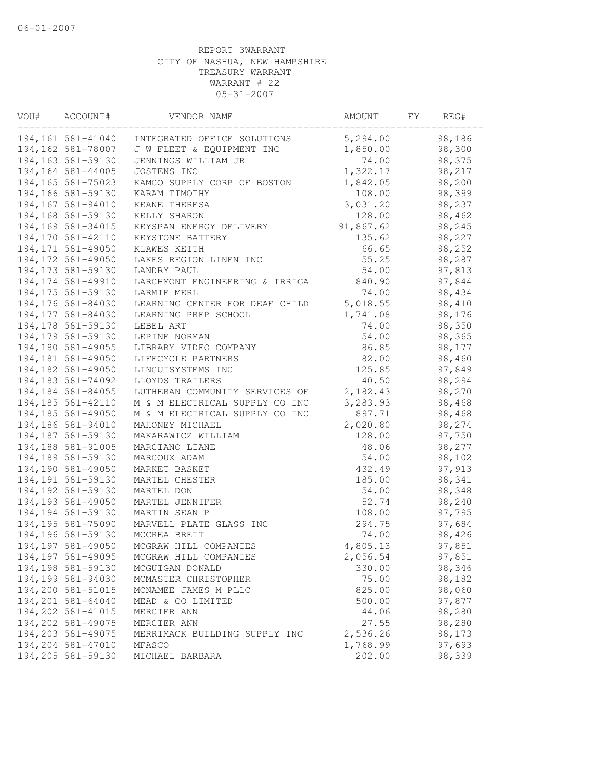| VOU# | ACCOUNT#           | VENDOR NAME                    | AMOUNT    | FY | REG#   |  |
|------|--------------------|--------------------------------|-----------|----|--------|--|
|      | 194,161 581-41040  | INTEGRATED OFFICE SOLUTIONS    | 5,294.00  |    | 98,186 |  |
|      | 194,162 581-78007  | J W FLEET & EQUIPMENT INC      | 1,850.00  |    | 98,300 |  |
|      | 194,163 581-59130  | JENNINGS WILLIAM JR            | 74.00     |    | 98,375 |  |
|      | 194,164 581-44005  | JOSTENS INC                    | 1,322.17  |    | 98,217 |  |
|      | 194, 165 581-75023 | KAMCO SUPPLY CORP OF BOSTON    | 1,842.05  |    | 98,200 |  |
|      | 194,166 581-59130  | KARAM TIMOTHY                  | 108.00    |    | 98,399 |  |
|      | 194,167 581-94010  | KEANE THERESA                  | 3,031.20  |    | 98,237 |  |
|      | 194,168 581-59130  | KELLY SHARON                   | 128.00    |    | 98,462 |  |
|      | 194,169 581-34015  | KEYSPAN ENERGY DELIVERY        | 91,867.62 |    | 98,245 |  |
|      | 194,170 581-42110  | KEYSTONE BATTERY               | 135.62    |    | 98,227 |  |
|      | 194,171 581-49050  | KLAWES KEITH                   | 66.65     |    | 98,252 |  |
|      | 194,172 581-49050  | LAKES REGION LINEN INC         | 55.25     |    | 98,287 |  |
|      | 194, 173 581-59130 | LANDRY PAUL                    | 54.00     |    | 97,813 |  |
|      | 194, 174 581-49910 | LARCHMONT ENGINEERING & IRRIGA | 840.90    |    | 97,844 |  |
|      | 194, 175 581-59130 | LARMIE MERL                    | 74.00     |    | 98,434 |  |
|      | 194,176 581-84030  | LEARNING CENTER FOR DEAF CHILD | 5,018.55  |    | 98,410 |  |
|      | 194, 177 581-84030 | LEARNING PREP SCHOOL           | 1,741.08  |    | 98,176 |  |
|      | 194, 178 581-59130 | LEBEL ART                      | 74.00     |    | 98,350 |  |
|      | 194,179 581-59130  | LEPINE NORMAN                  | 54.00     |    | 98,365 |  |
|      | 194,180 581-49055  | LIBRARY VIDEO COMPANY          | 86.85     |    | 98,177 |  |
|      | 194,181 581-49050  | LIFECYCLE PARTNERS             | 82.00     |    | 98,460 |  |
|      | 194,182 581-49050  | LINGUISYSTEMS INC              | 125.85    |    | 97,849 |  |
|      | 194, 183 581-74092 | LLOYDS TRAILERS                | 40.50     |    | 98,294 |  |
|      | 194,184 581-84055  | LUTHERAN COMMUNITY SERVICES OF | 2,182.43  |    | 98,270 |  |
|      | 194,185 581-42110  | M & M ELECTRICAL SUPPLY CO INC | 3,283.93  |    | 98,468 |  |
|      | 194,185 581-49050  | M & M ELECTRICAL SUPPLY CO INC | 897.71    |    | 98,468 |  |
|      | 194,186 581-94010  | MAHONEY MICHAEL                | 2,020.80  |    | 98,274 |  |
|      | 194,187 581-59130  | MAKARAWICZ WILLIAM             | 128.00    |    | 97,750 |  |
|      | 194,188 581-91005  | MARCIANO LIANE                 | 48.06     |    | 98,277 |  |
|      | 194,189 581-59130  | MARCOUX ADAM                   | 54.00     |    | 98,102 |  |
|      | 194,190 581-49050  | MARKET BASKET                  | 432.49    |    | 97,913 |  |
|      | 194, 191 581-59130 | MARTEL CHESTER                 | 185.00    |    | 98,341 |  |
|      | 194,192 581-59130  | MARTEL DON                     | 54.00     |    | 98,348 |  |
|      | 194,193 581-49050  | MARTEL JENNIFER                | 52.74     |    | 98,240 |  |
|      | 194, 194 581-59130 | MARTIN SEAN P                  | 108.00    |    | 97,795 |  |
|      | 194,195 581-75090  | MARVELL PLATE GLASS INC        | 294.75    |    | 97,684 |  |
|      | 194,196 581-59130  | MCCREA BRETT                   | 74.00     |    | 98,426 |  |
|      | 194,197 581-49050  | MCGRAW HILL COMPANIES          | 4,805.13  |    | 97,851 |  |
|      | 194,197 581-49095  | MCGRAW HILL COMPANIES          | 2,056.54  |    | 97,851 |  |
|      | 194,198 581-59130  | MCGUIGAN DONALD                | 330.00    |    | 98,346 |  |
|      | 194,199 581-94030  | MCMASTER CHRISTOPHER           | 75.00     |    | 98,182 |  |
|      | 194,200 581-51015  | MCNAMEE JAMES M PLLC           | 825.00    |    | 98,060 |  |
|      | 194,201 581-64040  | MEAD & CO LIMITED              | 500.00    |    | 97,877 |  |
|      | 194,202 581-41015  | MERCIER ANN                    | 44.06     |    | 98,280 |  |
|      | 194,202 581-49075  | MERCIER ANN                    | 27.55     |    | 98,280 |  |
|      | 194,203 581-49075  | MERRIMACK BUILDING SUPPLY INC  | 2,536.26  |    | 98,173 |  |
|      | 194,204 581-47010  | MFASCO                         | 1,768.99  |    | 97,693 |  |
|      | 194,205 581-59130  | MICHAEL BARBARA                | 202.00    |    | 98,339 |  |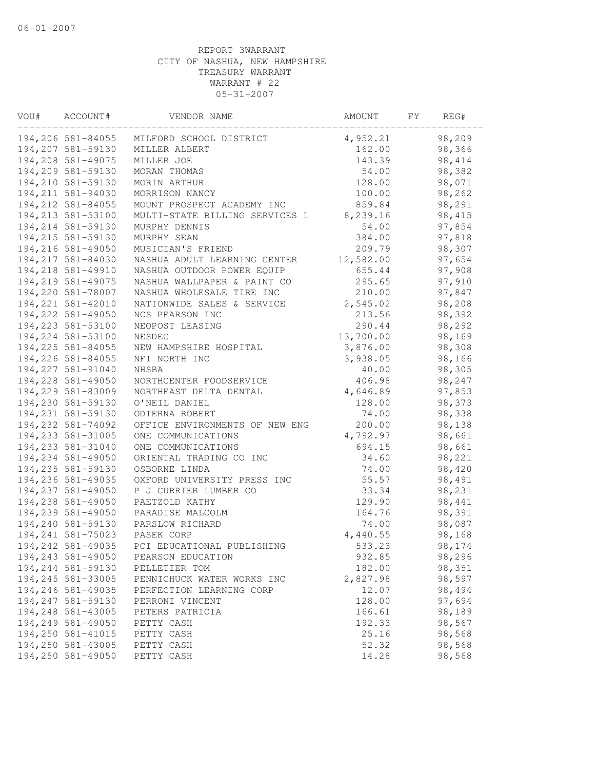| VOU# | ACCOUNT#           | VENDOR NAME                    | AMOUNT    | FY. | REG#    |  |
|------|--------------------|--------------------------------|-----------|-----|---------|--|
|      | 194,206 581-84055  | MILFORD SCHOOL DISTRICT        | 4,952.21  |     | 98,209  |  |
|      | 194,207 581-59130  | MILLER ALBERT                  | 162.00    |     | 98,366  |  |
|      | 194,208 581-49075  | MILLER JOE                     | 143.39    |     | 98, 414 |  |
|      | 194,209 581-59130  | MORAN THOMAS                   | 54.00     |     | 98,382  |  |
|      | 194,210 581-59130  | MORIN ARTHUR                   | 128.00    |     | 98,071  |  |
|      | 194, 211 581-94030 | MORRISON NANCY                 | 100.00    |     | 98,262  |  |
|      | 194, 212 581-84055 | MOUNT PROSPECT ACADEMY INC     | 859.84    |     | 98,291  |  |
|      | 194,213 581-53100  | MULTI-STATE BILLING SERVICES L | 8,239.16  |     | 98,415  |  |
|      | 194, 214 581-59130 | MURPHY DENNIS                  | 54.00     |     | 97,854  |  |
|      | 194, 215 581-59130 | MURPHY SEAN                    | 384.00    |     | 97,818  |  |
|      | 194,216 581-49050  | MUSICIAN'S FRIEND              | 209.79    |     | 98,307  |  |
|      | 194, 217 581-84030 | NASHUA ADULT LEARNING CENTER   | 12,582.00 |     | 97,654  |  |
|      | 194,218 581-49910  | NASHUA OUTDOOR POWER EQUIP     | 655.44    |     | 97,908  |  |
|      | 194,219 581-49075  | NASHUA WALLPAPER & PAINT CO    | 295.65    |     | 97,910  |  |
|      | 194,220 581-78007  | NASHUA WHOLESALE TIRE INC      | 210.00    |     | 97,847  |  |
|      | 194, 221 581-42010 | NATIONWIDE SALES & SERVICE     | 2,545.02  |     | 98,208  |  |
|      | 194, 222 581-49050 | NCS PEARSON INC                | 213.56    |     | 98,392  |  |
|      | 194, 223 581-53100 | NEOPOST LEASING                | 290.44    |     | 98,292  |  |
|      | 194, 224 581-53100 | NESDEC                         | 13,700.00 |     | 98,169  |  |
|      | 194, 225 581-84055 | NEW HAMPSHIRE HOSPITAL         | 3,876.00  |     | 98,308  |  |
|      | 194,226 581-84055  | NFI NORTH INC                  | 3,938.05  |     | 98,166  |  |
|      | 194, 227 581-91040 | NHSBA                          | 40.00     |     | 98,305  |  |
|      | 194,228 581-49050  | NORTHCENTER FOODSERVICE        | 406.98    |     | 98,247  |  |
|      | 194,229 581-83009  | NORTHEAST DELTA DENTAL         | 4,646.89  |     | 97,853  |  |
|      | 194,230 581-59130  | O'NEIL DANIEL                  | 128.00    |     | 98,373  |  |
|      | 194,231 581-59130  | ODIERNA ROBERT                 | 74.00     |     | 98,338  |  |
|      | 194,232 581-74092  | OFFICE ENVIRONMENTS OF NEW ENG | 200.00    |     | 98,138  |  |
|      | 194,233 581-31005  | ONE COMMUNICATIONS             | 4,792.97  |     | 98,661  |  |
|      | 194,233 581-31040  | ONE COMMUNICATIONS             | 694.15    |     | 98,661  |  |
|      | 194,234 581-49050  | ORIENTAL TRADING CO INC        | 34.60     |     | 98,221  |  |
|      | 194,235 581-59130  | OSBORNE LINDA                  | 74.00     |     | 98,420  |  |
|      | 194,236 581-49035  | OXFORD UNIVERSITY PRESS INC    | 55.57     |     | 98,491  |  |
|      | 194,237 581-49050  | P J CURRIER LUMBER CO          | 33.34     |     | 98,231  |  |
|      | 194,238 581-49050  | PAETZOLD KATHY                 | 129.90    |     | 98,441  |  |
|      | 194,239 581-49050  | PARADISE MALCOLM               | 164.76    |     | 98,391  |  |
|      | 194,240 581-59130  | PARSLOW RICHARD                | 74.00     |     | 98,087  |  |
|      | 194, 241 581-75023 | PASEK CORP                     | 4,440.55  |     | 98,168  |  |
|      | 194, 242 581-49035 | PCI EDUCATIONAL PUBLISHING     | 533.23    |     | 98,174  |  |
|      | 194,243 581-49050  | PEARSON EDUCATION              | 932.85    |     | 98,296  |  |
|      | 194,244 581-59130  | PELLETIER TOM                  | 182.00    |     | 98,351  |  |
|      | 194,245 581-33005  | PENNICHUCK WATER WORKS INC     | 2,827.98  |     | 98,597  |  |
|      | 194,246 581-49035  | PERFECTION LEARNING CORP       | 12.07     |     | 98,494  |  |
|      | 194,247 581-59130  | PERRONI VINCENT                | 128.00    |     | 97,694  |  |
|      | 194,248 581-43005  | PETERS PATRICIA                | 166.61    |     | 98,189  |  |
|      | 194,249 581-49050  | PETTY CASH                     | 192.33    |     | 98,567  |  |
|      | 194,250 581-41015  | PETTY CASH                     | 25.16     |     | 98,568  |  |
|      | 194,250 581-43005  | PETTY CASH                     | 52.32     |     | 98,568  |  |
|      | 194,250 581-49050  | PETTY CASH                     | 14.28     |     | 98,568  |  |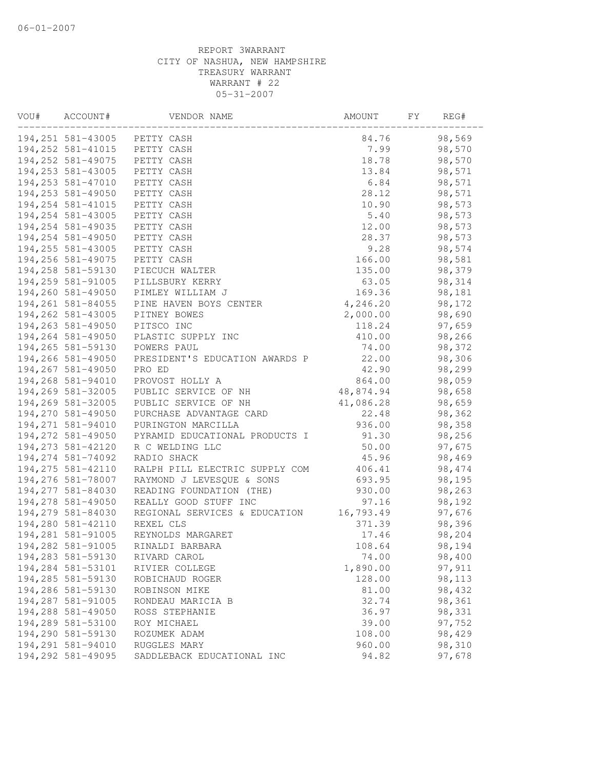| VOU# | ACCOUNT#           | VENDOR NAME                    | AMOUNT    | FY. | REG#    |  |
|------|--------------------|--------------------------------|-----------|-----|---------|--|
|      |                    | 194,251 581-43005 PETTY CASH   | 84.76     |     | 98,569  |  |
|      | 194, 252 581-41015 | PETTY CASH                     | 7.99      |     | 98,570  |  |
|      | 194, 252 581-49075 | PETTY CASH                     | 18.78     |     | 98,570  |  |
|      | 194,253 581-43005  | PETTY CASH                     | 13.84     |     | 98,571  |  |
|      | 194, 253 581-47010 | PETTY CASH                     | 6.84      |     | 98,571  |  |
|      | 194,253 581-49050  | PETTY CASH                     | 28.12     |     | 98,571  |  |
|      | 194, 254 581-41015 | PETTY CASH                     | 10.90     |     | 98,573  |  |
|      | 194,254 581-43005  | PETTY CASH                     | 5.40      |     | 98,573  |  |
|      | 194,254 581-49035  | PETTY CASH                     | 12.00     |     | 98,573  |  |
|      | 194,254 581-49050  | PETTY CASH                     | 28.37     |     | 98,573  |  |
|      | 194, 255 581-43005 | PETTY CASH                     | 9.28      |     | 98,574  |  |
|      | 194,256 581-49075  | PETTY CASH                     | 166.00    |     | 98,581  |  |
|      | 194,258 581-59130  | PIECUCH WALTER                 | 135.00    |     | 98,379  |  |
|      | 194,259 581-91005  | PILLSBURY KERRY                | 63.05     |     | 98,314  |  |
|      | 194,260 581-49050  | PIMLEY WILLIAM J               | 169.36    |     | 98,181  |  |
|      | 194, 261 581-84055 | PINE HAVEN BOYS CENTER         | 4,246.20  |     | 98,172  |  |
|      | 194,262 581-43005  | PITNEY BOWES                   | 2,000.00  |     | 98,690  |  |
|      | 194,263 581-49050  | PITSCO INC                     | 118.24    |     | 97,659  |  |
|      | 194,264 581-49050  | PLASTIC SUPPLY INC             | 410.00    |     | 98,266  |  |
|      | 194,265 581-59130  | POWERS PAUL                    | 74.00     |     | 98,372  |  |
|      | 194,266 581-49050  | PRESIDENT'S EDUCATION AWARDS P | 22.00     |     | 98,306  |  |
|      | 194,267 581-49050  | PRO ED                         | 42.90     |     | 98,299  |  |
|      | 194,268 581-94010  | PROVOST HOLLY A                | 864.00    |     | 98,059  |  |
|      | 194,269 581-32005  | PUBLIC SERVICE OF NH           | 48,874.94 |     | 98,658  |  |
|      | 194,269 581-32005  | PUBLIC SERVICE OF NH           | 41,086.28 |     | 98,659  |  |
|      | 194,270 581-49050  | PURCHASE ADVANTAGE CARD        | 22.48     |     | 98,362  |  |
|      | 194,271 581-94010  | PURINGTON MARCILLA             | 936.00    |     | 98,358  |  |
|      | 194,272 581-49050  | PYRAMID EDUCATIONAL PRODUCTS I | 91.30     |     | 98,256  |  |
|      | 194, 273 581-42120 | R C WELDING LLC                | 50.00     |     | 97,675  |  |
|      | 194,274 581-74092  | RADIO SHACK                    | 45.96     |     | 98,469  |  |
|      | 194, 275 581-42110 | RALPH PILL ELECTRIC SUPPLY COM | 406.41    |     | 98, 474 |  |
|      | 194,276 581-78007  | RAYMOND J LEVESQUE & SONS      | 693.95    |     | 98,195  |  |
|      | 194,277 581-84030  | READING FOUNDATION (THE)       | 930.00    |     | 98,263  |  |
|      | 194,278 581-49050  | REALLY GOOD STUFF INC          | 97.16     |     | 98,192  |  |
|      | 194,279 581-84030  | REGIONAL SERVICES & EDUCATION  | 16,793.49 |     | 97,676  |  |
|      | 194,280 581-42110  | REXEL CLS                      | 371.39    |     | 98,396  |  |
|      | 194,281 581-91005  | REYNOLDS MARGARET              | 17.46     |     | 98,204  |  |
|      | 194,282 581-91005  | RINALDI BARBARA                | 108.64    |     | 98,194  |  |
|      | 194,283 581-59130  | RIVARD CAROL                   | 74.00     |     | 98,400  |  |
|      | 194,284 581-53101  | RIVIER COLLEGE                 | 1,890.00  |     | 97,911  |  |
|      | 194,285 581-59130  | ROBICHAUD ROGER                | 128.00    |     | 98,113  |  |
|      | 194,286 581-59130  | ROBINSON MIKE                  | 81.00     |     | 98,432  |  |
|      | 194,287 581-91005  | RONDEAU MARICIA B              | 32.74     |     | 98,361  |  |
|      | 194,288 581-49050  | ROSS STEPHANIE                 | 36.97     |     | 98,331  |  |
|      | 194,289 581-53100  | ROY MICHAEL                    | 39.00     |     | 97,752  |  |
|      | 194,290 581-59130  | ROZUMEK ADAM                   | 108.00    |     | 98,429  |  |
|      | 194,291 581-94010  | RUGGLES MARY                   | 960.00    |     | 98,310  |  |
|      | 194,292 581-49095  | SADDLEBACK EDUCATIONAL INC     | 94.82     |     | 97,678  |  |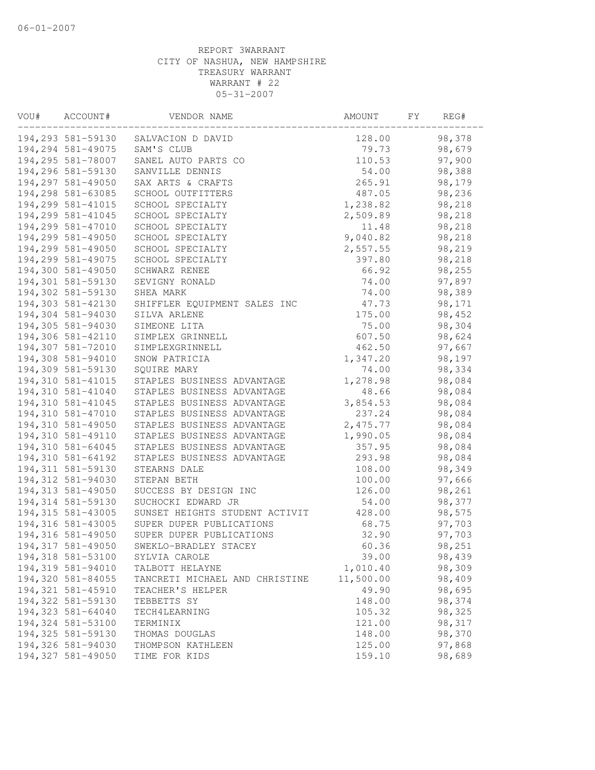| VOU# | ACCOUNT#           | VENDOR NAME                    | AMOUNT    | FY. | REG#   |  |
|------|--------------------|--------------------------------|-----------|-----|--------|--|
|      | 194,293 581-59130  | SALVACION D DAVID              | 128.00    |     | 98,378 |  |
|      | 194,294 581-49075  | SAM'S CLUB                     | 79.73     |     | 98,679 |  |
|      | 194,295 581-78007  | SANEL AUTO PARTS CO            | 110.53    |     | 97,900 |  |
|      | 194,296 581-59130  | SANVILLE DENNIS                | 54.00     |     | 98,388 |  |
|      | 194,297 581-49050  | SAX ARTS & CRAFTS              | 265.91    |     | 98,179 |  |
|      | 194,298 581-63085  | SCHOOL OUTFITTERS              | 487.05    |     | 98,236 |  |
|      | 194,299 581-41015  | SCHOOL SPECIALTY               | 1,238.82  |     | 98,218 |  |
|      | 194,299 581-41045  | SCHOOL SPECIALTY               | 2,509.89  |     | 98,218 |  |
|      | 194,299 581-47010  | SCHOOL SPECIALTY               | 11.48     |     | 98,218 |  |
|      | 194,299 581-49050  | SCHOOL SPECIALTY               | 9,040.82  |     | 98,218 |  |
|      | 194,299 581-49050  | SCHOOL SPECIALTY               | 2,557.55  |     | 98,219 |  |
|      | 194,299 581-49075  | SCHOOL SPECIALTY               | 397.80    |     | 98,218 |  |
|      | 194,300 581-49050  | SCHWARZ RENEE                  | 66.92     |     | 98,255 |  |
|      | 194,301 581-59130  | SEVIGNY RONALD                 | 74.00     |     | 97,897 |  |
|      | 194,302 581-59130  | SHEA MARK                      | 74.00     |     | 98,389 |  |
|      | 194,303 581-42130  | SHIFFLER EQUIPMENT SALES INC   | 47.73     |     | 98,171 |  |
|      | 194,304 581-94030  | SILVA ARLENE                   | 175.00    |     | 98,452 |  |
|      | 194,305 581-94030  | SIMEONE LITA                   | 75.00     |     | 98,304 |  |
|      | 194,306 581-42110  | SIMPLEX GRINNELL               | 607.50    |     | 98,624 |  |
|      | 194,307 581-72010  | SIMPLEXGRINNELL                | 462.50    |     | 97,667 |  |
|      | 194,308 581-94010  | SNOW PATRICIA                  | 1,347.20  |     | 98,197 |  |
|      | 194,309 581-59130  | SQUIRE MARY                    | 74.00     |     | 98,334 |  |
|      | 194,310 581-41015  | STAPLES BUSINESS ADVANTAGE     | 1,278.98  |     | 98,084 |  |
|      | 194,310 581-41040  | STAPLES BUSINESS ADVANTAGE     | 48.66     |     | 98,084 |  |
|      | 194,310 581-41045  | STAPLES BUSINESS ADVANTAGE     | 3,854.53  |     | 98,084 |  |
|      | 194,310 581-47010  | STAPLES BUSINESS ADVANTAGE     | 237.24    |     | 98,084 |  |
|      | 194,310 581-49050  | STAPLES BUSINESS ADVANTAGE     | 2,475.77  |     | 98,084 |  |
|      | 194,310 581-49110  | STAPLES BUSINESS ADVANTAGE     | 1,990.05  |     | 98,084 |  |
|      | 194,310 581-64045  | STAPLES BUSINESS ADVANTAGE     | 357.95    |     | 98,084 |  |
|      | 194,310 581-64192  | STAPLES BUSINESS ADVANTAGE     | 293.98    |     | 98,084 |  |
|      | 194, 311 581-59130 | STEARNS DALE                   | 108.00    |     | 98,349 |  |
|      | 194,312 581-94030  | STEPAN BETH                    | 100.00    |     | 97,666 |  |
|      | 194,313 581-49050  | SUCCESS BY DESIGN INC          | 126.00    |     | 98,261 |  |
|      | 194, 314 581-59130 | SUCHOCKI EDWARD JR             | 54.00     |     | 98,377 |  |
|      | 194,315 581-43005  | SUNSET HEIGHTS STUDENT ACTIVIT | 428.00    |     | 98,575 |  |
|      | 194,316 581-43005  | SUPER DUPER PUBLICATIONS       | 68.75     |     | 97,703 |  |
|      | 194,316 581-49050  | SUPER DUPER PUBLICATIONS       | 32.90     |     | 97,703 |  |
|      | 194,317 581-49050  | SWEKLO-BRADLEY STACEY          | 60.36     |     | 98,251 |  |
|      | 194,318 581-53100  | SYLVIA CAROLE                  | 39.00     |     | 98,439 |  |
|      | 194,319 581-94010  | TALBOTT HELAYNE                | 1,010.40  |     | 98,309 |  |
|      | 194,320 581-84055  | TANCRETI MICHAEL AND CHRISTINE | 11,500.00 |     | 98,409 |  |
|      | 194,321 581-45910  | TEACHER'S HELPER               | 49.90     |     | 98,695 |  |
|      | 194,322 581-59130  | TEBBETTS SY                    | 148.00    |     | 98,374 |  |
|      | 194,323 581-64040  | TECH4LEARNING                  | 105.32    |     | 98,325 |  |
|      | 194,324 581-53100  | TERMINIX                       | 121.00    |     | 98,317 |  |
|      | 194,325 581-59130  | THOMAS DOUGLAS                 | 148.00    |     | 98,370 |  |
|      | 194,326 581-94030  | THOMPSON KATHLEEN              | 125.00    |     | 97,868 |  |
|      | 194,327 581-49050  | TIME FOR KIDS                  | 159.10    |     | 98,689 |  |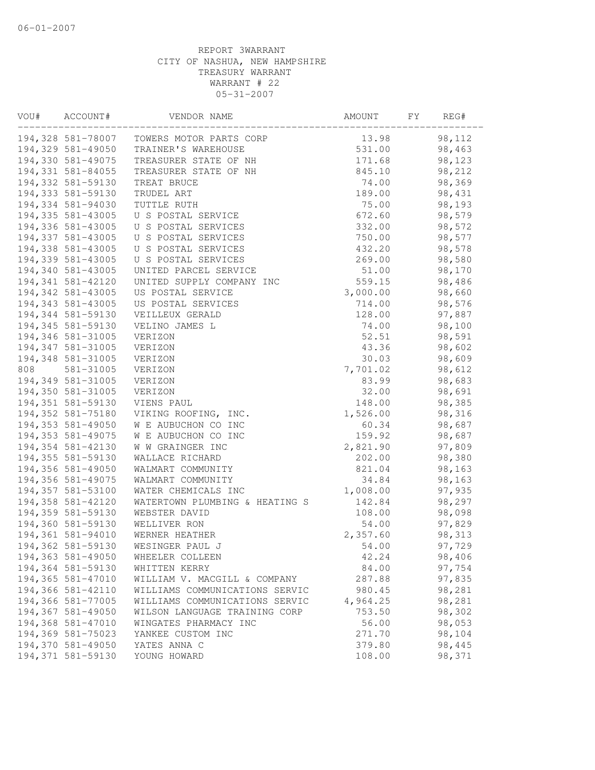| VOU# | ACCOUNT#          | VENDOR NAME                    | AMOUNT   | FΥ | REG#   |
|------|-------------------|--------------------------------|----------|----|--------|
|      | 194,328 581-78007 | TOWERS MOTOR PARTS CORP        | 13.98    |    | 98,112 |
|      | 194,329 581-49050 | TRAINER'S WAREHOUSE            | 531.00   |    | 98,463 |
|      | 194,330 581-49075 | TREASURER STATE OF NH          | 171.68   |    | 98,123 |
|      | 194,331 581-84055 | TREASURER STATE OF NH          | 845.10   |    | 98,212 |
|      | 194,332 581-59130 | TREAT BRUCE                    | 74.00    |    | 98,369 |
|      | 194,333 581-59130 | TRUDEL ART                     | 189.00   |    | 98,431 |
|      | 194,334 581-94030 | TUTTLE RUTH                    | 75.00    |    | 98,193 |
|      | 194,335 581-43005 | U S POSTAL SERVICE             | 672.60   |    | 98,579 |
|      | 194,336 581-43005 | U S POSTAL SERVICES            | 332.00   |    | 98,572 |
|      | 194,337 581-43005 | U S POSTAL SERVICES            | 750.00   |    | 98,577 |
|      | 194,338 581-43005 | U S POSTAL SERVICES            | 432.20   |    | 98,578 |
|      | 194,339 581-43005 | U S POSTAL SERVICES            | 269.00   |    | 98,580 |
|      | 194,340 581-43005 | UNITED PARCEL SERVICE          | 51.00    |    | 98,170 |
|      | 194,341 581-42120 | UNITED SUPPLY COMPANY INC      | 559.15   |    | 98,486 |
|      | 194,342 581-43005 | US POSTAL SERVICE              | 3,000.00 |    | 98,660 |
|      | 194,343 581-43005 | US POSTAL SERVICES             | 714.00   |    | 98,576 |
|      | 194,344 581-59130 | VEILLEUX GERALD                | 128.00   |    | 97,887 |
|      | 194,345 581-59130 | VELINO JAMES L                 | 74.00    |    | 98,100 |
|      | 194,346 581-31005 | VERIZON                        | 52.51    |    | 98,591 |
|      | 194,347 581-31005 | VERIZON                        | 43.36    |    | 98,602 |
|      | 194,348 581-31005 | VERIZON                        | 30.03    |    | 98,609 |
| 808  | 581-31005         | VERIZON                        | 7,701.02 |    | 98,612 |
|      | 194,349 581-31005 | VERIZON                        | 83.99    |    | 98,683 |
|      | 194,350 581-31005 | VERIZON                        | 32.00    |    | 98,691 |
|      | 194,351 581-59130 | VIENS PAUL                     | 148.00   |    | 98,385 |
|      | 194,352 581-75180 | VIKING ROOFING, INC.           | 1,526.00 |    | 98,316 |
|      | 194,353 581-49050 | W E AUBUCHON CO INC            | 60.34    |    | 98,687 |
|      | 194,353 581-49075 | W E AUBUCHON CO INC            | 159.92   |    | 98,687 |
|      | 194,354 581-42130 | W W GRAINGER INC               | 2,821.90 |    | 97,809 |
|      | 194,355 581-59130 | WALLACE RICHARD                | 202.00   |    | 98,380 |
|      | 194,356 581-49050 | WALMART COMMUNITY              | 821.04   |    | 98,163 |
|      | 194,356 581-49075 | WALMART COMMUNITY              | 34.84    |    | 98,163 |
|      | 194,357 581-53100 | WATER CHEMICALS INC            | 1,008.00 |    | 97,935 |
|      | 194,358 581-42120 | WATERTOWN PLUMBING & HEATING S | 142.84   |    | 98,297 |
|      | 194,359 581-59130 | WEBSTER DAVID                  | 108.00   |    | 98,098 |
|      | 194,360 581-59130 | WELLIVER RON                   | 54.00    |    | 97,829 |
|      | 194,361 581-94010 | WERNER HEATHER                 | 2,357.60 |    | 98,313 |
|      | 194,362 581-59130 | WESINGER PAUL J                | 54.00    |    | 97,729 |
|      | 194,363 581-49050 | WHEELER COLLEEN                | 42.24    |    | 98,406 |
|      | 194,364 581-59130 | WHITTEN KERRY                  | 84.00    |    | 97,754 |
|      | 194,365 581-47010 | WILLIAM V. MACGILL & COMPANY   | 287.88   |    | 97,835 |
|      | 194,366 581-42110 | WILLIAMS COMMUNICATIONS SERVIC | 980.45   |    | 98,281 |
|      | 194,366 581-77005 | WILLIAMS COMMUNICATIONS SERVIC | 4,964.25 |    | 98,281 |
|      | 194,367 581-49050 | WILSON LANGUAGE TRAINING CORP  | 753.50   |    | 98,302 |
|      | 194,368 581-47010 | WINGATES PHARMACY INC          | 56.00    |    | 98,053 |
|      | 194,369 581-75023 | YANKEE CUSTOM INC              | 271.70   |    | 98,104 |
|      | 194,370 581-49050 | YATES ANNA C                   | 379.80   |    | 98,445 |
|      | 194,371 581-59130 | YOUNG HOWARD                   | 108.00   |    | 98,371 |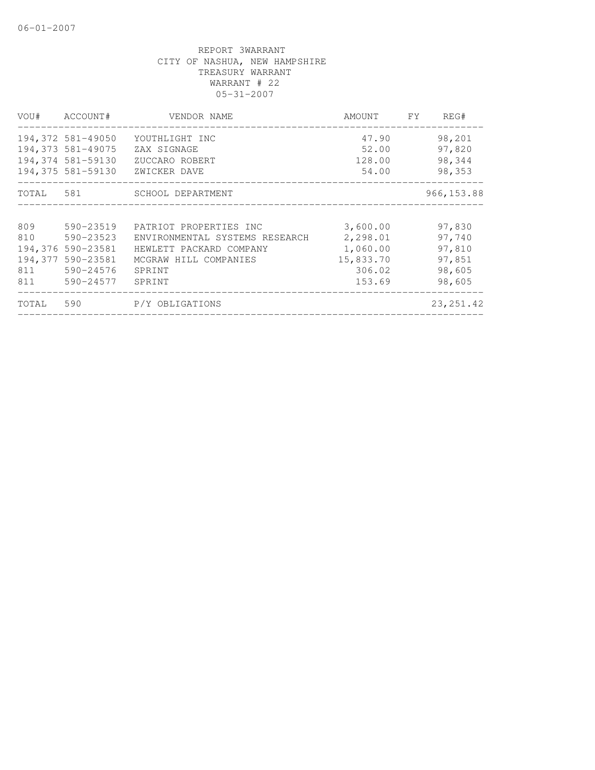| VOU#    | ACCOUNT#          | VENDOR NAME                    | AMOUNT    | FY. | REG#        |
|---------|-------------------|--------------------------------|-----------|-----|-------------|
|         | 194,372 581-49050 | YOUTHLIGHT INC                 | 47.90     |     | 98,201      |
|         | 194,373 581-49075 | ZAX SIGNAGE                    | 52.00     |     | 97,820      |
|         | 194,374 581-59130 | ZUCCARO ROBERT                 | 128.00    |     | 98,344      |
|         | 194,375 581-59130 | ZWICKER DAVE                   | 54.00     |     | 98,353      |
|         |                   | TOTAL 581 SCHOOL DEPARTMENT    |           |     | 966, 153.88 |
|         |                   |                                |           |     |             |
| 809     | 590-23519         | PATRIOT PROPERTIES INC         | 3,600.00  |     | 97,830      |
| 810     | 590-23523         | ENVIRONMENTAL SYSTEMS RESEARCH | 2,298.01  |     | 97,740      |
|         | 194,376 590-23581 | HEWLETT PACKARD COMPANY        | 1,060.00  |     | 97,810      |
| 194,377 | 590-23581         | MCGRAW HILL COMPANIES          | 15,833.70 |     | 97,851      |
| 811     | 590-24576         | SPRINT                         | 306.02    |     | 98,605      |
| 811     | 590-24577         | SPRINT                         | 153.69    |     | 98,605      |
| TOTAL   | 590               | P/Y OBLIGATIONS                |           |     | 23, 251.42  |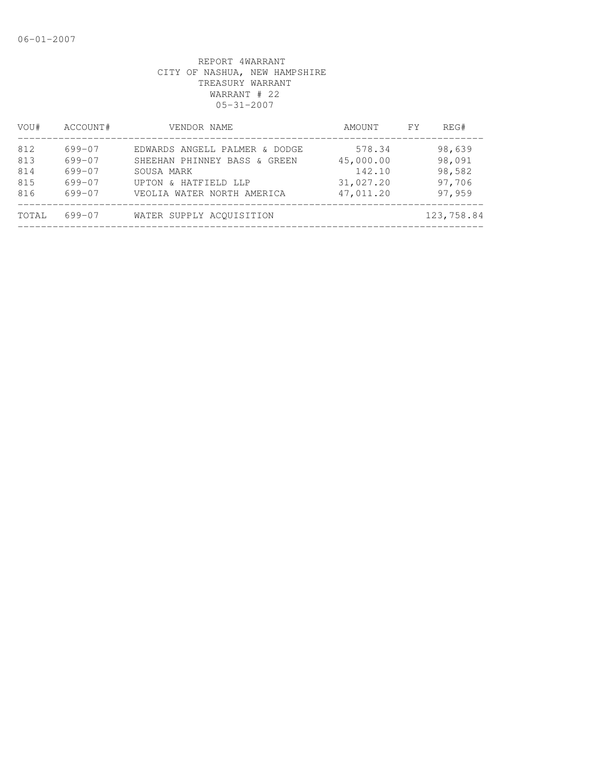| VOU#       | ACCOUNT#         | VENDOR NAME                                        | AMOUNT                 | FY. | REG#             |
|------------|------------------|----------------------------------------------------|------------------------|-----|------------------|
| 812        | 699-07           | EDWARDS ANGELL PALMER & DODGE                      | 578.34                 |     | 98,639           |
| 813<br>814 | 699-07<br>699-07 | SHEEHAN PHINNEY BASS & GREEN<br>SOUSA MARK         | 45,000.00<br>142.10    |     | 98,091<br>98,582 |
| 815<br>816 | 699-07<br>699-07 | UPTON & HATFIELD LLP<br>VEOLIA WATER NORTH AMERICA | 31,027.20<br>47,011.20 |     | 97,706<br>97,959 |
| TOTAL      | $699 - 07$       | WATER SUPPLY ACOUISITION                           |                        |     | 123,758.84       |
|            |                  |                                                    |                        |     |                  |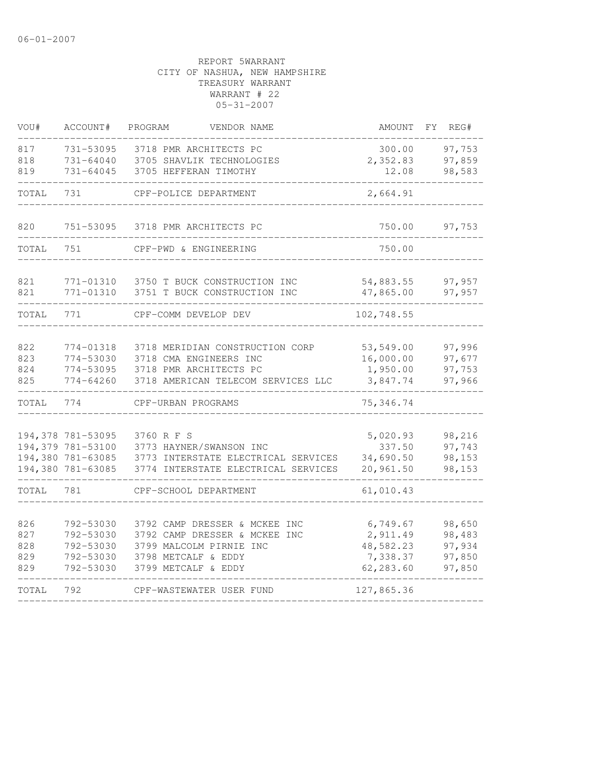| VOU#       | ACCOUNT#               | PROGRAM<br>VENDOR NAME                     | <b>AMOUNT</b>         | REG#<br>FΥ       |
|------------|------------------------|--------------------------------------------|-----------------------|------------------|
| 817        | 731-53095              | 3718 PMR ARCHITECTS PC                     | 300.00                | 97,753           |
| 818        | $731 - 64040$          | 3705 SHAVLIK TECHNOLOGIES                  | 2,352.83              | 97,859           |
| 819        | 731-64045              | 3705 HEFFERAN TIMOTHY                      | 12.08                 | 98,583           |
| TOTAL      | 731                    | CPF-POLICE DEPARTMENT                      | 2,664.91              |                  |
| 820        | 751-53095              | 3718 PMR ARCHITECTS PC                     | 750.00                | 97,753           |
| TOTAL      | 751                    | CPF-PWD & ENGINEERING                      | 750.00                |                  |
| 821        | 771-01310              | 3750 T BUCK CONSTRUCTION INC               | 54,883.55             | 97,957           |
| 821        | 771-01310              | 3751 T BUCK CONSTRUCTION INC               | 47,865.00             | 97,957           |
| TOTAL      | 771                    | CPF-COMM DEVELOP DEV                       | 102,748.55            |                  |
|            |                        |                                            |                       |                  |
| 822        | 774-01318              | 3718 MERIDIAN CONSTRUCTION CORP            | 53,549.00             | 97,996           |
| 823        | 774-53030              | 3718 CMA ENGINEERS INC                     | 16,000.00             | 97,677           |
| 824        | 774-53095              | 3718 PMR ARCHITECTS PC                     | 1,950.00              | 97,753           |
| 825        | 774-64260              | 3718 AMERICAN TELECOM SERVICES LLC         | 3,847.74              | 97,966           |
| TOTAL      | 774                    | CPF-URBAN PROGRAMS                         | 75,346.74             |                  |
|            | 194,378 781-53095      | 3760 R F S                                 | 5,020.93              | 98,216           |
|            | 194,379 781-53100      | 3773 HAYNER/SWANSON INC                    | 337.50                | 97,743           |
|            | 194,380 781-63085      | 3773 INTERSTATE ELECTRICAL SERVICES        | 34,690.50             | 98,153           |
|            | 194,380 781-63085      | 3774 INTERSTATE ELECTRICAL SERVICES        | 20,961.50             | 98,153           |
| TOTAL      | 781                    | CPF-SCHOOL DEPARTMENT                      | 61,010.43             |                  |
|            |                        |                                            |                       |                  |
| 826        | 792-53030              | 3792 CAMP DRESSER & MCKEE INC              | 6,749.67              | 98,650           |
| 827        | 792-53030              | 3792 CAMP DRESSER & MCKEE INC              | 2,911.49              | 98,483           |
| 828        | 792-53030              | 3799 MALCOLM PIRNIE INC                    | 48,582.23             | 97,934           |
| 829<br>829 | 792-53030<br>792-53030 | 3798 METCALF & EDDY<br>3799 METCALF & EDDY | 7,338.37<br>62,283.60 | 97,850<br>97,850 |
| TOTAL      | 792                    | CPF-WASTEWATER USER FUND                   | 127,865.36            |                  |
|            |                        |                                            |                       |                  |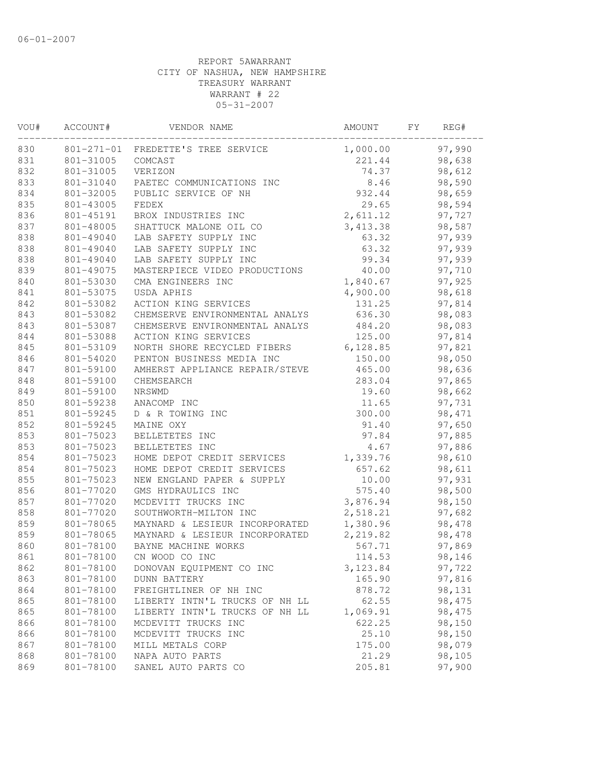| VOU# | ACCOUNT#  | VENDOR NAME                        | AMOUNT    | FY. | REG#   |  |
|------|-----------|------------------------------------|-----------|-----|--------|--|
| 830  |           | 801-271-01 FREDETTE'S TREE SERVICE | 1,000.00  |     | 97,990 |  |
| 831  | 801-31005 | COMCAST                            | 221.44    |     | 98,638 |  |
| 832  | 801-31005 | VERIZON                            | 74.37     |     | 98,612 |  |
| 833  | 801-31040 | PAETEC COMMUNICATIONS INC          | 8.46      |     | 98,590 |  |
| 834  | 801-32005 | PUBLIC SERVICE OF NH               | 932.44    |     | 98,659 |  |
| 835  | 801-43005 | FEDEX                              | 29.65     |     | 98,594 |  |
| 836  | 801-45191 | BROX INDUSTRIES INC                | 2,611.12  |     | 97,727 |  |
| 837  | 801-48005 | SHATTUCK MALONE OIL CO             | 3, 413.38 |     | 98,587 |  |
| 838  | 801-49040 | LAB SAFETY SUPPLY INC              | 63.32     |     | 97,939 |  |
| 838  | 801-49040 | LAB SAFETY SUPPLY INC              | 63.32     |     | 97,939 |  |
| 838  | 801-49040 | LAB SAFETY SUPPLY INC              | 99.34     |     | 97,939 |  |
| 839  | 801-49075 | MASTERPIECE VIDEO PRODUCTIONS      | 40.00     |     | 97,710 |  |
| 840  | 801-53030 | CMA ENGINEERS INC                  | 1,840.67  |     | 97,925 |  |
| 841  | 801-53075 | USDA APHIS                         | 4,900.00  |     | 98,618 |  |
| 842  | 801-53082 | ACTION KING SERVICES               | 131.25    |     | 97,814 |  |
| 843  | 801-53082 | CHEMSERVE ENVIRONMENTAL ANALYS     | 636.30    |     | 98,083 |  |
| 843  | 801-53087 | CHEMSERVE ENVIRONMENTAL ANALYS     | 484.20    |     | 98,083 |  |
| 844  | 801-53088 | ACTION KING SERVICES               | 125.00    |     | 97,814 |  |
| 845  | 801-53109 | NORTH SHORE RECYCLED FIBERS        | 6,128.85  |     | 97,821 |  |
| 846  | 801-54020 | PENTON BUSINESS MEDIA INC          | 150.00    |     | 98,050 |  |
| 847  | 801-59100 | AMHERST APPLIANCE REPAIR/STEVE     | 465.00    |     | 98,636 |  |
| 848  | 801-59100 | CHEMSEARCH                         | 283.04    |     | 97,865 |  |
| 849  | 801-59100 | NRSWMD                             | 19.60     |     | 98,662 |  |
| 850  | 801-59238 | ANACOMP INC                        | 11.65     |     | 97,731 |  |
| 851  | 801-59245 | D & R TOWING INC                   | 300.00    |     | 98,471 |  |
| 852  | 801-59245 | MAINE OXY                          | 91.40     |     | 97,650 |  |
| 853  | 801-75023 | BELLETETES INC                     | 97.84     |     | 97,885 |  |
| 853  | 801-75023 | BELLETETES INC                     | 4.67      |     | 97,886 |  |
| 854  | 801-75023 | HOME DEPOT CREDIT SERVICES         | 1,339.76  |     | 98,610 |  |
| 854  | 801-75023 | HOME DEPOT CREDIT SERVICES         | 657.62    |     | 98,611 |  |
| 855  | 801-75023 | NEW ENGLAND PAPER & SUPPLY         | 10.00     |     | 97,931 |  |
| 856  | 801-77020 | GMS HYDRAULICS INC                 | 575.40    |     | 98,500 |  |
| 857  | 801-77020 | MCDEVITT TRUCKS INC                | 3,876.94  |     | 98,150 |  |
| 858  | 801-77020 | SOUTHWORTH-MILTON INC              | 2,518.21  |     | 97,682 |  |
| 859  | 801-78065 | MAYNARD & LESIEUR INCORPORATED     | 1,380.96  |     | 98,478 |  |
| 859  | 801-78065 | MAYNARD & LESIEUR INCORPORATED     | 2,219.82  |     | 98,478 |  |
| 860  | 801-78100 | BAYNE MACHINE WORKS                | 567.71    |     | 97,869 |  |
| 861  | 801-78100 | CN WOOD CO INC                     | 114.53    |     | 98,146 |  |
| 862  | 801-78100 | DONOVAN EQUIPMENT CO INC           | 3, 123.84 |     | 97,722 |  |
| 863  | 801-78100 | <b>DUNN BATTERY</b>                | 165.90    |     | 97,816 |  |
| 864  | 801-78100 | FREIGHTLINER OF NH INC             | 878.72    |     | 98,131 |  |
| 865  | 801-78100 | LIBERTY INTN'L TRUCKS OF NH LL     | 62.55     |     | 98,475 |  |
| 865  | 801-78100 | LIBERTY INTN'L TRUCKS OF NH LL     | 1,069.91  |     | 98,475 |  |
| 866  | 801-78100 | MCDEVITT TRUCKS INC                | 622.25    |     | 98,150 |  |
| 866  | 801-78100 | MCDEVITT TRUCKS INC                | 25.10     |     | 98,150 |  |
| 867  | 801-78100 | MILL METALS CORP                   | 175.00    |     | 98,079 |  |
| 868  | 801-78100 | NAPA AUTO PARTS                    | 21.29     |     | 98,105 |  |
| 869  | 801-78100 | SANEL AUTO PARTS CO                | 205.81    |     | 97,900 |  |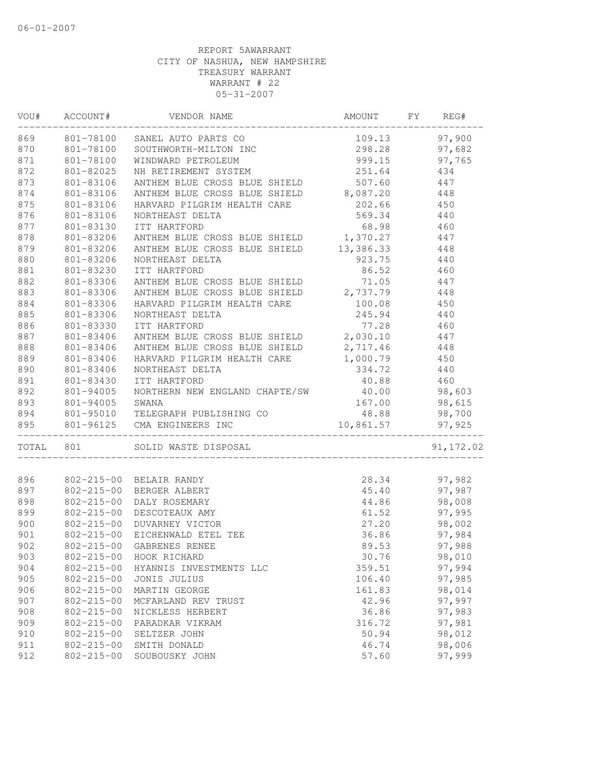|           | VOU# ACCOUNT#    | VENDOR NAME                                                                         | AMOUNT    | FY | REG#             |
|-----------|------------------|-------------------------------------------------------------------------------------|-----------|----|------------------|
| 869       |                  | 801-78100 SANEL AUTO PARTS CO<br>801-78100 SOUTHWORTH-MILTON INC                    | 109.13    |    | 97,900           |
| 870       |                  |                                                                                     | 298.28    |    | 97,682           |
| 871       | 801-78100        | WINDWARD PETROLEUM                                                                  | 999.15    |    | 97,765           |
| 872       | 801-82025        | NH RETIREMENT SYSTEM                                                                | 251.64    |    | 434              |
| 873       | 801-83106        | ANTHEM BLUE CROSS BLUE SHIELD 507.60                                                |           |    | 447              |
| 874       | 801-83106        | ANTHEM BLUE CROSS BLUE SHIELD 8,087.20                                              |           |    | 448              |
| 875       | 801-83106        | HARVARD PILGRIM HEALTH CARE                                                         | 202.66    |    | 450              |
| 876       | 801-83106        | NORTHEAST DELTA                                                                     | 569.34    |    | 440              |
| 877       | 801-83130        | ITT HARTFORD                                                                        | 68.98     |    | 460              |
| 878       | 801-83206        | ANTHEM BLUE CROSS BLUE SHIELD 1,370.27 447                                          |           |    |                  |
| 879       | 801-83206        | ANTHEM BLUE CROSS BLUE SHIELD 13, 386.33 448                                        |           |    |                  |
| 880       | 801-83206        | NORTHEAST DELTA                                                                     | 923.75    |    | 440              |
| 881       | 801-83230        | ITT HARTFORD                                                                        | 86.52     |    | 460              |
| 882       | 801-83306        | ANTHEM BLUE CROSS BLUE SHIELD                                                       | 71.05     |    | 447              |
| 883       | 801-83306        | ANTHEM BLUE CROSS BLUE SHIELD 2,737.79                                              |           |    | 448              |
| 884       | 801-83306        | HARVARD PILGRIM HEALTH CARE 100.08                                                  |           |    | 450              |
| 885       | 801-83306        | NORTHEAST DELTA                                                                     | 245.94    |    | 440              |
| 886       | 801-83330        | ITT HARTFORD                                                                        | 77.28     |    | 460              |
| 887       | 801-83406        | ANTHEM BLUE CROSS BLUE SHIELD 2,030.10                                              |           |    | 447              |
| 888       | 801-83406        | ANTHEM BLUE CROSS BLUE SHIELD 2,717.46                                              |           |    | 448              |
| 889       | 801-83406        | HARVARD PILGRIM HEALTH CARE 1,000.79                                                |           |    | 450              |
| 890       | 801-83406        | NORTHEAST DELTA                                                                     | 334.72    |    | 440              |
| 891       | 801-83430        | ITT HARTFORD                                                                        | 40.88     |    | 460              |
| 892       | 801-94005        | NORTHERN NEW ENGLAND CHAPTE/SW 40.00                                                |           |    | 98,603           |
| 893       |                  |                                                                                     | 167.00    |    | 98,615           |
| 894       |                  |                                                                                     | 48.88     |    | 98,700           |
| 895       |                  | 801-94005 SWANA<br>801-95010 TELEGRAPH PUBLISHING CO<br>801-96125 CMA ENGINEERS INC | 10,861.57 |    | 97,925           |
|           |                  |                                                                                     |           |    |                  |
| TOTAL 801 |                  | SOLID WASTE DISPOSAL                                                                |           |    | 91, 172.02       |
| 896       |                  | 802-215-00 BELAIR RANDY                                                             | 28.34     |    | 97,982           |
| 897       |                  | 802-215-00 BERGER ALBERT                                                            | 45.40     |    | 97,987           |
|           |                  |                                                                                     |           |    |                  |
| 898       |                  | 802-215-00 DALY ROSEMARY<br>802-215-00 DESCOTEAUX AMY                               | 44.86     |    | 98,008<br>97,995 |
| 899       |                  |                                                                                     | 61.52     |    |                  |
| 900       |                  | 802-215-00 DUVARNEY VICTOR                                                          | 27.20     |    | 98,002           |
| 901       | 802-215-00       | EICHENWALD ETEL TEE                                                                 | 36.86     |    | 97,984           |
| 902       |                  | 802-215-00 GABRENES RENEE                                                           | 89.53     |    | 97,988           |
| 903       | $802 - 215 - 00$ | HOOK RICHARD                                                                        | 30.76     |    | 98,010           |
| 904       | $802 - 215 - 00$ | HYANNIS INVESTMENTS LLC                                                             | 359.51    |    | 97,994           |
| 905       | $802 - 215 - 00$ | JONIS JULIUS                                                                        | 106.40    |    | 97,985           |
| 906       | $802 - 215 - 00$ | MARTIN GEORGE                                                                       | 161.83    |    | 98,014           |
| 907       | $802 - 215 - 00$ | MCFARLAND REV TRUST                                                                 | 42.96     |    | 97,997           |
| 908       | $802 - 215 - 00$ | NICKLESS HERBERT                                                                    | 36.86     |    | 97,983           |
| 909       | $802 - 215 - 00$ | PARADKAR VIKRAM                                                                     | 316.72    |    | 97,981           |
| 910       | $802 - 215 - 00$ | SELTZER JOHN                                                                        | 50.94     |    | 98,012           |
| 911       | 802-215-00       | SMITH DONALD                                                                        | 46.74     |    | 98,006           |
| 912       | $802 - 215 - 00$ | SOUBOUSKY JOHN                                                                      | 57.60     |    | 97,999           |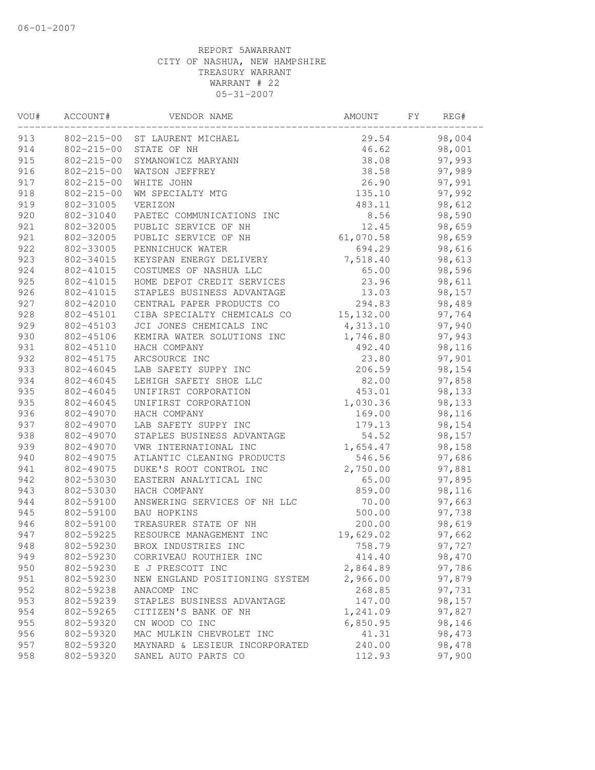| VOU# | ACCOUNT#         | VENDOR NAME                    | AMOUNT     | FY | REG#   |
|------|------------------|--------------------------------|------------|----|--------|
| 913  |                  | 802-215-00 ST LAURENT MICHAEL  | 29.54      |    | 98,004 |
| 914  |                  | 802-215-00 STATE OF NH         | 46.62      |    | 98,001 |
| 915  | $802 - 215 - 00$ | SYMANOWICZ MARYANN             | 38.08      |    | 97,993 |
| 916  | $802 - 215 - 00$ | WATSON JEFFREY                 | 38.58      |    | 97,989 |
| 917  | $802 - 215 - 00$ | WHITE JOHN                     | 26.90      |    | 97,991 |
| 918  | $802 - 215 - 00$ | WM SPECIALTY MTG               | 135.10     |    | 97,992 |
| 919  | 802-31005        | VERIZON                        | 483.11     |    | 98,612 |
| 920  | 802-31040        | PAETEC COMMUNICATIONS INC      | 8.56       |    | 98,590 |
| 921  | 802-32005        | PUBLIC SERVICE OF NH           | 12.45      |    | 98,659 |
| 921  | 802-32005        | PUBLIC SERVICE OF NH           | 61,070.58  |    | 98,659 |
| 922  | 802-33005        | PENNICHUCK WATER               | 694.29     |    | 98,616 |
| 923  | 802-34015        | KEYSPAN ENERGY DELIVERY        | 7,518.40   |    | 98,613 |
| 924  | 802-41015        | COSTUMES OF NASHUA LLC         | 65.00      |    | 98,596 |
| 925  | 802-41015        | HOME DEPOT CREDIT SERVICES     | 23.96      |    | 98,611 |
| 926  | 802-41015        | STAPLES BUSINESS ADVANTAGE     | 13.03      |    | 98,157 |
| 927  | 802-42010        | CENTRAL PAPER PRODUCTS CO      | 294.83     |    | 98,489 |
| 928  | 802-45101        | CIBA SPECIALTY CHEMICALS CO    | 15, 132.00 |    | 97,764 |
| 929  | 802-45103        | JCI JONES CHEMICALS INC        | 4,313.10   |    | 97,940 |
| 930  | 802-45106        | KEMIRA WATER SOLUTIONS INC     | 1,746.80   |    | 97,943 |
| 931  | 802-45110        | HACH COMPANY                   | 492.40     |    | 98,116 |
| 932  | 802-45175        | ARCSOURCE INC                  | 23.80      |    | 97,901 |
| 933  | 802-46045        | LAB SAFETY SUPPY INC           | 206.59     |    | 98,154 |
| 934  | 802-46045        | LEHIGH SAFETY SHOE LLC         | 82.00      |    | 97,858 |
| 935  | 802-46045        | UNIFIRST CORPORATION           | 453.01     |    | 98,133 |
| 935  | 802-46045        | UNIFIRST CORPORATION           | 1,030.36   |    | 98,133 |
| 936  | 802-49070        | HACH COMPANY                   | 169.00     |    | 98,116 |
| 937  | 802-49070        | LAB SAFETY SUPPY INC           | 179.13     |    | 98,154 |
| 938  | 802-49070        | STAPLES BUSINESS ADVANTAGE     | 54.52      |    | 98,157 |
| 939  | 802-49070        | VWR INTERNATIONAL INC          | 1,654.47   |    | 98,158 |
| 940  | 802-49075        | ATLANTIC CLEANING PRODUCTS     | 546.56     |    | 97,686 |
| 941  | 802-49075        | DUKE'S ROOT CONTROL INC        | 2,750.00   |    | 97,881 |
| 942  | 802-53030        | EASTERN ANALYTICAL INC         | 65.00      |    | 97,895 |
| 943  | 802-53030        | HACH COMPANY                   | 859.00     |    | 98,116 |
| 944  | 802-59100        | ANSWERING SERVICES OF NH LLC   | 70.00      |    | 97,663 |
| 945  | 802-59100        | <b>BAU HOPKINS</b>             | 500.00     |    | 97,738 |
| 946  | 802-59100        | TREASURER STATE OF NH          | 200.00     |    | 98,619 |
| 947  | 802-59225        | RESOURCE MANAGEMENT INC        | 19,629.02  |    | 97,662 |
| 948  | 802-59230        | BROX INDUSTRIES INC            | 758.79     |    | 97,727 |
| 949  | 802-59230        | CORRIVEAU ROUTHIER INC         | 414.40     |    | 98,470 |
| 950  | 802-59230        | E J PRESCOTT INC               | 2,864.89   |    | 97,786 |
| 951  | 802-59230        | NEW ENGLAND POSITIONING SYSTEM | 2,966.00   |    | 97,879 |
| 952  | 802-59238        | ANACOMP INC                    | 268.85     |    | 97,731 |
| 953  | 802-59239        | STAPLES BUSINESS ADVANTAGE     | 147.00     |    | 98,157 |
| 954  | 802-59265        | CITIZEN'S BANK OF NH           | 1,241.09   |    | 97,827 |
| 955  | 802-59320        | CN WOOD CO INC                 | 6,850.95   |    | 98,146 |
| 956  | 802-59320        | MAC MULKIN CHEVROLET INC       | 41.31      |    | 98,473 |
| 957  | 802-59320        | MAYNARD & LESIEUR INCORPORATED | 240.00     |    | 98,478 |
| 958  | 802-59320        | SANEL AUTO PARTS CO            | 112.93     |    | 97,900 |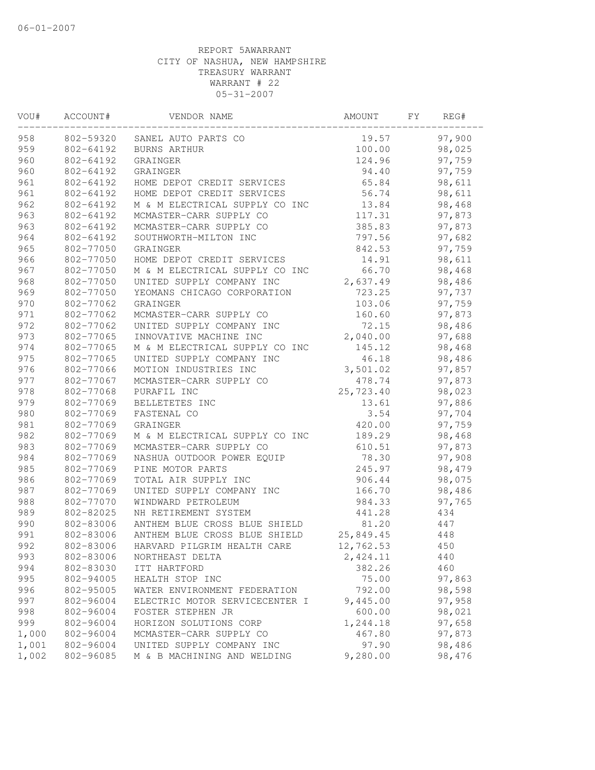| VOU#  | ACCOUNT#  | VENDOR NAME                             | AMOUNT    | FY | REG#   |  |
|-------|-----------|-----------------------------------------|-----------|----|--------|--|
| 958   |           | 802-59320 SANEL AUTO PARTS CO           | 19.57     |    | 97,900 |  |
| 959   | 802-64192 | BURNS ARTHUR                            | 100.00    |    | 98,025 |  |
| 960   | 802-64192 | GRAINGER                                | 124.96    |    | 97,759 |  |
| 960   | 802-64192 | GRAINGER                                | 94.40     |    | 97,759 |  |
| 961   | 802-64192 | HOME DEPOT CREDIT SERVICES              | 65.84     |    | 98,611 |  |
| 961   | 802-64192 | HOME DEPOT CREDIT SERVICES              | 56.74     |    | 98,611 |  |
| 962   | 802-64192 | M & M ELECTRICAL SUPPLY CO INC          | 13.84     |    | 98,468 |  |
| 963   | 802-64192 | MCMASTER-CARR SUPPLY CO                 | 117.31    |    | 97,873 |  |
| 963   | 802-64192 | MCMASTER-CARR SUPPLY CO                 | 385.83    |    | 97,873 |  |
| 964   | 802-64192 | SOUTHWORTH-MILTON INC                   | 797.56    |    | 97,682 |  |
| 965   | 802-77050 | GRAINGER                                | 842.53    |    | 97,759 |  |
| 966   | 802-77050 | HOME DEPOT CREDIT SERVICES              | 14.91     |    | 98,611 |  |
| 967   | 802-77050 | M & M ELECTRICAL SUPPLY CO INC          | 66.70     |    | 98,468 |  |
| 968   | 802-77050 | UNITED SUPPLY COMPANY INC               | 2,637.49  |    | 98,486 |  |
| 969   | 802-77050 | YEOMANS CHICAGO CORPORATION             | 723.25    |    | 97,737 |  |
| 970   | 802-77062 | GRAINGER                                | 103.06    |    | 97,759 |  |
| 971   | 802-77062 | MCMASTER-CARR SUPPLY CO                 | 160.60    |    | 97,873 |  |
| 972   | 802-77062 | UNITED SUPPLY COMPANY INC               | 72.15     |    | 98,486 |  |
| 973   | 802-77065 | INNOVATIVE MACHINE INC                  | 2,040.00  |    | 97,688 |  |
| 974   | 802-77065 | M & M ELECTRICAL SUPPLY CO INC          | 145.12    |    | 98,468 |  |
| 975   | 802-77065 | UNITED SUPPLY COMPANY INC               | 46.18     |    | 98,486 |  |
| 976   | 802-77066 | MOTION INDUSTRIES INC                   | 3,501.02  |    | 97,857 |  |
| 977   | 802-77067 | MCMASTER-CARR SUPPLY CO                 | 478.74    |    | 97,873 |  |
| 978   | 802-77068 | PURAFIL INC                             | 25,723.40 |    | 98,023 |  |
| 979   | 802-77069 | BELLETETES INC                          | 13.61     |    | 97,886 |  |
| 980   | 802-77069 | FASTENAL CO                             | 3.54      |    | 97,704 |  |
| 981   | 802-77069 | GRAINGER                                | 420.00    |    | 97,759 |  |
| 982   | 802-77069 | M & M ELECTRICAL SUPPLY CO INC          | 189.29    |    | 98,468 |  |
| 983   | 802-77069 | MCMASTER-CARR SUPPLY CO                 | 610.51    |    | 97,873 |  |
| 984   | 802-77069 | NASHUA OUTDOOR POWER EQUIP              | 78.30     |    | 97,908 |  |
| 985   | 802-77069 | PINE MOTOR PARTS                        | 245.97    |    | 98,479 |  |
| 986   | 802-77069 | TOTAL AIR SUPPLY INC                    | 906.44    |    | 98,075 |  |
| 987   | 802-77069 | UNITED SUPPLY COMPANY INC               | 166.70    |    | 98,486 |  |
| 988   | 802-77070 | WINDWARD PETROLEUM                      | 984.33    |    | 97,765 |  |
| 989   | 802-82025 | NH RETIREMENT SYSTEM                    | 441.28    |    | 434    |  |
| 990   | 802-83006 | ANTHEM BLUE CROSS BLUE SHIELD           | 81.20     |    | 447    |  |
| 991   | 802-83006 | ANTHEM BLUE CROSS BLUE SHIELD 25,849.45 |           |    | 448    |  |
| 992   | 802-83006 | HARVARD PILGRIM HEALTH CARE             | 12,762.53 |    | 450    |  |
| 993   | 802-83006 | NORTHEAST DELTA                         | 2,424.11  |    | 440    |  |
| 994   | 802-83030 | ITT HARTFORD                            | 382.26    |    | 460    |  |
| 995   | 802-94005 | HEALTH STOP INC                         | 75.00     |    | 97,863 |  |
| 996   | 802-95005 | WATER ENVIRONMENT FEDERATION            | 792.00    |    | 98,598 |  |
| 997   | 802-96004 | ELECTRIC MOTOR SERVICECENTER I          | 9,445.00  |    | 97,958 |  |
| 998   | 802-96004 | FOSTER STEPHEN JR                       | 600.00    |    | 98,021 |  |
| 999   | 802-96004 | HORIZON SOLUTIONS CORP                  | 1,244.18  |    | 97,658 |  |
| 1,000 | 802-96004 | MCMASTER-CARR SUPPLY CO                 | 467.80    |    | 97,873 |  |
| 1,001 | 802-96004 | UNITED SUPPLY COMPANY INC               | 97.90     |    | 98,486 |  |
| 1,002 | 802-96085 | M & B MACHINING AND WELDING             | 9,280.00  |    | 98,476 |  |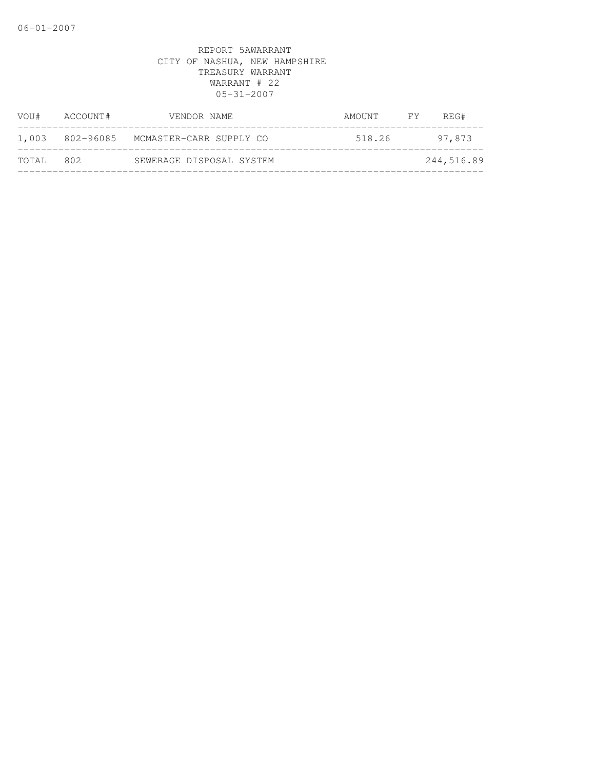| VOU#  | ACCOUNT# | VENDOR NAME                             | AMOUNT | $\overline{F}Y$ | REG#       |
|-------|----------|-----------------------------------------|--------|-----------------|------------|
|       |          | 1,003 802-96085 MCMASTER-CARR SUPPLY CO | 518.26 |                 | 97,873     |
| TOTAL | 802      | SEWERAGE DISPOSAL SYSTEM                |        |                 | 244,516.89 |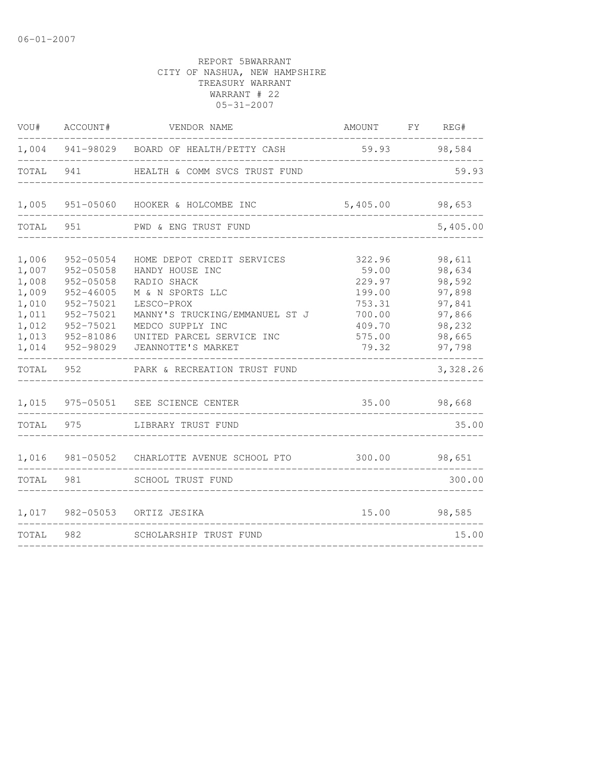| VOU#                                                                                   | ACCOUNT#                                                                                                                             | VENDOR NAME                                                                                                                                                                                                                             | AMOUNT FY REG#                                                                       |        |                                                                                                    |
|----------------------------------------------------------------------------------------|--------------------------------------------------------------------------------------------------------------------------------------|-----------------------------------------------------------------------------------------------------------------------------------------------------------------------------------------------------------------------------------------|--------------------------------------------------------------------------------------|--------|----------------------------------------------------------------------------------------------------|
|                                                                                        |                                                                                                                                      | 1,004 941-98029 BOARD OF HEALTH/PETTY CASH                                                                                                                                                                                              |                                                                                      |        | 59.93 98,584                                                                                       |
| TOTAL 941                                                                              |                                                                                                                                      | HEALTH & COMM SVCS TRUST FUND                                                                                                                                                                                                           |                                                                                      |        | 59.93                                                                                              |
| 1,005                                                                                  |                                                                                                                                      | 951-05060 HOOKER & HOLCOMBE INC                                                                                                                                                                                                         | 5,405.00                                                                             |        | 98,653                                                                                             |
| TOTAL                                                                                  | 951                                                                                                                                  | PWD & ENG TRUST FUND                                                                                                                                                                                                                    |                                                                                      |        | 5,405.00                                                                                           |
| 1,006<br>1,007<br>1,008<br>1,009<br>1,010<br>1,011<br>1,012<br>1,013<br>1,014<br>TOTAL | 952-05054<br>$952 - 05058$<br>$952 - 05058$<br>$952 - 46005$<br>952-75021<br>952-75021<br>952-75021<br>952-81086<br>952-98029<br>952 | HOME DEPOT CREDIT SERVICES<br>HANDY HOUSE INC<br>RADIO SHACK<br>M & N SPORTS LLC<br>LESCO-PROX<br>MANNY'S TRUCKING/EMMANUEL ST J<br>MEDCO SUPPLY INC<br>UNITED PARCEL SERVICE INC<br>JEANNOTTE'S MARKET<br>PARK & RECREATION TRUST FUND | 322.96<br>59.00<br>229.97<br>199.00<br>753.31<br>700.00<br>409.70<br>575.00<br>79.32 |        | 98,611<br>98,634<br>98,592<br>97,898<br>97,841<br>97,866<br>98,232<br>98,665<br>97,798<br>3,328.26 |
|                                                                                        |                                                                                                                                      | 1,015 975-05051 SEE SCIENCE CENTER                                                                                                                                                                                                      | 35.00                                                                                |        | 98,668                                                                                             |
| TOTAL                                                                                  | 975                                                                                                                                  | LIBRARY TRUST FUND                                                                                                                                                                                                                      |                                                                                      |        | 35.00                                                                                              |
| 1,016                                                                                  |                                                                                                                                      | 981-05052 CHARLOTTE AVENUE SCHOOL PTO                                                                                                                                                                                                   | 300.00                                                                               |        | 98,651                                                                                             |
| TOTAL                                                                                  | 981                                                                                                                                  | SCHOOL TRUST FUND                                                                                                                                                                                                                       |                                                                                      |        | 300.00                                                                                             |
|                                                                                        |                                                                                                                                      | 1,017 982-05053 ORTIZ JESIKA<br>15.00                                                                                                                                                                                                   |                                                                                      | 98,585 |                                                                                                    |
| TOTAL                                                                                  | 982                                                                                                                                  | SCHOLARSHIP TRUST FUND                                                                                                                                                                                                                  |                                                                                      |        | 15.00                                                                                              |
|                                                                                        |                                                                                                                                      |                                                                                                                                                                                                                                         |                                                                                      |        |                                                                                                    |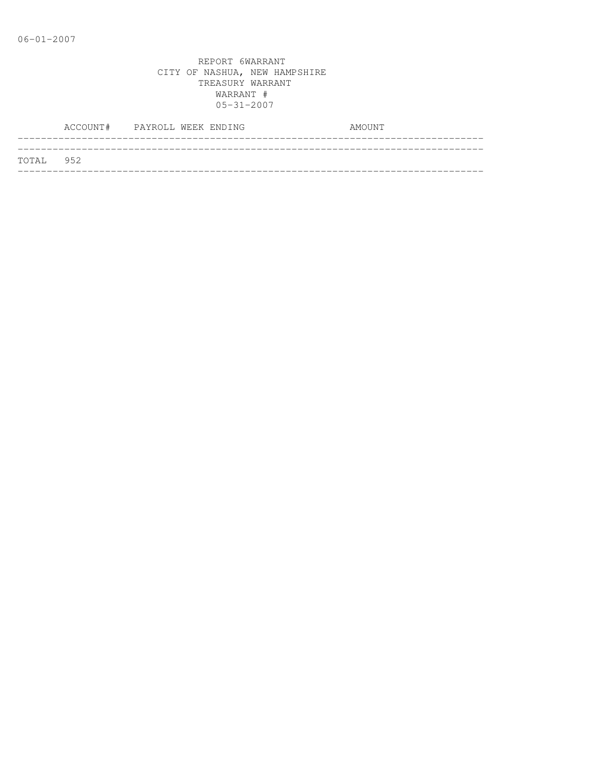|           | ACCOUNT# PAYROLL WEEK ENDING |  |  | AMOUNT |
|-----------|------------------------------|--|--|--------|
| TOTAL 952 |                              |  |  |        |
|           |                              |  |  |        |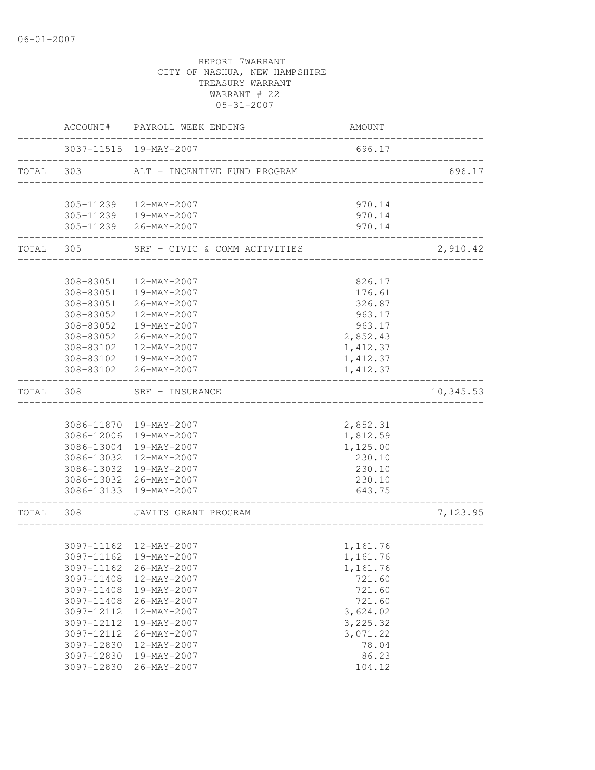|           | ACCOUNT#               | PAYROLL WEEK ENDING                         | AMOUNT               |           |
|-----------|------------------------|---------------------------------------------|----------------------|-----------|
|           |                        | 3037-11515 19-MAY-2007                      | 696.17               |           |
| TOTAL     | 303                    | ALT - INCENTIVE FUND PROGRAM                |                      | 696.17    |
|           |                        | 305-11239  12-MAY-2007                      | 970.14               |           |
|           |                        | 305-11239  19-MAY-2007                      | 970.14               |           |
|           |                        | 305-11239 26-MAY-2007                       | 970.14               |           |
| TOTAL 305 |                        | SRF - CIVIC & COMM ACTIVITIES               |                      | 2,910.42  |
|           |                        |                                             |                      |           |
|           | 308-83051              | 12-MAY-2007                                 | 826.17               |           |
|           |                        | 308-83051  19-MAY-2007                      | 176.61               |           |
|           |                        | 308-83051 26-MAY-2007                       | 326.87<br>963.17     |           |
|           | 308-83052<br>308-83052 | 12-MAY-2007<br>19-MAY-2007                  | 963.17               |           |
|           | 308-83052              | 26-MAY-2007                                 | 2,852.43             |           |
|           | 308-83102              | 12-MAY-2007                                 | 1, 412.37            |           |
|           | 308-83102              | 19-MAY-2007                                 | 1,412.37             |           |
|           | 308-83102              | 26-MAY-2007                                 | 1,412.37             |           |
| TOTAL     | 308                    | SRF - INSURANCE                             |                      | 10,345.53 |
|           |                        |                                             |                      |           |
|           |                        | 3086-11870 19-MAY-2007                      | 2,852.31             |           |
|           |                        | 3086-12006 19-MAY-2007                      | 1,812.59             |           |
|           | 3086-13004             | 19-MAY-2007                                 | 1,125.00             |           |
|           |                        | 3086-13032 12-MAY-2007                      | 230.10               |           |
|           |                        | 3086-13032 19-MAY-2007                      | 230.10               |           |
|           |                        | 3086-13032 26-MAY-2007                      | 230.10               |           |
|           |                        | 3086-13133 19-MAY-2007                      | 643.75               |           |
| TOTAL     | 308                    | JAVITS GRANT PROGRAM                        |                      | 7,123.95  |
|           |                        |                                             |                      |           |
|           |                        | 3097-11162  12-MAY-2007                     | 1,161.76             |           |
|           | 3097-11162             | 3097-11162 19-MAY-2007<br>$26 - MAY - 2007$ | 1,161.76<br>1,161.76 |           |
|           | 3097-11408             | 12-MAY-2007                                 | 721.60               |           |
|           | 3097-11408             | 19-MAY-2007                                 | 721.60               |           |
|           | 3097-11408             | $26 - MAY - 2007$                           | 721.60               |           |
|           | 3097-12112             | $12 - MAX - 2007$                           | 3,624.02             |           |
|           | 3097-12112             | 19-MAY-2007                                 | 3, 225.32            |           |
|           | 3097-12112             | $26 - MAX - 2007$                           | 3,071.22             |           |
|           | 3097-12830             | 12-MAY-2007                                 | 78.04                |           |
|           | 3097-12830             | 19-MAY-2007                                 | 86.23                |           |
|           | 3097-12830             | $26 - MAY - 2007$                           | 104.12               |           |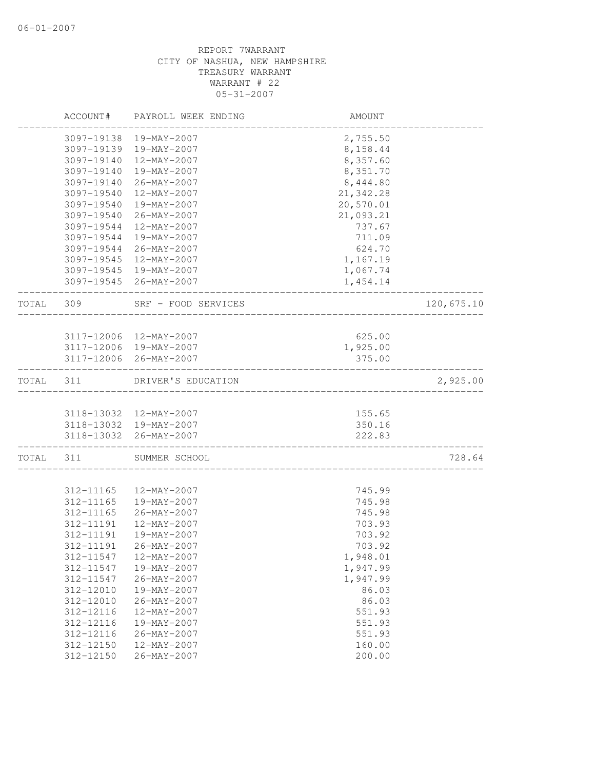|       | ACCOUNT#   | PAYROLL WEEK ENDING                              | AMOUNT           |            |
|-------|------------|--------------------------------------------------|------------------|------------|
|       | 3097-19138 | 19-MAY-2007                                      | 2,755.50         |            |
|       | 3097-19139 | 19-MAY-2007                                      | 8,158.44         |            |
|       | 3097-19140 | 12-MAY-2007                                      | 8,357.60         |            |
|       | 3097-19140 | 19-MAY-2007                                      | 8,351.70         |            |
|       | 3097-19140 | $26 - \text{MAY} - 2007$                         | 8,444.80         |            |
|       | 3097-19540 | 12-MAY-2007                                      | 21,342.28        |            |
|       | 3097-19540 | 19-MAY-2007                                      | 20,570.01        |            |
|       | 3097-19540 | 26-MAY-2007                                      | 21,093.21        |            |
|       | 3097-19544 | 12-MAY-2007                                      | 737.67           |            |
|       | 3097-19544 | 19-MAY-2007                                      | 711.09           |            |
|       | 3097-19544 | 26-MAY-2007                                      | 624.70           |            |
|       | 3097-19545 | 12-MAY-2007                                      | 1,167.19         |            |
|       |            | 3097-19545 19-MAY-2007                           | 1,067.74         |            |
|       |            | 3097-19545 26-MAY-2007                           | 1,454.14         |            |
| TOTAL | 309        | SRF - FOOD SERVICES                              |                  | 120,675.10 |
|       |            |                                                  |                  |            |
|       |            | 3117-12006 12-MAY-2007                           | 625.00           |            |
|       |            | 3117-12006 19-MAY-2007                           | 1,925.00         |            |
|       |            | 3117-12006 26-MAY-2007                           | 375.00           |            |
| TOTAL | 311        | DRIVER'S EDUCATION                               |                  | 2,925.00   |
|       |            |                                                  |                  |            |
|       |            | 3118-13032 12-MAY-2007<br>3118-13032 19-MAY-2007 | 155.65<br>350.16 |            |
|       |            | 3118-13032 26-MAY-2007                           | 222.83           |            |
| TOTAL | 311        | SUMMER SCHOOL                                    |                  | 728.64     |
|       |            |                                                  |                  |            |
|       | 312-11165  | 12-MAY-2007                                      | 745.99           |            |
|       | 312-11165  | 19-MAY-2007                                      | 745.98           |            |
|       | 312-11165  | 26-MAY-2007                                      | 745.98           |            |
|       | 312-11191  | 12-MAY-2007                                      | 703.93           |            |
|       | 312-11191  | 19-MAY-2007                                      | 703.92           |            |
|       | 312-11191  | 26-MAY-2007                                      | 703.92           |            |
|       | 312-11547  | 12-MAY-2007                                      | 1,948.01         |            |
|       | 312-11547  | 19-MAY-2007                                      | 1,947.99         |            |
|       | 312-11547  | $26 - MAY - 2007$                                | 1,947.99         |            |
|       | 312-12010  | 19-MAY-2007                                      | 86.03            |            |
|       | 312-12010  | 26-MAY-2007                                      | 86.03            |            |
|       | 312-12116  | 12-MAY-2007                                      | 551.93           |            |
|       | 312-12116  | 19-MAY-2007                                      | 551.93           |            |
|       | 312-12116  | 26-MAY-2007                                      | 551.93           |            |
|       | 312-12150  | 12-MAY-2007                                      | 160.00           |            |
|       | 312-12150  | $26 - MAY - 2007$                                | 200.00           |            |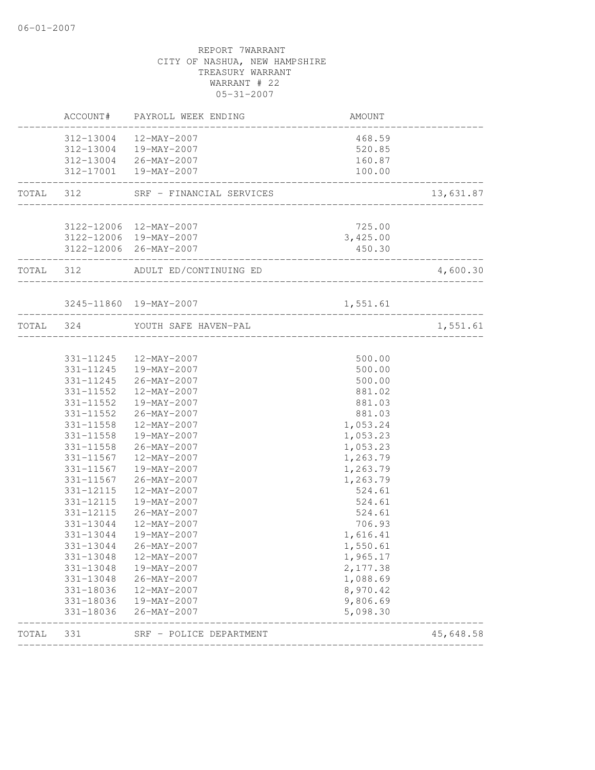|           |           | ACCOUNT# PAYROLL WEEK ENDING                                 | AMOUNT                  |           |
|-----------|-----------|--------------------------------------------------------------|-------------------------|-----------|
|           |           | 312-13004  12-MAY-2007                                       | 468.59                  |           |
|           |           | 312-13004  19-MAY-2007                                       | 520.85                  |           |
|           |           | 312-13004 26-MAY-2007                                        | 160.87                  |           |
|           |           | 312-17001  19-MAY-2007<br>__________________________________ | 100.00                  |           |
| TOTAL 312 |           | SRF - FINANCIAL SERVICES                                     | _______________________ | 13,631.87 |
|           |           | 3122-12006 12-MAY-2007                                       | 725.00                  |           |
|           |           | 3122-12006 19-MAY-2007                                       | 3,425.00                |           |
|           |           | 3122-12006 26-MAY-2007                                       | 450.30                  |           |
| TOTAL 312 |           | ADULT ED/CONTINUING ED                                       |                         | 4,600.30  |
|           |           | 3245-11860 19-MAY-2007                                       | 1,551.61                |           |
| TOTAL 324 |           | YOUTH SAFE HAVEN-PAL                                         |                         | 1,551.61  |
|           |           |                                                              |                         |           |
|           |           | 331-11245  12-MAY-2007                                       | 500.00                  |           |
|           |           | 331-11245  19-MAY-2007                                       | 500.00                  |           |
|           |           | 331-11245 26-MAY-2007                                        | 500.00                  |           |
|           | 331-11552 | 12-MAY-2007                                                  | 881.02                  |           |
|           | 331-11552 | 19-MAY-2007                                                  | 881.03                  |           |
|           | 331-11552 | 26-MAY-2007                                                  | 881.03                  |           |
|           | 331-11558 | 12-MAY-2007                                                  | 1,053.24                |           |
|           |           | 331-11558  19-MAY-2007                                       | 1,053.23                |           |
|           |           | 331-11558 26-MAY-2007                                        | 1,053.23                |           |
|           | 331-11567 | 12-MAY-2007                                                  | 1,263.79                |           |
|           | 331-11567 | 19-MAY-2007                                                  | 1,263.79                |           |
|           | 331-11567 | 26-MAY-2007                                                  | 1,263.79                |           |
|           | 331-12115 | 12-MAY-2007                                                  | 524.61                  |           |
|           | 331-12115 | 19-MAY-2007                                                  | 524.61                  |           |
|           | 331-12115 | 26-MAY-2007                                                  | 524.61                  |           |
|           | 331-13044 | 12-MAY-2007                                                  | 706.93                  |           |
|           | 331-13044 | 19-MAY-2007                                                  | 1,616.41                |           |
|           | 331-13044 | 26-MAY-2007                                                  | 1,550.61                |           |
|           | 331-13048 | 12-MAY-2007                                                  | 1,965.17                |           |
|           | 331-13048 | 19-MAY-2007                                                  | 2,177.38                |           |
|           | 331-13048 | $26 - MAY - 2007$                                            | 1,088.69                |           |
|           | 331-18036 | 12-MAY-2007                                                  | 8,970.42                |           |
|           | 331-18036 | 19-MAY-2007                                                  | 9,806.69                |           |
|           | 331-18036 | $26 - MAX - 2007$                                            | 5,098.30                |           |
| TOTAL     | 331       | SRF - POLICE DEPARTMENT                                      |                         | 45,648.58 |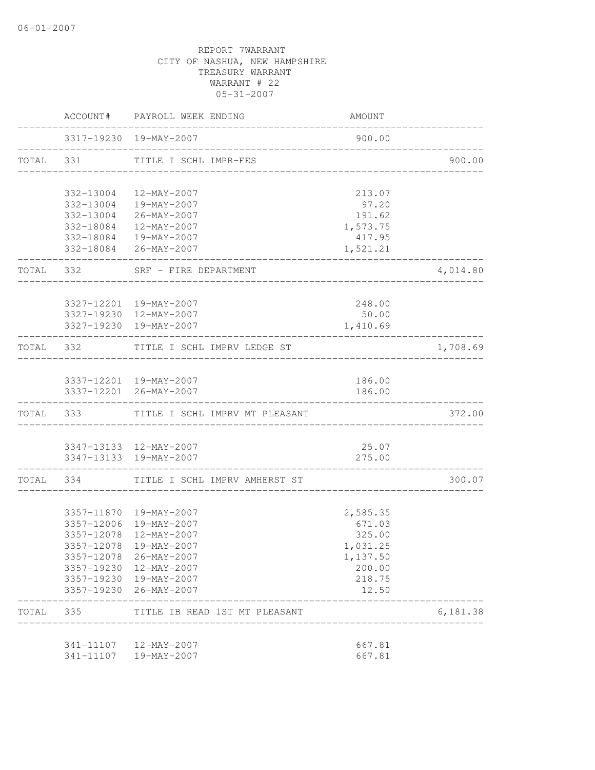|           |            | ACCOUNT# PAYROLL WEEK ENDING             | AMOUNT   |          |
|-----------|------------|------------------------------------------|----------|----------|
|           |            | 3317-19230 19-MAY-2007                   | 900.00   |          |
|           |            | TOTAL 331 TITLE I SCHL IMPR-FES          |          | 900.00   |
|           |            | 332-13004 12-MAY-2007                    | 213.07   |          |
|           |            | 332-13004 19-MAY-2007                    | 97.20    |          |
|           |            | 332-13004 26-MAY-2007                    | 191.62   |          |
|           |            | 332-18084  12-MAY-2007                   | 1,573.75 |          |
|           |            | 332-18084  19-MAY-2007                   | 417.95   |          |
|           |            | 332-18084 26-MAY-2007                    | 1,521.21 |          |
|           |            | TOTAL 332 SRF - FIRE DEPARTMENT          |          | 4,014.80 |
|           |            | 3327-12201 19-MAY-2007                   | 248.00   |          |
|           |            | 3327-19230 12-MAY-2007                   | 50.00    |          |
|           |            | 3327-19230 19-MAY-2007                   | 1,410.69 |          |
|           | TOTAL 332  | TITLE I SCHL IMPRV LEDGE ST              |          | 1,708.69 |
|           |            |                                          |          |          |
|           |            | 3337-12201 19-MAY-2007                   | 186.00   |          |
|           |            | 3337-12201 26-MAY-2007                   | 186.00   |          |
|           |            | TOTAL 333 TITLE I SCHL IMPRV MT PLEASANT |          | 372.00   |
|           |            | 3347-13133 12-MAY-2007                   | 25.07    |          |
|           |            | 3347-13133 19-MAY-2007                   | 275.00   |          |
|           |            | TOTAL 334 TITLE I SCHL IMPRV AMHERST ST  |          | 300.07   |
|           |            | 3357-11870  19-MAY-2007                  | 2,585.35 |          |
|           |            | 3357-12006 19-MAY-2007                   | 671.03   |          |
|           | 3357-12078 | 12-MAY-2007                              | 325.00   |          |
|           |            | 3357-12078 19-MAY-2007                   | 1,031.25 |          |
|           |            | 3357-12078 26-MAY-2007                   | 1,137.50 |          |
|           |            | 3357-19230 12-MAY-2007                   | 200.00   |          |
|           |            | 3357-19230 19-MAY-2007                   | 218.75   |          |
|           |            | 3357-19230 26-MAY-2007                   | 12.50    |          |
| TOTAL 335 |            | TITLE IB READ 1ST MT PLEASANT            |          | 6,181.38 |
|           |            | 341-11107  12-MAY-2007                   | 667.81   |          |
|           |            | 341-11107  19-MAY-2007                   | 667.81   |          |
|           |            |                                          |          |          |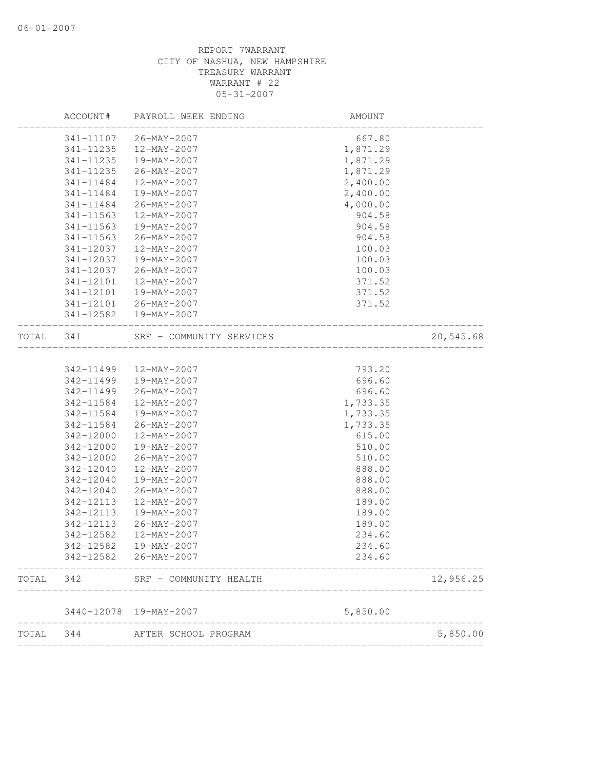| TOTAL | 344                    | AFTER SCHOOL PROGRAM             |                              | 5,850.00  |
|-------|------------------------|----------------------------------|------------------------------|-----------|
|       |                        | 3440-12078 19-MAY-2007           | 5,850.00                     |           |
| TOTAL | 342                    | SRF - COMMUNITY HEALTH           |                              | 12,956.25 |
|       |                        | 342-12582 26-MAY-2007            | 234.60                       |           |
|       | 342-12582              | 19-MAY-2007                      | 234.60                       |           |
|       | 342-12582              | $12 - MAX - 2007$                | 234.60                       |           |
|       | 342-12113              | 26-MAY-2007                      | 189.00                       |           |
|       | 342-12113              | 19-MAY-2007                      | 189.00                       |           |
|       | 342-12113              | 12-MAY-2007                      | 189.00                       |           |
|       | 342-12040              | $26 - MAX - 2007$                | 888.00                       |           |
|       | 342-12040              | 19-MAY-2007                      | 888.00                       |           |
|       | 342-12040              | 12-MAY-2007                      | 888.00                       |           |
|       | 342-12000              | 26-MAY-2007                      | 510.00                       |           |
|       | 342-12000              | 19-MAY-2007                      | 510.00                       |           |
|       | 342-12000              | 12-MAY-2007                      | 615.00                       |           |
|       | 342-11584              | 26-MAY-2007                      | 1,733.35                     |           |
|       | 342-11584              | 19-MAY-2007                      | 1,733.35                     |           |
|       | 342-11584              | 12-MAY-2007                      | 1,733.35                     |           |
|       | 342-11499<br>342-11499 | $26 - MAX - 2007$                | 696.60<br>696.60             |           |
|       | 342-11499              | 12-MAY-2007<br>19-MAY-2007       | 793.20                       |           |
| TOTAL | 341                    | SRF - COMMUNITY SERVICES         | ---------------------------- | 20,545.68 |
|       |                        | 341-12582  19-MAY-2007           |                              |           |
|       | 341-12101              | 26-MAY-2007                      | 371.52                       |           |
|       | 341-12101              | 19-MAY-2007                      | 371.52                       |           |
|       | 341-12101              | 12-MAY-2007                      | 371.52                       |           |
|       | 341-12037              | 26-MAY-2007                      | 100.03                       |           |
|       | 341-12037              | 19-MAY-2007                      | 100.03                       |           |
|       | 341-12037              | 12-MAY-2007                      | 100.03                       |           |
|       | $341 - 11563$          | 26-MAY-2007                      | 904.58                       |           |
|       | $341 - 11563$          | 19-MAY-2007                      | 904.58                       |           |
|       | 341-11484<br>341-11563 | 26-MAY-2007<br>$12 - MAX - 2007$ | 4,000.00<br>904.58           |           |
|       | 341-11484              | 19-MAY-2007                      | 2,400.00                     |           |
|       | 341-11484              | 12-MAY-2007                      | 2,400.00                     |           |
|       | 341-11235              | 26-MAY-2007                      | 1,871.29                     |           |
|       | 341-11235              | 19-MAY-2007                      | 1,871.29                     |           |
|       | 341-11235              | 12-MAY-2007                      | 1,871.29                     |           |
|       | 341-11107              | 26-MAY-2007                      | 667.80                       |           |
|       |                        |                                  |                              |           |
|       | ACCOUNT#               | PAYROLL WEEK ENDING              | AMOUNT                       |           |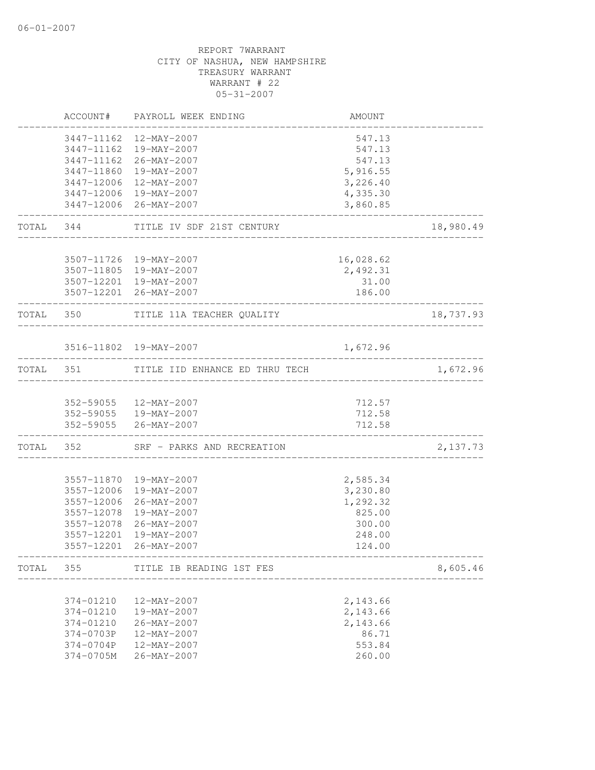|                                                                            | ACCOUNT# PAYROLL WEEK ENDING                                                                                                                      | AMOUNT                                                                   |           |
|----------------------------------------------------------------------------|---------------------------------------------------------------------------------------------------------------------------------------------------|--------------------------------------------------------------------------|-----------|
| 3447-11162<br>3447-11860                                                   | 3447-11162 12-MAY-2007<br>3447-11162 19-MAY-2007<br>26-MAY-2007<br>19-MAY-2007<br>3447-12006 12-MAY-2007                                          | 547.13<br>547.13<br>547.13<br>5,916.55<br>3,226.40                       |           |
|                                                                            | 3447-12006 19-MAY-2007<br>3447-12006 26-MAY-2007                                                                                                  | 4,335.30<br>3,860.85                                                     |           |
|                                                                            | TOTAL 344 TITLE IV SDF 21ST CENTURY                                                                                                               |                                                                          | 18,980.49 |
|                                                                            | 3507-11726 19-MAY-2007<br>3507-11805 19-MAY-2007<br>3507-12201 19-MAY-2007<br>3507-12201 26-MAY-2007                                              | 16,028.62<br>2,492.31<br>31.00<br>186.00<br>___________________          |           |
|                                                                            | TOTAL 350 TITLE 11A TEACHER QUALITY                                                                                                               | ___________________________                                              | 18,737.93 |
|                                                                            | 3516-11802 19-MAY-2007                                                                                                                            | 1,672.96                                                                 |           |
|                                                                            | TOTAL 351 TITLE IID ENHANCE ED THRU TECH                                                                                                          |                                                                          | 1,672.96  |
|                                                                            | 352-59055 12-MAY-2007<br>352-59055   19-MAY-2007<br>352-59055 26-MAY-2007                                                                         | 712.57<br>712.58<br>712.58                                               |           |
| ________________                                                           | TOTAL 352 SRF - PARKS AND RECREATION                                                                                                              |                                                                          | 2,137.73  |
| 3557-12006<br>3557-12078<br>3557-12201                                     | 3557-11870 19-MAY-2007<br>3557-12006 19-MAY-2007<br>26-MAY-2007<br>3557-12078 19-MAY-2007<br>26-MAY-2007<br>19-MAY-2007<br>3557-12201 26-MAY-2007 | 2,585.34<br>3,230.80<br>1,292.32<br>825.00<br>300.00<br>248.00<br>124.00 |           |
| TOTAL 355                                                                  | TITLE IB READING 1ST FES                                                                                                                          |                                                                          | 8,605.46  |
| 374-01210<br>374-01210<br>374-01210<br>374-0703P<br>374-0704P<br>374-0705M | 12-MAY-2007<br>19-MAY-2007<br>$26 - MAX - 2007$<br>12-MAY-2007<br>12-MAY-2007<br>26-MAY-2007                                                      | 2,143.66<br>2,143.66<br>2,143.66<br>86.71<br>553.84<br>260.00            |           |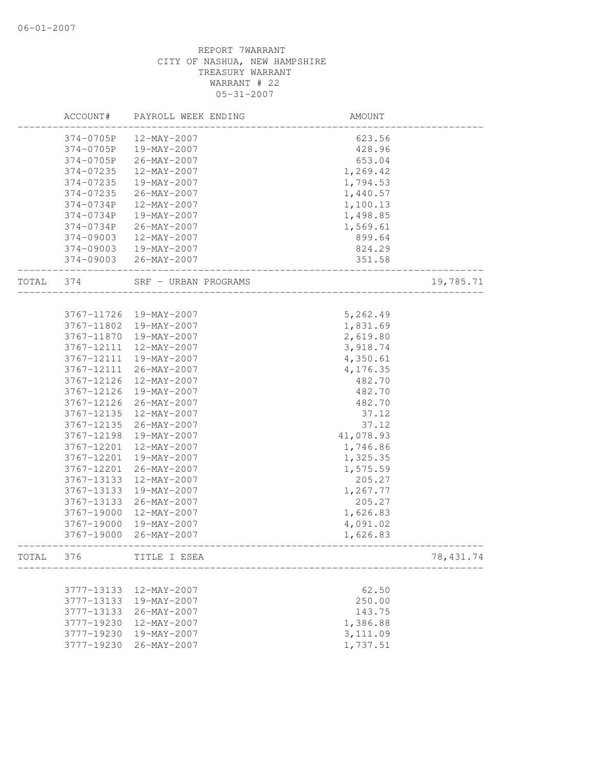|       | ACCOUNT#      | PAYROLL WEEK ENDING   | AMOUNT    |            |
|-------|---------------|-----------------------|-----------|------------|
|       | 374-0705P     | 12-MAY-2007           | 623.56    |            |
|       | 374-0705P     | 19-MAY-2007           | 428.96    |            |
|       | 374-0705P     | 26-MAY-2007           | 653.04    |            |
|       | 374-07235     | $12 - MAX - 2007$     | 1,269.42  |            |
|       | 374-07235     | 19-MAY-2007           | 1,794.53  |            |
|       | 374-07235     | 26-MAY-2007           | 1,440.57  |            |
|       | 374-0734P     | 12-MAY-2007           | 1,100.13  |            |
|       | 374-0734P     | 19-MAY-2007           | 1,498.85  |            |
|       | 374-0734P     | 26-MAY-2007           | 1,569.61  |            |
|       | $374 - 09003$ | 12-MAY-2007           | 899.64    |            |
|       | 374-09003     | 19-MAY-2007           | 824.29    |            |
|       |               | 374-09003 26-MAY-2007 | 351.58    |            |
| TOTAL | 374           | SRF - URBAN PROGRAMS  |           | 19,785.71  |
|       |               |                       |           |            |
|       | 3767-11726    | 19-MAY-2007           | 5,262.49  |            |
|       | 3767-11802    | 19-MAY-2007           | 1,831.69  |            |
|       | 3767-11870    | 19-MAY-2007           | 2,619.80  |            |
|       | 3767-12111    | 12-MAY-2007           | 3,918.74  |            |
|       | 3767-12111    | 19-MAY-2007           | 4,350.61  |            |
|       | 3767-12111    | 26-MAY-2007           | 4,176.35  |            |
|       | 3767-12126    | 12-MAY-2007           | 482.70    |            |
|       | 3767-12126    | 19-MAY-2007           | 482.70    |            |
|       | 3767-12126    | 26-MAY-2007           | 482.70    |            |
|       | 3767-12135    | 12-MAY-2007           | 37.12     |            |
|       | 3767-12135    | 26-MAY-2007           | 37.12     |            |
|       | 3767-12198    | 19-MAY-2007           | 41,078.93 |            |
|       | 3767-12201    | 12-MAY-2007           | 1,746.86  |            |
|       | 3767-12201    | 19-MAY-2007           | 1,325.35  |            |
|       | 3767-12201    | 26-MAY-2007           | 1,575.59  |            |
|       | 3767-13133    | 12-MAY-2007           | 205.27    |            |
|       | 3767-13133    | 19-MAY-2007           | 1,267.77  |            |
|       | 3767-13133    | 26-MAY-2007           | 205.27    |            |
|       | 3767-19000    | 12-MAY-2007           | 1,626.83  |            |
|       | 3767-19000    | 19-MAY-2007           | 4,091.02  |            |
|       | 3767-19000    | 26-MAY-2007           | 1,626.83  |            |
| TOTAL | 376           | TITLE I ESEA          |           | 78, 431.74 |
|       |               |                       |           |            |
|       | 3777-13133    | 12-MAY-2007           | 62.50     |            |
|       | 3777-13133    | 19-MAY-2007           | 250.00    |            |
|       | 3777-13133    | 26-MAY-2007           | 143.75    |            |
|       | 3777-19230    | $12 - MAX - 2007$     | 1,386.88  |            |
|       | 3777-19230    | 19-MAY-2007           | 3,111.09  |            |
|       | 3777-19230    | $26 - MAY - 2007$     | 1,737.51  |            |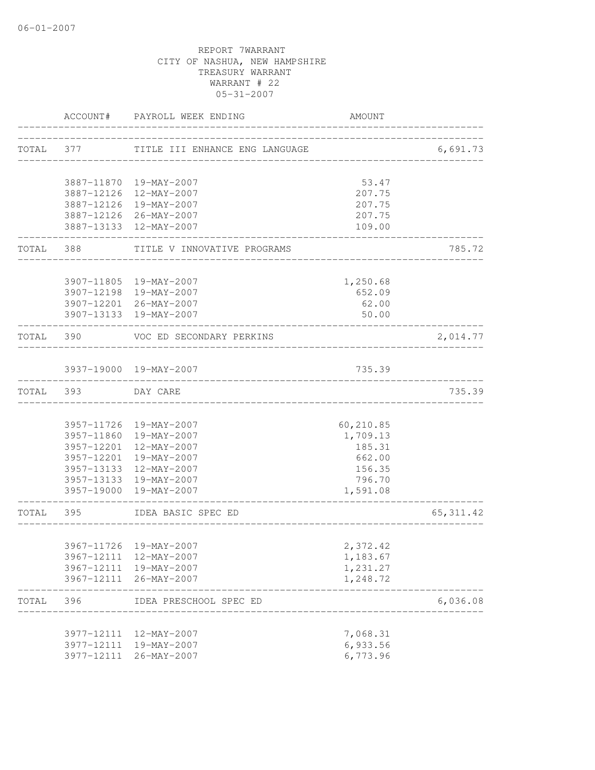|           |           | ACCOUNT# PAYROLL WEEK ENDING                           | <b>AMOUNT</b> |            |
|-----------|-----------|--------------------------------------------------------|---------------|------------|
|           | TOTAL 377 | TITLE III ENHANCE ENG LANGUAGE                         |               | 6,691.73   |
|           |           |                                                        |               |            |
|           |           | 3887-11870 19-MAY-2007                                 | 53.47         |            |
|           |           | 3887-12126 12-MAY-2007                                 | 207.75        |            |
|           |           | 3887-12126 19-MAY-2007                                 | 207.75        |            |
|           |           | 3887-12126 26-MAY-2007                                 | 207.75        |            |
|           |           | 3887-13133 12-MAY-2007                                 | 109.00        |            |
|           |           | TOTAL 388 TITLE V INNOVATIVE PROGRAMS                  |               | 785.72     |
|           |           | 3907-11805 19-MAY-2007                                 | 1,250.68      |            |
|           |           | 3907-12198 19-MAY-2007                                 | 652.09        |            |
|           |           | 3907-12201 26-MAY-2007                                 | 62.00         |            |
|           |           | 3907-13133 19-MAY-2007                                 | 50.00         |            |
| TOTAL 390 |           | VOC ED SECONDARY PERKINS<br>__________________________ |               | 2,014.77   |
|           |           | 3937-19000 19-MAY-2007                                 | 735.39        |            |
| TOTAL 393 |           | DAY CARE                                               |               | 735.39     |
|           |           |                                                        |               |            |
|           |           | 3957-11726 19-MAY-2007                                 | 60,210.85     |            |
|           |           | 3957-11860 19-MAY-2007                                 | 1,709.13      |            |
|           |           | 3957-12201 12-MAY-2007                                 | 185.31        |            |
|           |           | 3957-12201 19-MAY-2007                                 | 662.00        |            |
|           |           | 3957-13133 12-MAY-2007                                 | 156.35        |            |
|           |           | 3957-13133 19-MAY-2007                                 | 796.70        |            |
|           |           | 3957-19000 19-MAY-2007                                 | 1,591.08      |            |
| TOTAL 395 |           | IDEA BASIC SPEC ED                                     |               | 65, 311.42 |
|           |           |                                                        |               |            |
|           |           | 3967-11726 19-MAY-2007                                 | 2,372.42      |            |
|           |           | 3967-12111 12-MAY-2007                                 | 1,183.67      |            |
|           |           | 3967-12111 19-MAY-2007                                 | 1,231.27      |            |
|           |           | 3967-12111 26-MAY-2007                                 | 1,248.72      |            |
| TOTAL     | 396       | IDEA PRESCHOOL SPEC ED<br>_________________________    |               | 6,036.08   |
|           |           | 3977-12111 12-MAY-2007                                 | 7,068.31      |            |
|           |           | 3977-12111 19-MAY-2007                                 | 6,933.56      |            |
|           |           | 3977-12111 26-MAY-2007                                 | 6,773.96      |            |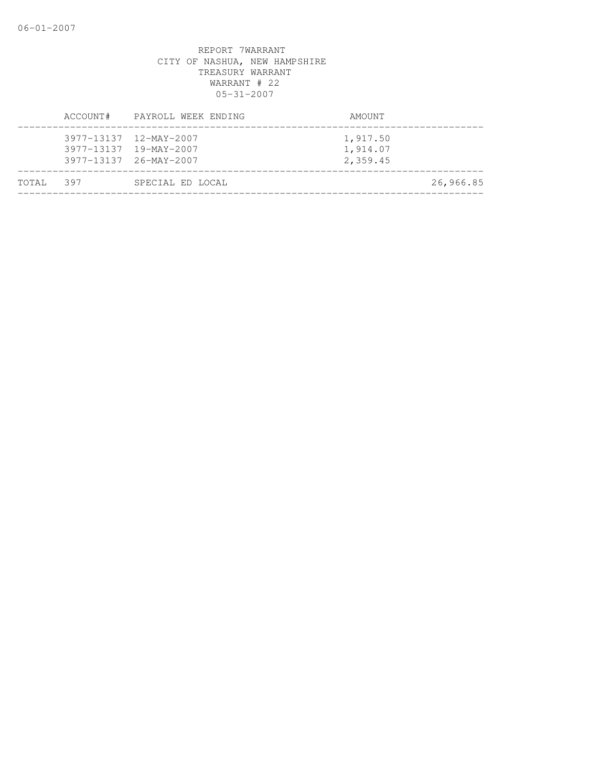|           | ACCOUNT# PAYROLL WEEK ENDING                                               | AMOUNT                           |
|-----------|----------------------------------------------------------------------------|----------------------------------|
|           | 3977-13137 12-MAY-2007<br>3977-13137 19-MAY-2007<br>3977-13137 26-MAY-2007 | 1,917.50<br>1,914.07<br>2,359.45 |
| TOTAL 397 | SPECIAL ED LOCAL                                                           | 26,966.85                        |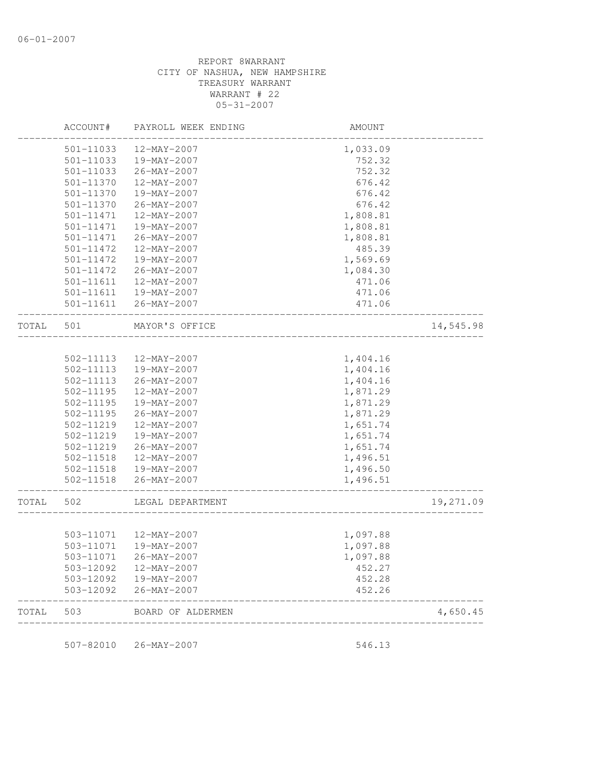|       | ACCOUNT#      | PAYROLL WEEK ENDING    | AMOUNT                                 |           |
|-------|---------------|------------------------|----------------------------------------|-----------|
|       | 501-11033     | 12-MAY-2007            | 1,033.09                               |           |
|       | 501-11033     | 19-MAY-2007            | 752.32                                 |           |
|       | 501-11033     | 26-MAY-2007            | 752.32                                 |           |
|       | 501-11370     | 12-MAY-2007            | 676.42                                 |           |
|       | 501-11370     | 19-MAY-2007            | 676.42                                 |           |
|       | 501-11370     | 26-MAY-2007            | 676.42                                 |           |
|       | 501-11471     | 12-MAY-2007            | 1,808.81                               |           |
|       | 501-11471     | 19-MAY-2007            | 1,808.81                               |           |
|       | 501-11471     | 26-MAY-2007            | 1,808.81                               |           |
|       | 501-11472     | 12-MAY-2007            | 485.39                                 |           |
|       | 501-11472     | 19-MAY-2007            | 1,569.69                               |           |
|       | 501-11472     | 26-MAY-2007            | 1,084.30                               |           |
|       | 501-11611     | 12-MAY-2007            | 471.06                                 |           |
|       | 501-11611     | 19-MAY-2007            | 471.06                                 |           |
|       | 501-11611     | 26-MAY-2007            | 471.06                                 |           |
| TOTAL | 501           | MAYOR'S OFFICE         | ______________________________________ | 14,545.98 |
|       |               |                        |                                        |           |
|       | 502-11113     | 12-MAY-2007            | 1,404.16                               |           |
|       | 502-11113     | 19-MAY-2007            | 1,404.16                               |           |
|       | 502-11113     | 26-MAY-2007            | 1,404.16                               |           |
|       | $502 - 11195$ | 12-MAY-2007            | 1,871.29                               |           |
|       | 502-11195     | 19-MAY-2007            | 1,871.29                               |           |
|       | 502-11195     | 26-MAY-2007            | 1,871.29                               |           |
|       | 502-11219     | 12-MAY-2007            | 1,651.74                               |           |
|       | 502-11219     | 19-MAY-2007            | 1,651.74                               |           |
|       | 502-11219     | 26-MAY-2007            | 1,651.74                               |           |
|       | 502-11518     | 12-MAY-2007            | 1,496.51                               |           |
|       |               | 502-11518  19-MAY-2007 | 1,496.50                               |           |
|       | 502-11518     | 26-MAY-2007            | 1,496.51<br>______________________     |           |
| TOTAL | 502           | LEGAL DEPARTMENT       |                                        | 19,271.09 |
|       |               |                        |                                        |           |
|       |               | 503-11071  12-MAY-2007 | 1,097.88                               |           |
|       | 503-11071     | 19-MAY-2007            | 1,097.88                               |           |
|       | 503-11071     | 26-MAY-2007            | 1,097.88                               |           |
|       | 503-12092     | 12-MAY-2007            | 452.27                                 |           |
|       | 503-12092     | 19-MAY-2007            | 452.28                                 |           |
|       | 503-12092     | 26-MAY-2007            | 452.26                                 |           |
| TOTAL | 503           | BOARD OF ALDERMEN      |                                        | 4,650.45  |

507-82010 26-MAY-2007 546.13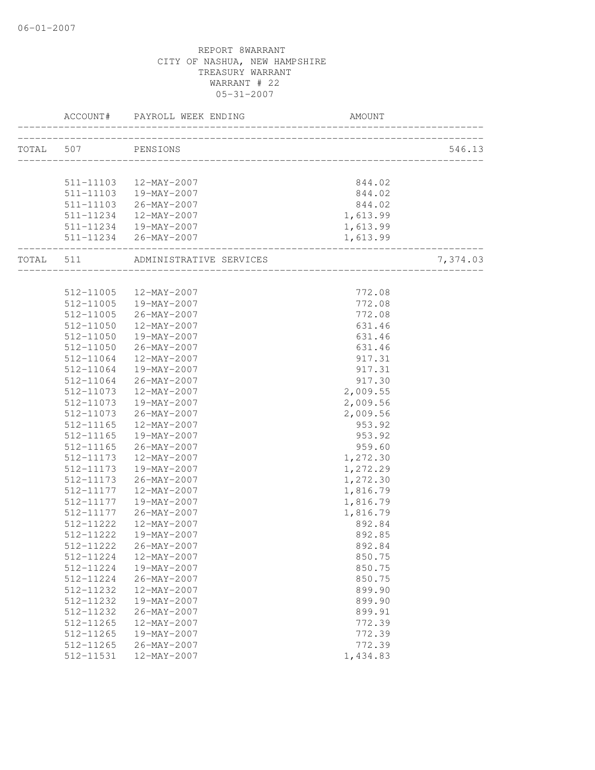| TOTAL 507 PENSIONS |                                                 |                  | 546.13   |
|--------------------|-------------------------------------------------|------------------|----------|
|                    |                                                 |                  |          |
|                    | 511-11103  12-MAY-2007                          |                  |          |
|                    | 511-11103  19-MAY-2007                          | 844.02<br>844.02 |          |
|                    | 511-11103 26-MAY-2007                           | 844.02           |          |
|                    |                                                 | 1,613.99         |          |
|                    | 511-11234 12-MAY-2007<br>511-11234  19-MAY-2007 | 1,613.99         |          |
|                    | 511-11234 26-MAY-2007                           | 1,613.99         |          |
|                    |                                                 |                  |          |
|                    | TOTAL 511 ADMINISTRATIVE SERVICES               |                  | 7,374.03 |
|                    |                                                 |                  |          |
|                    | 512-11005 12-MAY-2007                           | 772.08           |          |
|                    | 512-11005  19-MAY-2007                          | 772.08           |          |
| 512-11005          | $26 - \text{MAX} - 2007$                        | 772.08           |          |
| 512-11050          | 12-MAY-2007                                     | 631.46           |          |
| 512-11050          | 19-MAY-2007                                     | 631.46           |          |
| 512-11050          | 26-MAY-2007                                     | 631.46           |          |
| 512-11064          | 12-MAY-2007                                     | 917.31           |          |
| 512-11064          | 19-MAY-2007                                     | 917.31           |          |
| 512-11064          | 26-MAY-2007                                     | 917.30           |          |
| 512-11073          | 12-MAY-2007                                     | 2,009.55         |          |
| 512-11073          | 19-MAY-2007                                     | 2,009.56         |          |
| 512-11073          | 26-MAY-2007                                     | 2,009.56         |          |
| 512-11165          | 12-MAY-2007                                     | 953.92           |          |
| 512-11165          | 19-MAY-2007                                     | 953.92           |          |
| 512-11165          | 26-MAY-2007                                     | 959.60           |          |
| 512-11173          | 12-MAY-2007                                     | 1,272.30         |          |
| 512-11173          | 19-MAY-2007                                     | 1,272.29         |          |
| 512-11173          | 26-MAY-2007                                     | 1,272.30         |          |
| 512-11177          | 12-MAY-2007                                     | 1,816.79         |          |
| 512-11177          | 19-MAY-2007                                     | 1,816.79         |          |
| 512-11177          | 26-MAY-2007                                     | 1,816.79         |          |
| 512-11222          | 12-MAY-2007                                     | 892.84           |          |
| 512-11222          | 19-MAY-2007                                     | 892.85           |          |
|                    | 512-11222 26-MAY-2007                           | 892.84           |          |
| 512-11224          | 12-MAY-2007                                     | 850.75           |          |
| 512-11224          | 19-MAY-2007                                     | 850.75           |          |
| 512-11224          | $26 - MAX - 2007$                               | 850.75           |          |
| 512-11232          | $12 - MAX - 2007$                               | 899.90           |          |
| 512-11232          | 19-MAY-2007                                     | 899.90           |          |
| 512-11232          | $26 - MAX - 2007$                               | 899.91           |          |
| 512-11265          | 12-MAY-2007                                     | 772.39           |          |
| 512-11265          | 19-MAY-2007                                     | 772.39           |          |
| 512-11265          | $26 - MAX - 2007$                               | 772.39           |          |
| 512-11531          | 12-MAY-2007                                     | 1,434.83         |          |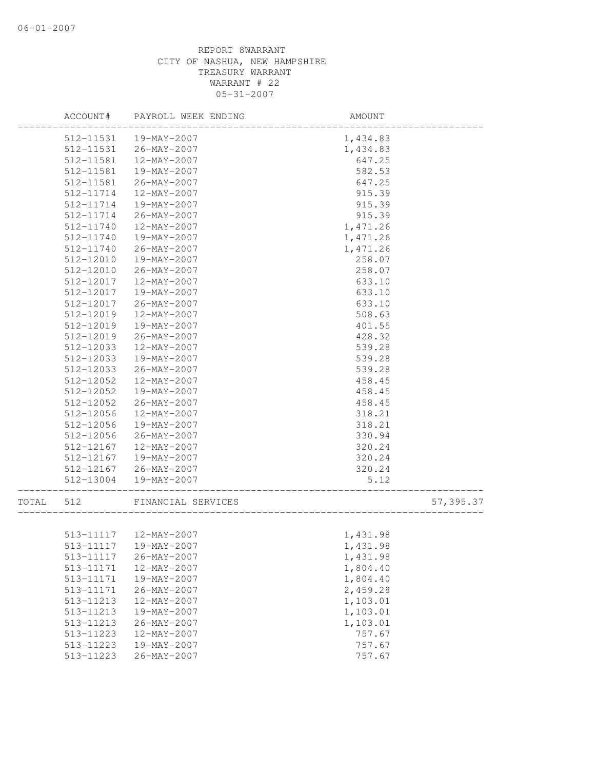|       | ACCOUNT#  | PAYROLL WEEK ENDING    | AMOUNT   |           |
|-------|-----------|------------------------|----------|-----------|
|       | 512-11531 | 19-MAY-2007            | 1,434.83 |           |
|       | 512-11531 | 26-MAY-2007            | 1,434.83 |           |
|       | 512-11581 | 12-MAY-2007            | 647.25   |           |
|       | 512-11581 | 19-MAY-2007            | 582.53   |           |
|       | 512-11581 | 26-MAY-2007            | 647.25   |           |
|       | 512-11714 | 12-MAY-2007            | 915.39   |           |
|       | 512-11714 | 19-MAY-2007            | 915.39   |           |
|       | 512-11714 | 26-MAY-2007            | 915.39   |           |
|       | 512-11740 | 12-MAY-2007            | 1,471.26 |           |
|       | 512-11740 | 19-MAY-2007            | 1,471.26 |           |
|       | 512-11740 | 26-MAY-2007            | 1,471.26 |           |
|       | 512-12010 | 19-MAY-2007            | 258.07   |           |
|       | 512-12010 | 26-MAY-2007            | 258.07   |           |
|       | 512-12017 | 12-MAY-2007            | 633.10   |           |
|       | 512-12017 | 19-MAY-2007            | 633.10   |           |
|       | 512-12017 | 26-MAY-2007            | 633.10   |           |
|       | 512-12019 | 12-MAY-2007            | 508.63   |           |
|       | 512-12019 | 19-MAY-2007            | 401.55   |           |
|       | 512-12019 | $26 - MAX - 2007$      | 428.32   |           |
|       | 512-12033 | 12-MAY-2007            | 539.28   |           |
|       | 512-12033 | 19-MAY-2007            | 539.28   |           |
|       | 512-12033 | 26-MAY-2007            | 539.28   |           |
|       | 512-12052 | 12-MAY-2007            | 458.45   |           |
|       | 512-12052 | 19-MAY-2007            | 458.45   |           |
|       | 512-12052 | 26-MAY-2007            | 458.45   |           |
|       | 512-12056 | 12-MAY-2007            | 318.21   |           |
|       | 512-12056 | 19-MAY-2007            | 318.21   |           |
|       | 512-12056 | 26-MAY-2007            | 330.94   |           |
|       | 512-12167 | 12-MAY-2007            | 320.24   |           |
|       | 512-12167 | 19-MAY-2007            | 320.24   |           |
|       | 512-12167 | 26-MAY-2007            | 320.24   |           |
|       | 512-13004 | 19-MAY-2007            | 5.12     |           |
| TOTAL | 512       | FINANCIAL SERVICES     |          | 57,395.37 |
|       |           |                        |          |           |
|       |           | 513-11117  12-MAY-2007 | 1,431.98 |           |
|       |           | 513-11117  19-MAY-2007 | 1,431.98 |           |
|       | 513-11117 | 26-MAY-2007            | 1,431.98 |           |
|       | 513-11171 | 12-MAY-2007            | 1,804.40 |           |
|       | 513-11171 | 19-MAY-2007            | 1,804.40 |           |
|       | 513-11171 | $26 - MAY - 2007$      | 2,459.28 |           |
|       | 513-11213 | 12-MAY-2007            | 1,103.01 |           |
|       | 513-11213 | 19-MAY-2007            | 1,103.01 |           |
|       | 513-11213 | 26-MAY-2007            | 1,103.01 |           |
|       | 513-11223 | $12 - MAX - 2007$      | 757.67   |           |
|       | 513-11223 | 19-MAY-2007            | 757.67   |           |
|       | 513-11223 | $26 - MAX - 2007$      | 757.67   |           |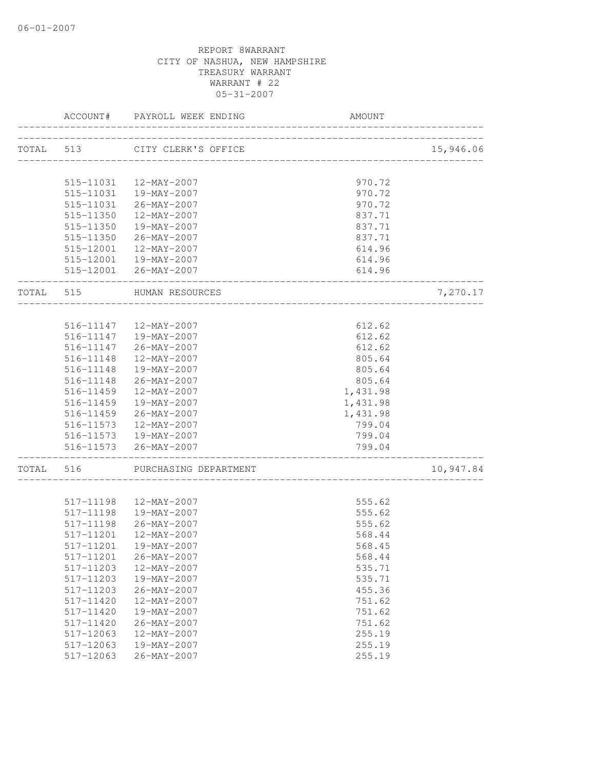|           | ACCOUNT#            | PAYROLL WEEK ENDING                    | AMOUNT                                     |           |
|-----------|---------------------|----------------------------------------|--------------------------------------------|-----------|
|           |                     | TOTAL 513 CITY CLERK'S OFFICE          |                                            | 15,946.06 |
|           |                     |                                        | -------------------------------            |           |
|           |                     | 515-11031  12-MAY-2007                 | 970.72                                     |           |
|           |                     | 515-11031  19-MAY-2007                 | 970.72                                     |           |
|           |                     | 515-11031 26-MAY-2007                  | 970.72                                     |           |
|           | 515-11350           | 12-MAY-2007                            | 837.71                                     |           |
|           | 515-11350           | 19-MAY-2007                            | 837.71                                     |           |
|           |                     | 515-11350 26-MAY-2007                  | 837.71                                     |           |
|           |                     | 515-12001  12-MAY-2007                 | 614.96                                     |           |
|           |                     | 515-12001  19-MAY-2007                 | 614.96                                     |           |
|           |                     | 515-12001 26-MAY-2007                  | 614.96                                     |           |
| TOTAL 515 |                     | HUMAN RESOURCES<br>___________________ |                                            | 7,270.17  |
|           |                     | 516-11147  12-MAY-2007                 | 612.62                                     |           |
|           |                     | 516-11147  19-MAY-2007                 | 612.62                                     |           |
|           |                     | 516-11147 26-MAY-2007                  | 612.62                                     |           |
|           |                     | 516-11148  12-MAY-2007                 | 805.64                                     |           |
|           |                     | 516-11148  19-MAY-2007                 | 805.64                                     |           |
|           |                     | 516-11148 26-MAY-2007                  | 805.64                                     |           |
|           | 516-11459           | 12-MAY-2007                            |                                            |           |
|           | 516-11459           | 19-MAY-2007                            | 1,431.98                                   |           |
|           |                     |                                        | 1,431.98                                   |           |
|           |                     | 516-11459 26-MAY-2007                  | 1,431.98                                   |           |
|           | 516-11573           | 12-MAY-2007<br>516-11573  19-MAY-2007  | 799.04                                     |           |
|           |                     |                                        | 799.04                                     |           |
|           | ------------------- | 516-11573 26-MAY-2007                  | 799.04<br>________________________________ |           |
| TOTAL     | 516                 | PURCHASING DEPARTMENT                  |                                            | 10,947.84 |
|           |                     |                                        |                                            |           |
|           |                     | 517-11198  12-MAY-2007                 | 555.62                                     |           |
|           | 517-11198           | 19-MAY-2007                            | 555.62                                     |           |
|           | 517-11198           | 26-MAY-2007                            | 555.62                                     |           |
|           | 517-11201           | 12-MAY-2007                            | 568.44                                     |           |
|           |                     |                                        | 568.45                                     |           |
|           | 517-11201           | 26-MAY-2007                            | 568.44                                     |           |
|           | 517-11203           | 12-MAY-2007                            | 535.71                                     |           |
|           | 517-11203           | 19-MAY-2007                            | 535.71                                     |           |
|           | 517-11203           | 26-MAY-2007                            | 455.36                                     |           |
|           | 517-11420           | $12 - MAX - 2007$                      | 751.62                                     |           |
|           | 517-11420           | 19-MAY-2007                            | 751.62                                     |           |
|           | 517-11420           | 26-MAY-2007                            | 751.62                                     |           |
|           | 517-12063           | $12 - MAX - 2007$                      | 255.19                                     |           |
|           | 517-12063           | 19-MAY-2007                            | 255.19                                     |           |
|           | 517-12063           | $26 - MAY - 2007$                      | 255.19                                     |           |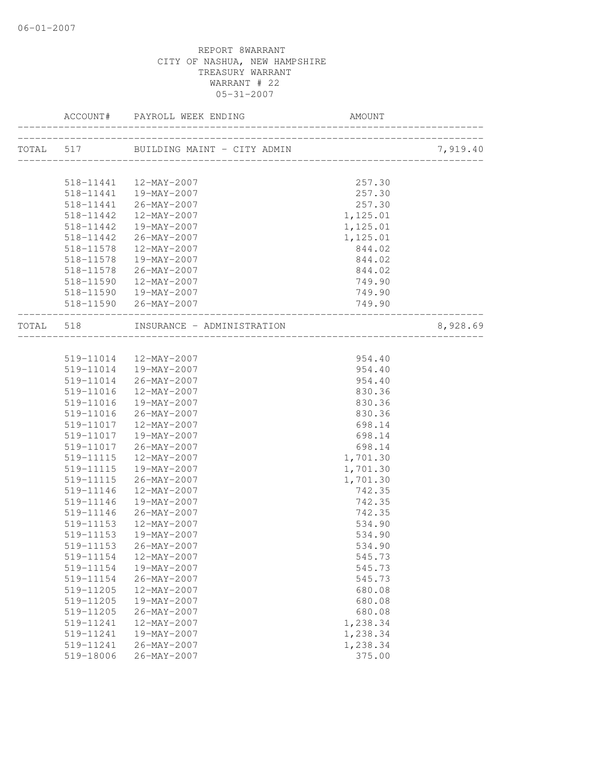| ______________________ |                                      |                      | 7,919.40 |
|------------------------|--------------------------------------|----------------------|----------|
|                        |                                      |                      |          |
|                        | 518-11441  12-MAY-2007               | 257.30               |          |
|                        | 518-11441  19-MAY-2007               | 257.30               |          |
| 518-11442              | 518-11441 26-MAY-2007<br>12-MAY-2007 | 257.30<br>1, 125.01  |          |
|                        | 19-MAY-2007                          |                      |          |
| 518-11442              |                                      | 1,125.01             |          |
| 518-11442              | $26 - \text{MAX} - 2007$             | 1,125.01             |          |
| 518-11578              | $12 - \text{MAY} - 2007$             | 844.02               |          |
| 518-11578              | 19-MAY-2007                          | 844.02               |          |
|                        | 518-11578 26-MAY-2007                | 844.02               |          |
| 518-11590              | 12-MAY-2007                          | 749.90               |          |
|                        | 518-11590  19-MAY-2007               | 749.90               |          |
|                        | 518-11590 26-MAY-2007                | 749.90               |          |
|                        | TOTAL 518 INSURANCE - ADMINISTRATION |                      | 8,928.69 |
|                        | 519-11014  12-MAY-2007               | 954.40               |          |
|                        | 519-11014  19-MAY-2007               | 954.40               |          |
| 519-11014              | 26-MAY-2007                          | 954.40               |          |
| 519-11016              | $12 - \text{MAX} - 2007$             | 830.36               |          |
| 519-11016              | 19-MAY-2007                          | 830.36               |          |
| 519-11016              | 26-MAY-2007                          | 830.36               |          |
| 519-11017              | 12-MAY-2007                          | 698.14               |          |
| 519-11017              | 19-MAY-2007                          | 698.14               |          |
| 519-11017              | 26-MAY-2007                          | 698.14               |          |
| 519-11115              | 12-MAY-2007                          |                      |          |
| 519-11115              | 19-MAY-2007                          | 1,701.30<br>1,701.30 |          |
| 519-11115              | 26-MAY-2007                          | 1,701.30             |          |
| 519-11146              | 12-MAY-2007                          | 742.35               |          |
| 519-11146              | 19-MAY-2007                          | 742.35               |          |
| 519-11146              | 26-MAY-2007                          | 742.35               |          |
| 519-11153              | 12-MAY-2007                          | 534.90               |          |
| 519-11153              | 19-MAY-2007                          | 534.90               |          |
| 519-11153              | 26-MAY-2007                          | 534.90               |          |
| 519-11154              | 12-MAY-2007                          | 545.73               |          |
| 519-11154              | 19-MAY-2007                          | 545.73               |          |
| 519-11154              | $26 - MAX - 2007$                    | 545.73               |          |
| 519-11205              | 12-MAY-2007                          | 680.08               |          |
| 519-11205              | 19-MAY-2007                          | 680.08               |          |
| 519-11205              | $26 - MAX - 2007$                    | 680.08               |          |
| 519-11241              | $12 - MAX - 2007$                    | 1,238.34             |          |
| 519-11241              | 19-MAY-2007                          | 1,238.34             |          |
| 519-11241              | 26-MAY-2007                          | 1,238.34             |          |
| 519-18006              | $26 - MAX - 2007$                    | 375.00               |          |
|                        |                                      |                      |          |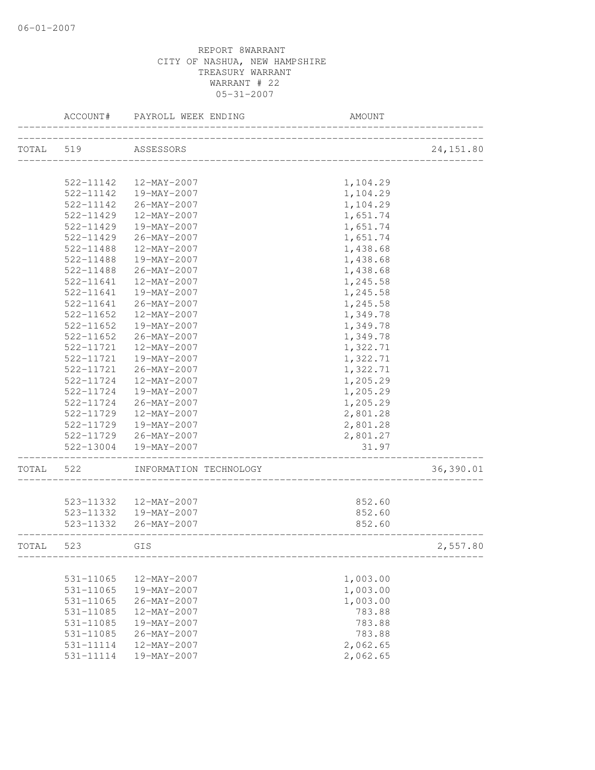|           | ACCOUNT#            | PAYROLL WEEK ENDING                                                   | AMOUNT                             |            |
|-----------|---------------------|-----------------------------------------------------------------------|------------------------------------|------------|
|           | TOTAL 519 ASSESSORS |                                                                       |                                    | 24, 151.80 |
|           |                     |                                                                       |                                    |            |
|           | 522-11142           | 12-MAY-2007                                                           | 1,104.29                           |            |
|           | 522-11142           | 19-MAY-2007                                                           | 1,104.29                           |            |
|           | 522-11142           | 26-MAY-2007                                                           | 1,104.29                           |            |
|           | 522-11429           | 12-MAY-2007                                                           | 1,651.74                           |            |
|           | 522-11429           | 19-MAY-2007                                                           | 1,651.74                           |            |
|           | 522-11429           | 26-MAY-2007                                                           | 1,651.74                           |            |
|           | 522-11488           | 12-MAY-2007                                                           | 1,438.68                           |            |
|           | 522-11488           | 19-MAY-2007                                                           | 1,438.68                           |            |
|           | 522-11488           | 26-MAY-2007                                                           | 1,438.68                           |            |
|           | 522-11641           | 12-MAY-2007                                                           | 1,245.58                           |            |
|           | 522-11641           | 19-MAY-2007                                                           | 1,245.58                           |            |
|           | 522-11641           | 26-MAY-2007                                                           | 1,245.58                           |            |
|           | 522-11652           | 12-MAY-2007                                                           | 1,349.78                           |            |
|           | 522-11652           | 19-MAY-2007                                                           | 1,349.78                           |            |
|           | $522 - 11652$       | 26-MAY-2007                                                           | 1,349.78                           |            |
|           | $522 - 11721$       | 12-MAY-2007                                                           | 1,322.71                           |            |
|           | 522-11721           | 19-MAY-2007                                                           | 1,322.71                           |            |
|           | 522-11721           | 26-MAY-2007                                                           | 1,322.71                           |            |
|           | 522-11724           | 12-MAY-2007                                                           | 1,205.29                           |            |
|           | 522-11724           | 19-MAY-2007                                                           | 1,205.29                           |            |
|           | 522-11724           | 26-MAY-2007                                                           | 1,205.29                           |            |
|           | 522-11729           | 12-MAY-2007                                                           | 2,801.28                           |            |
|           | 522-11729           | 19-MAY-2007                                                           | 2,801.28                           |            |
|           |                     | 522-11729 26-MAY-2007                                                 | 2,801.27                           |            |
|           |                     | 522-13004  19-MAY-2007                                                | 31.97<br>_________________________ |            |
| TOTAL     | 522                 | INFORMATION TECHNOLOGY                                                |                                    | 36,390.01  |
|           |                     |                                                                       |                                    |            |
|           |                     | 523-11332  12-MAY-2007                                                | 852.60                             |            |
|           |                     | 523-11332  19-MAY-2007                                                | 852.60                             |            |
|           |                     | 523-11332 26-MAY-2007<br>---------<br>------------------------------- | 852.60                             |            |
| TOTAL 523 |                     | GIS                                                                   |                                    | 2,557.80   |
|           |                     |                                                                       |                                    |            |
|           | 531-11065           | 12-MAY-2007                                                           | 1,003.00                           |            |
|           | $531 - 11065$       | 19-MAY-2007                                                           | 1,003.00                           |            |
|           | 531-11065           | $26 - MAY - 2007$                                                     | 1,003.00                           |            |
|           | 531-11085           | 12-MAY-2007                                                           | 783.88                             |            |
|           | 531-11085           | 19-MAY-2007                                                           | 783.88                             |            |
|           | 531-11085           | 26-MAY-2007                                                           | 783.88                             |            |
|           | 531-11114           | 12-MAY-2007                                                           | 2,062.65                           |            |
|           | 531-11114           | 19-MAY-2007                                                           | 2,062.65                           |            |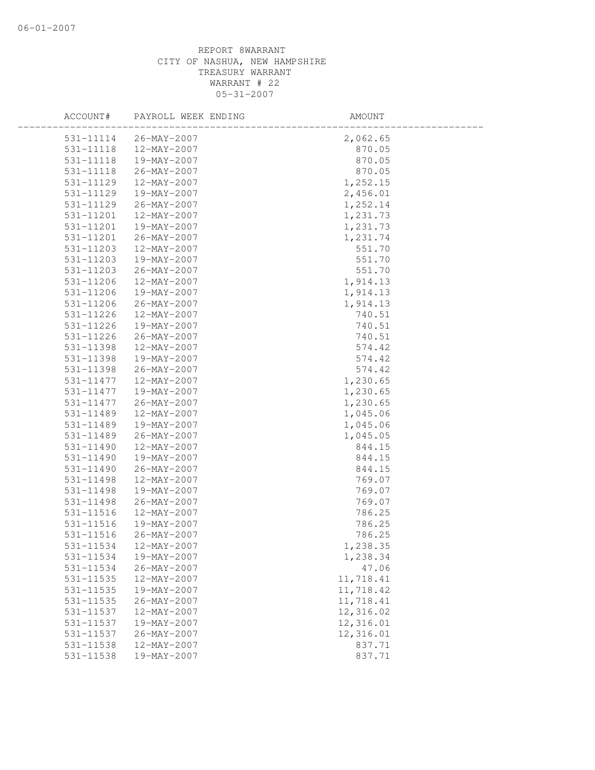|           | ACCOUNT# PAYROLL WEEK ENDING | AMOUNT    |
|-----------|------------------------------|-----------|
|           | 531-11114 26-MAY-2007        | 2,062.65  |
| 531-11118 | 12-MAY-2007                  | 870.05    |
| 531-11118 | 19-MAY-2007                  | 870.05    |
| 531-11118 | 26-MAY-2007                  | 870.05    |
| 531-11129 | 12-MAY-2007                  | 1,252.15  |
| 531-11129 | 19-MAY-2007                  | 2,456.01  |
| 531-11129 | 26-MAY-2007                  | 1,252.14  |
| 531-11201 | 12-MAY-2007                  | 1,231.73  |
| 531-11201 | 19-MAY-2007                  | 1,231.73  |
| 531-11201 | 26-MAY-2007                  | 1,231.74  |
| 531-11203 | 12-MAY-2007                  | 551.70    |
| 531-11203 | 19-MAY-2007                  | 551.70    |
| 531-11203 | 26-MAY-2007                  | 551.70    |
| 531-11206 | 12-MAY-2007                  | 1,914.13  |
| 531-11206 | 19-MAY-2007                  | 1,914.13  |
| 531-11206 | 26-MAY-2007                  | 1,914.13  |
| 531-11226 | 12-MAY-2007                  | 740.51    |
| 531-11226 | 19-MAY-2007                  | 740.51    |
| 531-11226 | 26-MAY-2007                  | 740.51    |
| 531-11398 | $12 - MAX - 2007$            | 574.42    |
| 531-11398 | 19-MAY-2007                  | 574.42    |
| 531-11398 | 26-MAY-2007                  | 574.42    |
| 531-11477 | 12-MAY-2007                  | 1,230.65  |
| 531-11477 | 19-MAY-2007                  | 1,230.65  |
| 531-11477 | 26-MAY-2007                  | 1,230.65  |
| 531-11489 | 12-MAY-2007                  | 1,045.06  |
| 531-11489 | 19-MAY-2007                  | 1,045.06  |
| 531-11489 | 26-MAY-2007                  | 1,045.05  |
| 531-11490 | 12-MAY-2007                  | 844.15    |
| 531-11490 | 19-MAY-2007                  | 844.15    |
| 531-11490 | 26-MAY-2007                  | 844.15    |
| 531-11498 | 12-MAY-2007                  | 769.07    |
| 531-11498 | 19-MAY-2007                  | 769.07    |
| 531-11498 | 26-MAY-2007                  | 769.07    |
| 531-11516 | 12-MAY-2007                  | 786.25    |
| 531-11516 | 19-MAY-2007                  | 786.25    |
| 531-11516 | 26-MAY-2007                  | 786.25    |
| 531-11534 | 12-MAY-2007                  | 1,238.35  |
| 531-11534 | 19-MAY-2007                  | 1,238.34  |
| 531-11534 | $26 - MAY - 2007$            | 47.06     |
| 531-11535 | 12-MAY-2007                  | 11,718.41 |
| 531-11535 | 19-MAY-2007                  | 11,718.42 |
| 531-11535 | $26 - MAX - 2007$            | 11,718.41 |
| 531-11537 | $12 - MAX - 2007$            | 12,316.02 |
| 531-11537 | 19-MAY-2007                  | 12,316.01 |
| 531-11537 | 26-MAY-2007                  | 12,316.01 |
| 531-11538 | 12-MAY-2007                  | 837.71    |
| 531-11538 | 19-MAY-2007                  | 837.71    |
|           |                              |           |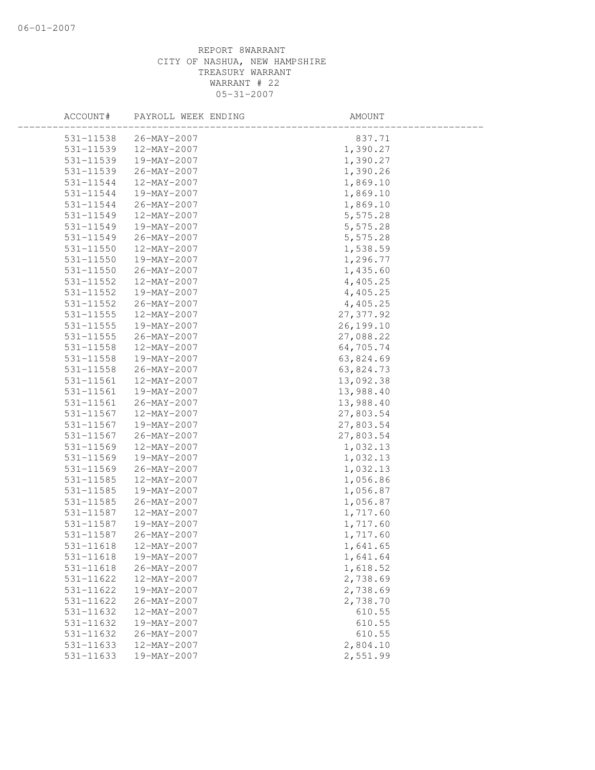| ACCOUNT#      | PAYROLL WEEK ENDING | AMOUNT     |  |
|---------------|---------------------|------------|--|
| 531-11538     | 26-MAY-2007         | 837.71     |  |
| 531-11539     | 12-MAY-2007         | 1,390.27   |  |
| 531-11539     | 19-MAY-2007         | 1,390.27   |  |
| 531-11539     | 26-MAY-2007         | 1,390.26   |  |
| 531-11544     | 12-MAY-2007         | 1,869.10   |  |
| 531-11544     | 19-MAY-2007         | 1,869.10   |  |
| 531-11544     | 26-MAY-2007         | 1,869.10   |  |
| 531-11549     | 12-MAY-2007         | 5,575.28   |  |
| 531-11549     | 19-MAY-2007         | 5,575.28   |  |
| 531-11549     | 26-MAY-2007         | 5,575.28   |  |
| 531-11550     | 12-MAY-2007         | 1,538.59   |  |
| 531-11550     | 19-MAY-2007         | 1,296.77   |  |
| 531-11550     | 26-MAY-2007         | 1,435.60   |  |
| 531-11552     | 12-MAY-2007         | 4,405.25   |  |
| 531-11552     | 19-MAY-2007         | 4,405.25   |  |
| 531-11552     | 26-MAY-2007         | 4,405.25   |  |
| $531 - 11555$ | 12-MAY-2007         | 27, 377.92 |  |
| 531-11555     | 19-MAY-2007         | 26,199.10  |  |
| 531-11555     | 26-MAY-2007         | 27,088.22  |  |
| $531 - 11558$ | 12-MAY-2007         | 64,705.74  |  |
| 531-11558     | 19-MAY-2007         | 63,824.69  |  |
| 531-11558     | 26-MAY-2007         | 63,824.73  |  |
| 531-11561     | 12-MAY-2007         | 13,092.38  |  |
| 531-11561     | 19-MAY-2007         | 13,988.40  |  |
| 531-11561     | 26-MAY-2007         | 13,988.40  |  |
| 531-11567     | 12-MAY-2007         | 27,803.54  |  |
| 531-11567     | 19-MAY-2007         | 27,803.54  |  |
| 531-11567     | $26 - MAX - 2007$   | 27,803.54  |  |
| 531-11569     | 12-MAY-2007         | 1,032.13   |  |
| 531-11569     | 19-MAY-2007         | 1,032.13   |  |
| 531-11569     | 26-MAY-2007         | 1,032.13   |  |
| 531-11585     | 12-MAY-2007         | 1,056.86   |  |
| 531-11585     | 19-MAY-2007         | 1,056.87   |  |
| 531-11585     | 26-MAY-2007         | 1,056.87   |  |
| 531-11587     | 12-MAY-2007         | 1,717.60   |  |
| 531-11587     | 19-MAY-2007         | 1,717.60   |  |
| 531-11587     | 26-MAY-2007         | 1,717.60   |  |
| 531-11618     | 12-MAY-2007         | 1,641.65   |  |
| 531-11618     | 19-MAY-2007         | 1,641.64   |  |
| 531-11618     | $26 - MAY - 2007$   | 1,618.52   |  |
| 531-11622     | 12-MAY-2007         | 2,738.69   |  |
| 531-11622     | 19-MAY-2007         | 2,738.69   |  |
| 531-11622     | 26-MAY-2007         | 2,738.70   |  |
| 531-11632     | 12-MAY-2007         | 610.55     |  |
| 531-11632     | 19-MAY-2007         | 610.55     |  |
| 531-11632     | 26-MAY-2007         | 610.55     |  |
| 531-11633     | 12-MAY-2007         | 2,804.10   |  |
| 531-11633     | 19-MAY-2007         | 2,551.99   |  |
|               |                     |            |  |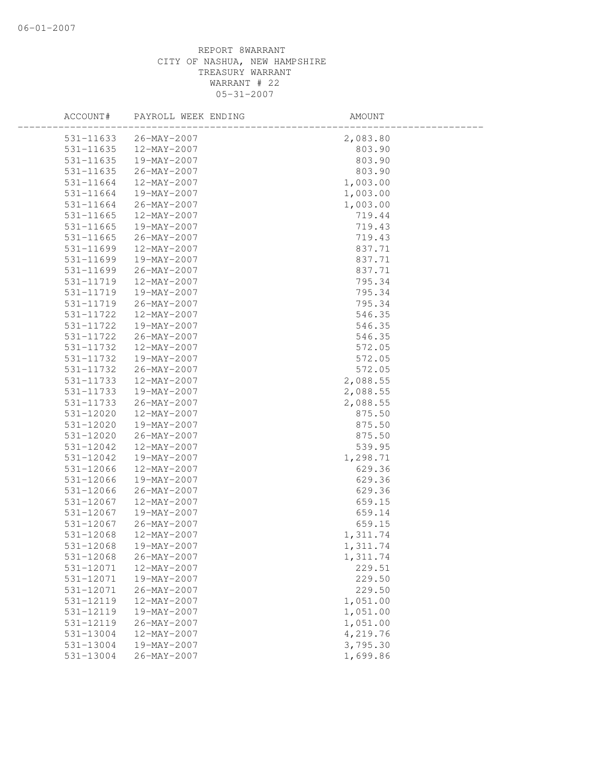| ACCOUNT#      | PAYROLL WEEK ENDING      | AMOUNT   |
|---------------|--------------------------|----------|
| 531-11633     | 26-MAY-2007              | 2,083.80 |
| 531-11635     | 12-MAY-2007              | 803.90   |
| 531-11635     | 19-MAY-2007              | 803.90   |
| 531-11635     | 26-MAY-2007              | 803.90   |
| 531-11664     | 12-MAY-2007              | 1,003.00 |
| 531-11664     | 19-MAY-2007              | 1,003.00 |
| 531-11664     | 26-MAY-2007              | 1,003.00 |
| $531 - 11665$ | 12-MAY-2007              | 719.44   |
| $531 - 11665$ | 19-MAY-2007              | 719.43   |
| 531-11665     | 26-MAY-2007              | 719.43   |
| 531-11699     | 12-MAY-2007              | 837.71   |
| 531-11699     | 19-MAY-2007              | 837.71   |
| 531-11699     | 26-MAY-2007              | 837.71   |
| 531-11719     | 12-MAY-2007              | 795.34   |
| 531-11719     | 19-MAY-2007              | 795.34   |
| 531-11719     | 26-MAY-2007              | 795.34   |
| 531-11722     | 12-MAY-2007              | 546.35   |
| 531-11722     | 19-MAY-2007              | 546.35   |
| 531-11722     | $26 - \text{MAX} - 2007$ | 546.35   |
| 531-11732     | 12-MAY-2007              | 572.05   |
| 531-11732     | 19-MAY-2007              | 572.05   |
| 531-11732     | 26-MAY-2007              | 572.05   |
| 531-11733     | 12-MAY-2007              | 2,088.55 |
| 531-11733     | 19-MAY-2007              | 2,088.55 |
| 531-11733     | 26-MAY-2007              | 2,088.55 |
| 531-12020     | 12-MAY-2007              | 875.50   |
| 531-12020     | 19-MAY-2007              | 875.50   |
| 531-12020     | 26-MAY-2007              | 875.50   |
| 531-12042     | 12-MAY-2007              | 539.95   |
| 531-12042     | 19-MAY-2007              | 1,298.71 |
| 531-12066     | 12-MAY-2007              | 629.36   |
| 531-12066     | 19-MAY-2007              | 629.36   |
| 531-12066     | 26-MAY-2007              | 629.36   |
| 531-12067     | 12-MAY-2007              | 659.15   |
| 531-12067     | 19-MAY-2007              | 659.14   |
| 531-12067     | 26-MAY-2007              | 659.15   |
| 531-12068     | 12-MAY-2007              | 1,311.74 |
| 531-12068     | 19-MAY-2007              | 1,311.74 |
| 531-12068     | $26 - MAY - 2007$        | 1,311.74 |
| 531-12071     | 12-MAY-2007              | 229.51   |
| 531-12071     | 19-MAY-2007              | 229.50   |
| 531-12071     | $26 - MAX - 2007$        | 229.50   |
| 531-12119     | 12-MAY-2007              | 1,051.00 |
| 531-12119     | 19-MAY-2007              | 1,051.00 |
| 531-12119     | $26 - MAX - 2007$        | 1,051.00 |
| 531-13004     | $12 - MAX - 2007$        | 4,219.76 |
| 531-13004     | 19-MAY-2007              | 3,795.30 |
| $531 - 13004$ | $26 - MAX - 2007$        | 1,699.86 |
|               |                          |          |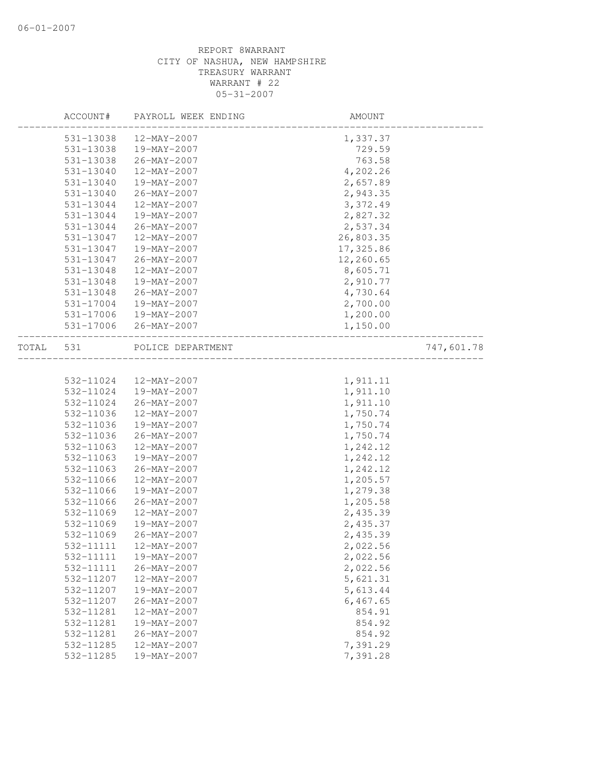|       | ACCOUNT#  | PAYROLL WEEK ENDING | AMOUNT                               |            |
|-------|-----------|---------------------|--------------------------------------|------------|
|       | 531-13038 | 12-MAY-2007         | 1,337.37                             |            |
|       | 531-13038 | 19-MAY-2007         | 729.59                               |            |
|       | 531-13038 | 26-MAY-2007         | 763.58                               |            |
|       | 531-13040 | 12-MAY-2007         | 4,202.26                             |            |
|       | 531-13040 | 19-MAY-2007         | 2,657.89                             |            |
|       | 531-13040 | 26-MAY-2007         | 2,943.35                             |            |
|       | 531-13044 | 12-MAY-2007         | 3,372.49                             |            |
|       | 531-13044 | 19-MAY-2007         | 2,827.32                             |            |
|       | 531-13044 | 26-MAY-2007         | 2,537.34                             |            |
|       | 531-13047 | 12-MAY-2007         | 26,803.35                            |            |
|       | 531-13047 | 19-MAY-2007         | 17,325.86                            |            |
|       | 531-13047 | 26-MAY-2007         | 12,260.65                            |            |
|       | 531-13048 | 12-MAY-2007         | 8,605.71                             |            |
|       | 531-13048 | 19-MAY-2007         | 2,910.77                             |            |
|       | 531-13048 | 26-MAY-2007         | 4,730.64                             |            |
|       | 531-17004 | 19-MAY-2007         | 2,700.00                             |            |
|       | 531-17006 | 19-MAY-2007         | 1,200.00                             |            |
|       | 531-17006 | 26-MAY-2007         | 1,150.00                             |            |
| TOTAL | 531       | POLICE DEPARTMENT   |                                      | 747,601.78 |
|       |           |                     | ____________________________________ |            |
|       |           |                     |                                      |            |
|       | 532-11024 | 12-MAY-2007         | 1,911.11                             |            |
|       | 532-11024 | 19-MAY-2007         | 1,911.10                             |            |
|       | 532-11024 | 26-MAY-2007         | 1,911.10                             |            |
|       | 532-11036 | 12-MAY-2007         | 1,750.74                             |            |
|       | 532-11036 | 19-MAY-2007         | 1,750.74                             |            |
|       | 532-11036 | 26-MAY-2007         | 1,750.74                             |            |
|       | 532-11063 | 12-MAY-2007         | 1,242.12                             |            |
|       | 532-11063 | 19-MAY-2007         | 1,242.12                             |            |
|       | 532-11063 | 26-MAY-2007         | 1,242.12                             |            |
|       | 532-11066 | 12-MAY-2007         | 1,205.57                             |            |
|       | 532-11066 | 19-MAY-2007         | 1,279.38                             |            |
|       | 532-11066 | $26 - MAX - 2007$   | 1,205.58                             |            |
|       | 532-11069 | 12-MAY-2007         | 2,435.39                             |            |
|       | 532-11069 | 19-MAY-2007         | 2,435.37                             |            |
|       | 532-11069 | 26-MAY-2007         | 2,435.39                             |            |
|       |           |                     | 2,022.56                             |            |
|       | 532-11111 | 19-MAY-2007         | 2,022.56                             |            |
|       | 532-11111 | 26-MAY-2007         | 2,022.56                             |            |
|       | 532-11207 | 12-MAY-2007         | 5,621.31                             |            |
|       | 532-11207 | 19-MAY-2007         | 5,613.44                             |            |
|       | 532-11207 | $26 - MAX - 2007$   | 6,467.65                             |            |
|       | 532-11281 | 12-MAY-2007         | 854.91                               |            |
|       | 532-11281 | 19-MAY-2007         | 854.92                               |            |
|       | 532-11281 | 26-MAY-2007         | 854.92                               |            |
|       | 532-11285 | 12-MAY-2007         | 7,391.29                             |            |
|       | 532-11285 | 19-MAY-2007         | 7,391.28                             |            |
|       |           |                     |                                      |            |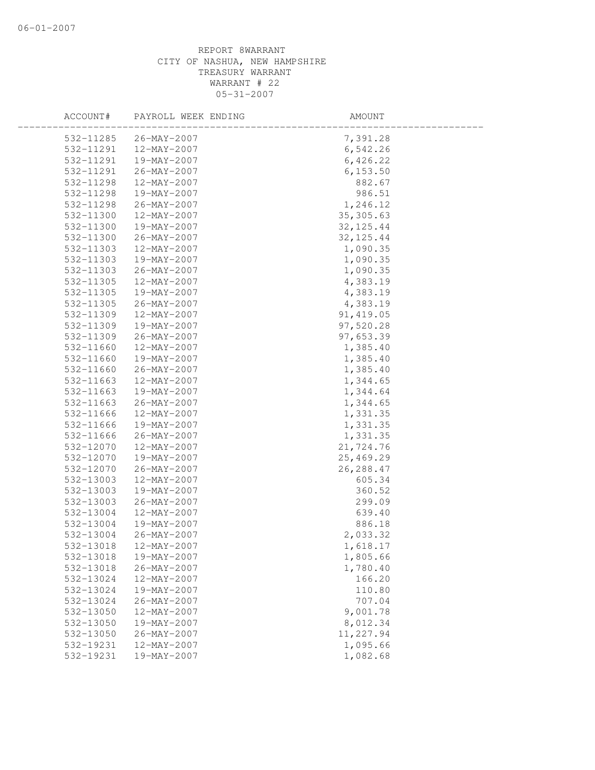| ACCOUNT#  | PAYROLL WEEK ENDING      | AMOUNT     |  |
|-----------|--------------------------|------------|--|
| 532-11285 | 26-MAY-2007              | 7,391.28   |  |
| 532-11291 | 12-MAY-2007              | 6,542.26   |  |
| 532-11291 | 19-MAY-2007              | 6,426.22   |  |
| 532-11291 | 26-MAY-2007              | 6, 153.50  |  |
| 532-11298 | 12-MAY-2007              | 882.67     |  |
| 532-11298 | 19-MAY-2007              | 986.51     |  |
| 532-11298 | 26-MAY-2007              | 1,246.12   |  |
| 532-11300 | 12-MAY-2007              | 35, 305.63 |  |
| 532-11300 | 19-MAY-2007              | 32, 125.44 |  |
| 532-11300 | 26-MAY-2007              | 32, 125.44 |  |
| 532-11303 | 12-MAY-2007              | 1,090.35   |  |
| 532-11303 | 19-MAY-2007              | 1,090.35   |  |
| 532-11303 | 26-MAY-2007              | 1,090.35   |  |
| 532-11305 | 12-MAY-2007              | 4,383.19   |  |
| 532-11305 | 19-MAY-2007              | 4,383.19   |  |
| 532-11305 | 26-MAY-2007              | 4,383.19   |  |
| 532-11309 | 12-MAY-2007              | 91, 419.05 |  |
| 532-11309 | 19-MAY-2007              | 97,520.28  |  |
| 532-11309 | 26-MAY-2007              | 97,653.39  |  |
| 532-11660 | 12-MAY-2007              | 1,385.40   |  |
| 532-11660 | 19-MAY-2007              | 1,385.40   |  |
| 532-11660 | 26-MAY-2007              | 1,385.40   |  |
| 532-11663 | 12-MAY-2007              | 1,344.65   |  |
| 532-11663 | 19-MAY-2007              | 1,344.64   |  |
| 532-11663 | 26-MAY-2007              | 1,344.65   |  |
| 532-11666 | 12-MAY-2007              | 1,331.35   |  |
| 532-11666 | 19-MAY-2007              | 1,331.35   |  |
| 532-11666 | $26 - MAX - 2007$        | 1,331.35   |  |
| 532-12070 | 12-MAY-2007              | 21,724.76  |  |
| 532-12070 | 19-MAY-2007              | 25,469.29  |  |
| 532-12070 | 26-MAY-2007              | 26, 288.47 |  |
| 532-13003 | 12-MAY-2007              | 605.34     |  |
| 532-13003 | 19-MAY-2007              | 360.52     |  |
| 532-13003 | 26-MAY-2007              | 299.09     |  |
| 532-13004 | 12-MAY-2007              | 639.40     |  |
| 532-13004 | 19-MAY-2007              | 886.18     |  |
| 532-13004 | 26-MAY-2007              | 2,033.32   |  |
| 532-13018 | $12 - \text{MAY} - 2007$ | 1,618.17   |  |
| 532-13018 | 19-MAY-2007              | 1,805.66   |  |
| 532-13018 | $26 - MAY - 2007$        | 1,780.40   |  |
| 532-13024 | 12-MAY-2007              | 166.20     |  |
| 532-13024 | 19-MAY-2007              | 110.80     |  |
| 532-13024 | $26 - MAY - 2007$        | 707.04     |  |
| 532-13050 | 12-MAY-2007              | 9,001.78   |  |
| 532-13050 | 19-MAY-2007              | 8,012.34   |  |
| 532-13050 | 26-MAY-2007              | 11,227.94  |  |
| 532-19231 | 12-MAY-2007              | 1,095.66   |  |
| 532-19231 | 19-MAY-2007              | 1,082.68   |  |
|           |                          |            |  |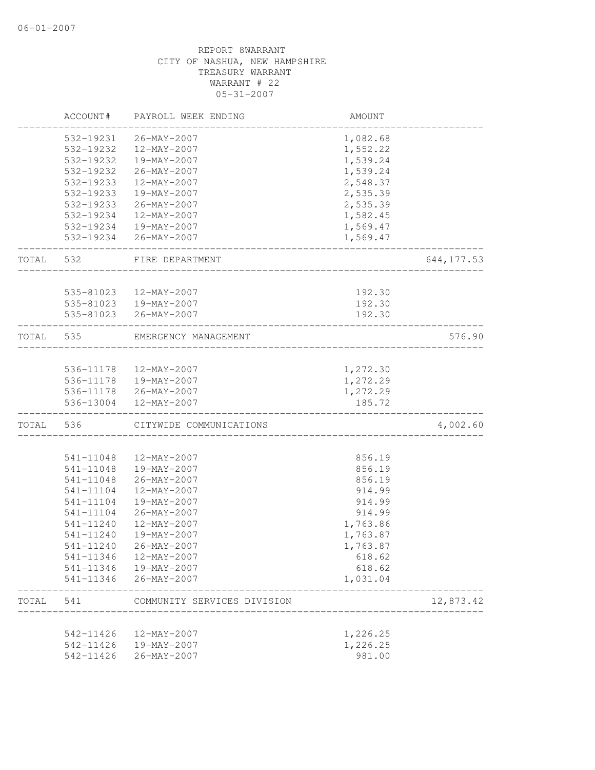|       | ACCOUNT#  | PAYROLL WEEK ENDING         | AMOUNT   |             |
|-------|-----------|-----------------------------|----------|-------------|
|       | 532-19231 | 26-MAY-2007                 | 1,082.68 |             |
|       | 532-19232 | 12-MAY-2007                 | 1,552.22 |             |
|       | 532-19232 | 19-MAY-2007                 | 1,539.24 |             |
|       | 532-19232 | 26-MAY-2007                 | 1,539.24 |             |
|       | 532-19233 | 12-MAY-2007                 | 2,548.37 |             |
|       | 532-19233 | 19-MAY-2007                 | 2,535.39 |             |
|       | 532-19233 | 26-MAY-2007                 | 2,535.39 |             |
|       | 532-19234 | 12-MAY-2007                 | 1,582.45 |             |
|       |           | 532-19234  19-MAY-2007      | 1,569.47 |             |
|       |           | 532-19234 26-MAY-2007       | 1,569.47 |             |
| TOTAL | 532       | FIRE DEPARTMENT             |          | 644, 177.53 |
|       |           | 535-81023  12-MAY-2007      | 192.30   |             |
|       |           | 535-81023  19-MAY-2007      | 192.30   |             |
|       |           | 535-81023 26-MAY-2007       | 192.30   |             |
| TOTAL | 535       | EMERGENCY MANAGEMENT        |          | 576.90      |
|       |           |                             |          |             |
|       |           | 536-11178  12-MAY-2007      | 1,272.30 |             |
|       |           | 536-11178  19-MAY-2007      | 1,272.29 |             |
|       |           | 536-11178 26-MAY-2007       | 1,272.29 |             |
|       |           | 536-13004 12-MAY-2007       | 185.72   |             |
| TOTAL | 536       | CITYWIDE COMMUNICATIONS     |          | 4,002.60    |
|       |           |                             |          |             |
|       | 541-11048 | 12-MAY-2007                 | 856.19   |             |
|       | 541-11048 | 19-MAY-2007                 | 856.19   |             |
|       | 541-11048 | 26-MAY-2007                 | 856.19   |             |
|       | 541-11104 | 12-MAY-2007                 | 914.99   |             |
|       | 541-11104 | 19-MAY-2007                 | 914.99   |             |
|       | 541-11104 | $26 - MAX - 2007$           | 914.99   |             |
|       | 541-11240 | 12-MAY-2007                 | 1,763.86 |             |
|       | 541-11240 | 19-MAY-2007                 | 1,763.87 |             |
|       | 541-11240 | 26-MAY-2007                 | 1,763.87 |             |
|       | 541-11346 | 12-MAY-2007                 | 618.62   |             |
|       | 541-11346 | 19-MAY-2007                 | 618.62   |             |
|       | 541-11346 | $26 - MAX - 2007$           | 1,031.04 |             |
| TOTAL | 541       | COMMUNITY SERVICES DIVISION |          | 12,873.42   |
|       | 542-11426 | 12-MAY-2007                 | 1,226.25 |             |
|       | 542-11426 | 19-MAY-2007                 | 1,226.25 |             |
|       | 542-11426 | $26 - MAX - 2007$           | 981.00   |             |
|       |           |                             |          |             |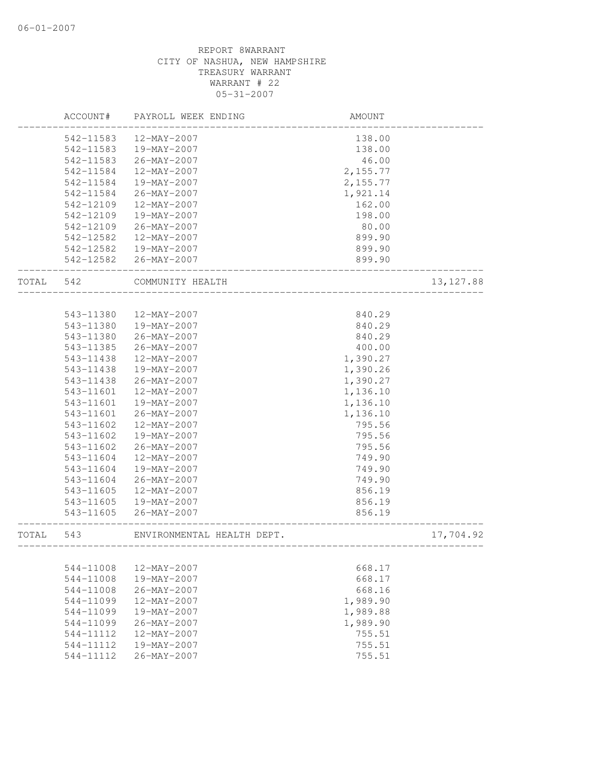|       | ACCOUNT#  | PAYROLL WEEK ENDING        | <b>AMOUNT</b>               |            |
|-------|-----------|----------------------------|-----------------------------|------------|
|       | 542-11583 | 12-MAY-2007                | 138.00                      |            |
|       | 542-11583 | 19-MAY-2007                | 138.00                      |            |
|       | 542-11583 | 26-MAY-2007                | 46.00                       |            |
|       | 542-11584 | 12-MAY-2007                | 2,155.77                    |            |
|       | 542-11584 | 19-MAY-2007                | 2,155.77                    |            |
|       | 542-11584 | 26-MAY-2007                | 1,921.14                    |            |
|       | 542-12109 | 12-MAY-2007                | 162.00                      |            |
|       | 542-12109 | 19-MAY-2007                | 198.00                      |            |
|       | 542-12109 | 26-MAY-2007                | 80.00                       |            |
|       | 542-12582 | 12-MAY-2007                | 899.90                      |            |
|       | 542-12582 | 19-MAY-2007                | 899.90                      |            |
|       |           | 542-12582 26-MAY-2007      | 899.90                      |            |
| TOTAL | 542       | COMMUNITY HEALTH           |                             | 13, 127.88 |
|       |           |                            |                             |            |
|       | 543-11380 | 12-MAY-2007                | 840.29                      |            |
|       | 543-11380 | 19-MAY-2007                | 840.29                      |            |
|       | 543-11380 | 26-MAY-2007                | 840.29                      |            |
|       | 543-11385 | 26-MAY-2007                | 400.00                      |            |
|       | 543-11438 | 12-MAY-2007                | 1,390.27                    |            |
|       | 543-11438 | 19-MAY-2007                | 1,390.26                    |            |
|       | 543-11438 | 26-MAY-2007                | 1,390.27                    |            |
|       | 543-11601 | 12-MAY-2007                | 1,136.10                    |            |
|       | 543-11601 | 19-MAY-2007                | 1,136.10                    |            |
|       | 543-11601 | 26-MAY-2007                | 1,136.10                    |            |
|       | 543-11602 | 12-MAY-2007                | 795.56                      |            |
|       | 543-11602 | 19-MAY-2007                | 795.56                      |            |
|       | 543-11602 | 26-MAY-2007                | 795.56                      |            |
|       | 543-11604 | 12-MAY-2007                | 749.90                      |            |
|       | 543-11604 | 19-MAY-2007                | 749.90                      |            |
|       | 543-11604 | 26-MAY-2007                | 749.90                      |            |
|       | 543-11605 | 12-MAY-2007                | 856.19                      |            |
|       | 543-11605 | 19-MAY-2007                | 856.19                      |            |
|       | 543-11605 | 26-MAY-2007                | 856.19                      |            |
| TOTAL | 543       | ENVIRONMENTAL HEALTH DEPT. |                             | 17,704.92  |
|       |           |                            | --------------------------- |            |
|       | 544-11008 | $12 - MAX - 2007$          | 668.17                      |            |
|       | 544-11008 | 19-MAY-2007                | 668.17                      |            |
|       | 544-11008 | 26-MAY-2007                | 668.16                      |            |
|       | 544-11099 | 12-MAY-2007                | 1,989.90                    |            |
|       | 544-11099 | $19-MAY-2007$              | 1,989.88                    |            |
|       | 544-11099 | 26-MAY-2007                | 1,989.90                    |            |
|       | 544-11112 | $12 - \text{MAX} - 2007$   | 755.51                      |            |
|       | 544-11112 | 19-MAY-2007                | 755.51                      |            |
|       | 544-11112 | $26 - MAX - 2007$          | 755.51                      |            |
|       |           |                            |                             |            |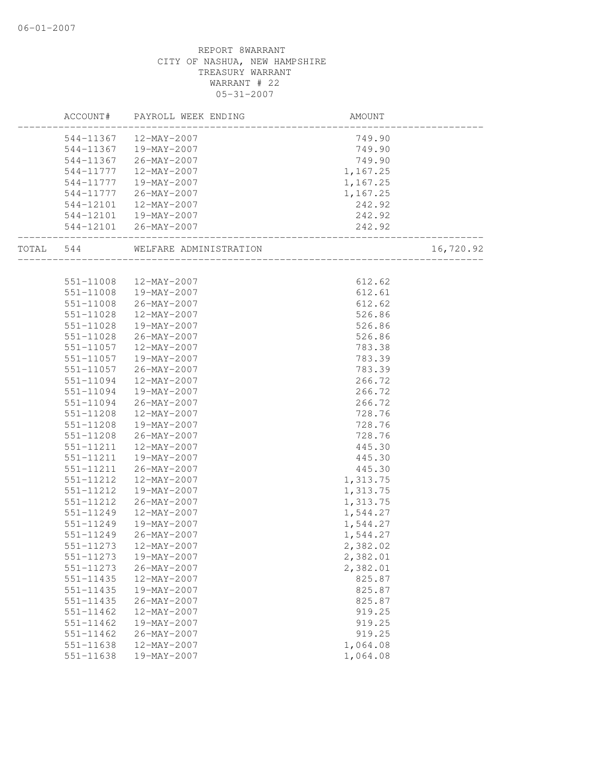|           |               | ACCOUNT# PAYROLL WEEK ENDING | AMOUNT                |           |
|-----------|---------------|------------------------------|-----------------------|-----------|
|           |               | 544-11367  12-MAY-2007       | 749.90                |           |
|           |               | 544-11367  19-MAY-2007       | 749.90                |           |
|           |               | 544-11367 26-MAY-2007        | 749.90                |           |
|           | 544-11777     | 12-MAY-2007                  | 1,167.25              |           |
|           | 544-11777     | 19-MAY-2007                  | 1,167.25              |           |
|           | 544-11777     | 26-MAY-2007                  | 1,167.25              |           |
|           | 544-12101     | 12-MAY-2007                  | 242.92                |           |
|           |               | 544-12101  19-MAY-2007       | 242.92                |           |
|           |               | 544-12101 26-MAY-2007        | 242.92                |           |
| TOTAL 544 |               |                              | --------------------- | 16,720.92 |
|           |               |                              |                       |           |
|           |               | 551-11008 12-MAY-2007        | 612.62                |           |
|           | 551-11008     | 19-MAY-2007                  | 612.61                |           |
|           | 551-11008     | 26-MAY-2007                  | 612.62                |           |
|           | 551-11028     | 12-MAY-2007                  | 526.86                |           |
|           | 551-11028     | 19-MAY-2007                  | 526.86                |           |
|           | 551-11028     | 26-MAY-2007                  | 526.86                |           |
|           | 551-11057     | 12-MAY-2007                  | 783.38                |           |
|           | 551-11057     | 19-MAY-2007                  | 783.39                |           |
|           | 551-11057     | 26-MAY-2007                  | 783.39                |           |
|           | 551-11094     | 12-MAY-2007                  | 266.72                |           |
|           | 551-11094     | 19-MAY-2007                  | 266.72                |           |
|           | 551-11094     | 26-MAY-2007                  | 266.72                |           |
|           | 551-11208     | 12-MAY-2007                  | 728.76                |           |
|           | 551-11208     | 19-MAY-2007                  | 728.76                |           |
|           | 551-11208     | 26-MAY-2007                  | 728.76                |           |
|           | 551-11211     | 12-MAY-2007                  | 445.30                |           |
|           | 551-11211     | 19-MAY-2007                  | 445.30                |           |
|           | 551-11211     | 26-MAY-2007                  | 445.30                |           |
|           | 551-11212     | 12-MAY-2007                  | 1,313.75              |           |
|           | 551-11212     | 19-MAY-2007                  | 1,313.75              |           |
|           | 551-11212     | 26-MAY-2007                  | 1,313.75              |           |
|           | 551-11249     | 12-MAY-2007                  | 1,544.27              |           |
|           | 551-11249     | 19-MAY-2007                  | 1,544.27              |           |
|           |               | 551-11249 26-MAY-2007        | 1,544.27              |           |
|           | 551-11273     | 12-MAY-2007                  | 2,382.02              |           |
|           | 551-11273     | 19-MAY-2007                  | 2,382.01              |           |
|           | 551-11273     | $26 - MAX - 2007$            | 2,382.01              |           |
|           | 551-11435     | 12-MAY-2007                  | 825.87                |           |
|           | 551-11435     | 19-MAY-2007                  | 825.87                |           |
|           | $551 - 11435$ | $26 - MAY - 2007$            | 825.87                |           |
|           | 551-11462     | 12-MAY-2007                  | 919.25                |           |
|           | 551-11462     | 19-MAY-2007                  | 919.25                |           |
|           | 551-11462     | $26 - MAX - 2007$            | 919.25                |           |
|           | 551-11638     | 12-MAY-2007                  | 1,064.08              |           |
|           | $551 - 11638$ | 19-MAY-2007                  | 1,064.08              |           |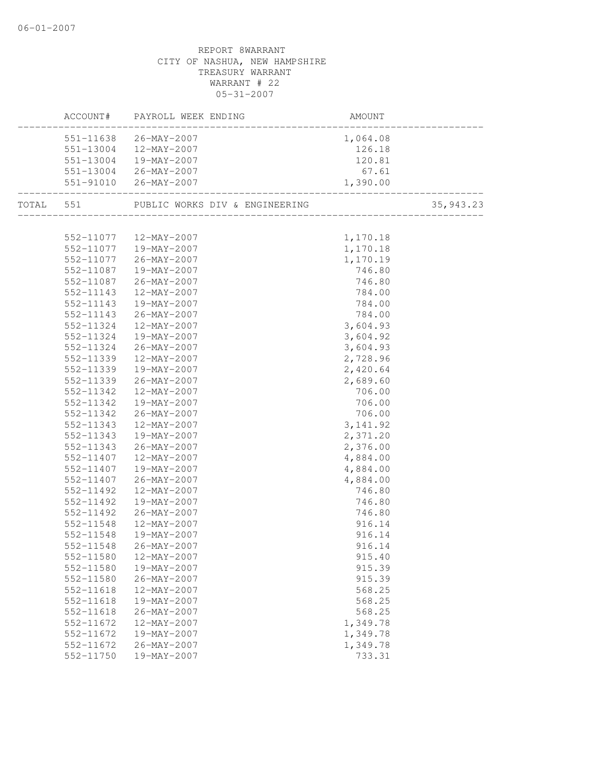|               | ACCOUNT# PAYROLL WEEK ENDING                        | AMOUNT    |           |
|---------------|-----------------------------------------------------|-----------|-----------|
|               | 551-11638 26-MAY-2007                               | 1,064.08  |           |
|               | 551-13004  12-MAY-2007                              | 126.18    |           |
|               | 551-13004  19-MAY-2007                              | 120.81    |           |
|               | 551-13004 26-MAY-2007                               | 67.61     |           |
|               | 551-91010 26-MAY-2007                               | 1,390.00  |           |
|               | TOTAL 551 PUBLIC WORKS DIV & ENGINEERING            |           | 35,943.23 |
|               |                                                     |           |           |
|               | 552-11077  12-MAY-2007<br>$552-11077$ $19-MAY-2007$ | 1,170.18  |           |
|               |                                                     | 1,170.18  |           |
|               | 552-11077 26-MAY-2007                               | 1,170.19  |           |
|               | 552-11087  19-MAY-2007                              | 746.80    |           |
|               | 552-11087 26-MAY-2007                               | 746.80    |           |
|               | 552-11143  12-MAY-2007                              | 784.00    |           |
| 552-11143     | 19-MAY-2007                                         | 784.00    |           |
| 552-11143     | $26 - MAX - 2007$                                   | 784.00    |           |
| 552-11324     | 12-MAY-2007                                         | 3,604.93  |           |
| 552-11324     | 19-MAY-2007                                         | 3,604.92  |           |
| 552-11324     | 26-MAY-2007                                         | 3,604.93  |           |
| 552-11339     | $12 - \text{MAX} - 2007$                            | 2,728.96  |           |
| 552-11339     | 19-MAY-2007                                         | 2,420.64  |           |
|               | 552-11339 26-MAY-2007                               | 2,689.60  |           |
| 552-11342     | 12-MAY-2007                                         | 706.00    |           |
| 552-11342     | 19-MAY-2007                                         | 706.00    |           |
| 552-11342     | 26-MAY-2007                                         | 706.00    |           |
| 552-11343     | 12-MAY-2007                                         | 3, 141.92 |           |
|               | 552-11343  19-MAY-2007                              | 2,371.20  |           |
| 552-11343     | 26-MAY-2007                                         | 2,376.00  |           |
| 552-11407     | $12 - MAX - 2007$                                   | 4,884.00  |           |
| 552-11407     | 19-MAY-2007                                         | 4,884.00  |           |
| 552-11407     | 26-MAY-2007                                         | 4,884.00  |           |
| 552-11492     | 12-MAY-2007                                         | 746.80    |           |
| 552-11492     | 19-MAY-2007                                         | 746.80    |           |
| 552-11492     | $26 - \text{MAX} - 2007$                            | 746.80    |           |
| 552-11548     | 12-MAY-2007                                         | 916.14    |           |
| 552-11548     | 19-MAY-2007                                         | 916.14    |           |
| 552-11548     | $26 - \text{MAY} - 2007$                            | 916.14    |           |
| 552-11580     | 12-MAY-2007                                         | 915.40    |           |
| 552-11580     | 19-MAY-2007                                         | 915.39    |           |
| 552-11580     | 26-MAY-2007                                         | 915.39    |           |
| 552-11618     | 12-MAY-2007                                         | 568.25    |           |
| $552 - 11618$ | 19-MAY-2007                                         | 568.25    |           |
| 552-11618     | 26-MAY-2007                                         | 568.25    |           |
| 552-11672     | 12-MAY-2007                                         | 1,349.78  |           |
| 552-11672     | 19-MAY-2007                                         | 1,349.78  |           |
| 552-11672     | $26 - MAX - 2007$                                   | 1,349.78  |           |
| 552-11750     | 19-MAY-2007                                         | 733.31    |           |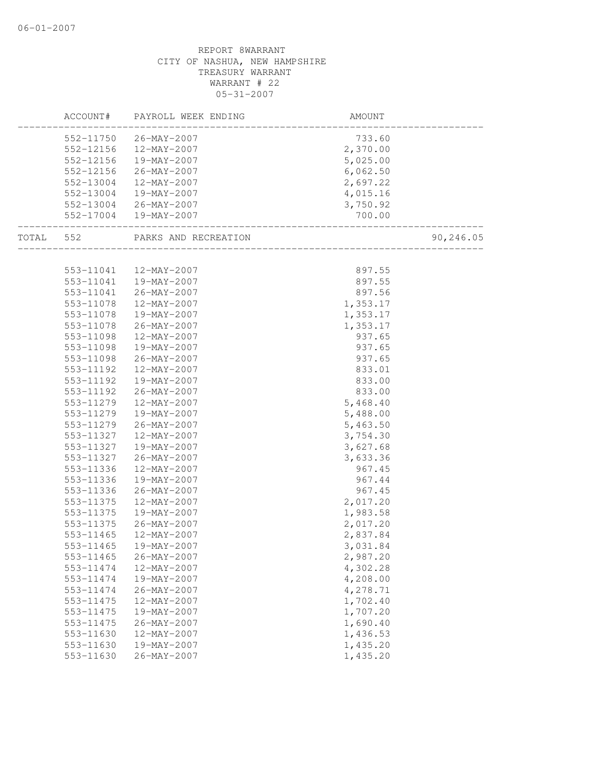|           | ACCOUNT# PAYROLL WEEK ENDING   | AMOUNT                                                             |           |
|-----------|--------------------------------|--------------------------------------------------------------------|-----------|
|           | 552-11750 26-MAY-2007          |                                                                    |           |
|           | 552-12156 12-MAY-2007          | $733.60$<br>2,370.00                                               |           |
|           | 552-12156  19-MAY-2007         | $5,025.00$<br>$6,062.50$<br>$2,697.22$<br>$4,015.16$<br>$3,750.92$ |           |
| 552-12156 | $26 - MAX - 2007$              |                                                                    |           |
| 552-13004 | $12 - \text{MAY} - 2007$       |                                                                    |           |
| 552-13004 | 19-MAY-2007                    |                                                                    |           |
|           | 552-13004 26-MAY-2007          |                                                                    |           |
|           | 552-17004  19-MAY-2007         | 700.00                                                             |           |
|           | TOTAL 552 PARKS AND RECREATION | <br>.______________________                                        | 90,246.05 |
|           |                                |                                                                    |           |
|           | 553-11041  12-MAY-2007         | 897.55                                                             |           |
|           | 553-11041  19-MAY-2007         | 897.55                                                             |           |
| 553-11041 | 26-MAY-2007                    | 897.56                                                             |           |
| 553-11078 | 12-MAY-2007                    | 1,353.17                                                           |           |
| 553-11078 | 19-MAY-2007                    | 1,353.17                                                           |           |
| 553-11078 | 26-MAY-2007                    | 1,353.17                                                           |           |
| 553-11098 | 12-MAY-2007                    | 937.65                                                             |           |
|           | 553-11098  19-MAY-2007         | 937.65                                                             |           |
|           | 553-11098 26-MAY-2007          | 937.65                                                             |           |
| 553-11192 | 12-MAY-2007                    | 833.01                                                             |           |
| 553-11192 | 19-MAY-2007                    | 833.00                                                             |           |
| 553-11192 | 26-MAY-2007                    | 833.00                                                             |           |
| 553-11279 | 12-MAY-2007                    | 5,468.40                                                           |           |
| 553-11279 | 19-MAY-2007                    | 5,488.00                                                           |           |
|           | 553-11279 26-MAY-2007          | 5,463.50                                                           |           |
|           | 553-11327  12-MAY-2007         | 3,754.30                                                           |           |
|           | 553-11327  19-MAY-2007         | 3,627.68                                                           |           |
| 553-11327 | 26-MAY-2007                    | 3,633.36                                                           |           |
| 553-11336 | 12-MAY-2007                    | 967.45                                                             |           |
| 553-11336 | 19-MAY-2007                    | 967.44                                                             |           |
| 553-11336 | 26-MAY-2007                    | 967.45                                                             |           |
| 553-11375 | 12-MAY-2007                    | 2,017.20                                                           |           |
| 553-11375 | 19-MAY-2007                    | 1,983.58                                                           |           |
|           | 553-11375 26-MAY-2007          | 2,017.20                                                           |           |
| 553-11465 | 12-MAY-2007                    | 2,837.84                                                           |           |
| 553-11465 | 19-MAY-2007                    | 3,031.84                                                           |           |
| 553-11465 | $26 - MAY - 2007$              | 2,987.20                                                           |           |
| 553-11474 | 12-MAY-2007                    | 4,302.28                                                           |           |
| 553-11474 | 19-MAY-2007                    | 4,208.00                                                           |           |
| 553-11474 | $26 - MAX - 2007$              | 4,278.71                                                           |           |
| 553-11475 | 12-MAY-2007                    | 1,702.40                                                           |           |
| 553-11475 | 19-MAY-2007                    | 1,707.20                                                           |           |
| 553-11475 | $26 - MAX - 2007$              | 1,690.40                                                           |           |
| 553-11630 | 12-MAY-2007                    | 1,436.53                                                           |           |
| 553-11630 | 19-MAY-2007                    | 1,435.20                                                           |           |
| 553-11630 | $26 - MAX - 2007$              | 1,435.20                                                           |           |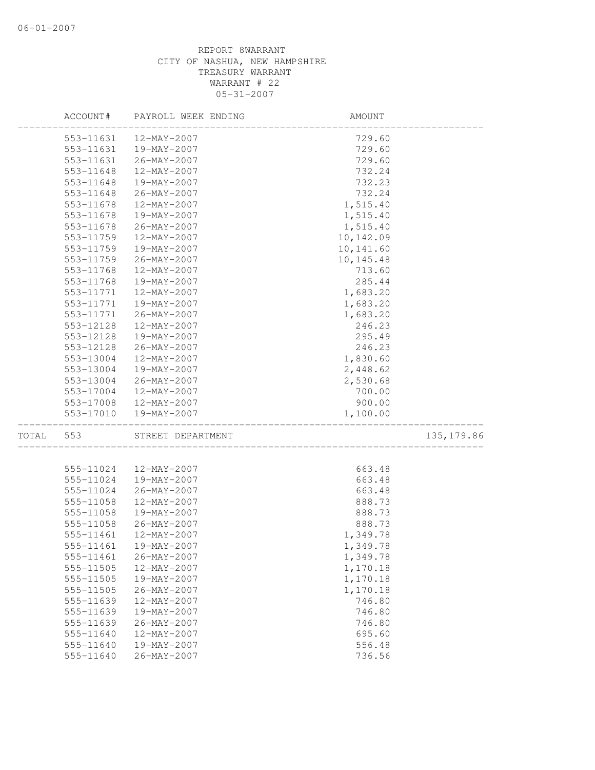|       | ACCOUNT#  | PAYROLL WEEK ENDING    | AMOUNT                                                  |             |
|-------|-----------|------------------------|---------------------------------------------------------|-------------|
|       |           | 553-11631  12-MAY-2007 | 729.60                                                  |             |
|       | 553-11631 | 19-MAY-2007            | 729.60                                                  |             |
|       | 553-11631 | 26-MAY-2007            | 729.60                                                  |             |
|       | 553-11648 | 12-MAY-2007            | 732.24                                                  |             |
|       | 553-11648 | 19-MAY-2007            | 732.23                                                  |             |
|       | 553-11648 | 26-MAY-2007            | 732.24                                                  |             |
|       | 553-11678 | 12-MAY-2007            | 1,515.40                                                |             |
|       | 553-11678 | 19-MAY-2007            | 1,515.40                                                |             |
|       | 553-11678 | 26-MAY-2007            | 1,515.40                                                |             |
|       | 553-11759 | 12-MAY-2007            | 10,142.09                                               |             |
|       | 553-11759 | 19-MAY-2007            | 10,141.60                                               |             |
|       | 553-11759 | 26-MAY-2007            | 10,145.48                                               |             |
|       | 553-11768 | 12-MAY-2007            | 713.60                                                  |             |
|       | 553-11768 | 19-MAY-2007            | 285.44                                                  |             |
|       | 553-11771 | 12-MAY-2007            | 1,683.20                                                |             |
|       | 553-11771 | 19-MAY-2007            | 1,683.20                                                |             |
|       | 553-11771 | $26 - MAX - 2007$      | 1,683.20                                                |             |
|       | 553-12128 | 12-MAY-2007            | 246.23                                                  |             |
|       | 553-12128 | 19-MAY-2007            | 295.49                                                  |             |
|       | 553-12128 | 26-MAY-2007            | 246.23                                                  |             |
|       | 553-13004 | 12-MAY-2007            | 1,830.60                                                |             |
|       | 553-13004 | 19-MAY-2007            | 2,448.62                                                |             |
|       | 553-13004 | 26-MAY-2007            | 2,530.68                                                |             |
|       | 553-17004 | 12-MAY-2007            | 700.00                                                  |             |
|       |           | 553-17008 12-MAY-2007  | 900.00                                                  |             |
|       |           | 553-17010  19-MAY-2007 | 1,100.00                                                |             |
| TOTAL | 553       | STREET DEPARTMENT      | _________________________<br>__________________________ | 135, 179.86 |
|       |           |                        |                                                         |             |
|       | 555-11024 | 12-MAY-2007            | 663.48                                                  |             |
|       | 555-11024 | 19-MAY-2007            | 663.48                                                  |             |
|       | 555-11024 | 26-MAY-2007            | 663.48                                                  |             |
|       | 555-11058 | 12-MAY-2007            | 888.73                                                  |             |
|       | 555-11058 | 19-MAY-2007            | 888.73                                                  |             |
|       | 555-11058 | 26-MAY-2007            | 888.73                                                  |             |
|       | 555-11461 | 12-MAY-2007            | 1,349.78                                                |             |
|       | 555-11461 | 19-MAY-2007            | 1,349.78                                                |             |
|       | 555-11461 | $26 - MAY - 2007$      | 1,349.78                                                |             |
|       | 555-11505 | 12-MAY-2007            | 1,170.18                                                |             |
|       | 555-11505 | 19-MAY-2007            | 1,170.18                                                |             |
|       | 555-11505 | 26-MAY-2007            | 1,170.18                                                |             |
|       | 555-11639 | 12-MAY-2007            | 746.80                                                  |             |
|       | 555-11639 | 19-MAY-2007            | 746.80                                                  |             |
|       | 555-11639 | $26 - MAX - 2007$      | 746.80                                                  |             |
|       | 555-11640 | 12-MAY-2007            | 695.60                                                  |             |
|       | 555-11640 | 19-MAY-2007            | 556.48                                                  |             |
|       | 555-11640 | 26-MAY-2007            | 736.56                                                  |             |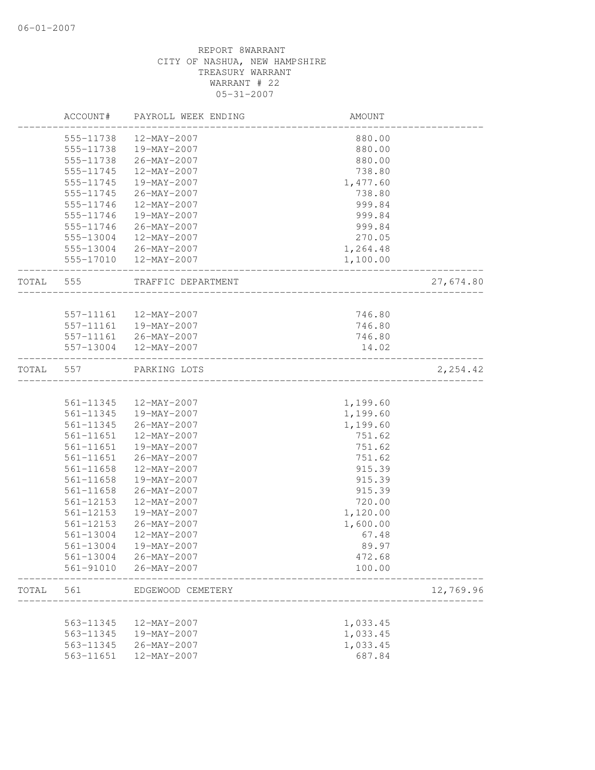|       | ACCOUNT#  | PAYROLL WEEK ENDING    | AMOUNT   |           |
|-------|-----------|------------------------|----------|-----------|
|       | 555-11738 | 12-MAY-2007            | 880.00   |           |
|       | 555-11738 | 19-MAY-2007            | 880.00   |           |
|       | 555-11738 | 26-MAY-2007            | 880.00   |           |
|       | 555-11745 | 12-MAY-2007            | 738.80   |           |
|       | 555-11745 | 19-MAY-2007            | 1,477.60 |           |
|       | 555-11745 | 26-MAY-2007            | 738.80   |           |
|       | 555-11746 | 12-MAY-2007            | 999.84   |           |
|       | 555-11746 | 19-MAY-2007            | 999.84   |           |
|       | 555-11746 | 26-MAY-2007            | 999.84   |           |
|       |           | 555-13004 12-MAY-2007  | 270.05   |           |
|       |           | 555-13004 26-MAY-2007  | 1,264.48 |           |
|       |           | 555-17010  12-MAY-2007 | 1,100.00 |           |
| TOTAL | 555       | TRAFFIC DEPARTMENT     |          | 27,674.80 |
|       |           |                        |          |           |
|       |           | 557-11161  12-MAY-2007 | 746.80   |           |
|       |           | 557-11161  19-MAY-2007 | 746.80   |           |
|       |           | 557-11161 26-MAY-2007  | 746.80   |           |
|       |           | 557-13004 12-MAY-2007  | 14.02    |           |
| TOTAL | 557       | PARKING LOTS           |          | 2,254.42  |
|       |           |                        |          |           |
|       | 561-11345 | 12-MAY-2007            | 1,199.60 |           |
|       |           | 561-11345  19-MAY-2007 | 1,199.60 |           |
|       | 561-11345 | 26-MAY-2007            | 1,199.60 |           |
|       | 561-11651 | 12-MAY-2007            | 751.62   |           |
|       | 561-11651 | 19-MAY-2007            | 751.62   |           |
|       | 561-11651 | 26-MAY-2007            | 751.62   |           |
|       | 561-11658 | 12-MAY-2007            | 915.39   |           |
|       | 561-11658 | 19-MAY-2007            | 915.39   |           |
|       | 561-11658 | $26 - MAY - 2007$      | 915.39   |           |
|       | 561-12153 | 12-MAY-2007            | 720.00   |           |
|       | 561-12153 | 19-MAY-2007            | 1,120.00 |           |
|       | 561-12153 | $26 - MAX - 2007$      | 1,600.00 |           |
|       | 561-13004 | 12-MAY-2007            | 67.48    |           |
|       | 561-13004 | 19-MAY-2007            | 89.97    |           |
|       | 561-13004 | 26-MAY-2007            | 472.68   |           |
|       | 561-91010 | $26 - MAY - 2007$      | 100.00   |           |
| TOTAL | 561       | EDGEWOOD CEMETERY      |          | 12,769.96 |
|       |           |                        |          |           |
|       | 563-11345 | 12-MAY-2007            | 1,033.45 |           |
|       | 563-11345 | 19-MAY-2007            | 1,033.45 |           |
|       | 563-11345 | $26 - MAY - 2007$      | 1,033.45 |           |
|       | 563-11651 | 12-MAY-2007            | 687.84   |           |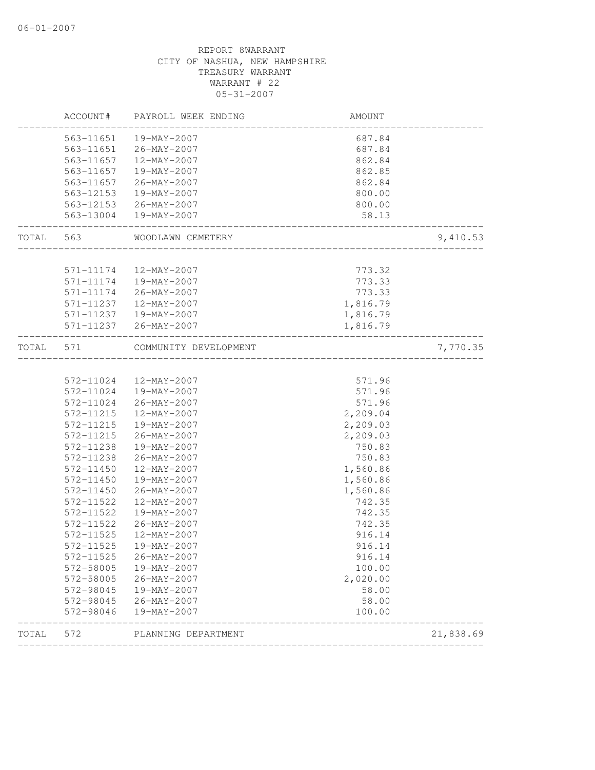|       |           | ACCOUNT# PAYROLL WEEK ENDING                | AMOUNT                               |           |
|-------|-----------|---------------------------------------------|--------------------------------------|-----------|
|       |           | 563-11651  19-MAY-2007                      | 687.84                               |           |
|       |           | 563-11651 26-MAY-2007                       | 687.84                               |           |
|       |           | 563-11657  12-MAY-2007                      | 862.84                               |           |
|       |           | 563-11657  19-MAY-2007                      | 862.85                               |           |
|       |           | 563-11657 26-MAY-2007                       | 862.84                               |           |
|       |           | 563-12153  19-MAY-2007                      | 800.00                               |           |
|       |           | 563-12153 26-MAY-2007                       | 800.00                               |           |
|       |           | 563-13004  19-MAY-2007                      | 58.13                                |           |
|       |           | TOTAL 563 WOODLAWN CEMETERY                 | ____________________________         | 9,410.53  |
|       |           |                                             |                                      |           |
|       |           | 571-11174  12-MAY-2007                      | 773.32                               |           |
|       |           | 571-11174  19-MAY-2007                      | 773.33                               |           |
|       |           | 571-11174 26-MAY-2007                       | 773.33                               |           |
|       | 571-11237 | 12-MAY-2007                                 | 1,816.79                             |           |
|       |           | 571-11237  19-MAY-2007                      | 1,816.79                             |           |
|       |           | 571-11237 26-MAY-2007                       | 1,816.79                             |           |
| TOTAL | 571       | COMMUNITY DEVELOPMENT                       | ____________________________________ | 7,770.35  |
|       |           |                                             |                                      |           |
|       |           | 572-11024  12-MAY-2007                      | 571.96                               |           |
|       |           | 572-11024  19-MAY-2007                      | 571.96                               |           |
|       | 572-11024 | 26-MAY-2007                                 | 571.96                               |           |
|       | 572-11215 | 12-MAY-2007                                 | 2,209.04                             |           |
|       | 572-11215 | 19-MAY-2007                                 | 2,209.03                             |           |
|       | 572-11215 | 26-MAY-2007                                 | 2,209.03                             |           |
|       | 572-11238 | 19-MAY-2007                                 | 750.83                               |           |
|       | 572-11238 | 26-MAY-2007                                 | 750.83                               |           |
|       | 572-11450 | 12-MAY-2007                                 | 1,560.86                             |           |
|       | 572-11450 | 19-MAY-2007                                 | 1,560.86                             |           |
|       | 572-11450 | 26-MAY-2007                                 | 1,560.86                             |           |
|       | 572-11522 | 12-MAY-2007                                 | 742.35                               |           |
|       | 572-11522 | 19-MAY-2007                                 | 742.35                               |           |
|       | 572-11522 | 26-MAY-2007                                 | 742.35                               |           |
|       | 572-11525 | 12-MAY-2007                                 | 916.14                               |           |
|       | 572-11525 | 19-MAY-2007                                 | 916.14                               |           |
|       | 572-11525 | $26 - MAX - 2007$                           | 916.14                               |           |
|       | 572-58005 | 19-MAY-2007                                 | 100.00                               |           |
|       | 572-58005 | $26 - MAY - 2007$                           | 2,020.00                             |           |
|       | 572-98045 | 19-MAY-2007                                 | 58.00                                |           |
|       | 572-98045 | 26-MAY-2007                                 | 58.00                                |           |
|       | 572-98046 | 19-MAY-2007<br>____________________________ | 100.00                               |           |
| TOTAL | 572       | PLANNING DEPARTMENT                         |                                      | 21,838.69 |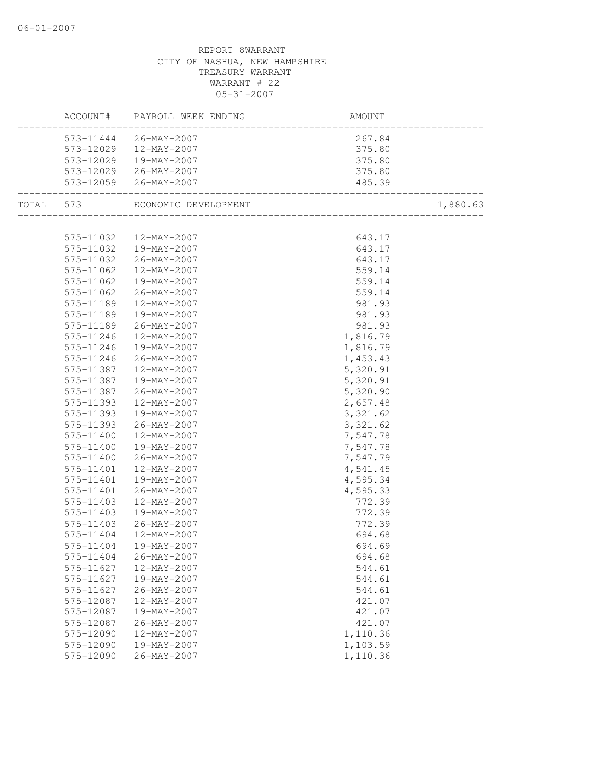|           | ACCOUNT# PAYROLL WEEK ENDING   | AMOUNT<br>----------------------- |          |
|-----------|--------------------------------|-----------------------------------|----------|
|           | 573-11444 26-MAY-2007          | 267.84                            |          |
|           | 573-12029  12-MAY-2007         | $375.80$<br>$375.80$              |          |
|           | 573-12029  19-MAY-2007         |                                   |          |
|           | 573-12029 26-MAY-2007          | 375.80                            |          |
|           | 573-12059 26-MAY-2007          | 485.39                            |          |
|           | TOTAL 573 ECONOMIC DEVELOPMENT |                                   | 1,880.63 |
|           |                                |                                   |          |
|           | 575-11032  12-MAY-2007         | $643.17$<br>$643.17$              |          |
|           | 575-11032  19-MAY-2007         |                                   |          |
|           | 575-11032 26-MAY-2007          | 643.17                            |          |
| 575-11062 | 12-MAY-2007                    | 559.14                            |          |
| 575-11062 | 19-MAY-2007                    | 559.14                            |          |
| 575-11062 | 26-MAY-2007                    | 559.14<br>981.93<br>981.93        |          |
| 575-11189 | 12-MAY-2007                    |                                   |          |
| 575-11189 | 19-MAY-2007                    | 981.93                            |          |
| 575-11189 | 26-MAY-2007                    | 981.93                            |          |
| 575-11246 | 12-MAY-2007                    | 1,816.79                          |          |
| 575-11246 | 19-MAY-2007                    | 1,816.79                          |          |
| 575-11246 | 26-MAY-2007                    | 1,453.43                          |          |
| 575-11387 | 12-MAY-2007                    | 5,320.91                          |          |
| 575-11387 | 19-MAY-2007                    | 5,320.91                          |          |
| 575-11387 | $26 - MAX - 2007$              | 5,320.90                          |          |
| 575-11393 | 12-MAY-2007                    | 2,657.48                          |          |
| 575-11393 | 19-MAY-2007                    | 3, 321.62                         |          |
| 575-11393 | 26-MAY-2007                    | 3, 321.62                         |          |
| 575-11400 | $12 - \text{MAX} - 2007$       | 7,547.78                          |          |
| 575-11400 | 19-MAY-2007                    | 7,547.78                          |          |
| 575-11400 | 26-MAY-2007                    | 7,547.79                          |          |
| 575-11401 | 12-MAY-2007                    | 4,541.45                          |          |
| 575-11401 | 19-MAY-2007                    | 4,595.34                          |          |
| 575-11401 | 26-MAY-2007                    | 4,595.33                          |          |
| 575-11403 | 12-MAY-2007                    | 772.39                            |          |
| 575-11403 | 19-MAY-2007                    | 772.39                            |          |
| 575-11403 | 26-MAY-2007                    | 772.39                            |          |
| 575-11404 | 12-MAY-2007                    | 694.68                            |          |
|           | 575-11404  19-MAY-2007         | 694.69                            |          |
| 575-11404 | 26-MAY-2007                    | 694.68                            |          |
| 575-11627 | 12-MAY-2007                    | 544.61                            |          |
| 575-11627 | 19-MAY-2007                    | 544.61                            |          |
| 575-11627 | 26-MAY-2007                    | 544.61                            |          |
| 575-12087 | 12-MAY-2007                    | 421.07                            |          |
| 575-12087 | 19-MAY-2007                    | 421.07                            |          |
| 575-12087 | 26-MAY-2007                    | 421.07                            |          |
| 575-12090 | 12-MAY-2007                    | 1,110.36                          |          |
| 575-12090 | 19-MAY-2007                    | 1,103.59                          |          |
| 575-12090 | 26-MAY-2007                    | 1,110.36                          |          |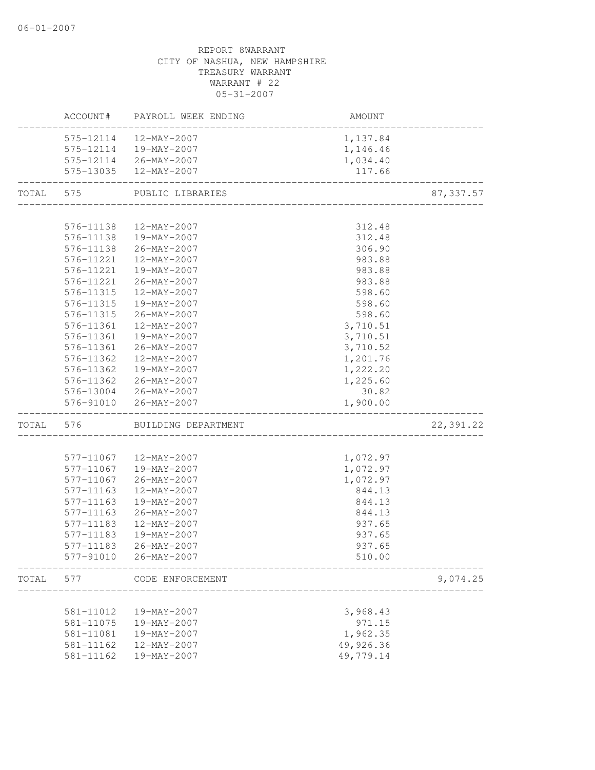|       |           | ACCOUNT# PAYROLL WEEK ENDING  | AMOUNT    |            |
|-------|-----------|-------------------------------|-----------|------------|
|       |           | 575-12114  12-MAY-2007        | 1,137.84  |            |
|       |           | 575-12114  19-MAY-2007        | 1,146.46  |            |
|       |           | 575-12114 26-MAY-2007         | 1,034.40  |            |
|       |           | 575-13035 12-MAY-2007         | 117.66    |            |
| TOTAL | 575       | PUBLIC LIBRARIES              |           | 87, 337.57 |
|       |           |                               |           |            |
|       | 576-11138 | 12-MAY-2007                   | 312.48    |            |
|       |           | 576-11138  19-MAY-2007        | 312.48    |            |
|       | 576-11138 | $26 - MAX - 2007$             | 306.90    |            |
|       |           | 576-11221  12-MAY-2007        | 983.88    |            |
|       |           | 576-11221  19-MAY-2007        | 983.88    |            |
|       | 576-11221 | 26-MAY-2007                   | 983.88    |            |
|       | 576-11315 | 12-MAY-2007                   | 598.60    |            |
|       | 576-11315 | 19-MAY-2007                   | 598.60    |            |
|       | 576-11315 | $26 - MAX - 2007$             | 598.60    |            |
|       | 576-11361 | 12-MAY-2007                   | 3,710.51  |            |
|       | 576-11361 | 19-MAY-2007                   | 3,710.51  |            |
|       | 576-11361 | 26-MAY-2007                   | 3,710.52  |            |
|       | 576-11362 | 12-MAY-2007                   | 1,201.76  |            |
|       | 576-11362 | 19-MAY-2007                   | 1,222.20  |            |
|       |           | 576-11362 26-MAY-2007         | 1,225.60  |            |
|       |           | 576-13004 26-MAY-2007         | 30.82     |            |
|       |           | 576-91010 26-MAY-2007         | 1,900.00  |            |
|       |           | TOTAL 576 BUILDING DEPARTMENT |           | 22,391.22  |
|       |           |                               |           |            |
|       |           | 577-11067  12-MAY-2007        | 1,072.97  |            |
|       |           | 577-11067  19-MAY-2007        | 1,072.97  |            |
|       | 577-11067 | 26-MAY-2007                   | 1,072.97  |            |
|       | 577-11163 | 12-MAY-2007                   | 844.13    |            |
|       | 577-11163 | 19-MAY-2007                   | 844.13    |            |
|       | 577-11163 | $26 - MAX - 2007$             | 844.13    |            |
|       | 577-11183 | 12-MAY-2007                   | 937.65    |            |
|       | 577-11183 | 19-MAY-2007                   | 937.65    |            |
|       | 577-11183 | $26 - MAY - 2007$             | 937.65    |            |
|       |           | 577-91010 26-MAY-2007         | 510.00    |            |
| TOTAL | 577       | CODE ENFORCEMENT              |           | 9,074.25   |
|       |           |                               |           |            |
|       | 581-11012 | 19-MAY-2007                   | 3,968.43  |            |
|       | 581-11075 | 19-MAY-2007                   | 971.15    |            |
|       | 581-11081 | 19-MAY-2007                   | 1,962.35  |            |
|       | 581-11162 | 12-MAY-2007                   | 49,926.36 |            |
|       | 581-11162 | 19-MAY-2007                   | 49,779.14 |            |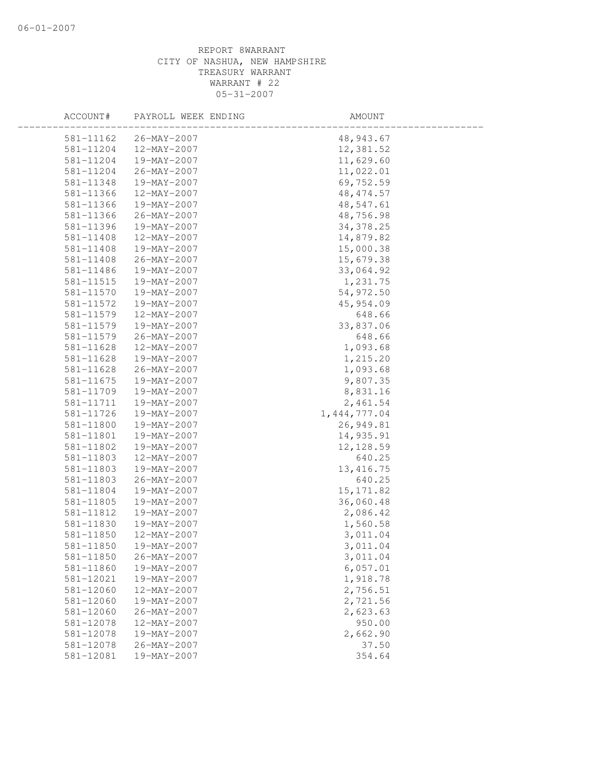| ACCOUNT#  | PAYROLL WEEK ENDING | AMOUNT         |  |
|-----------|---------------------|----------------|--|
| 581-11162 | $26 - MAX - 2007$   | 48,943.67      |  |
| 581-11204 | 12-MAY-2007         | 12,381.52      |  |
| 581-11204 | 19-MAY-2007         | 11,629.60      |  |
| 581-11204 | 26-MAY-2007         | 11,022.01      |  |
| 581-11348 | 19-MAY-2007         | 69,752.59      |  |
| 581-11366 | 12-MAY-2007         | 48, 474.57     |  |
| 581-11366 | 19-MAY-2007         | 48,547.61      |  |
| 581-11366 | 26-MAY-2007         | 48,756.98      |  |
| 581-11396 | 19-MAY-2007         | 34, 378.25     |  |
| 581-11408 | 12-MAY-2007         | 14,879.82      |  |
| 581-11408 | 19-MAY-2007         | 15,000.38      |  |
| 581-11408 | 26-MAY-2007         | 15,679.38      |  |
| 581-11486 | 19-MAY-2007         | 33,064.92      |  |
| 581-11515 | 19-MAY-2007         | 1,231.75       |  |
| 581-11570 | 19-MAY-2007         | 54,972.50      |  |
| 581-11572 | 19-MAY-2007         | 45,954.09      |  |
| 581-11579 | 12-MAY-2007         | 648.66         |  |
| 581-11579 | 19-MAY-2007         | 33,837.06      |  |
| 581-11579 | 26-MAY-2007         | 648.66         |  |
| 581-11628 | 12-MAY-2007         | 1,093.68       |  |
| 581-11628 | 19-MAY-2007         | 1,215.20       |  |
| 581-11628 | 26-MAY-2007         | 1,093.68       |  |
| 581-11675 | 19-MAY-2007         | 9,807.35       |  |
| 581-11709 | 19-MAY-2007         | 8,831.16       |  |
| 581-11711 | 19-MAY-2007         | 2,461.54       |  |
| 581-11726 | 19-MAY-2007         | 1, 444, 777.04 |  |
| 581-11800 | 19-MAY-2007         | 26,949.81      |  |
| 581-11801 | 19-MAY-2007         | 14,935.91      |  |
| 581-11802 | 19-MAY-2007         | 12, 128.59     |  |
| 581-11803 | 12-MAY-2007         | 640.25         |  |
| 581-11803 | 19-MAY-2007         | 13, 416.75     |  |
| 581-11803 | 26-MAY-2007         | 640.25         |  |
| 581-11804 | 19-MAY-2007         | 15, 171.82     |  |
| 581-11805 | 19-MAY-2007         | 36,060.48      |  |
| 581-11812 | 19-MAY-2007         | 2,086.42       |  |
| 581-11830 | 19-MAY-2007         | 1,560.58       |  |
| 581-11850 | 12-MAY-2007         | 3,011.04       |  |
| 581-11850 | 19-MAY-2007         | 3,011.04       |  |
| 581-11850 | $26 - MAY - 2007$   | 3,011.04       |  |
| 581-11860 | 19-MAY-2007         | 6,057.01       |  |
| 581-12021 | 19-MAY-2007         | 1,918.78       |  |
| 581-12060 | 12-MAY-2007         | 2,756.51       |  |
| 581-12060 | 19-MAY-2007         | 2,721.56       |  |
| 581-12060 | $26 - MAX - 2007$   | 2,623.63       |  |
| 581-12078 | 12-MAY-2007         | 950.00         |  |
| 581-12078 | 19-MAY-2007         | 2,662.90       |  |
| 581-12078 | $26 - MAY - 2007$   | 37.50          |  |
| 581-12081 | 19-MAY-2007         | 354.64         |  |
|           |                     |                |  |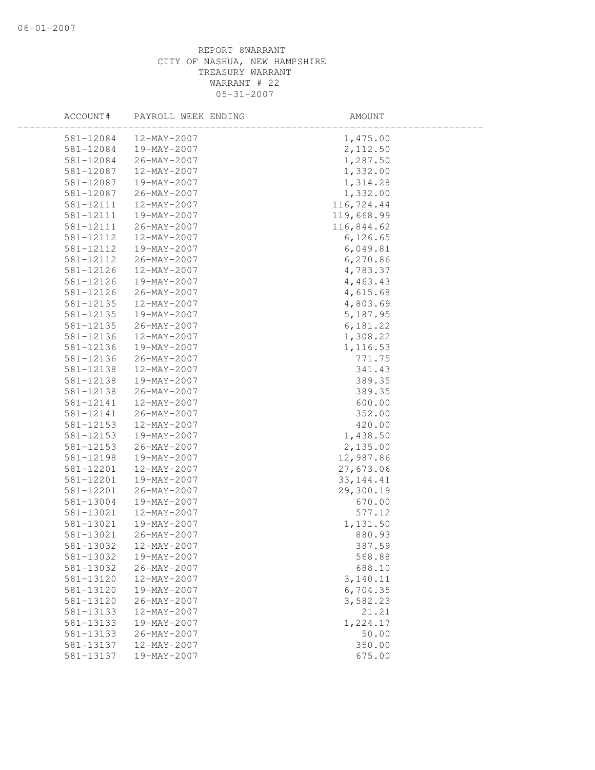| ACCOUNT#  | PAYROLL WEEK ENDING      | AMOUNT      |  |
|-----------|--------------------------|-------------|--|
| 581-12084 | 12-MAY-2007              | 1,475.00    |  |
| 581-12084 | 19-MAY-2007              | 2,112.50    |  |
| 581-12084 | 26-MAY-2007              | 1,287.50    |  |
| 581-12087 | 12-MAY-2007              | 1,332.00    |  |
| 581-12087 | 19-MAY-2007              | 1,314.28    |  |
| 581-12087 | 26-MAY-2007              | 1,332.00    |  |
| 581-12111 | 12-MAY-2007              | 116,724.44  |  |
| 581-12111 | 19-MAY-2007              | 119,668.99  |  |
| 581-12111 | 26-MAY-2007              | 116,844.62  |  |
| 581-12112 | $12 - MAX - 2007$        | 6, 126.65   |  |
| 581-12112 | 19-MAY-2007              | 6,049.81    |  |
| 581-12112 | 26-MAY-2007              | 6,270.86    |  |
| 581-12126 | 12-MAY-2007              | 4,783.37    |  |
| 581-12126 | 19-MAY-2007              | 4,463.43    |  |
| 581-12126 | 26-MAY-2007              | 4,615.68    |  |
| 581-12135 | 12-MAY-2007              | 4,803.69    |  |
| 581-12135 | 19-MAY-2007              | 5,187.95    |  |
| 581-12135 | 26-MAY-2007              | 6,181.22    |  |
| 581-12136 | 12-MAY-2007              | 1,308.22    |  |
| 581-12136 | 19-MAY-2007              | 1,116.53    |  |
| 581-12136 | 26-MAY-2007              | 771.75      |  |
| 581-12138 | 12-MAY-2007              | 341.43      |  |
| 581-12138 | 19-MAY-2007              | 389.35      |  |
| 581-12138 | 26-MAY-2007              | 389.35      |  |
| 581-12141 | 12-MAY-2007              | 600.00      |  |
| 581-12141 | 26-MAY-2007              | 352.00      |  |
| 581-12153 | 12-MAY-2007              | 420.00      |  |
| 581-12153 | 19-MAY-2007              | 1,438.50    |  |
| 581-12153 | 26-MAY-2007              | 2,135.00    |  |
| 581-12198 | 19-MAY-2007              | 12,987.86   |  |
| 581-12201 | 12-MAY-2007              | 27,673.06   |  |
| 581-12201 | 19-MAY-2007              | 33, 144. 41 |  |
| 581-12201 | $26 - MAX - 2007$        | 29,300.19   |  |
| 581-13004 | 19-MAY-2007              | 670.00      |  |
| 581-13021 | $12 - MAX - 2007$        | 577.12      |  |
| 581-13021 | 19-MAY-2007              | 1,131.50    |  |
| 581-13021 | 26-MAY-2007              | 880.93      |  |
| 581-13032 | $12 - \text{MAY} - 2007$ | 387.59      |  |
| 581-13032 | 19-MAY-2007              | 568.88      |  |
| 581-13032 | $26 - MAX - 2007$        | 688.10      |  |
| 581-13120 | $12 - MAX - 2007$        | 3,140.11    |  |
| 581-13120 | $19 - MAY - 2007$        | 6,704.35    |  |
| 581-13120 | $26 - MAX - 2007$        | 3,582.23    |  |
| 581-13133 | 12-MAY-2007              | 21.21       |  |
| 581-13133 | 19-MAY-2007              | 1,224.17    |  |
| 581-13133 | 26-MAY-2007              | 50.00       |  |
| 581-13137 | 12-MAY-2007              | 350.00      |  |
| 581-13137 | 19-MAY-2007              | 675.00      |  |
|           |                          |             |  |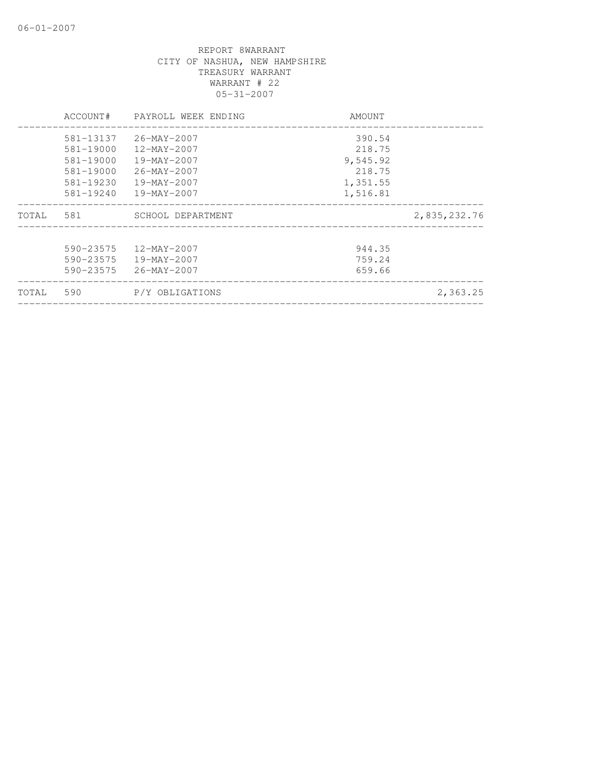|       | ACCOUNT#  | PAYROLL WEEK ENDING      | AMOUNT   |              |
|-------|-----------|--------------------------|----------|--------------|
|       | 581-13137 | 26-MAY-2007              | 390.54   |              |
|       | 581-19000 | 12-MAY-2007              | 218.75   |              |
|       | 581-19000 | 19-MAY-2007              | 9,545.92 |              |
|       | 581-19000 | 26-MAY-2007              | 218.75   |              |
|       | 581-19230 | 19-MAY-2007              | 1,351.55 |              |
|       | 581-19240 | 19-MAY-2007              | 1,516.81 |              |
| TOTAL | 581       | SCHOOL DEPARTMENT        |          | 2,835,232.76 |
|       | 590-23575 | $12 - \text{MAX} - 2007$ | 944.35   |              |
|       | 590-23575 | 19-MAY-2007              | 759.24   |              |
|       | 590-23575 | 26-MAY-2007              | 659.66   |              |
| TOTAL | 590       | P/Y OBLIGATIONS          |          | 2,363.25     |
|       |           |                          |          |              |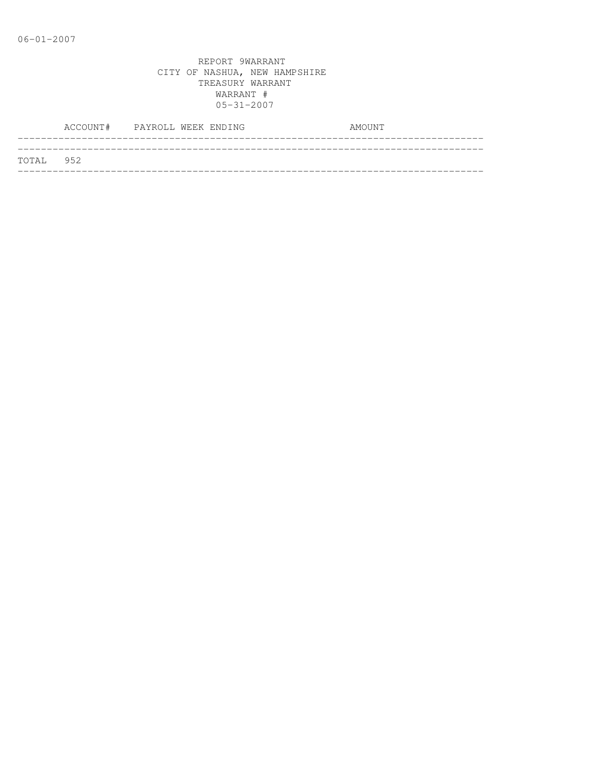|           | ACCOUNT# PAYROLL WEEK ENDING |  |  | AMOUNT |
|-----------|------------------------------|--|--|--------|
|           |                              |  |  |        |
| TOTAL 952 |                              |  |  |        |
|           |                              |  |  |        |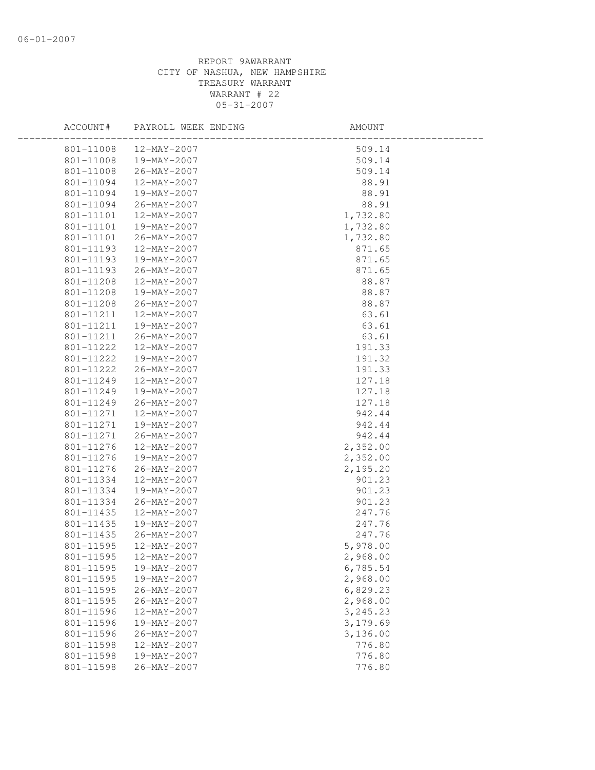| ACCOUNT#  | PAYROLL WEEK ENDING | AMOUNT    |  |
|-----------|---------------------|-----------|--|
| 801-11008 | 12-MAY-2007         | 509.14    |  |
| 801-11008 | 19-MAY-2007         | 509.14    |  |
| 801-11008 | 26-MAY-2007         | 509.14    |  |
| 801-11094 | 12-MAY-2007         | 88.91     |  |
| 801-11094 | 19-MAY-2007         | 88.91     |  |
| 801-11094 | 26-MAY-2007         | 88.91     |  |
| 801-11101 | 12-MAY-2007         | 1,732.80  |  |
| 801-11101 | 19-MAY-2007         | 1,732.80  |  |
| 801-11101 | 26-MAY-2007         | 1,732.80  |  |
| 801-11193 | 12-MAY-2007         | 871.65    |  |
| 801-11193 | 19-MAY-2007         | 871.65    |  |
| 801-11193 | 26-MAY-2007         | 871.65    |  |
| 801-11208 | 12-MAY-2007         | 88.87     |  |
| 801-11208 | 19-MAY-2007         | 88.87     |  |
| 801-11208 | 26-MAY-2007         | 88.87     |  |
| 801-11211 | 12-MAY-2007         | 63.61     |  |
| 801-11211 | 19-MAY-2007         | 63.61     |  |
| 801-11211 | 26-MAY-2007         | 63.61     |  |
| 801-11222 | 12-MAY-2007         | 191.33    |  |
| 801-11222 | 19-MAY-2007         | 191.32    |  |
| 801-11222 | 26-MAY-2007         | 191.33    |  |
| 801-11249 | 12-MAY-2007         | 127.18    |  |
| 801-11249 | 19-MAY-2007         | 127.18    |  |
| 801-11249 | 26-MAY-2007         | 127.18    |  |
| 801-11271 | 12-MAY-2007         | 942.44    |  |
| 801-11271 | 19-MAY-2007         | 942.44    |  |
| 801-11271 | 26-MAY-2007         | 942.44    |  |
| 801-11276 | 12-MAY-2007         | 2,352.00  |  |
| 801-11276 | 19-MAY-2007         | 2,352.00  |  |
| 801-11276 | 26-MAY-2007         | 2,195.20  |  |
| 801-11334 | 12-MAY-2007         | 901.23    |  |
| 801-11334 | 19-MAY-2007         | 901.23    |  |
| 801-11334 | 26-MAY-2007         | 901.23    |  |
| 801-11435 | 12-MAY-2007         | 247.76    |  |
| 801-11435 | 19-MAY-2007         | 247.76    |  |
| 801-11435 | 26-MAY-2007         | 247.76    |  |
| 801-11595 | 12-MAY-2007         | 5,978.00  |  |
| 801-11595 | 12-MAY-2007         | 2,968.00  |  |
| 801-11595 | 19-MAY-2007         | 6,785.54  |  |
| 801-11595 | 19-MAY-2007         | 2,968.00  |  |
| 801-11595 | $26 - MAX - 2007$   | 6,829.23  |  |
| 801-11595 | $26 - MAY - 2007$   | 2,968.00  |  |
| 801-11596 | $12 - MAX - 2007$   | 3, 245.23 |  |
| 801-11596 | 19-MAY-2007         | 3,179.69  |  |
| 801-11596 | 26-MAY-2007         | 3,136.00  |  |
| 801-11598 | 12-MAY-2007         | 776.80    |  |
| 801-11598 | 19-MAY-2007         | 776.80    |  |
| 801-11598 | $26 - MAY - 2007$   | 776.80    |  |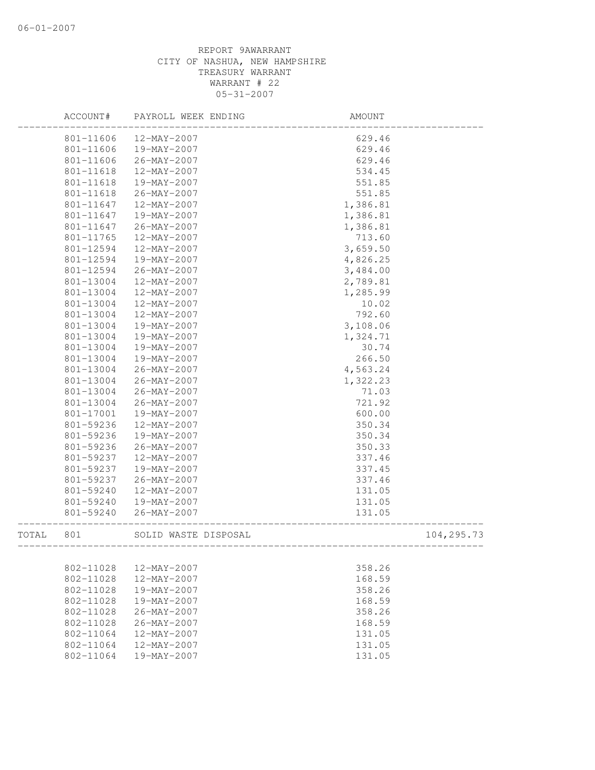|       | ACCOUNT#  | PAYROLL WEEK ENDING  | AMOUNT           |            |
|-------|-----------|----------------------|------------------|------------|
|       | 801-11606 | 12-MAY-2007          | 629.46           |            |
|       | 801-11606 | 19-MAY-2007          | 629.46           |            |
|       | 801-11606 | 26-MAY-2007          | 629.46           |            |
|       | 801-11618 | 12-MAY-2007          | 534.45           |            |
|       | 801-11618 | 19-MAY-2007          | 551.85           |            |
|       | 801-11618 | 26-MAY-2007          | 551.85           |            |
|       | 801-11647 | 12-MAY-2007          | 1,386.81         |            |
|       | 801-11647 | 19-MAY-2007          | 1,386.81         |            |
|       | 801-11647 | $26 - MAX - 2007$    | 1,386.81         |            |
|       | 801-11765 | 12-MAY-2007          | 713.60           |            |
|       | 801-12594 | 12-MAY-2007          | 3,659.50         |            |
|       | 801-12594 | 19-MAY-2007          | 4,826.25         |            |
|       | 801-12594 | $26 - MAX - 2007$    | 3,484.00         |            |
|       | 801-13004 | 12-MAY-2007          | 2,789.81         |            |
|       | 801-13004 | 12-MAY-2007          | 1,285.99         |            |
|       | 801-13004 | 12-MAY-2007          | 10.02            |            |
|       | 801-13004 | 12-MAY-2007          | 792.60           |            |
|       | 801-13004 | 19-MAY-2007          | 3,108.06         |            |
|       | 801-13004 | 19-MAY-2007          | 1,324.71         |            |
|       | 801-13004 | 19-MAY-2007          | 30.74            |            |
|       | 801-13004 | 19-MAY-2007          | 266.50           |            |
|       | 801-13004 | 26-MAY-2007          | 4,563.24         |            |
|       | 801-13004 | $26 - MAX - 2007$    | 1,322.23         |            |
|       | 801-13004 | 26-MAY-2007          | 71.03            |            |
|       | 801-13004 | 26-MAY-2007          | 721.92           |            |
|       | 801-17001 | 19-MAY-2007          | 600.00           |            |
|       | 801-59236 | 12-MAY-2007          | 350.34           |            |
|       | 801-59236 | 19-MAY-2007          | 350.34           |            |
|       | 801-59236 | 26-MAY-2007          | 350.33           |            |
|       | 801-59237 | 12-MAY-2007          | 337.46           |            |
|       | 801-59237 | 19-MAY-2007          | 337.45           |            |
|       | 801-59237 | 26-MAY-2007          | 337.46           |            |
|       | 801-59240 | 12-MAY-2007          | 131.05           |            |
|       | 801-59240 | 19-MAY-2007          | 131.05           |            |
|       | 801-59240 | $26 - MAX - 2007$    | 131.05           |            |
|       |           |                      |                  |            |
| TOTAL | 801       | SOLID WASTE DISPOSAL | ---------------- | 104,295.73 |
|       |           |                      |                  |            |
|       | 802-11028 | 12-MAY-2007          | 358.26           |            |
|       | 802-11028 | 12-MAY-2007          | 168.59           |            |
|       | 802-11028 | 19-MAY-2007          | 358.26           |            |
|       | 802-11028 | 19-MAY-2007          | 168.59           |            |
|       | 802-11028 | $26 - MAX - 2007$    | 358.26           |            |
|       | 802-11028 | 26-MAY-2007          | 168.59           |            |
|       | 802-11064 | $12 - MAX - 2007$    | 131.05           |            |
|       | 802-11064 | $12 - MAX - 2007$    | 131.05           |            |
|       | 802-11064 | 19-MAY-2007          | 131.05           |            |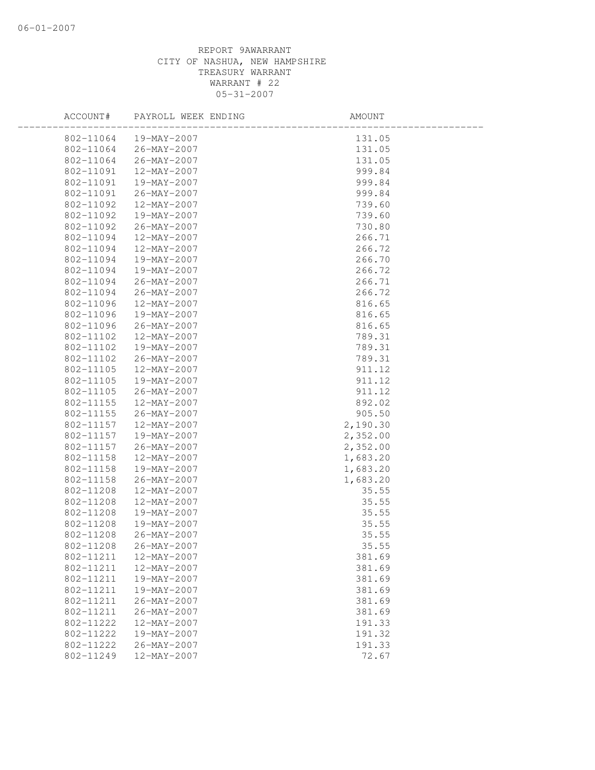| ACCOUNT#  | PAYROLL WEEK ENDING    | AMOUNT   |
|-----------|------------------------|----------|
|           | 802-11064  19-MAY-2007 | 131.05   |
| 802-11064 | 26-MAY-2007            | 131.05   |
| 802-11064 | 26-MAY-2007            | 131.05   |
| 802-11091 | 12-MAY-2007            | 999.84   |
| 802-11091 | 19-MAY-2007            | 999.84   |
| 802-11091 | 26-MAY-2007            | 999.84   |
| 802-11092 | 12-MAY-2007            | 739.60   |
| 802-11092 | 19-MAY-2007            | 739.60   |
| 802-11092 | 26-MAY-2007            | 730.80   |
| 802-11094 | 12-MAY-2007            | 266.71   |
| 802-11094 | 12-MAY-2007            | 266.72   |
| 802-11094 | 19-MAY-2007            | 266.70   |
| 802-11094 | 19-MAY-2007            | 266.72   |
| 802-11094 | 26-MAY-2007            | 266.71   |
| 802-11094 | $26 - MAX - 2007$      | 266.72   |
| 802-11096 | 12-MAY-2007            | 816.65   |
| 802-11096 | 19-MAY-2007            | 816.65   |
| 802-11096 | 26-MAY-2007            | 816.65   |
| 802-11102 | 12-MAY-2007            | 789.31   |
| 802-11102 | 19-MAY-2007            | 789.31   |
| 802-11102 | 26-MAY-2007            | 789.31   |
| 802-11105 | 12-MAY-2007            | 911.12   |
| 802-11105 | 19-MAY-2007            | 911.12   |
| 802-11105 | 26-MAY-2007            | 911.12   |
| 802-11155 | 12-MAY-2007            | 892.02   |
| 802-11155 | 26-MAY-2007            | 905.50   |
| 802-11157 | 12-MAY-2007            | 2,190.30 |
| 802-11157 | 19-MAY-2007            | 2,352.00 |
| 802-11157 | $26 - MAX - 2007$      | 2,352.00 |
| 802-11158 | 12-MAY-2007            | 1,683.20 |
| 802-11158 | 19-MAY-2007            | 1,683.20 |
| 802-11158 | 26-MAY-2007            | 1,683.20 |
| 802-11208 | 12-MAY-2007            | 35.55    |
| 802-11208 | 12-MAY-2007            | 35.55    |
| 802-11208 | 19-MAY-2007            | 35.55    |
| 802-11208 | 19-MAY-2007            | 35.55    |
| 802-11208 | $26 - MAX - 2007$      | 35.55    |
| 802-11208 | $26 - MAX - 2007$      | 35.55    |
| 802-11211 | 12-MAY-2007            | 381.69   |
| 802-11211 | 12-MAY-2007            | 381.69   |
| 802-11211 | 19-MAY-2007            | 381.69   |
| 802-11211 | 19-MAY-2007            | 381.69   |
| 802-11211 | 26-MAY-2007            | 381.69   |
| 802-11211 | $26 - MAX - 2007$      | 381.69   |
| 802-11222 | 12-MAY-2007            | 191.33   |
| 802-11222 | 19-MAY-2007            | 191.32   |
| 802-11222 | $26 - MAX - 2007$      | 191.33   |
| 802-11249 | 12-MAY-2007            | 72.67    |
|           |                        |          |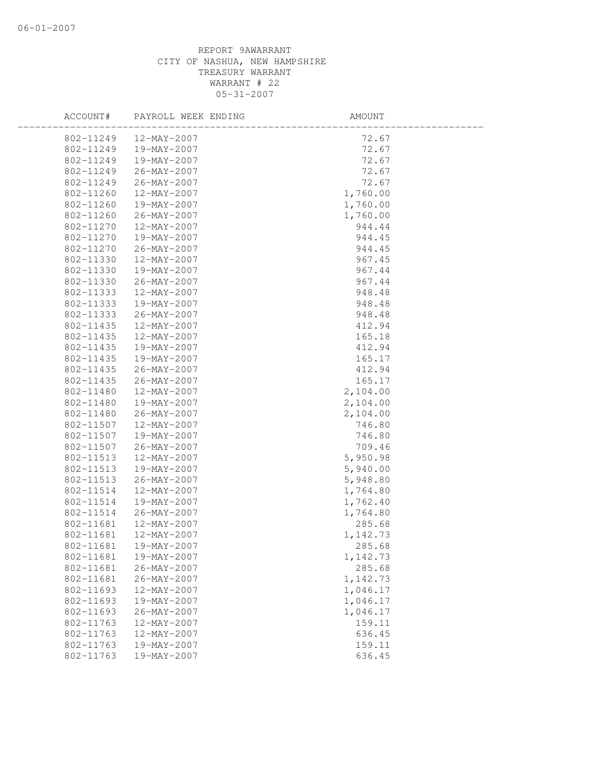| ACCOUNT#  | PAYROLL WEEK ENDING | AMOUNT   |
|-----------|---------------------|----------|
| 802-11249 | 12-MAY-2007         | 72.67    |
| 802-11249 | 19-MAY-2007         | 72.67    |
| 802-11249 | 19-MAY-2007         | 72.67    |
| 802-11249 | 26-MAY-2007         | 72.67    |
| 802-11249 | $26 - MAX - 2007$   | 72.67    |
| 802-11260 | 12-MAY-2007         | 1,760.00 |
| 802-11260 | 19-MAY-2007         | 1,760.00 |
| 802-11260 | $26 - MAX - 2007$   | 1,760.00 |
| 802-11270 | 12-MAY-2007         | 944.44   |
| 802-11270 | 19-MAY-2007         | 944.45   |
| 802-11270 | $26 - MAX - 2007$   | 944.45   |
| 802-11330 | 12-MAY-2007         | 967.45   |
| 802-11330 | 19-MAY-2007         | 967.44   |
| 802-11330 | 26-MAY-2007         | 967.44   |
| 802-11333 | 12-MAY-2007         | 948.48   |
| 802-11333 | 19-MAY-2007         | 948.48   |
| 802-11333 | 26-MAY-2007         | 948.48   |
| 802-11435 | 12-MAY-2007         | 412.94   |
| 802-11435 | 12-MAY-2007         | 165.18   |
| 802-11435 | 19-MAY-2007         | 412.94   |
| 802-11435 | 19-MAY-2007         | 165.17   |
| 802-11435 | 26-MAY-2007         | 412.94   |
| 802-11435 | 26-MAY-2007         | 165.17   |
| 802-11480 | 12-MAY-2007         | 2,104.00 |
| 802-11480 | 19-MAY-2007         | 2,104.00 |
| 802-11480 | 26-MAY-2007         | 2,104.00 |
| 802-11507 | 12-MAY-2007         | 746.80   |
| 802-11507 | 19-MAY-2007         | 746.80   |
| 802-11507 | 26-MAY-2007         | 709.46   |
| 802-11513 | 12-MAY-2007         | 5,950.98 |
| 802-11513 | 19-MAY-2007         | 5,940.00 |
| 802-11513 | 26-MAY-2007         | 5,948.80 |
| 802-11514 | 12-MAY-2007         | 1,764.80 |
| 802-11514 | 19-MAY-2007         | 1,762.40 |
| 802-11514 | 26-MAY-2007         | 1,764.80 |
| 802-11681 | 12-MAY-2007         | 285.68   |
| 802-11681 | $12 - MAX - 2007$   | 1,142.73 |
| 802-11681 | 19-MAY-2007         | 285.68   |
| 802-11681 | 19-MAY-2007         | 1,142.73 |
| 802-11681 | $26 - MAX - 2007$   | 285.68   |
| 802-11681 | 26-MAY-2007         | 1,142.73 |
| 802-11693 | 12-MAY-2007         | 1,046.17 |
| 802-11693 | 19-MAY-2007         | 1,046.17 |
| 802-11693 | $26 - MAX - 2007$   | 1,046.17 |
| 802-11763 | 12-MAY-2007         | 159.11   |
| 802-11763 | 12-MAY-2007         | 636.45   |
| 802-11763 | 19-MAY-2007         | 159.11   |
| 802-11763 | 19-MAY-2007         | 636.45   |
|           |                     |          |